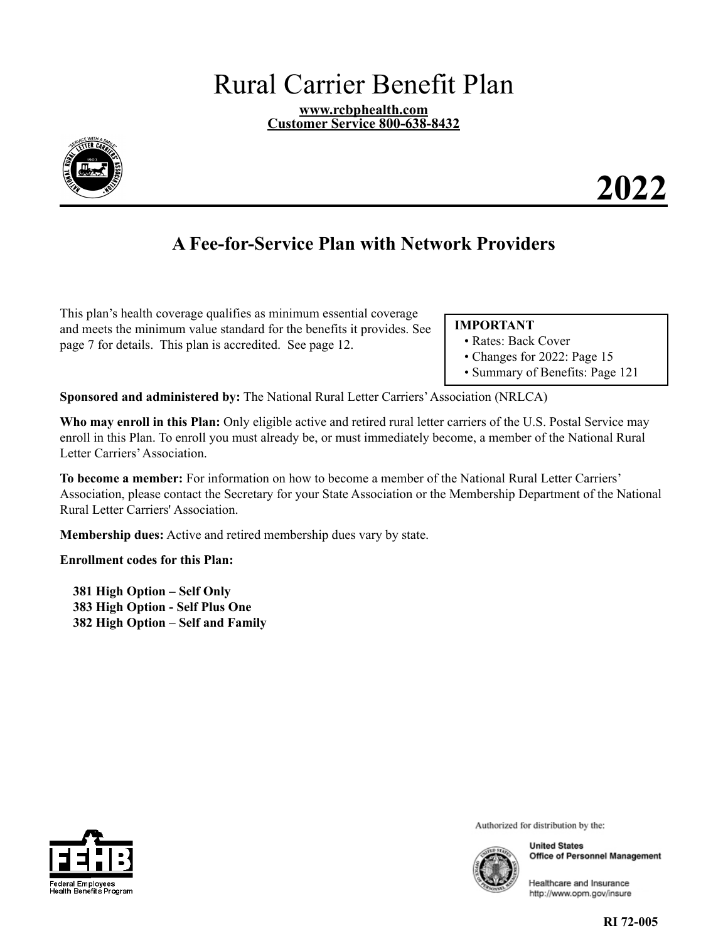# <span id="page-0-0"></span>Rural Carrier Benefit Plan

**www.rcbphealth.com Customer Service 800-638-8432** 



**2022** 

## **A Fee-for-Service Plan with Network Providers**

This plan's health coverage qualifies as minimum essential coverage and meets the minimum value standard for the benefits it provides. See page [7](#page-8-0) for details. This plan is accredited. See page [12.](#page-13-0)

#### **IMPORTANT**

- Rates: Back Cover
- Changes for 2022: Page [15](#page-16-0)
- Summary of Benefits: Page [121](#page-122-0)

**Sponsored and administered by:** The National Rural Letter Carriers'Association (NRLCA)

**Who may enroll in this Plan:** Only eligible active and retired rural letter carriers of the U.S. Postal Service may enroll in this Plan. To enroll you must already be, or must immediately become, a member of the National Rural Letter Carriers'Association.

**To become a member:** For information on how to become a member of the National Rural Letter Carriers' Association, please contact the Secretary for your State Association or the Membership Department of the National Rural Letter Carriers' Association.

**Membership dues:** Active and retired membership dues vary by state.

**Enrollment codes for this Plan:** 

**381 High Option – Self Only 383 High Option - Self Plus One 382 High Option – Self and Family** 



Authorized for distribution by the:



**United States Office of Personnel Management** 

Healthcare and Insurance http://www.opm.gov/insure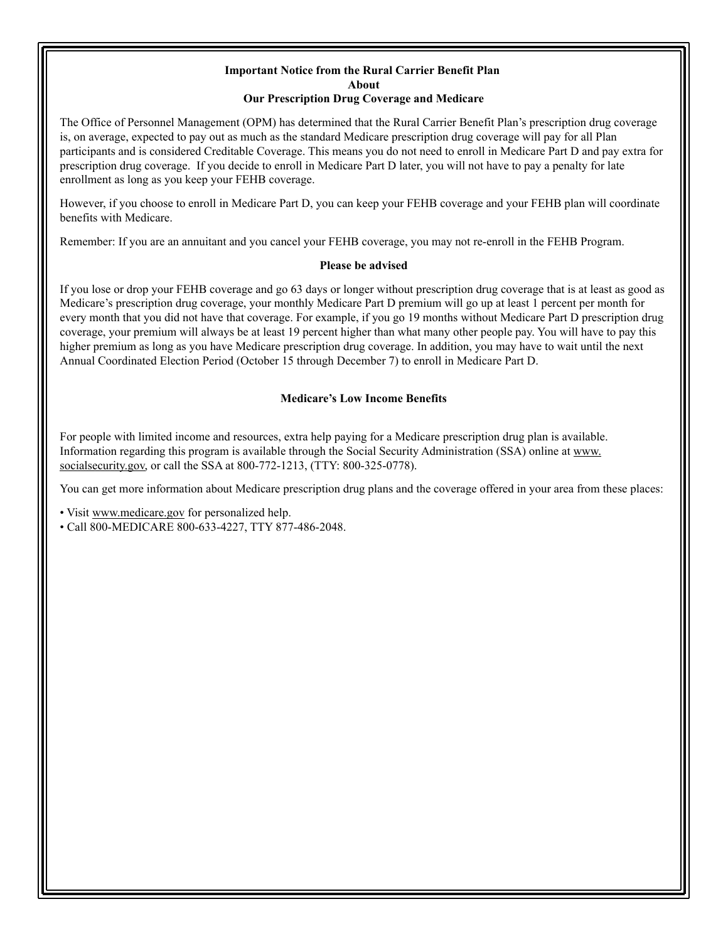#### <span id="page-1-0"></span>**Important Notice from the Rural Carrier Benefit Plan About Our Prescription Drug Coverage and Medicare**

The Office of Personnel Management (OPM) has determined that the Rural Carrier Benefit Plan's prescription drug coverage is, on average, expected to pay out as much as the standard Medicare prescription drug coverage will pay for all Plan participants and is considered Creditable Coverage. This means you do not need to enroll in Medicare Part D and pay extra for prescription drug coverage. If you decide to enroll in Medicare Part D later, you will not have to pay a penalty for late enrollment as long as you keep your FEHB coverage.

However, if you choose to enroll in Medicare Part D, you can keep your FEHB coverage and your FEHB plan will coordinate benefits with Medicare.

Remember: If you are an annuitant and you cancel your FEHB coverage, you may not re-enroll in the FEHB Program.

#### **Please be advised**

If you lose or drop your FEHB coverage and go 63 days or longer without prescription drug coverage that is at least as good as Medicare's prescription drug coverage, your monthly Medicare Part D premium will go up at least 1 percent per month for every month that you did not have that coverage. For example, if you go 19 months without Medicare Part D prescription drug coverage, your premium will always be at least 19 percent higher than what many other people pay. You will have to pay this higher premium as long as you have Medicare prescription drug coverage. In addition, you may have to wait until the next Annual Coordinated Election Period (October 15 through December 7) to enroll in Medicare Part D.

#### **Medicare's Low Income Benefits**

For people with limited income and resources, extra help paying for a Medicare prescription drug plan is available. Information regarding this program is available through the Social Security Administration (SSA) online at [www.](http://www.socialsecurity.gov) socialsecurity.gov, or call the SSA at 800-772-1213, (TTY: 800-325-0778).

You can get more information about Medicare prescription drug plans and the coverage offered in your area from these places:

• Visit www.medicare.gov for personalized help.

• Call 800-MEDICARE 800-633-4227, TTY 877-486-2048.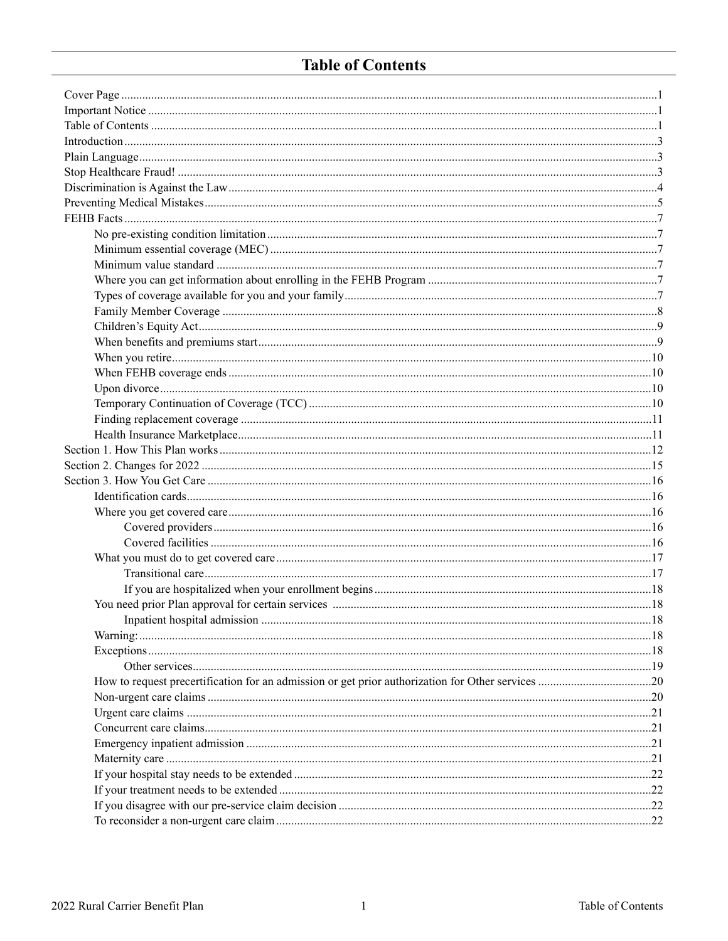## <span id="page-2-0"></span>**Table of Contents**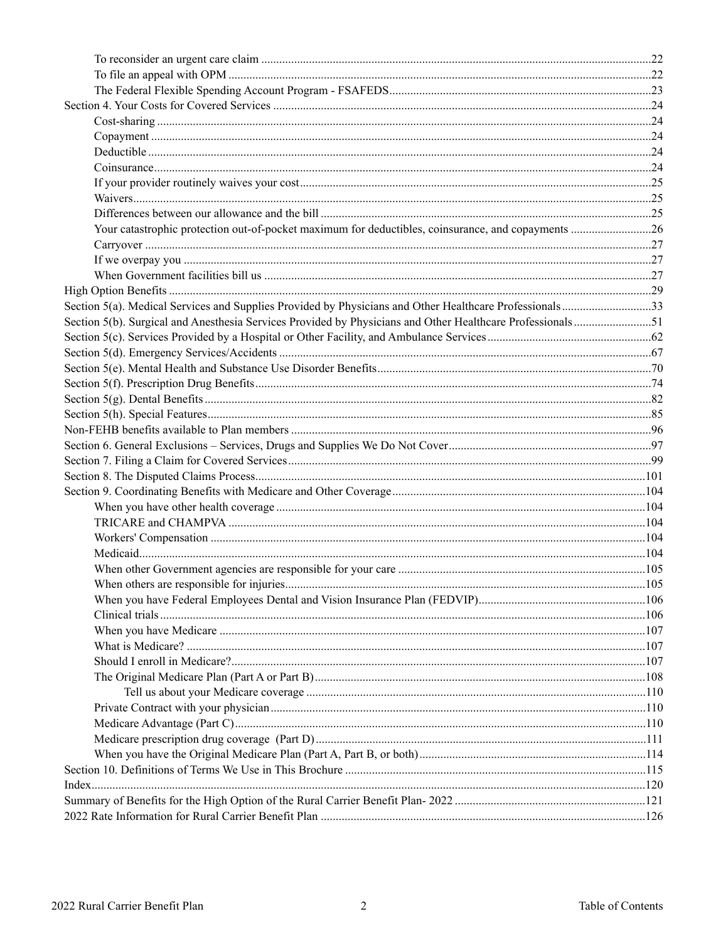| Section 5(a). Medical Services and Supplies Provided by Physicians and Other Healthcare Professionals33 |  |
|---------------------------------------------------------------------------------------------------------|--|
|                                                                                                         |  |
|                                                                                                         |  |
|                                                                                                         |  |
|                                                                                                         |  |
|                                                                                                         |  |
|                                                                                                         |  |
|                                                                                                         |  |
|                                                                                                         |  |
|                                                                                                         |  |
|                                                                                                         |  |
|                                                                                                         |  |
|                                                                                                         |  |
|                                                                                                         |  |
|                                                                                                         |  |
|                                                                                                         |  |
|                                                                                                         |  |
|                                                                                                         |  |
|                                                                                                         |  |
|                                                                                                         |  |
|                                                                                                         |  |
|                                                                                                         |  |
|                                                                                                         |  |
|                                                                                                         |  |
|                                                                                                         |  |
|                                                                                                         |  |
|                                                                                                         |  |
|                                                                                                         |  |
|                                                                                                         |  |
|                                                                                                         |  |
|                                                                                                         |  |
|                                                                                                         |  |
|                                                                                                         |  |
|                                                                                                         |  |
|                                                                                                         |  |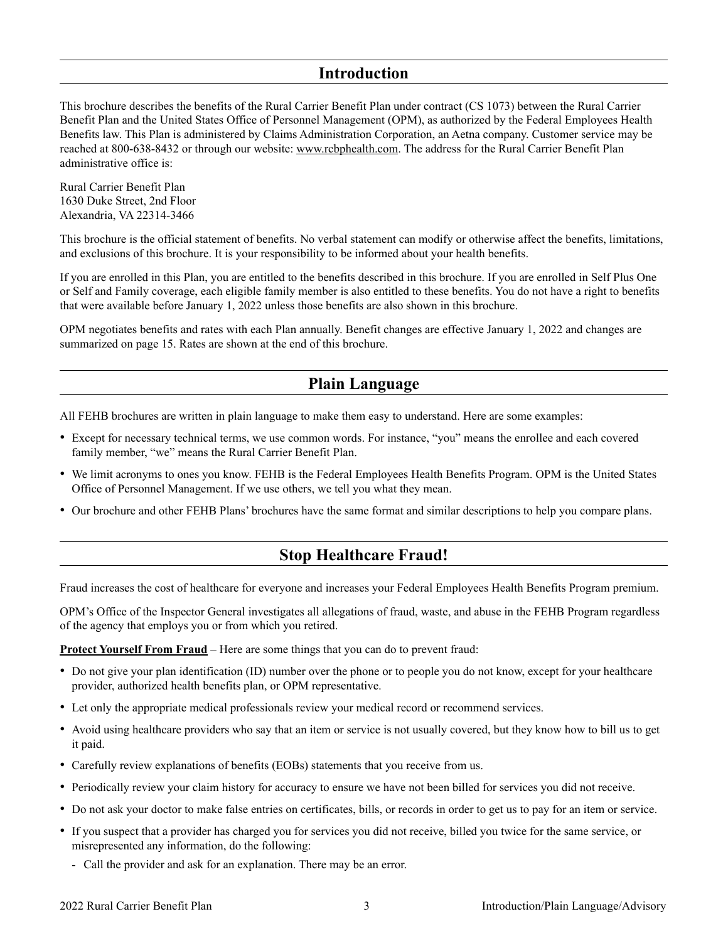### <span id="page-4-0"></span>**Introduction**

This brochure describes the benefits of the Rural Carrier Benefit Plan under contract (CS 1073) between the Rural Carrier Benefit Plan and the United States Office of Personnel Management (OPM), as authorized by the Federal Employees Health Benefits law. This Plan is administered by Claims Administration Corporation, an Aetna company. Customer service may be reached at 800-638-8432 or through our website: www.rcbphealth.com. The address for the Rural Carrier Benefit Plan administrative office is:

Rural Carrier Benefit Plan 1630 Duke Street, 2nd Floor Alexandria, VA 22314-3466

This brochure is the official statement of benefits. No verbal statement can modify or otherwise affect the benefits, limitations, and exclusions of this brochure. It is your responsibility to be informed about your health benefits.

If you are enrolled in this Plan, you are entitled to the benefits described in this brochure. If you are enrolled in Self Plus One or Self and Family coverage, each eligible family member is also entitled to these benefits. You do not have a right to benefits that were available before January 1, 2022 unless those benefits are also shown in this brochure.

OPM negotiates benefits and rates with each Plan annually. Benefit changes are effective January 1, 2022 and changes are summarized on page [15.](#page-16-0) Rates are shown at the end of this brochure.

## <span id="page-4-1"></span>**Plain Language**

All FEHB brochures are written in plain language to make them easy to understand. Here are some examples:

- • Except for necessary technical terms, we use common words. For instance, "you" means the enrollee and each covered family member, "we" means the Rural Carrier Benefit Plan.
- • We limit acronyms to ones you know. FEHB is the Federal Employees Health Benefits Program. OPM is the United States Office of Personnel Management. If we use others, we tell you what they mean.
- • Our brochure and other FEHB Plans' brochures have the same format and similar descriptions to help you compare plans.

### <span id="page-4-2"></span>**Stop Healthcare Fraud!**

Fraud increases the cost of healthcare for everyone and increases your Federal Employees Health Benefits Program premium.

OPM's Office of the Inspector General investigates all allegations of fraud, waste, and abuse in the FEHB Program regardless of the agency that employs you or from which you retired.

**Protect Yourself From Fraud** – Here are some things that you can do to prevent fraud:

- Do not give your plan identification (ID) number over the phone or to people you do not know, except for your healthcare provider, authorized health benefits plan, or OPM representative.
- Let only the appropriate medical professionals review your medical record or recommend services.
- • Avoid using healthcare providers who say that an item or service is not usually covered, but they know how to bill us to get it paid.
- • Carefully review explanations of benefits (EOBs) statements that you receive from us.
- • Periodically review your claim history for accuracy to ensure we have not been billed for services you did not receive.
- • Do not ask your doctor to make false entries on certificates, bills, or records in order to get us to pay for an item or service.
- • If you suspect that a provider has charged you for services you did not receive, billed you twice for the same service, or misrepresented any information, do the following:
	- Call the provider and ask for an explanation. There may be an error.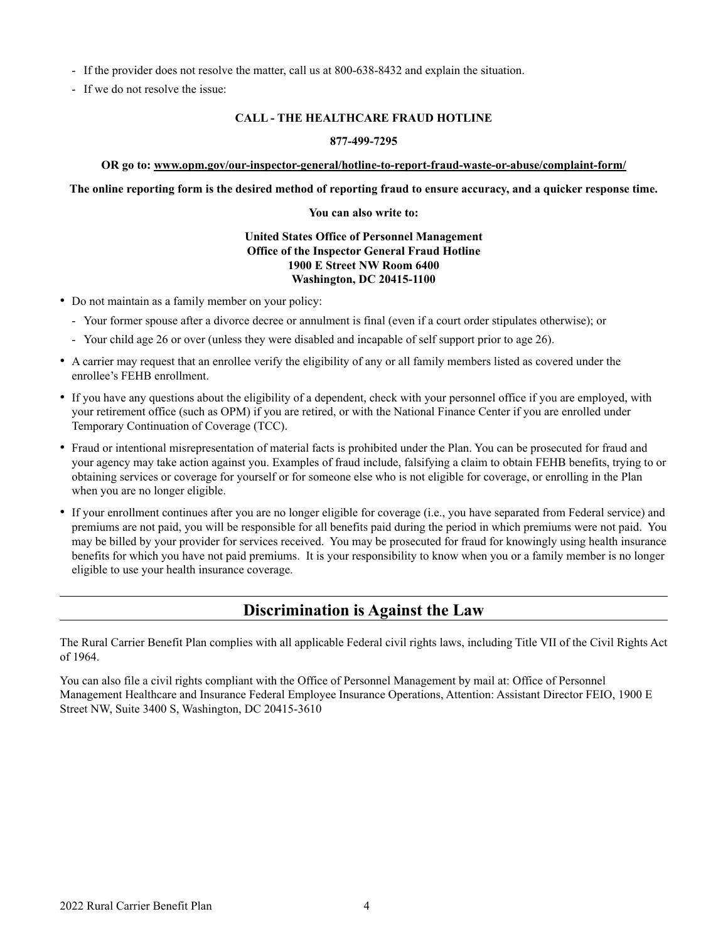- If the provider does not resolve the matter, call us at 800-638-8432 and explain the situation.
- If we do not resolve the issue:

#### **CALL - THE HEALTHCARE FRAUD HOTLINE**

#### **877-499-7295**

#### **OR go to: www.opm.gov/our-inspector-general/hotline-to-report-fraud-waste-or-abuse/complaint-form/**

**The online reporting form is the desired method of reporting fraud to ensure accuracy, and a quicker response time.** 

#### **You can also write to:**

#### **United States Office of Personnel Management Office of the Inspector General Fraud Hotline 1900 E Street NW Room 6400 Washington, DC 20415-1100**

- Do not maintain as a family member on your policy:
	- Your former spouse after a divorce decree or annulment is final (even if a court order stipulates otherwise); or
	- Your child age 26 or over (unless they were disabled and incapable of self support prior to age 26).
- • A carrier may request that an enrollee verify the eligibility of any or all family members listed as covered under the enrollee's FEHB enrollment.
- If you have any questions about the eligibility of a dependent, check with your personnel office if you are employed, with your retirement office (such as OPM) if you are retired, or with the National Finance Center if you are enrolled under Temporary Continuation of Coverage (TCC).
- Fraud or intentional misrepresentation of material facts is prohibited under the Plan. You can be prosecuted for fraud and your agency may take action against you. Examples of fraud include, falsifying a claim to obtain FEHB benefits, trying to or obtaining services or coverage for yourself or for someone else who is not eligible for coverage, or enrolling in the Plan when you are no longer eligible.
- • If your enrollment continues after you are no longer eligible for coverage (i.e., you have separated from Federal service) and premiums are not paid, you will be responsible for all benefits paid during the period in which premiums were not paid. You may be billed by your provider for services received. You may be prosecuted for fraud for knowingly using health insurance benefits for which you have not paid premiums. It is your responsibility to know when you or a family member is no longer eligible to use your health insurance coverage.

### <span id="page-5-0"></span>**Discrimination is Against the Law**

The Rural Carrier Benefit Plan complies with all applicable Federal civil rights laws, including Title VII of the Civil Rights Act of 1964.

You can also file a civil rights compliant with the Office of Personnel Management by mail at: Office of Personnel Management Healthcare and Insurance Federal Employee Insurance Operations, Attention: Assistant Director FEIO, 1900 E Street NW, Suite 3400 S, Washington, DC 20415-3610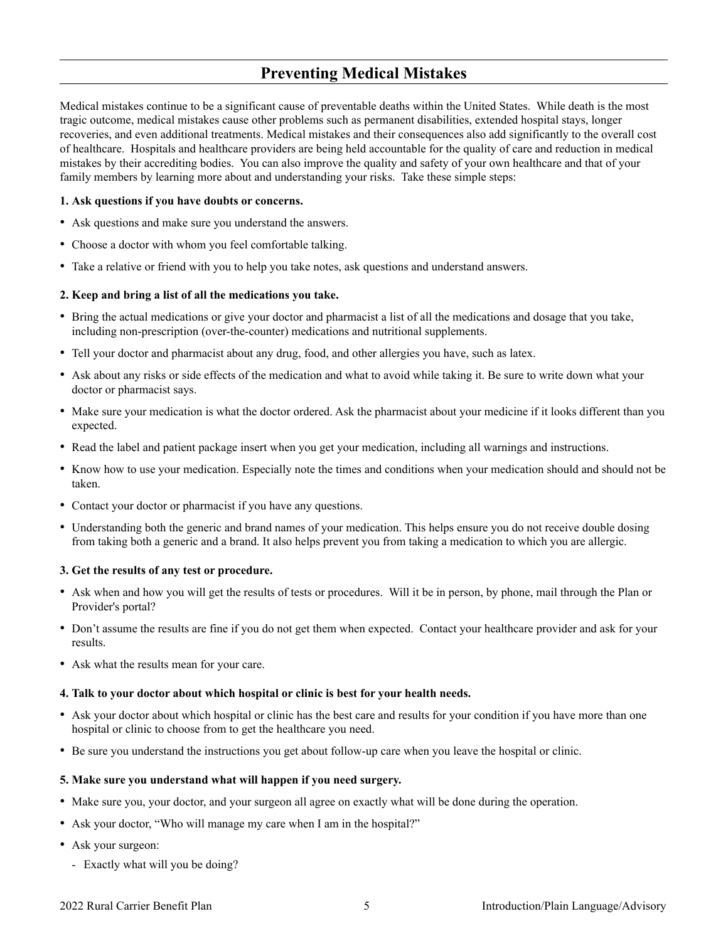## <span id="page-6-0"></span>**Preventing Medical Mistakes**

Medical mistakes continue to be a significant cause of preventable deaths within the United States. While death is the most tragic outcome, medical mistakes cause other problems such as permanent disabilities, extended hospital stays, longer recoveries, and even additional treatments. Medical mistakes and their consequences also add significantly to the overall cost of healthcare. Hospitals and healthcare providers are being held accountable for the quality of care and reduction in medical mistakes by their accrediting bodies. You can also improve the quality and safety of your own healthcare and that of your family members by learning more about and understanding your risks. Take these simple steps:

#### **1. Ask questions if you have doubts or concerns.**

- • Ask questions and make sure you understand the answers.
- Choose a doctor with whom you feel comfortable talking.
- Take a relative or friend with you to help you take notes, ask questions and understand answers.

#### **2. Keep and bring a list of all the medications you take.**

- • Bring the actual medications or give your doctor and pharmacist a list of all the medications and dosage that you take, including non-prescription (over-the-counter) medications and nutritional supplements.
- Tell your doctor and pharmacist about any drug, food, and other allergies you have, such as latex.
- Ask about any risks or side effects of the medication and what to avoid while taking it. Be sure to write down what your doctor or pharmacist says.
- Make sure your medication is what the doctor ordered. Ask the pharmacist about your medicine if it looks different than you expected.
- Read the label and patient package insert when you get your medication, including all warnings and instructions.
- Know how to use your medication. Especially note the times and conditions when your medication should and should not be taken.
- Contact your doctor or pharmacist if you have any questions.
- Understanding both the generic and brand names of your medication. This helps ensure you do not receive double dosing from taking both a generic and a brand. It also helps prevent you from taking a medication to which you are allergic.

#### **3. Get the results of any test or procedure.**

- • Ask when and how you will get the results of tests or procedures. Will it be in person, by phone, mail through the Plan or Provider's portal?
- Don't assume the results are fine if you do not get them when expected. Contact your healthcare provider and ask for your results.
- Ask what the results mean for your care.

#### **4. Talk to your doctor about which hospital or clinic is best for your health needs.**

- Ask your doctor about which hospital or clinic has the best care and results for your condition if you have more than one hospital or clinic to choose from to get the healthcare you need.
- Be sure you understand the instructions you get about follow-up care when you leave the hospital or clinic.

#### **5. Make sure you understand what will happen if you need surgery.**

- Make sure you, your doctor, and your surgeon all agree on exactly what will be done during the operation.
- Ask your doctor, "Who will manage my care when I am in the hospital?"
- Ask your surgeon:
	- Exactly what will you be doing?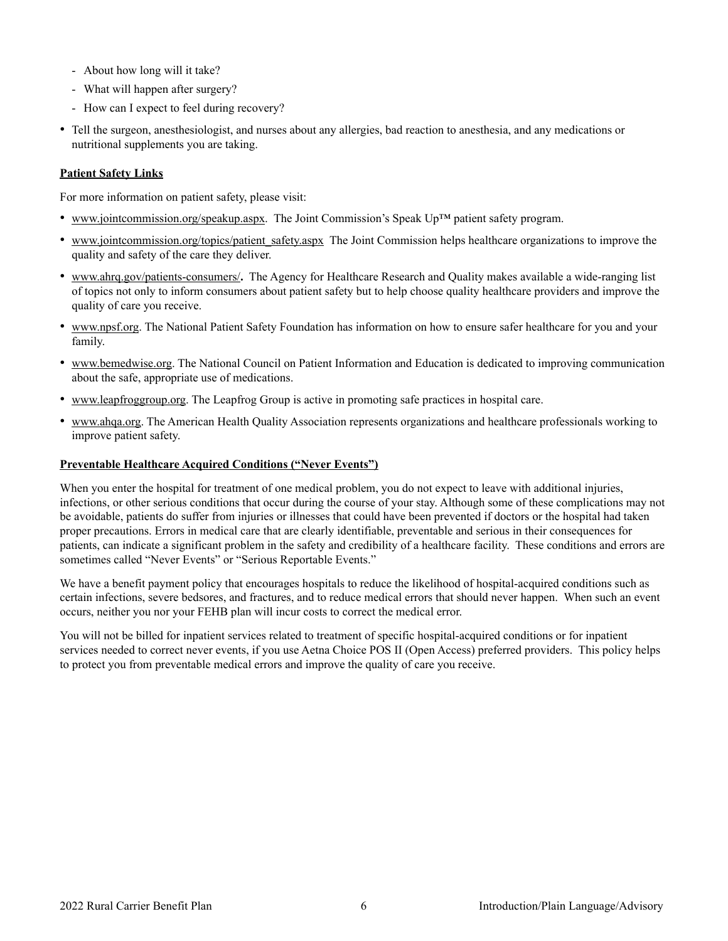- About how long will it take?
- What will happen after surgery?
- How can I expect to feel during recovery?
- • Tell the surgeon, anesthesiologist, and nurses about any allergies, bad reaction to anesthesia, and any medications or nutritional supplements you are taking.

#### **Patient Safety Links**

For more information on patient safety, please visit:

- • www.jointcommission.org/speakup.aspx. The Joint Commission's Speak Up™ patient safety program.
- www.jointcommission.org/topics/patient\_safety.aspx The Joint Commission helps healthcare organizations to improve the quality and safety of the care they deliver.
- • www.ahrq.gov/patients-consumers/**.** The Agency for Healthcare Research and Quality makes available a wide-ranging list of topics not only to inform consumers about patient safety but to help choose quality healthcare providers and improve the quality of care you receive.
- www.npsf.org. The National Patient Safety Foundation has information on how to ensure safer healthcare for you and your family.
- • www.bemedwise.org. The National Council on Patient Information and Education is dedicated to improving communication about the safe, appropriate use of medications.
- • www.leapfroggroup.org. The Leapfrog Group is active in promoting safe practices in hospital care.
- www.ahqa.org. The American Health Quality Association represents organizations and healthcare professionals working to improve patient safety.

#### **Preventable Healthcare Acquired Conditions ("Never Events")**

When you enter the hospital for treatment of one medical problem, you do not expect to leave with additional injuries, infections, or other serious conditions that occur during the course of your stay. Although some of these complications may not be avoidable, patients do suffer from injuries or illnesses that could have been prevented if doctors or the hospital had taken proper precautions. Errors in medical care that are clearly identifiable, preventable and serious in their consequences for patients, can indicate a significant problem in the safety and credibility of a healthcare facility. These conditions and errors are sometimes called "Never Events" or "Serious Reportable Events."

We have a benefit payment policy that encourages hospitals to reduce the likelihood of hospital-acquired conditions such as certain infections, severe bedsores, and fractures, and to reduce medical errors that should never happen. When such an event occurs, neither you nor your FEHB plan will incur costs to correct the medical error.

You will not be billed for inpatient services related to treatment of specific hospital-acquired conditions or for inpatient services needed to correct never events, if you use Aetna Choice POS II (Open Access) preferred providers. This policy helps to protect you from preventable medical errors and improve the quality of care you receive.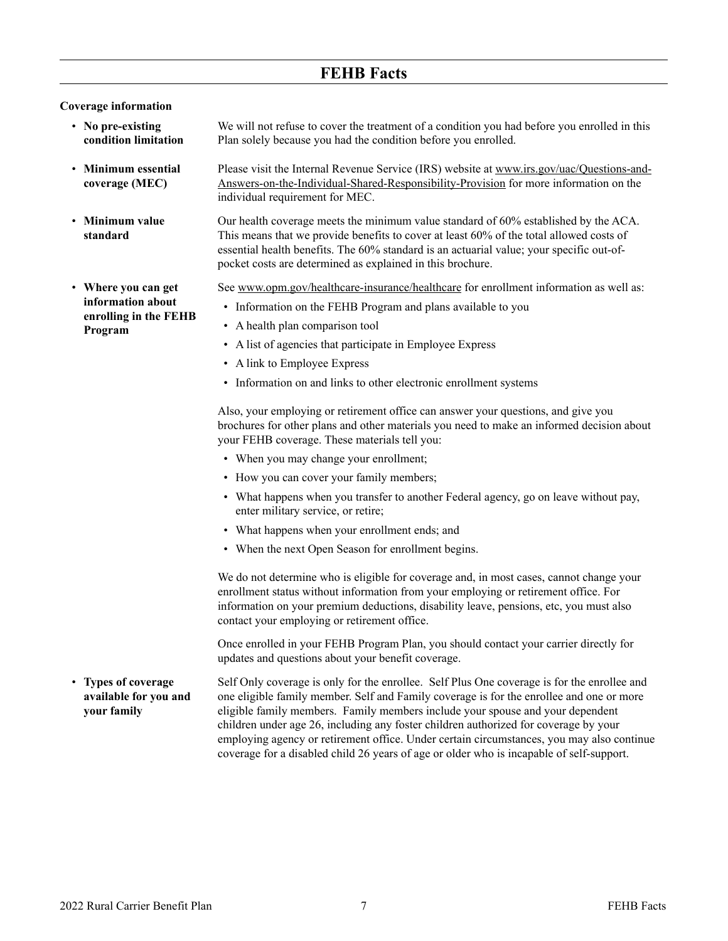### <span id="page-8-1"></span>**FEHB Facts**

#### <span id="page-8-0"></span>**Coverage information**

<span id="page-8-3"></span>• **Minimum essential coverage (MEC)** 

**standard**

- <span id="page-8-2"></span>• **No pre-existing condition limitation**  We will not refuse to cover the treatment of a condition you had before you enrolled in this Plan solely because you had the condition before you enrolled.
	- Please visit the Internal Revenue Service (IRS) website at www.irs.gov/uac/Questions-and-[Answers-on-the-Individual-Shared-Responsibility-Provision](http://www.irs.gov/uac/Questions-and-Answers-on-the-Individual-Shared-Responsibility-Provision) for more information on the individual requirement for MEC.
- <span id="page-8-4"></span>• **Minimum value**  Our health coverage meets the minimum value standard of 60% established by the ACA. This means that we provide benefits to cover at least 60% of the total allowed costs of essential health benefits. The 60% standard is an actuarial value; your specific out-ofpocket costs are determined as explained in this brochure.

See www.opm.gov/healthcare-insurance/healthcare for enrollment information as well as:

- Information on the FEHB Program and plans available to you
- A health plan comparison tool
- A list of agencies that participate in Employee Express
- A link to Employee Express
- Information on and links to other electronic enrollment systems

Also, your employing or retirement office can answer your questions, and give you brochures for other plans and other materials you need to make an informed decision about your FEHB coverage. These materials tell you:

- When you may change your enrollment;
- How you can cover your family members;
- What happens when you transfer to another Federal agency, go on leave without pay, enter military service, or retire;
- What happens when your enrollment ends; and
- When the next Open Season for enrollment begins.

We do not determine who is eligible for coverage and, in most cases, cannot change your enrollment status without information from your employing or retirement office. For information on your premium deductions, disability leave, pensions, etc, you must also contact your employing or retirement office.

Once enrolled in your FEHB Program Plan, you should contact your carrier directly for updates and questions about your benefit coverage.

<span id="page-8-6"></span>• **Types of coverage available for you and your family**  Self Only coverage is only for the enrollee. Self Plus One coverage is for the enrollee and one eligible family member. Self and Family coverage is for the enrollee and one or more eligible family members. Family members include your spouse and your dependent children under age 26, including any foster children authorized for coverage by your employing agency or retirement office. Under certain circumstances, you may also continue coverage for a disabled child 26 years of age or older who is incapable of self-support.

<span id="page-8-5"></span>• **Where you can get information about enrolling in the FEHB Program**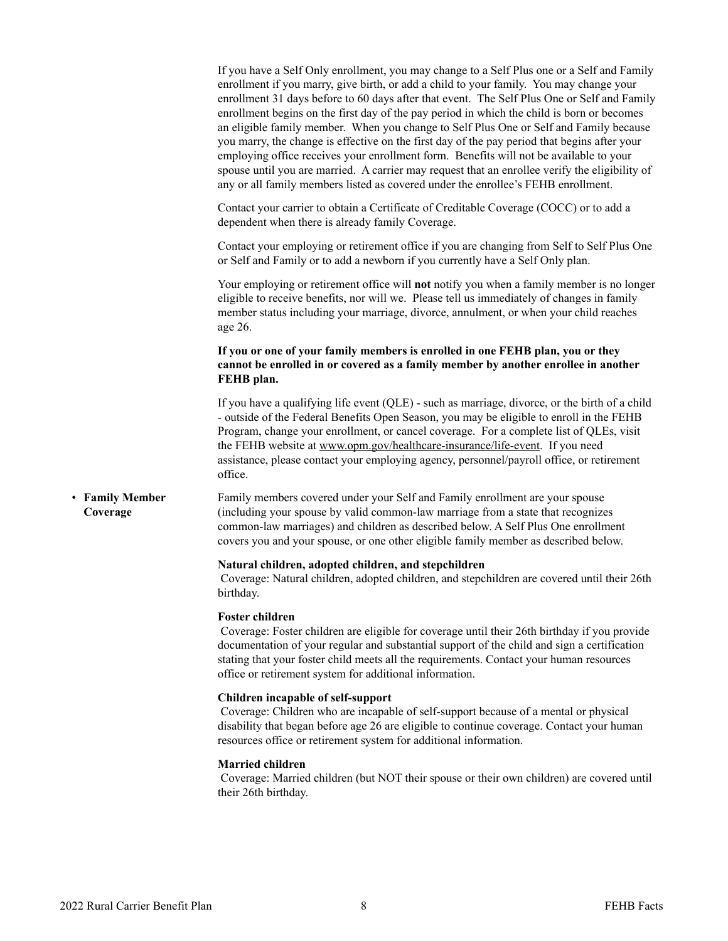<span id="page-9-0"></span>

|                             | If you have a Self Only enrollment, you may change to a Self Plus one or a Self and Family<br>enrollment if you marry, give birth, or add a child to your family. You may change your<br>enrollment 31 days before to 60 days after that event. The Self Plus One or Self and Family<br>enrollment begins on the first day of the pay period in which the child is born or becomes<br>an eligible family member. When you change to Self Plus One or Self and Family because<br>you marry, the change is effective on the first day of the pay period that begins after your<br>employing office receives your enrollment form. Benefits will not be available to your<br>spouse until you are married. A carrier may request that an enrollee verify the eligibility of<br>any or all family members listed as covered under the enrollee's FEHB enrollment. |
|-----------------------------|---------------------------------------------------------------------------------------------------------------------------------------------------------------------------------------------------------------------------------------------------------------------------------------------------------------------------------------------------------------------------------------------------------------------------------------------------------------------------------------------------------------------------------------------------------------------------------------------------------------------------------------------------------------------------------------------------------------------------------------------------------------------------------------------------------------------------------------------------------------|
|                             | Contact your carrier to obtain a Certificate of Creditable Coverage (COCC) or to add a<br>dependent when there is already family Coverage.                                                                                                                                                                                                                                                                                                                                                                                                                                                                                                                                                                                                                                                                                                                    |
|                             | Contact your employing or retirement office if you are changing from Self to Self Plus One<br>or Self and Family or to add a newborn if you currently have a Self Only plan.                                                                                                                                                                                                                                                                                                                                                                                                                                                                                                                                                                                                                                                                                  |
|                             | Your employing or retirement office will <b>not</b> notify you when a family member is no longer<br>eligible to receive benefits, nor will we. Please tell us immediately of changes in family<br>member status including your marriage, divorce, annulment, or when your child reaches<br>age 26.                                                                                                                                                                                                                                                                                                                                                                                                                                                                                                                                                            |
|                             | If you or one of your family members is enrolled in one FEHB plan, you or they<br>cannot be enrolled in or covered as a family member by another enrollee in another<br>FEHB plan.                                                                                                                                                                                                                                                                                                                                                                                                                                                                                                                                                                                                                                                                            |
|                             | If you have a qualifying life event (QLE) - such as marriage, divorce, or the birth of a child<br>- outside of the Federal Benefits Open Season, you may be eligible to enroll in the FEHB<br>Program, change your enrollment, or cancel coverage. For a complete list of QLEs, visit<br>the FEHB website at www.opm.gov/healthcare-insurance/life-event. If you need<br>assistance, please contact your employing agency, personnel/payroll office, or retirement<br>office.                                                                                                                                                                                                                                                                                                                                                                                 |
| • Family Member<br>Coverage | Family members covered under your Self and Family enrollment are your spouse<br>(including your spouse by valid common-law marriage from a state that recognizes<br>common-law marriages) and children as described below. A Self Plus One enrollment<br>covers you and your spouse, or one other eligible family member as described below.                                                                                                                                                                                                                                                                                                                                                                                                                                                                                                                  |
|                             | Natural children, adopted children, and stepchildren<br>Coverage: Natural children, adopted children, and stepchildren are covered until their 26th<br>birthday.                                                                                                                                                                                                                                                                                                                                                                                                                                                                                                                                                                                                                                                                                              |
|                             | <b>Foster children</b><br>Coverage: Foster children are eligible for coverage until their 26th birthday if you provide<br>documentation of your regular and substantial support of the child and sign a certification<br>stating that your foster child meets all the requirements. Contact your human resources<br>office or retirement system for additional information.                                                                                                                                                                                                                                                                                                                                                                                                                                                                                   |
|                             | Children incapable of self-support<br>Coverage: Children who are incapable of self-support because of a mental or physical<br>disability that began before age 26 are eligible to continue coverage. Contact your human<br>resources office or retirement system for additional information.                                                                                                                                                                                                                                                                                                                                                                                                                                                                                                                                                                  |
|                             | <b>Married children</b><br>Coverage: Married children (but NOT their spouse or their own children) are covered until<br>their 26th birthday.                                                                                                                                                                                                                                                                                                                                                                                                                                                                                                                                                                                                                                                                                                                  |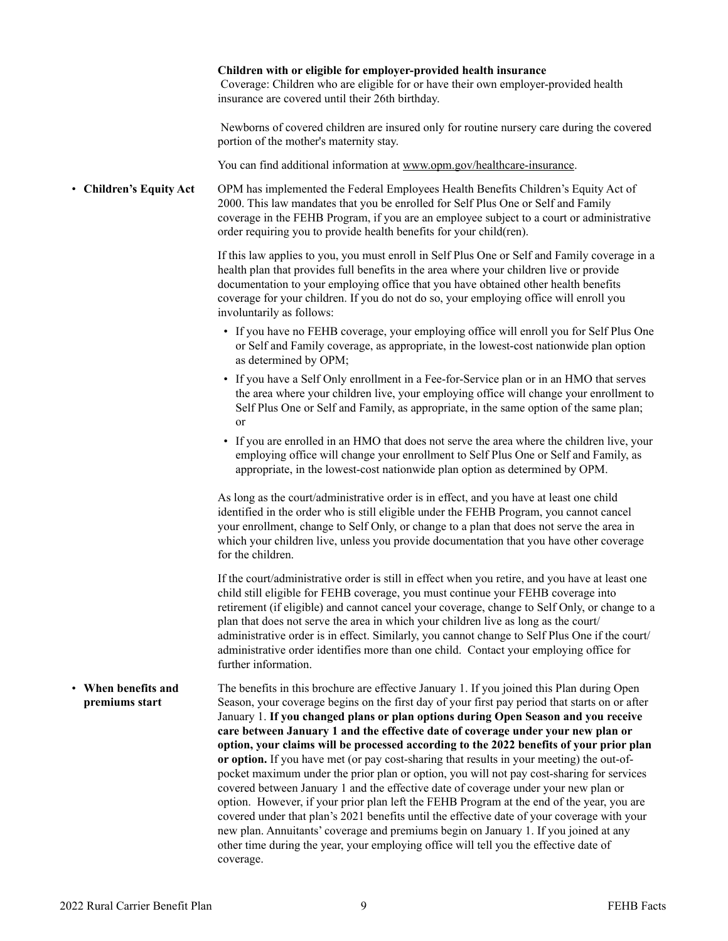<span id="page-10-1"></span><span id="page-10-0"></span>

|                                          | Children with or eligible for employer-provided health insurance<br>Coverage: Children who are eligible for or have their own employer-provided health<br>insurance are covered until their 26th birthday.                                                                                                                                                                                                                                                                                                                                                                                                                                                                                                                                                                                                                                                                                                                                                                                                                                                                                                                                   |
|------------------------------------------|----------------------------------------------------------------------------------------------------------------------------------------------------------------------------------------------------------------------------------------------------------------------------------------------------------------------------------------------------------------------------------------------------------------------------------------------------------------------------------------------------------------------------------------------------------------------------------------------------------------------------------------------------------------------------------------------------------------------------------------------------------------------------------------------------------------------------------------------------------------------------------------------------------------------------------------------------------------------------------------------------------------------------------------------------------------------------------------------------------------------------------------------|
|                                          | Newborns of covered children are insured only for routine nursery care during the covered<br>portion of the mother's maternity stay.                                                                                                                                                                                                                                                                                                                                                                                                                                                                                                                                                                                                                                                                                                                                                                                                                                                                                                                                                                                                         |
|                                          | You can find additional information at www.opm.gov/healthcare-insurance.                                                                                                                                                                                                                                                                                                                                                                                                                                                                                                                                                                                                                                                                                                                                                                                                                                                                                                                                                                                                                                                                     |
| • Children's Equity Act                  | OPM has implemented the Federal Employees Health Benefits Children's Equity Act of<br>2000. This law mandates that you be enrolled for Self Plus One or Self and Family<br>coverage in the FEHB Program, if you are an employee subject to a court or administrative<br>order requiring you to provide health benefits for your child(ren).                                                                                                                                                                                                                                                                                                                                                                                                                                                                                                                                                                                                                                                                                                                                                                                                  |
|                                          | If this law applies to you, you must enroll in Self Plus One or Self and Family coverage in a<br>health plan that provides full benefits in the area where your children live or provide<br>documentation to your employing office that you have obtained other health benefits<br>coverage for your children. If you do not do so, your employing office will enroll you<br>involuntarily as follows:                                                                                                                                                                                                                                                                                                                                                                                                                                                                                                                                                                                                                                                                                                                                       |
|                                          | • If you have no FEHB coverage, your employing office will enroll you for Self Plus One<br>or Self and Family coverage, as appropriate, in the lowest-cost nationwide plan option<br>as determined by OPM;                                                                                                                                                                                                                                                                                                                                                                                                                                                                                                                                                                                                                                                                                                                                                                                                                                                                                                                                   |
|                                          | • If you have a Self Only enrollment in a Fee-for-Service plan or in an HMO that serves<br>the area where your children live, your employing office will change your enrollment to<br>Self Plus One or Self and Family, as appropriate, in the same option of the same plan;<br>or                                                                                                                                                                                                                                                                                                                                                                                                                                                                                                                                                                                                                                                                                                                                                                                                                                                           |
|                                          | • If you are enrolled in an HMO that does not serve the area where the children live, your<br>employing office will change your enrollment to Self Plus One or Self and Family, as<br>appropriate, in the lowest-cost nationwide plan option as determined by OPM.                                                                                                                                                                                                                                                                                                                                                                                                                                                                                                                                                                                                                                                                                                                                                                                                                                                                           |
|                                          | As long as the court/administrative order is in effect, and you have at least one child<br>identified in the order who is still eligible under the FEHB Program, you cannot cancel<br>your enrollment, change to Self Only, or change to a plan that does not serve the area in<br>which your children live, unless you provide documentation that you have other coverage<br>for the children.                                                                                                                                                                                                                                                                                                                                                                                                                                                                                                                                                                                                                                                                                                                                              |
|                                          | If the court/administrative order is still in effect when you retire, and you have at least one<br>child still eligible for FEHB coverage, you must continue your FEHB coverage into<br>retirement (if eligible) and cannot cancel your coverage, change to Self Only, or change to a<br>plan that does not serve the area in which your children live as long as the court/<br>administrative order is in effect. Similarly, you cannot change to Self Plus One if the court/<br>administrative order identifies more than one child. Contact your employing office for<br>further information.                                                                                                                                                                                                                                                                                                                                                                                                                                                                                                                                             |
| When benefits and<br>٠<br>premiums start | The benefits in this brochure are effective January 1. If you joined this Plan during Open<br>Season, your coverage begins on the first day of your first pay period that starts on or after<br>January 1. If you changed plans or plan options during Open Season and you receive<br>care between January 1 and the effective date of coverage under your new plan or<br>option, your claims will be processed according to the 2022 benefits of your prior plan<br>or option. If you have met (or pay cost-sharing that results in your meeting) the out-of-<br>pocket maximum under the prior plan or option, you will not pay cost-sharing for services<br>covered between January 1 and the effective date of coverage under your new plan or<br>option. However, if your prior plan left the FEHB Program at the end of the year, you are<br>covered under that plan's 2021 benefits until the effective date of your coverage with your<br>new plan. Annuitants' coverage and premiums begin on January 1. If you joined at any<br>other time during the year, your employing office will tell you the effective date of<br>coverage. |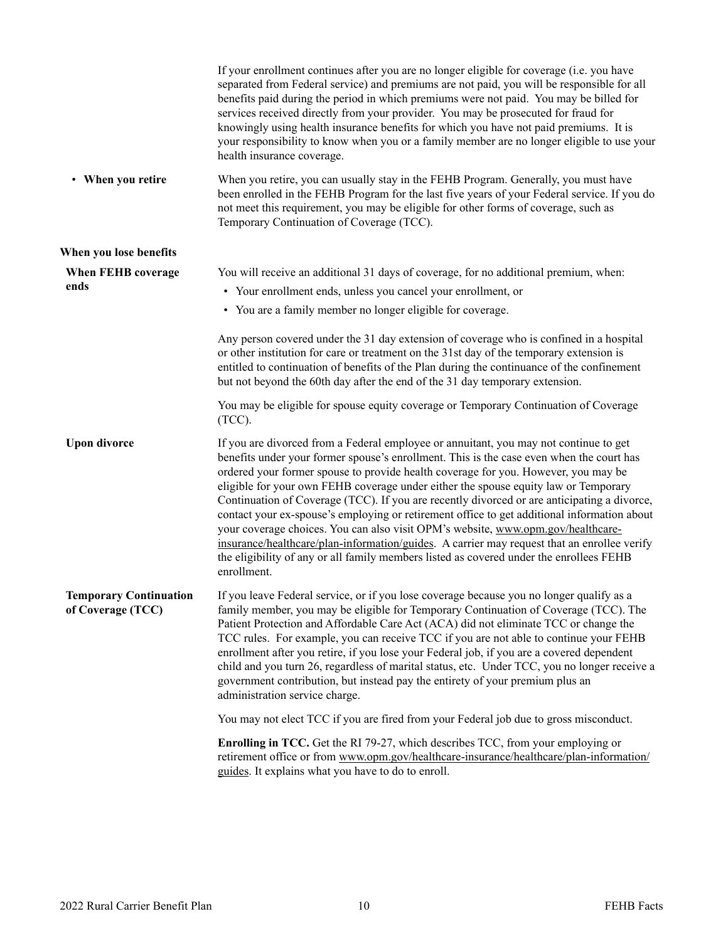<span id="page-11-3"></span><span id="page-11-2"></span><span id="page-11-1"></span><span id="page-11-0"></span>

|                                             | If your enrollment continues after you are no longer eligible for coverage (i.e. you have<br>separated from Federal service) and premiums are not paid, you will be responsible for all<br>benefits paid during the period in which premiums were not paid. You may be billed for<br>services received directly from your provider. You may be prosecuted for fraud for<br>knowingly using health insurance benefits for which you have not paid premiums. It is<br>your responsibility to know when you or a family member are no longer eligible to use your<br>health insurance coverage.                                                                                                                                                                                                                                                              |
|---------------------------------------------|-----------------------------------------------------------------------------------------------------------------------------------------------------------------------------------------------------------------------------------------------------------------------------------------------------------------------------------------------------------------------------------------------------------------------------------------------------------------------------------------------------------------------------------------------------------------------------------------------------------------------------------------------------------------------------------------------------------------------------------------------------------------------------------------------------------------------------------------------------------|
| • When you retire                           | When you retire, you can usually stay in the FEHB Program. Generally, you must have<br>been enrolled in the FEHB Program for the last five years of your Federal service. If you do<br>not meet this requirement, you may be eligible for other forms of coverage, such as<br>Temporary Continuation of Coverage (TCC).                                                                                                                                                                                                                                                                                                                                                                                                                                                                                                                                   |
| When you lose benefits                      |                                                                                                                                                                                                                                                                                                                                                                                                                                                                                                                                                                                                                                                                                                                                                                                                                                                           |
| When FEHB coverage<br>ends                  | You will receive an additional 31 days of coverage, for no additional premium, when:<br>• Your enrollment ends, unless you cancel your enrollment, or<br>• You are a family member no longer eligible for coverage.                                                                                                                                                                                                                                                                                                                                                                                                                                                                                                                                                                                                                                       |
|                                             | Any person covered under the 31 day extension of coverage who is confined in a hospital<br>or other institution for care or treatment on the 31st day of the temporary extension is<br>entitled to continuation of benefits of the Plan during the continuance of the confinement<br>but not beyond the 60th day after the end of the 31 day temporary extension.                                                                                                                                                                                                                                                                                                                                                                                                                                                                                         |
|                                             | You may be eligible for spouse equity coverage or Temporary Continuation of Coverage<br>$(TCC)$ .                                                                                                                                                                                                                                                                                                                                                                                                                                                                                                                                                                                                                                                                                                                                                         |
| <b>Upon divorce</b>                         | If you are divorced from a Federal employee or annuitant, you may not continue to get<br>benefits under your former spouse's enrollment. This is the case even when the court has<br>ordered your former spouse to provide health coverage for you. However, you may be<br>eligible for your own FEHB coverage under either the spouse equity law or Temporary<br>Continuation of Coverage (TCC). If you are recently divorced or are anticipating a divorce,<br>contact your ex-spouse's employing or retirement office to get additional information about<br>your coverage choices. You can also visit OPM's website, www.opm.gov/healthcare-<br>insurance/healthcare/plan-information/guides. A carrier may request that an enrollee verify<br>the eligibility of any or all family members listed as covered under the enrollees FEHB<br>enrollment. |
| Temporary Continuation<br>of Coverage (TCC) | If you leave Federal service, or if you lose coverage because you no longer qualify as a<br>family member, you may be eligible for Temporary Continuation of Coverage (TCC). The<br>Patient Protection and Affordable Care Act (ACA) did not eliminate TCC or change the<br>TCC rules. For example, you can receive TCC if you are not able to continue your FEHB<br>enrollment after you retire, if you lose your Federal job, if you are a covered dependent<br>child and you turn 26, regardless of marital status, etc. Under TCC, you no longer receive a<br>government contribution, but instead pay the entirety of your premium plus an<br>administration service charge.                                                                                                                                                                         |
|                                             | You may not elect TCC if you are fired from your Federal job due to gross misconduct.                                                                                                                                                                                                                                                                                                                                                                                                                                                                                                                                                                                                                                                                                                                                                                     |
|                                             | <b>Enrolling in TCC.</b> Get the RI 79-27, which describes TCC, from your employing or<br>retirement office or from www.opm.gov/healthcare-insurance/healthcare/plan-information/<br>guides. It explains what you have to do to enroll.                                                                                                                                                                                                                                                                                                                                                                                                                                                                                                                                                                                                                   |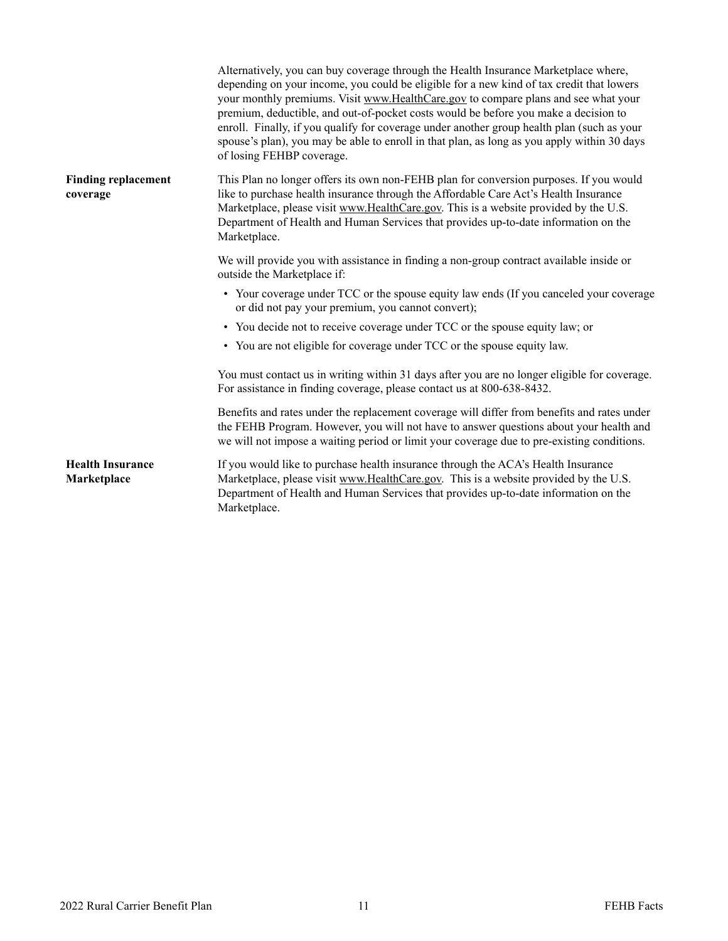<span id="page-12-1"></span><span id="page-12-0"></span>

|                                        | Alternatively, you can buy coverage through the Health Insurance Marketplace where,<br>depending on your income, you could be eligible for a new kind of tax credit that lowers<br>your monthly premiums. Visit www.HealthCare.gov to compare plans and see what your<br>premium, deductible, and out-of-pocket costs would be before you make a decision to<br>enroll. Finally, if you qualify for coverage under another group health plan (such as your<br>spouse's plan), you may be able to enroll in that plan, as long as you apply within 30 days<br>of losing FEHBP coverage. |
|----------------------------------------|----------------------------------------------------------------------------------------------------------------------------------------------------------------------------------------------------------------------------------------------------------------------------------------------------------------------------------------------------------------------------------------------------------------------------------------------------------------------------------------------------------------------------------------------------------------------------------------|
| <b>Finding replacement</b><br>coverage | This Plan no longer offers its own non-FEHB plan for conversion purposes. If you would<br>like to purchase health insurance through the Affordable Care Act's Health Insurance<br>Marketplace, please visit www.HealthCare.gov. This is a website provided by the U.S.<br>Department of Health and Human Services that provides up-to-date information on the<br>Marketplace.                                                                                                                                                                                                          |
|                                        | We will provide you with assistance in finding a non-group contract available inside or<br>outside the Marketplace if:                                                                                                                                                                                                                                                                                                                                                                                                                                                                 |
|                                        | • Your coverage under TCC or the spouse equity law ends (If you canceled your coverage<br>or did not pay your premium, you cannot convert);                                                                                                                                                                                                                                                                                                                                                                                                                                            |
|                                        | • You decide not to receive coverage under TCC or the spouse equity law; or                                                                                                                                                                                                                                                                                                                                                                                                                                                                                                            |
|                                        | • You are not eligible for coverage under TCC or the spouse equity law.                                                                                                                                                                                                                                                                                                                                                                                                                                                                                                                |
|                                        | You must contact us in writing within 31 days after you are no longer eligible for coverage.<br>For assistance in finding coverage, please contact us at 800-638-8432.                                                                                                                                                                                                                                                                                                                                                                                                                 |
|                                        | Benefits and rates under the replacement coverage will differ from benefits and rates under<br>the FEHB Program. However, you will not have to answer questions about your health and<br>we will not impose a waiting period or limit your coverage due to pre-existing conditions.                                                                                                                                                                                                                                                                                                    |
| <b>Health Insurance</b><br>Marketplace | If you would like to purchase health insurance through the ACA's Health Insurance<br>Marketplace, please visit www.HealthCare.gov. This is a website provided by the U.S.<br>Department of Health and Human Services that provides up-to-date information on the<br>Marketplace.                                                                                                                                                                                                                                                                                                       |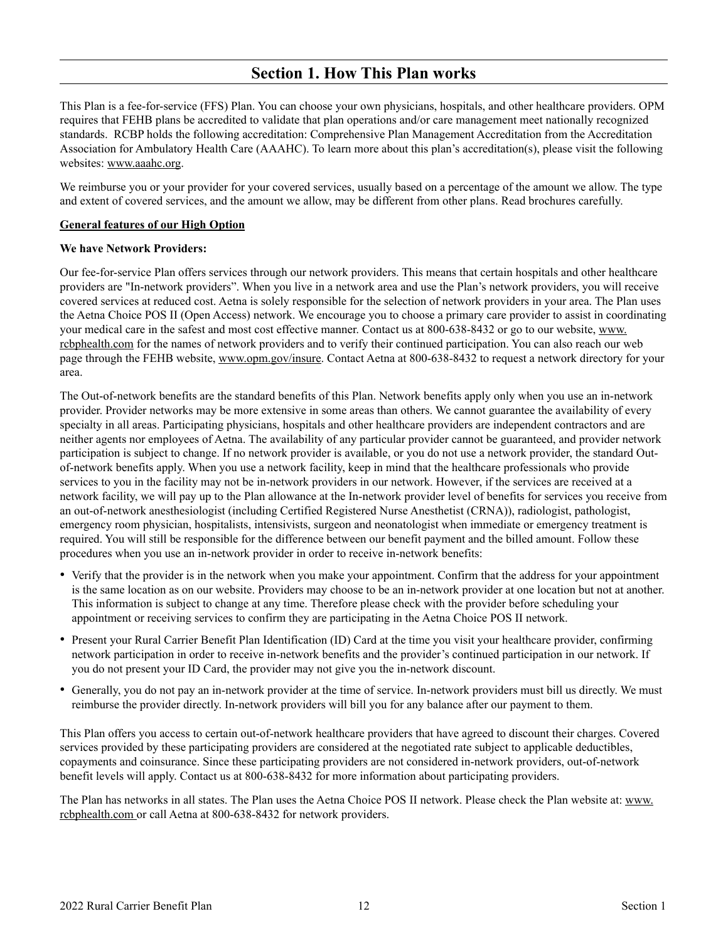## <span id="page-13-1"></span>**Section 1. How This Plan works**

<span id="page-13-0"></span>This Plan is a fee-for-service (FFS) Plan. You can choose your own physicians, hospitals, and other healthcare providers. OPM requires that FEHB plans be accredited to validate that plan operations and/or care management meet nationally recognized standards. RCBP holds the following accreditation: Comprehensive Plan Management Accreditation from the Accreditation Association for Ambulatory Health Care (AAAHC). To learn more about this plan's accreditation(s), please visit the following websites: www.aaahc.org.

We reimburse you or your provider for your covered services, usually based on a percentage of the amount we allow. The type and extent of covered services, and the amount we allow, may be different from other plans. Read brochures carefully.

#### **General features of our High Option**

#### **We have Network Providers:**

Our fee-for-service Plan offers services through our network providers. This means that certain hospitals and other healthcare providers are "In-network providers". When you live in a network area and use the Plan's network providers, you will receive covered services at reduced cost. Aetna is solely responsible for the selection of network providers in your area. The Plan uses the Aetna Choice POS II (Open Access) network. We encourage you to choose a primary care provider to assist in coordinating your medical care in the safest and most cost effective manner. Contact us at 800-638-8432 or go to our website, [www.](http://www.rcbphealth.com)  rcbphealth.com for the names of network providers and to verify their continued participation. You can also reach our web page through the FEHB website, www.opm.gov/insure. Contact Aetna at 800-638-8432 to request a network directory for your area.

The Out-of-network benefits are the standard benefits of this Plan. Network benefits apply only when you use an in-network provider. Provider networks may be more extensive in some areas than others. We cannot guarantee the availability of every specialty in all areas. Participating physicians, hospitals and other healthcare providers are independent contractors and are neither agents nor employees of Aetna. The availability of any particular provider cannot be guaranteed, and provider network participation is subject to change. If no network provider is available, or you do not use a network provider, the standard Outof-network benefits apply. When you use a network facility, keep in mind that the healthcare professionals who provide services to you in the facility may not be in-network providers in our network. However, if the services are received at a network facility, we will pay up to the Plan allowance at the In-network provider level of benefits for services you receive from an out-of-network anesthesiologist (including Certified Registered Nurse Anesthetist (CRNA)), radiologist, pathologist, emergency room physician, hospitalists, intensivists, surgeon and neonatologist when immediate or emergency treatment is required. You will still be responsible for the difference between our benefit payment and the billed amount. Follow these procedures when you use an in-network provider in order to receive in-network benefits:

- Verify that the provider is in the network when you make your appointment. Confirm that the address for your appointment is the same location as on our website. Providers may choose to be an in-network provider at one location but not at another. This information is subject to change at any time. Therefore please check with the provider before scheduling your appointment or receiving services to confirm they are participating in the Aetna Choice POS II network.
- • Present your Rural Carrier Benefit Plan Identification (ID) Card at the time you visit your healthcare provider, confirming network participation in order to receive in-network benefits and the provider's continued participation in our network. If you do not present your ID Card, the provider may not give you the in-network discount.
- • Generally, you do not pay an in-network provider at the time of service. In-network providers must bill us directly. We must reimburse the provider directly. In-network providers will bill you for any balance after our payment to them.

This Plan offers you access to certain out-of-network healthcare providers that have agreed to discount their charges. Covered services provided by these participating providers are considered at the negotiated rate subject to applicable deductibles, copayments and coinsurance. Since these participating providers are not considered in-network providers, out-of-network benefit levels will apply. Contact us at 800-638-8432 for more information about participating providers.

The Plan has networks in all states. The Plan uses the Aetna Choice POS II network. Please check the Plan website at: [www.](http://www.rcbphealth.com)  rcbphealth.com or call Aetna at 800-638-8432 for network providers.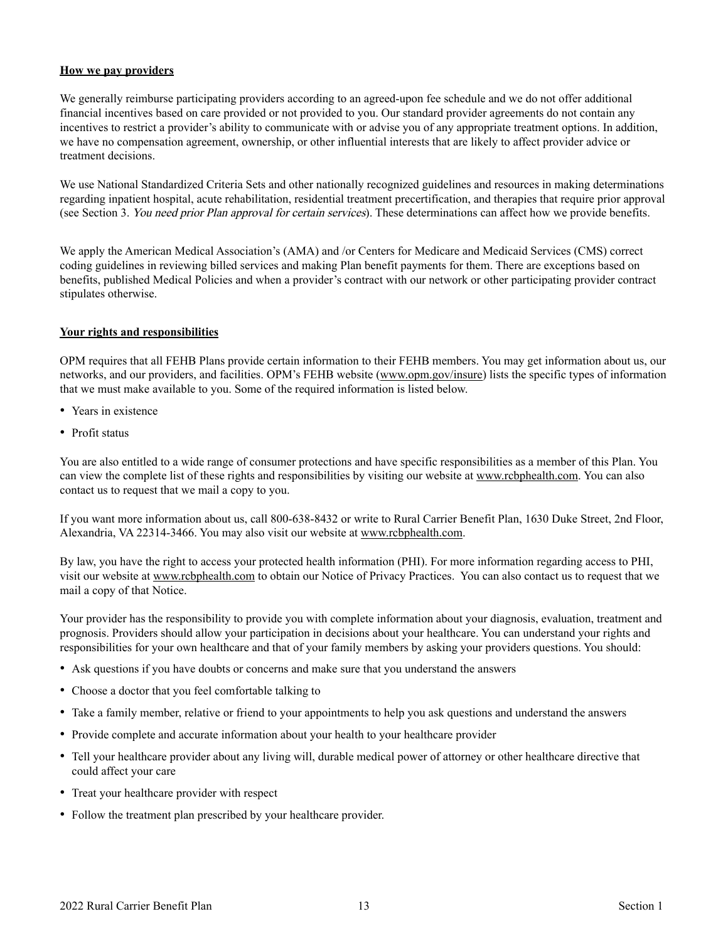#### **How we pay providers**

We generally reimburse participating providers according to an agreed-upon fee schedule and we do not offer additional financial incentives based on care provided or not provided to you. Our standard provider agreements do not contain any incentives to restrict a provider's ability to communicate with or advise you of any appropriate treatment options. In addition, we have no compensation agreement, ownership, or other influential interests that are likely to affect provider advice or treatment decisions.

We use National Standardized Criteria Sets and other nationally recognized guidelines and resources in making determinations regarding inpatient hospital, acute rehabilitation, residential treatment precertification, and therapies that require prior approval (see Section 3. You need prior Plan approval for certain services). These determinations can affect how we provide benefits.

We apply the American Medical Association's (AMA) and /or Centers for Medicare and Medicaid Services (CMS) correct coding guidelines in reviewing billed services and making Plan benefit payments for them. There are exceptions based on benefits, published Medical Policies and when a provider's contract with our network or other participating provider contract stipulates otherwise.

#### **Your rights and responsibilities**

OPM requires that all FEHB Plans provide certain information to their FEHB members. You may get information about us, our networks, and our providers, and facilities. OPM's FEHB website (www.opm.gov/insure) lists the specific types of information that we must make available to you. Some of the required information is listed below.

- Years in existence
- Profit status

You are also entitled to a wide range of consumer protections and have specific responsibilities as a member of this Plan. You can view the complete list of these rights and responsibilities by visiting our website at www.rcbphealth.com. You can also contact us to request that we mail a copy to you.

If you want more information about us, call 800-638-8432 or write to Rural Carrier Benefit Plan, 1630 Duke Street, 2nd Floor, Alexandria, VA 22314-3466. You may also visit our website at www.rcbphealth.com.

By law, you have the right to access your protected health information (PHI). For more information regarding access to PHI, visit our website at www.rcbphealth.com to obtain our Notice of Privacy Practices. You can also contact us to request that we mail a copy of that Notice.

Your provider has the responsibility to provide you with complete information about your diagnosis, evaluation, treatment and prognosis. Providers should allow your participation in decisions about your healthcare. You can understand your rights and responsibilities for your own healthcare and that of your family members by asking your providers questions. You should:

- Ask questions if you have doubts or concerns and make sure that you understand the answers
- Choose a doctor that you feel comfortable talking to
- Take a family member, relative or friend to your appointments to help you ask questions and understand the answers
- Provide complete and accurate information about your health to your healthcare provider
- • Tell your healthcare provider about any living will, durable medical power of attorney or other healthcare directive that could affect your care
- Treat your healthcare provider with respect
- Follow the treatment plan prescribed by your healthcare provider.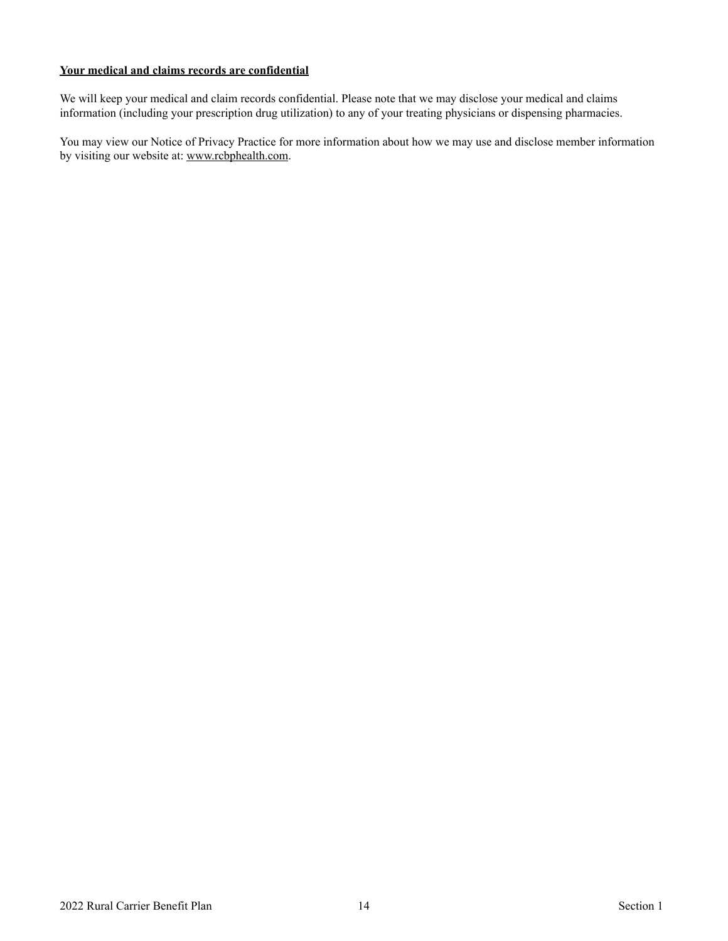#### **Your medical and claims records are confidential**

We will keep your medical and claim records confidential. Please note that we may disclose your medical and claims information (including your prescription drug utilization) to any of your treating physicians or dispensing pharmacies.

You may view our Notice of Privacy Practice for more information about how we may use and disclose member information by visiting our website at: www.rcbphealth.com.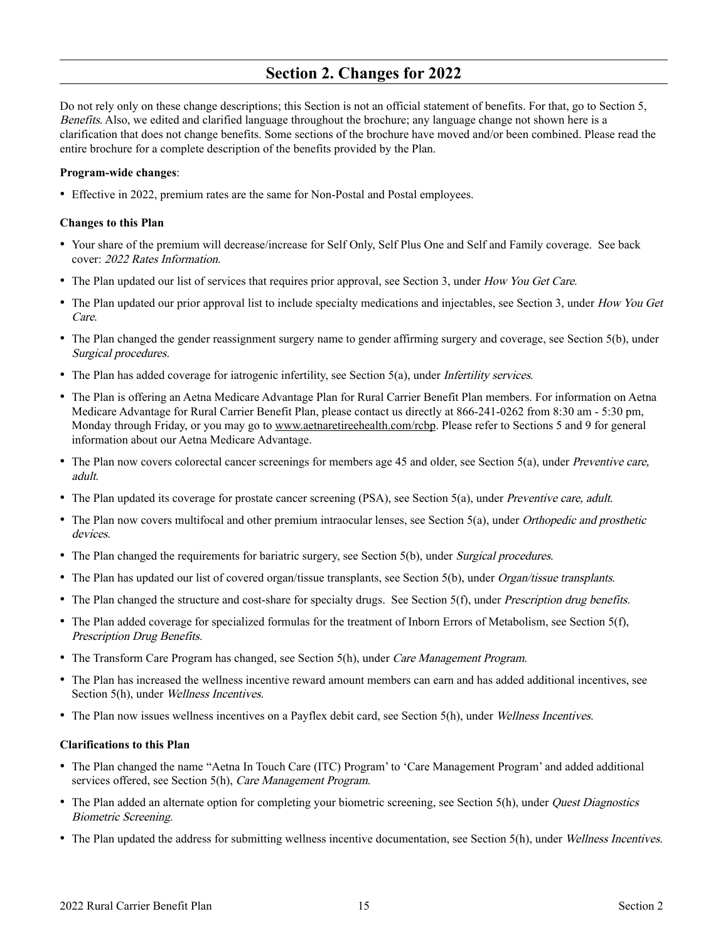## <span id="page-16-1"></span>**Section 2. Changes for 2022**

<span id="page-16-0"></span>Do not rely only on these change descriptions; this Section is not an official statement of benefits. For that, go to Section 5, Benefits. Also, we edited and clarified language throughout the brochure; any language change not shown here is a clarification that does not change benefits. Some sections of the brochure have moved and/or been combined. Please read the entire brochure for a complete description of the benefits provided by the Plan.

#### **Program-wide changes**:

• Effective in 2022, premium rates are the same for Non-Postal and Postal employees.

#### **Changes to this Plan**

- • Your share of the premium will decrease/increase for Self Only, Self Plus One and Self and Family coverage. See back cover: 2022 Rates Information.
- The Plan updated our list of services that requires prior approval, see Section 3, under How You Get Care.
- The Plan updated our prior approval list to include specialty medications and injectables, see Section 3, under How You Get Care.
- The Plan changed the gender reassignment surgery name to gender affirming surgery and coverage, see Section 5(b), under Surgical procedures.
- The Plan has added coverage for iatrogenic infertility, see Section 5(a), under *Infertility services*.
- The Plan is offering an Aetna Medicare Advantage Plan for Rural Carrier Benefit Plan members. For information on Aetna Medicare Advantage for Rural Carrier Benefit Plan, please contact us directly at 866-241-0262 from 8:30 am - 5:30 pm, Monday through Friday, or you may go to www.aetnaretireehealth.com/rcbp. Please refer to Sections 5 and 9 for general information about our Aetna Medicare Advantage.
- The Plan now covers colorectal cancer screenings for members age 45 and older, see Section 5(a), under *Preventive care*, adult.
- The Plan updated its coverage for prostate cancer screening (PSA), see Section 5(a), under Preventive care, adult.
- The Plan now covers multifocal and other premium intraocular lenses, see Section 5(a), under *Orthopedic and prosthetic* devices.
- The Plan changed the requirements for bariatric surgery, see Section 5(b), under *Surgical procedures*.
- The Plan has updated our list of covered organ/tissue transplants, see Section 5(b), under *Organ/tissue transplants*.
- The Plan changed the structure and cost-share for specialty drugs. See Section 5(f), under Prescription drug benefits.
- The Plan added coverage for specialized formulas for the treatment of Inborn Errors of Metabolism, see Section 5(f), Prescription Drug Benefits.
- The Transform Care Program has changed, see Section 5(h), under Care Management Program.
- The Plan has increased the wellness incentive reward amount members can earn and has added additional incentives, see Section 5(h), under *Wellness Incentives*.
- The Plan now issues wellness incentives on a Payflex debit card, see Section 5(h), under Wellness Incentives.

#### **Clarifications to this Plan**

- The Plan changed the name "Aetna In Touch Care (ITC) Program' to 'Care Management Program' and added additional services offered, see Section 5(h), Care Management Program.
- The Plan added an alternate option for completing your biometric screening, see Section 5(h), under *Quest Diagnostics* Biometric Screening.
- The Plan updated the address for submitting wellness incentive documentation, see Section 5(h), under Wellness Incentives.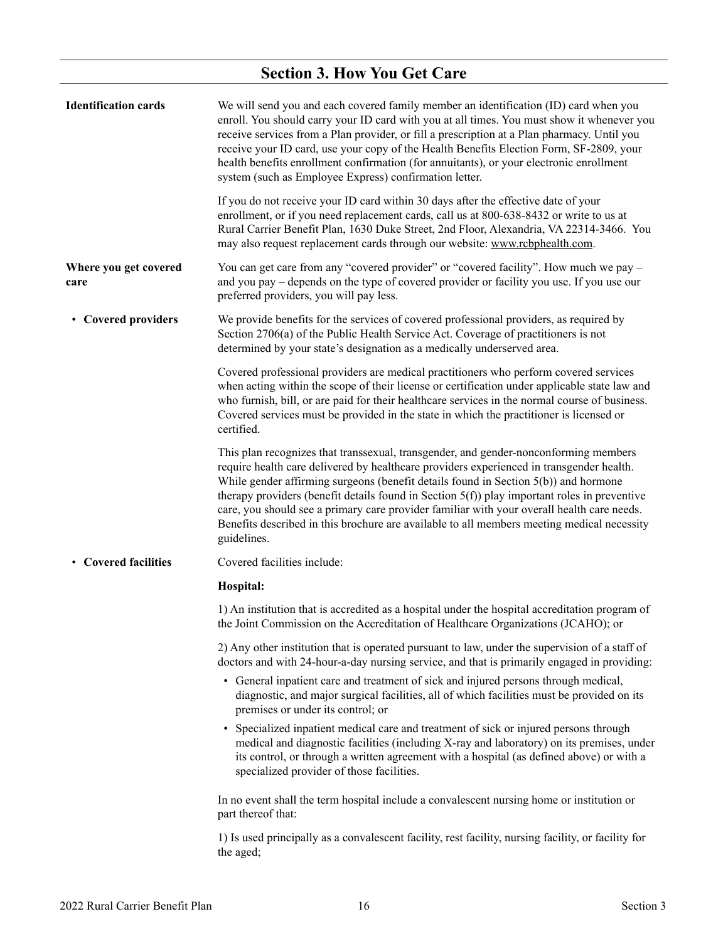## <span id="page-17-0"></span>**Section 3. How You Get Care**

<span id="page-17-4"></span><span id="page-17-3"></span><span id="page-17-2"></span><span id="page-17-1"></span>

| <b>Identification cards</b>   | We will send you and each covered family member an identification (ID) card when you<br>enroll. You should carry your ID card with you at all times. You must show it whenever you<br>receive services from a Plan provider, or fill a prescription at a Plan pharmacy. Until you<br>receive your ID card, use your copy of the Health Benefits Election Form, SF-2809, your<br>health benefits enrollment confirmation (for annuitants), or your electronic enrollment<br>system (such as Employee Express) confirmation letter.                                                     |
|-------------------------------|---------------------------------------------------------------------------------------------------------------------------------------------------------------------------------------------------------------------------------------------------------------------------------------------------------------------------------------------------------------------------------------------------------------------------------------------------------------------------------------------------------------------------------------------------------------------------------------|
|                               | If you do not receive your ID card within 30 days after the effective date of your<br>enrollment, or if you need replacement cards, call us at 800-638-8432 or write to us at<br>Rural Carrier Benefit Plan, 1630 Duke Street, 2nd Floor, Alexandria, VA 22314-3466. You<br>may also request replacement cards through our website: www.rcbphealth.com.                                                                                                                                                                                                                               |
| Where you get covered<br>care | You can get care from any "covered provider" or "covered facility". How much we pay -<br>and you pay – depends on the type of covered provider or facility you use. If you use our<br>preferred providers, you will pay less.                                                                                                                                                                                                                                                                                                                                                         |
| • Covered providers           | We provide benefits for the services of covered professional providers, as required by<br>Section 2706(a) of the Public Health Service Act. Coverage of practitioners is not<br>determined by your state's designation as a medically underserved area.                                                                                                                                                                                                                                                                                                                               |
|                               | Covered professional providers are medical practitioners who perform covered services<br>when acting within the scope of their license or certification under applicable state law and<br>who furnish, bill, or are paid for their healthcare services in the normal course of business.<br>Covered services must be provided in the state in which the practitioner is licensed or<br>certified.                                                                                                                                                                                     |
|                               | This plan recognizes that transsexual, transgender, and gender-nonconforming members<br>require health care delivered by healthcare providers experienced in transgender health.<br>While gender affirming surgeons (benefit details found in Section 5(b)) and hormone<br>therapy providers (benefit details found in Section $5(f)$ ) play important roles in preventive<br>care, you should see a primary care provider familiar with your overall health care needs.<br>Benefits described in this brochure are available to all members meeting medical necessity<br>guidelines. |
| • Covered facilities          | Covered facilities include:                                                                                                                                                                                                                                                                                                                                                                                                                                                                                                                                                           |
|                               | Hospital:                                                                                                                                                                                                                                                                                                                                                                                                                                                                                                                                                                             |
|                               | 1) An institution that is accredited as a hospital under the hospital accreditation program of<br>the Joint Commission on the Accreditation of Healthcare Organizations (JCAHO); or                                                                                                                                                                                                                                                                                                                                                                                                   |
|                               | 2) Any other institution that is operated pursuant to law, under the supervision of a staff of<br>doctors and with 24-hour-a-day nursing service, and that is primarily engaged in providing:                                                                                                                                                                                                                                                                                                                                                                                         |
|                               | • General inpatient care and treatment of sick and injured persons through medical,<br>diagnostic, and major surgical facilities, all of which facilities must be provided on its<br>premises or under its control; or                                                                                                                                                                                                                                                                                                                                                                |
|                               | • Specialized inpatient medical care and treatment of sick or injured persons through<br>medical and diagnostic facilities (including X-ray and laboratory) on its premises, under<br>its control, or through a written agreement with a hospital (as defined above) or with a<br>specialized provider of those facilities.                                                                                                                                                                                                                                                           |
|                               | In no event shall the term hospital include a convalescent nursing home or institution or<br>part thereof that:                                                                                                                                                                                                                                                                                                                                                                                                                                                                       |
|                               | 1) Is used principally as a convalescent facility, rest facility, nursing facility, or facility for<br>the aged;                                                                                                                                                                                                                                                                                                                                                                                                                                                                      |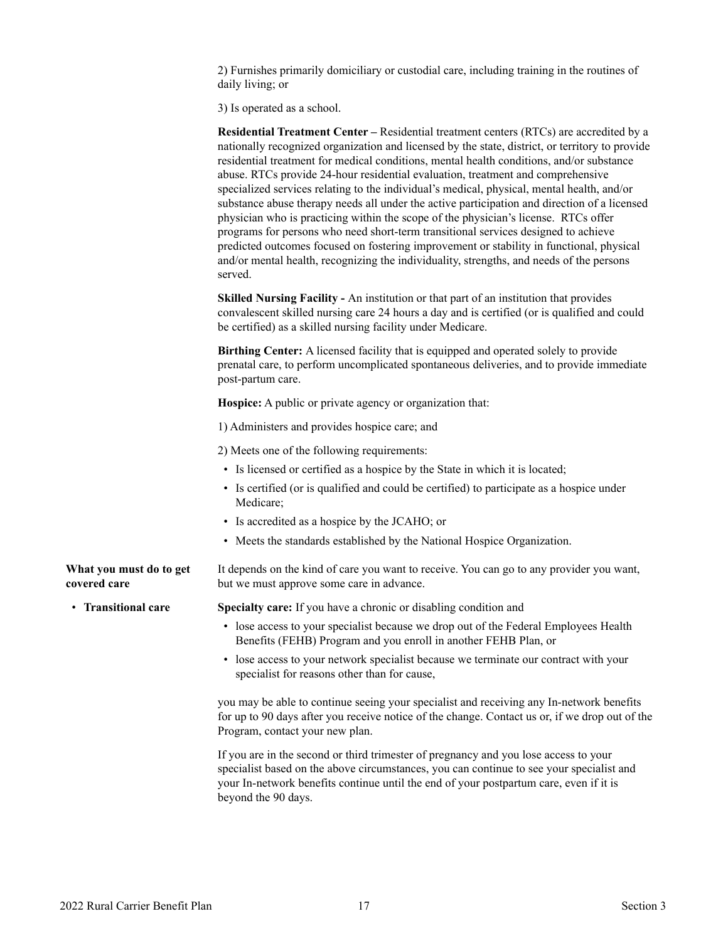2) Furnishes primarily domiciliary or custodial care, including training in the routines of daily living; or

3) Is operated as a school.

**Residential Treatment Center –** Residential treatment centers (RTCs) are accredited by a nationally recognized organization and licensed by the state, district, or territory to provide residential treatment for medical conditions, mental health conditions, and/or substance abuse. RTCs provide 24-hour residential evaluation, treatment and comprehensive specialized services relating to the individual's medical, physical, mental health, and/or substance abuse therapy needs all under the active participation and direction of a licensed physician who is practicing within the scope of the physician's license. RTCs offer programs for persons who need short-term transitional services designed to achieve predicted outcomes focused on fostering improvement or stability in functional, physical and/or mental health, recognizing the individuality, strengths, and needs of the persons served.

**Skilled Nursing Facility -** An institution or that part of an institution that provides convalescent skilled nursing care 24 hours a day and is certified (or is qualified and could be certified) as a skilled nursing facility under Medicare.

**Birthing Center:** A licensed facility that is equipped and operated solely to provide prenatal care, to perform uncomplicated spontaneous deliveries, and to provide immediate post-partum care.

**Hospice:** A public or private agency or organization that:

1) Administers and provides hospice care; and

2) Meets one of the following requirements:

- Is licensed or certified as a hospice by the State in which it is located;
- Is certified (or is qualified and could be certified) to participate as a hospice under Medicare;
- Is accredited as a hospice by the JCAHO; or
- Meets the standards established by the National Hospice Organization.

<span id="page-18-0"></span>**What you must do to get**  It depends on the kind of care you want to receive. You can go to any provider you want, but we must approve some care in advance.

<span id="page-18-1"></span>

**covered care** 

• **Transitional care Specialty care:** If you have a chronic or disabling condition and

- lose access to your specialist because we drop out of the Federal Employees Health Benefits (FEHB) Program and you enroll in another FEHB Plan, or
- lose access to your network specialist because we terminate our contract with your specialist for reasons other than for cause,

you may be able to continue seeing your specialist and receiving any In-network benefits for up to 90 days after you receive notice of the change. Contact us or, if we drop out of the Program, contact your new plan.

If you are in the second or third trimester of pregnancy and you lose access to your specialist based on the above circumstances, you can continue to see your specialist and your In-network benefits continue until the end of your postpartum care, even if it is beyond the 90 days.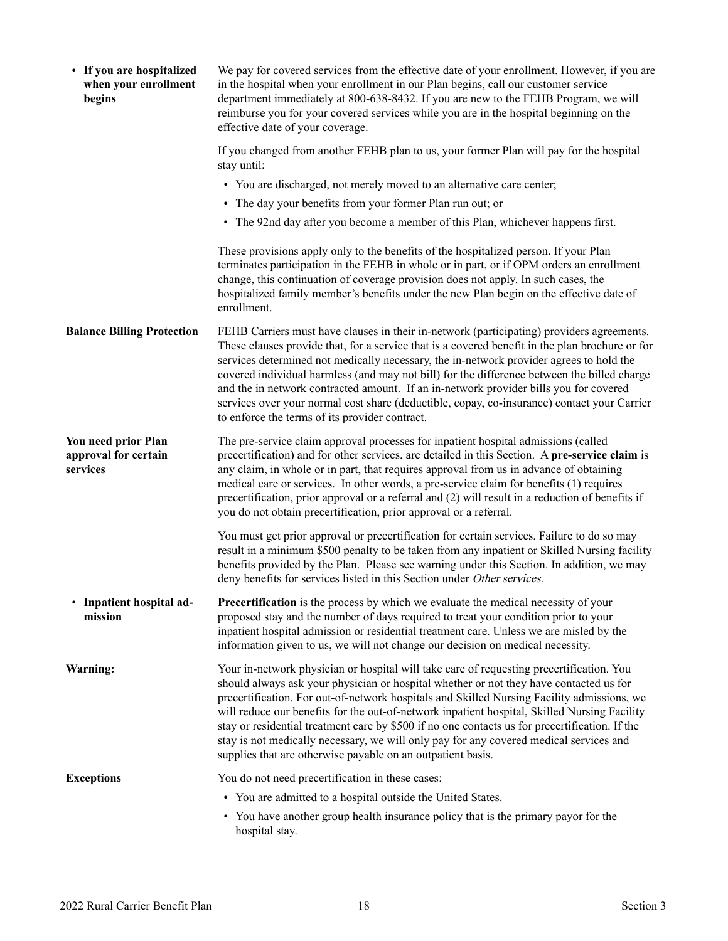<span id="page-19-4"></span><span id="page-19-3"></span><span id="page-19-2"></span><span id="page-19-1"></span><span id="page-19-0"></span>

| • If you are hospitalized<br>when your enrollment<br>begins | We pay for covered services from the effective date of your enrollment. However, if you are<br>in the hospital when your enrollment in our Plan begins, call our customer service<br>department immediately at 800-638-8432. If you are new to the FEHB Program, we will<br>reimburse you for your covered services while you are in the hospital beginning on the<br>effective date of your coverage.                                                                                                                                                                                                                                      |
|-------------------------------------------------------------|---------------------------------------------------------------------------------------------------------------------------------------------------------------------------------------------------------------------------------------------------------------------------------------------------------------------------------------------------------------------------------------------------------------------------------------------------------------------------------------------------------------------------------------------------------------------------------------------------------------------------------------------|
|                                                             | If you changed from another FEHB plan to us, your former Plan will pay for the hospital<br>stay until:                                                                                                                                                                                                                                                                                                                                                                                                                                                                                                                                      |
|                                                             | • You are discharged, not merely moved to an alternative care center;                                                                                                                                                                                                                                                                                                                                                                                                                                                                                                                                                                       |
|                                                             | • The day your benefits from your former Plan run out; or                                                                                                                                                                                                                                                                                                                                                                                                                                                                                                                                                                                   |
|                                                             | • The 92nd day after you become a member of this Plan, whichever happens first.                                                                                                                                                                                                                                                                                                                                                                                                                                                                                                                                                             |
|                                                             | These provisions apply only to the benefits of the hospitalized person. If your Plan<br>terminates participation in the FEHB in whole or in part, or if OPM orders an enrollment<br>change, this continuation of coverage provision does not apply. In such cases, the<br>hospitalized family member's benefits under the new Plan begin on the effective date of<br>enrollment.                                                                                                                                                                                                                                                            |
| <b>Balance Billing Protection</b>                           | FEHB Carriers must have clauses in their in-network (participating) providers agreements.<br>These clauses provide that, for a service that is a covered benefit in the plan brochure or for<br>services determined not medically necessary, the in-network provider agrees to hold the<br>covered individual harmless (and may not bill) for the difference between the billed charge<br>and the in network contracted amount. If an in-network provider bills you for covered<br>services over your normal cost share (deductible, copay, co-insurance) contact your Carrier<br>to enforce the terms of its provider contract.            |
| You need prior Plan<br>approval for certain<br>services     | The pre-service claim approval processes for inpatient hospital admissions (called<br>precertification) and for other services, are detailed in this Section. A pre-service claim is<br>any claim, in whole or in part, that requires approval from us in advance of obtaining<br>medical care or services. In other words, a pre-service claim for benefits (1) requires<br>precertification, prior approval or a referral and (2) will result in a reduction of benefits if<br>you do not obtain precertification, prior approval or a referral.                                                                                          |
|                                                             | You must get prior approval or precertification for certain services. Failure to do so may<br>result in a minimum \$500 penalty to be taken from any inpatient or Skilled Nursing facility<br>benefits provided by the Plan. Please see warning under this Section. In addition, we may<br>deny benefits for services listed in this Section under Other services.                                                                                                                                                                                                                                                                          |
| • Inpatient hospital ad-<br>mission                         | <b>Precertification</b> is the process by which we evaluate the medical necessity of your<br>proposed stay and the number of days required to treat your condition prior to your<br>inpatient hospital admission or residential treatment care. Unless we are misled by the<br>information given to us, we will not change our decision on medical necessity.                                                                                                                                                                                                                                                                               |
| Warning:                                                    | Your in-network physician or hospital will take care of requesting precertification. You<br>should always ask your physician or hospital whether or not they have contacted us for<br>precertification. For out-of-network hospitals and Skilled Nursing Facility admissions, we<br>will reduce our benefits for the out-of-network inpatient hospital, Skilled Nursing Facility<br>stay or residential treatment care by \$500 if no one contacts us for precertification. If the<br>stay is not medically necessary, we will only pay for any covered medical services and<br>supplies that are otherwise payable on an outpatient basis. |
| <b>Exceptions</b>                                           | You do not need precertification in these cases:                                                                                                                                                                                                                                                                                                                                                                                                                                                                                                                                                                                            |
|                                                             | • You are admitted to a hospital outside the United States.                                                                                                                                                                                                                                                                                                                                                                                                                                                                                                                                                                                 |
|                                                             | • You have another group health insurance policy that is the primary payor for the<br>hospital stay.                                                                                                                                                                                                                                                                                                                                                                                                                                                                                                                                        |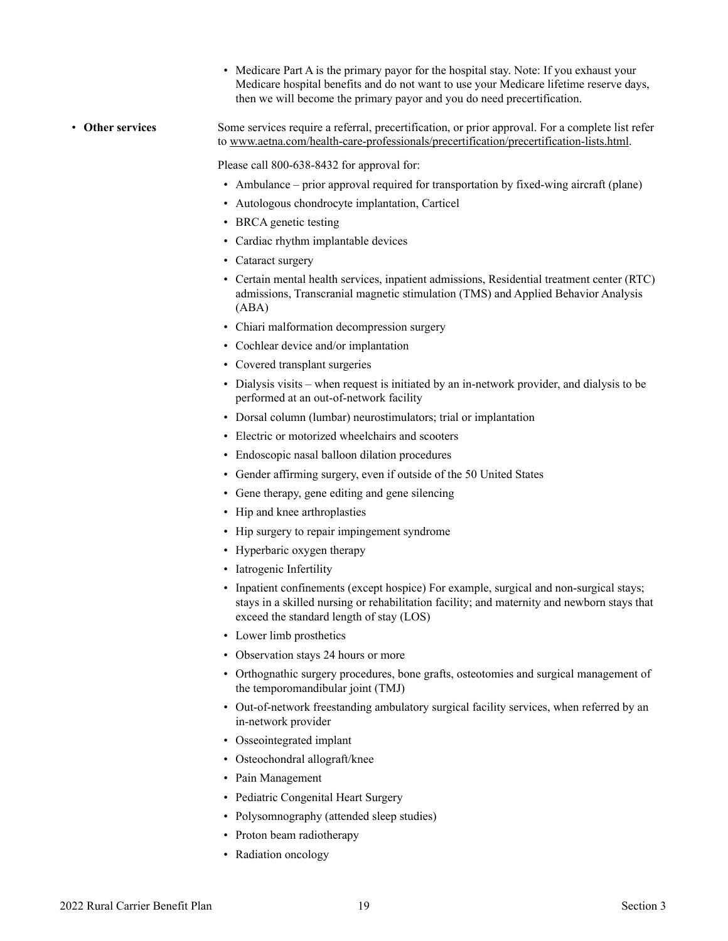- Medicare Part A is the primary payor for the hospital stay. Note: If you exhaust your Medicare hospital benefits and do not want to use your Medicare lifetime reserve days, then we will become the primary payor and you do need precertification.
- <span id="page-20-0"></span>• **Other services** Some services require a referral, precertification, or prior approval. For a complete list refer to www.aetna.com/health-care-professionals/precertification/precertification-lists.html.

Please call 800-638-8432 for approval for:

- Ambulance prior approval required for transportation by fixed-wing aircraft (plane)
- Autologous chondrocyte implantation, Carticel
- BRCA genetic testing
- Cardiac rhythm implantable devices
- Cataract surgery
- Certain mental health services, inpatient admissions, Residential treatment center (RTC) admissions, Transcranial magnetic stimulation (TMS) and Applied Behavior Analysis (ABA)
- Chiari malformation decompression surgery
- Cochlear device and/or implantation
- Covered transplant surgeries
- Dialysis visits when request is initiated by an in-network provider, and dialysis to be performed at an out-of-network facility
- Dorsal column (lumbar) neurostimulators; trial or implantation
- Electric or motorized wheelchairs and scooters
- Endoscopic nasal balloon dilation procedures
- Gender affirming surgery, even if outside of the 50 United States
- Gene therapy, gene editing and gene silencing
- Hip and knee arthroplasties
- Hip surgery to repair impingement syndrome
- Hyperbaric oxygen therapy
- Iatrogenic Infertility
- Inpatient confinements (except hospice) For example, surgical and non-surgical stays; stays in a skilled nursing or rehabilitation facility; and maternity and newborn stays that exceed the standard length of stay (LOS)
- Lower limb prosthetics
- Observation stays 24 hours or more
- Orthognathic surgery procedures, bone grafts, osteotomies and surgical management of the temporomandibular joint (TMJ)
- Out-of-network freestanding ambulatory surgical facility services, when referred by an in-network provider
- Osseointegrated implant
- Osteochondral allograft/knee
- Pain Management
- Pediatric Congenital Heart Surgery
- Polysomnography (attended sleep studies)
- Proton beam radiotherapy
- Radiation oncology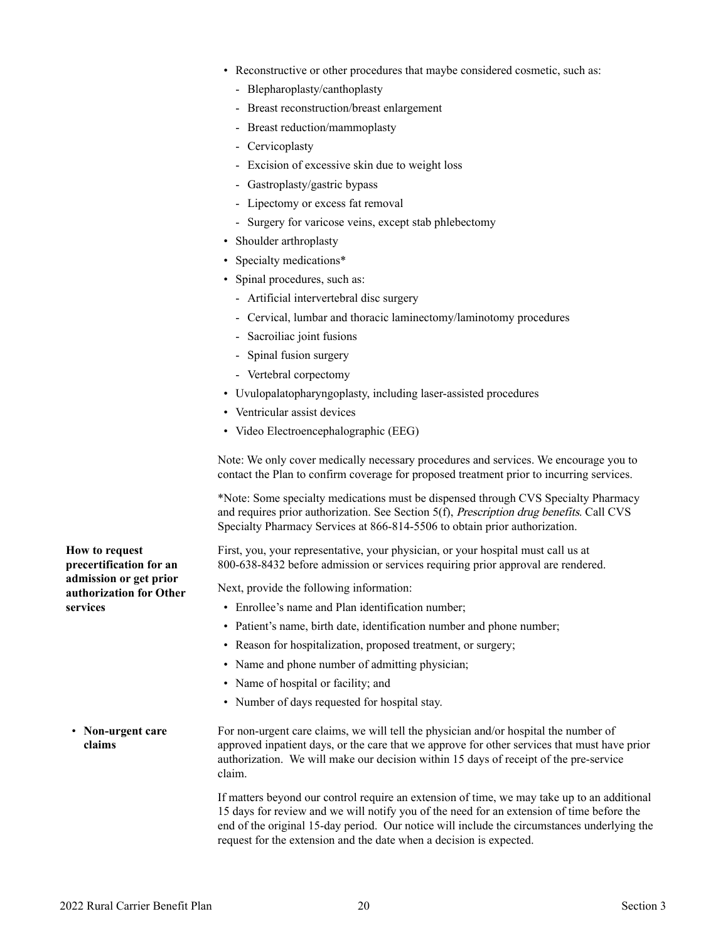- Reconstructive or other procedures that maybe considered cosmetic, such as:
	- Blepharoplasty/canthoplasty
	- Breast reconstruction/breast enlargement
	- Breast reduction/mammoplasty
	- Cervicoplasty
	- Excision of excessive skin due to weight loss
	- Gastroplasty/gastric bypass
	- Lipectomy or excess fat removal
	- Surgery for varicose veins, except stab phlebectomy
- Shoulder arthroplasty
- Specialty medications\*
- Spinal procedures, such as:
	- Artificial intervertebral disc surgery
	- Cervical, lumbar and thoracic laminectomy/laminotomy procedures
	- Sacroiliac joint fusions
	- Spinal fusion surgery
	- Vertebral corpectomy
- Uvulopalatopharyngoplasty, including laser-assisted procedures
- Ventricular assist devices
- Video Electroencephalographic (EEG)

Note: We only cover medically necessary procedures and services. We encourage you to contact the Plan to confirm coverage for proposed treatment prior to incurring services.

\*Note: Some specialty medications must be dispensed through CVS Specialty Pharmacy and requires prior authorization. See Section 5(f), Prescription drug benefits. Call CVS Specialty Pharmacy Services at 866-814-5506 to obtain prior authorization.

First, you, your representative, your physician, or your hospital must call us at 800-638-8432 before admission or services requiring prior approval are rendered.

Next, provide the following information:

- Enrollee's name and Plan identification number;
- Patient's name, birth date, identification number and phone number;
- Reason for hospitalization, proposed treatment, or surgery;
- Name and phone number of admitting physician;
- Name of hospital or facility; and
- Number of days requested for hospital stay.
- <span id="page-21-1"></span>• **Non-urgent care claims** For non-urgent care claims, we will tell the physician and/or hospital the number of approved inpatient days, or the care that we approve for other services that must have prior authorization. We will make our decision within 15 days of receipt of the pre-service claim.

If matters beyond our control require an extension of time, we may take up to an additional 15 days for review and we will notify you of the need for an extension of time before the end of the original 15-day period. Our notice will include the circumstances underlying the request for the extension and the date when a decision is expected.

<span id="page-21-0"></span>**How to request precertification for an admission or get prior authorization for Other services**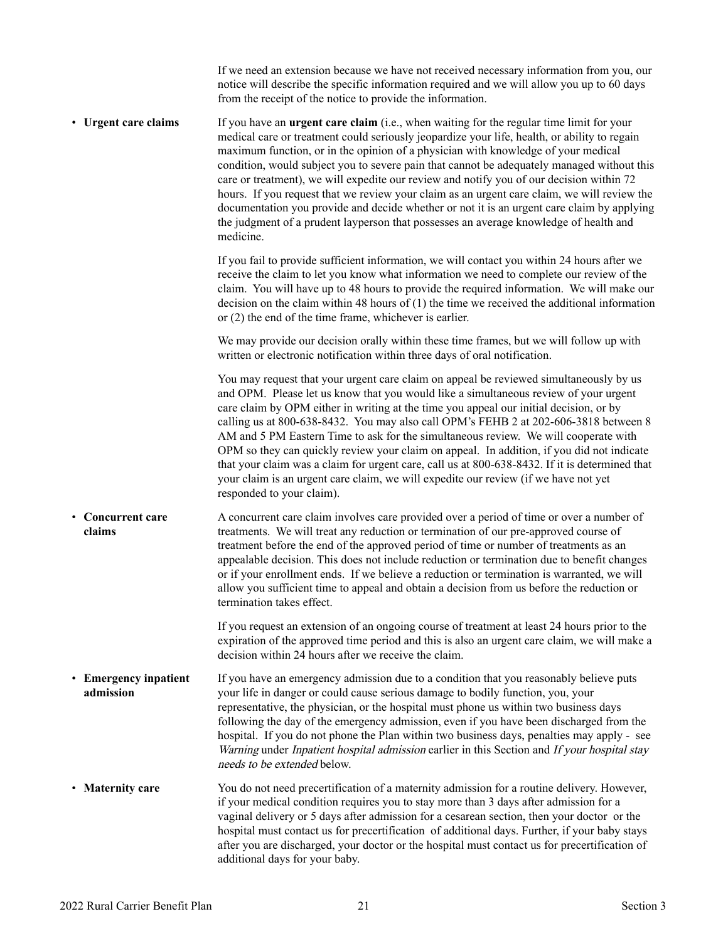If we need an extension because we have not received necessary information from you, our notice will describe the specific information required and we will allow you up to 60 days from the receipt of the notice to provide the information.

• **Urgent care claims** If you have an **urgent care claim** (i.e., when waiting for the regular time limit for your medical care or treatment could seriously jeopardize your life, health, or ability to regain maximum function, or in the opinion of a physician with knowledge of your medical condition, would subject you to severe pain that cannot be adequately managed without this care or treatment), we will expedite our review and notify you of our decision within 72 hours. If you request that we review your claim as an urgent care claim, we will review the documentation you provide and decide whether or not it is an urgent care claim by applying the judgment of a prudent layperson that possesses an average knowledge of health and medicine.

> If you fail to provide sufficient information, we will contact you within 24 hours after we receive the claim to let you know what information we need to complete our review of the claim. You will have up to 48 hours to provide the required information. We will make our decision on the claim within 48 hours of (1) the time we received the additional information or (2) the end of the time frame, whichever is earlier.

We may provide our decision orally within these time frames, but we will follow up with written or electronic notification within three days of oral notification.

You may request that your urgent care claim on appeal be reviewed simultaneously by us and OPM. Please let us know that you would like a simultaneous review of your urgent care claim by OPM either in writing at the time you appeal our initial decision, or by calling us at 800-638-8432. You may also call OPM's FEHB 2 at 202-606-3818 between 8 AM and 5 PM Eastern Time to ask for the simultaneous review. We will cooperate with OPM so they can quickly review your claim on appeal. In addition, if you did not indicate that your claim was a claim for urgent care, call us at 800-638-8432. If it is determined that your claim is an urgent care claim, we will expedite our review (if we have not yet responded to your claim).

<span id="page-22-0"></span>• **Concurrent care claims**  A concurrent care claim involves care provided over a period of time or over a number of treatments. We will treat any reduction or termination of our pre-approved course of treatment before the end of the approved period of time or number of treatments as an appealable decision. This does not include reduction or termination due to benefit changes or if your enrollment ends. If we believe a reduction or termination is warranted, we will allow you sufficient time to appeal and obtain a decision from us before the reduction or termination takes effect.

> If you request an extension of an ongoing course of treatment at least 24 hours prior to the expiration of the approved time period and this is also an urgent care claim, we will make a decision within 24 hours after we receive the claim.

- <span id="page-22-1"></span>• **Emergency inpatient admission**  If you have an emergency admission due to a condition that you reasonably believe puts your life in danger or could cause serious damage to bodily function, you, your representative, the physician, or the hospital must phone us within two business days following the day of the emergency admission, even if you have been discharged from the hospital. If you do not phone the Plan within two business days, penalties may apply - see Warning under *Inpatient hospital admission* earlier in this Section and *If your hospital stay* needs to be extended below.
- <span id="page-22-2"></span>• **Maternity care** You do not need precertification of a maternity admission for a routine delivery. However, if your medical condition requires you to stay more than 3 days after admission for a vaginal delivery or 5 days after admission for a cesarean section, then your doctor or the hospital must contact us for precertification of additional days. Further, if your baby stays after you are discharged, your doctor or the hospital must contact us for precertification of additional days for your baby.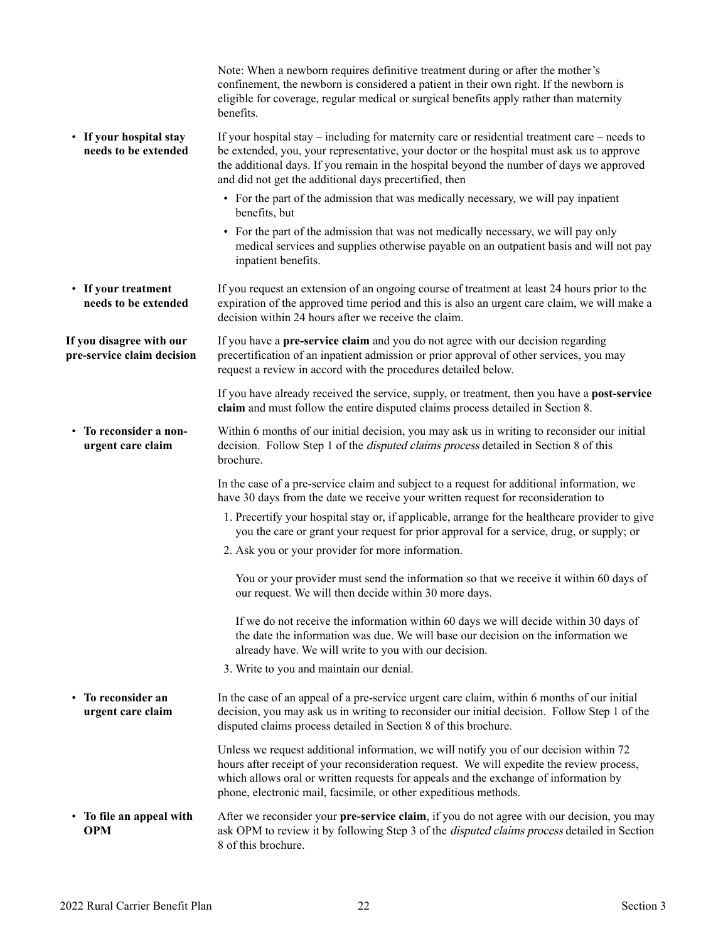<span id="page-23-5"></span><span id="page-23-4"></span><span id="page-23-3"></span><span id="page-23-2"></span><span id="page-23-1"></span><span id="page-23-0"></span>

|                                                        | Note: When a newborn requires definitive treatment during or after the mother's<br>confinement, the newborn is considered a patient in their own right. If the newborn is<br>eligible for coverage, regular medical or surgical benefits apply rather than maternity<br>benefits.                                                                    |
|--------------------------------------------------------|------------------------------------------------------------------------------------------------------------------------------------------------------------------------------------------------------------------------------------------------------------------------------------------------------------------------------------------------------|
| • If your hospital stay<br>needs to be extended        | If your hospital stay $-$ including for maternity care or residential treatment care $-$ needs to<br>be extended, you, your representative, your doctor or the hospital must ask us to approve<br>the additional days. If you remain in the hospital beyond the number of days we approved<br>and did not get the additional days precertified, then |
|                                                        | • For the part of the admission that was medically necessary, we will pay inpatient<br>benefits, but                                                                                                                                                                                                                                                 |
|                                                        | • For the part of the admission that was not medically necessary, we will pay only<br>medical services and supplies otherwise payable on an outpatient basis and will not pay<br>inpatient benefits.                                                                                                                                                 |
| • If your treatment<br>needs to be extended            | If you request an extension of an ongoing course of treatment at least 24 hours prior to the<br>expiration of the approved time period and this is also an urgent care claim, we will make a<br>decision within 24 hours after we receive the claim.                                                                                                 |
| If you disagree with our<br>pre-service claim decision | If you have a pre-service claim and you do not agree with our decision regarding<br>precertification of an inpatient admission or prior approval of other services, you may<br>request a review in accord with the procedures detailed below.                                                                                                        |
|                                                        | If you have already received the service, supply, or treatment, then you have a <b>post-service</b><br>claim and must follow the entire disputed claims process detailed in Section 8.                                                                                                                                                               |
| • To reconsider a non-<br>urgent care claim            | Within 6 months of our initial decision, you may ask us in writing to reconsider our initial<br>decision. Follow Step 1 of the <i>disputed claims process</i> detailed in Section 8 of this<br>brochure.                                                                                                                                             |
|                                                        | In the case of a pre-service claim and subject to a request for additional information, we<br>have 30 days from the date we receive your written request for reconsideration to                                                                                                                                                                      |
|                                                        | 1. Precertify your hospital stay or, if applicable, arrange for the healthcare provider to give<br>you the care or grant your request for prior approval for a service, drug, or supply; or                                                                                                                                                          |
|                                                        | 2. Ask you or your provider for more information.                                                                                                                                                                                                                                                                                                    |
|                                                        | You or your provider must send the information so that we receive it within 60 days of<br>our request. We will then decide within 30 more days.                                                                                                                                                                                                      |
|                                                        | If we do not receive the information within 60 days we will decide within 30 days of<br>the date the information was due. We will base our decision on the information we<br>already have. We will write to you with our decision.                                                                                                                   |
|                                                        | 3. Write to you and maintain our denial.                                                                                                                                                                                                                                                                                                             |
| • To reconsider an<br>urgent care claim                | In the case of an appeal of a pre-service urgent care claim, within 6 months of our initial<br>decision, you may ask us in writing to reconsider our initial decision. Follow Step 1 of the<br>disputed claims process detailed in Section 8 of this brochure.                                                                                       |
|                                                        | Unless we request additional information, we will notify you of our decision within 72<br>hours after receipt of your reconsideration request. We will expedite the review process,<br>which allows oral or written requests for appeals and the exchange of information by<br>phone, electronic mail, facsimile, or other expeditious methods.      |
| • To file an appeal with<br><b>OPM</b>                 | After we reconsider your pre-service claim, if you do not agree with our decision, you may<br>ask OPM to review it by following Step 3 of the <i>disputed claims process</i> detailed in Section<br>8 of this brochure.                                                                                                                              |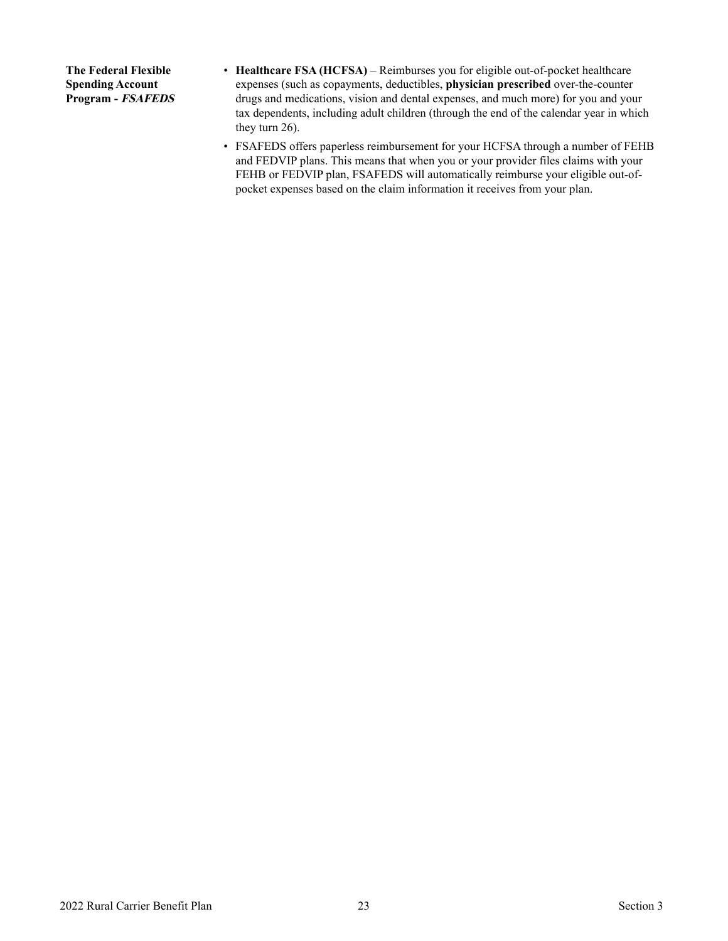<span id="page-24-0"></span>**The Federal Flexible Spending Account Program - FSAFEDS** 

- **Healthcare FSA (HCFSA)** Reimburses you for eligible out-of-pocket healthcare expenses (such as copayments, deductibles, **physician prescribed** over-the-counter drugs and medications, vision and dental expenses, and much more) for you and your tax dependents, including adult children (through the end of the calendar year in which they turn 26).
- FSAFEDS offers paperless reimbursement for your HCFSA through a number of FEHB and FEDVIP plans. This means that when you or your provider files claims with your FEHB or FEDVIP plan, FSAFEDS will automatically reimburse your eligible out-ofpocket expenses based on the claim information it receives from your plan.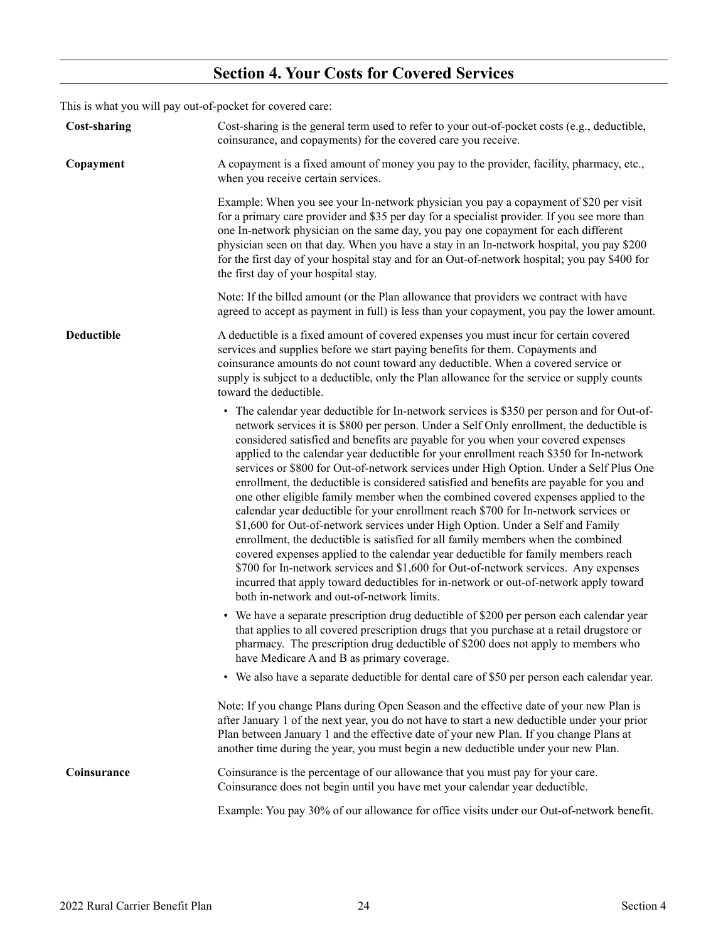## <span id="page-25-0"></span>**Section 4. Your Costs for Covered Services**

This is what you will pay out-of-pocket for covered care:

<span id="page-25-4"></span><span id="page-25-3"></span><span id="page-25-2"></span><span id="page-25-1"></span>

| <b>Cost-sharing</b> | Cost-sharing is the general term used to refer to your out-of-pocket costs (e.g., deductible,<br>coinsurance, and copayments) for the covered care you receive.                                                                                                                                                                                                                                                                                                                                                                                                                                                                                                                                                                                                                                                                                                                                                                                                                                                                                                                                                                                                                                                                |
|---------------------|--------------------------------------------------------------------------------------------------------------------------------------------------------------------------------------------------------------------------------------------------------------------------------------------------------------------------------------------------------------------------------------------------------------------------------------------------------------------------------------------------------------------------------------------------------------------------------------------------------------------------------------------------------------------------------------------------------------------------------------------------------------------------------------------------------------------------------------------------------------------------------------------------------------------------------------------------------------------------------------------------------------------------------------------------------------------------------------------------------------------------------------------------------------------------------------------------------------------------------|
| Copayment           | A copayment is a fixed amount of money you pay to the provider, facility, pharmacy, etc.,<br>when you receive certain services.                                                                                                                                                                                                                                                                                                                                                                                                                                                                                                                                                                                                                                                                                                                                                                                                                                                                                                                                                                                                                                                                                                |
|                     | Example: When you see your In-network physician you pay a copayment of \$20 per visit<br>for a primary care provider and \$35 per day for a specialist provider. If you see more than<br>one In-network physician on the same day, you pay one copayment for each different<br>physician seen on that day. When you have a stay in an In-network hospital, you pay \$200<br>for the first day of your hospital stay and for an Out-of-network hospital; you pay \$400 for<br>the first day of your hospital stay.                                                                                                                                                                                                                                                                                                                                                                                                                                                                                                                                                                                                                                                                                                              |
|                     | Note: If the billed amount (or the Plan allowance that providers we contract with have<br>agreed to accept as payment in full) is less than your copayment, you pay the lower amount.                                                                                                                                                                                                                                                                                                                                                                                                                                                                                                                                                                                                                                                                                                                                                                                                                                                                                                                                                                                                                                          |
| Deductible          | A deductible is a fixed amount of covered expenses you must incur for certain covered<br>services and supplies before we start paying benefits for them. Copayments and<br>coinsurance amounts do not count toward any deductible. When a covered service or<br>supply is subject to a deductible, only the Plan allowance for the service or supply counts<br>toward the deductible.                                                                                                                                                                                                                                                                                                                                                                                                                                                                                                                                                                                                                                                                                                                                                                                                                                          |
|                     | • The calendar year deductible for In-network services is \$350 per person and for Out-of-<br>network services it is \$800 per person. Under a Self Only enrollment, the deductible is<br>considered satisfied and benefits are payable for you when your covered expenses<br>applied to the calendar year deductible for your enrollment reach \$350 for In-network<br>services or \$800 for Out-of-network services under High Option. Under a Self Plus One<br>enrollment, the deductible is considered satisfied and benefits are payable for you and<br>one other eligible family member when the combined covered expenses applied to the<br>calendar year deductible for your enrollment reach \$700 for In-network services or<br>\$1,600 for Out-of-network services under High Option. Under a Self and Family<br>enrollment, the deductible is satisfied for all family members when the combined<br>covered expenses applied to the calendar year deductible for family members reach<br>\$700 for In-network services and \$1,600 for Out-of-network services. Any expenses<br>incurred that apply toward deductibles for in-network or out-of-network apply toward<br>both in-network and out-of-network limits. |
|                     | • We have a separate prescription drug deductible of \$200 per person each calendar year<br>that applies to all covered prescription drugs that you purchase at a retail drugstore or<br>pharmacy. The prescription drug deductible of \$200 does not apply to members who<br>have Medicare A and B as primary coverage.                                                                                                                                                                                                                                                                                                                                                                                                                                                                                                                                                                                                                                                                                                                                                                                                                                                                                                       |
|                     | • We also have a separate deductible for dental care of \$50 per person each calendar year.                                                                                                                                                                                                                                                                                                                                                                                                                                                                                                                                                                                                                                                                                                                                                                                                                                                                                                                                                                                                                                                                                                                                    |
|                     | Note: If you change Plans during Open Season and the effective date of your new Plan is<br>after January 1 of the next year, you do not have to start a new deductible under your prior<br>Plan between January 1 and the effective date of your new Plan. If you change Plans at<br>another time during the year, you must begin a new deductible under your new Plan.                                                                                                                                                                                                                                                                                                                                                                                                                                                                                                                                                                                                                                                                                                                                                                                                                                                        |
| Coinsurance         | Coinsurance is the percentage of our allowance that you must pay for your care.<br>Coinsurance does not begin until you have met your calendar year deductible.                                                                                                                                                                                                                                                                                                                                                                                                                                                                                                                                                                                                                                                                                                                                                                                                                                                                                                                                                                                                                                                                |
|                     | Example: You pay 30% of our allowance for office visits under our Out-of-network benefit.                                                                                                                                                                                                                                                                                                                                                                                                                                                                                                                                                                                                                                                                                                                                                                                                                                                                                                                                                                                                                                                                                                                                      |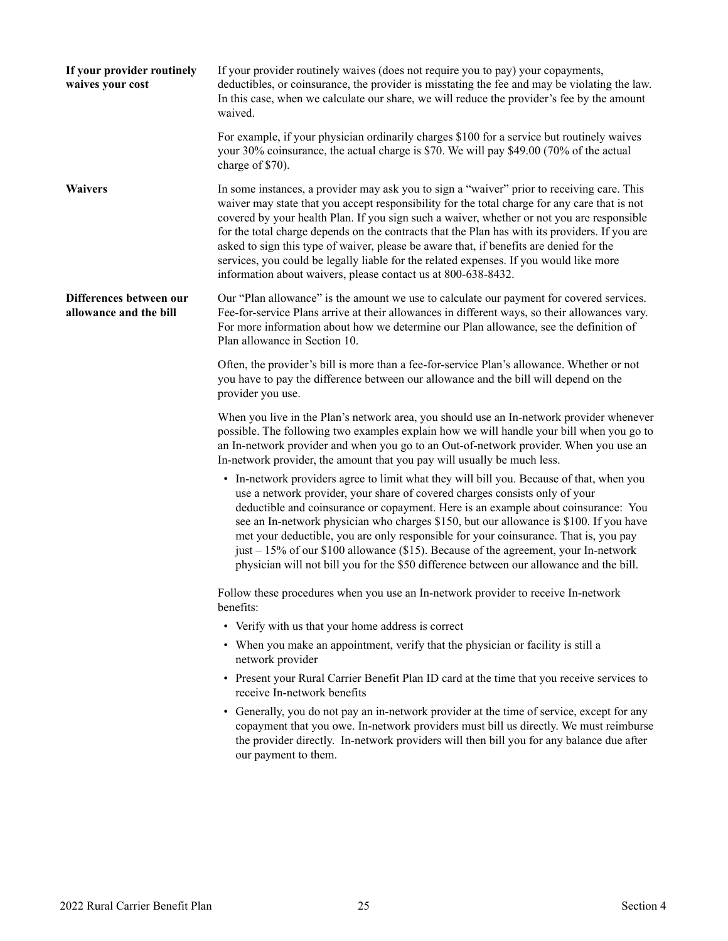<span id="page-26-2"></span><span id="page-26-1"></span><span id="page-26-0"></span>

| If your provider routinely<br>waives your cost    | If your provider routinely waives (does not require you to pay) your copayments,<br>deductibles, or coinsurance, the provider is misstating the fee and may be violating the law.<br>In this case, when we calculate our share, we will reduce the provider's fee by the amount<br>waived.                                                                                                                                                                                                                                                                                                                                                        |
|---------------------------------------------------|---------------------------------------------------------------------------------------------------------------------------------------------------------------------------------------------------------------------------------------------------------------------------------------------------------------------------------------------------------------------------------------------------------------------------------------------------------------------------------------------------------------------------------------------------------------------------------------------------------------------------------------------------|
|                                                   | For example, if your physician ordinarily charges \$100 for a service but routinely waives<br>your 30% coinsurance, the actual charge is \$70. We will pay \$49.00 (70% of the actual<br>charge of \$70).                                                                                                                                                                                                                                                                                                                                                                                                                                         |
| <b>Waivers</b>                                    | In some instances, a provider may ask you to sign a "waiver" prior to receiving care. This<br>waiver may state that you accept responsibility for the total charge for any care that is not<br>covered by your health Plan. If you sign such a waiver, whether or not you are responsible<br>for the total charge depends on the contracts that the Plan has with its providers. If you are<br>asked to sign this type of waiver, please be aware that, if benefits are denied for the<br>services, you could be legally liable for the related expenses. If you would like more<br>information about waivers, please contact us at 800-638-8432. |
| Differences between our<br>allowance and the bill | Our "Plan allowance" is the amount we use to calculate our payment for covered services.<br>Fee-for-service Plans arrive at their allowances in different ways, so their allowances vary.<br>For more information about how we determine our Plan allowance, see the definition of<br>Plan allowance in Section 10.                                                                                                                                                                                                                                                                                                                               |
|                                                   | Often, the provider's bill is more than a fee-for-service Plan's allowance. Whether or not<br>you have to pay the difference between our allowance and the bill will depend on the<br>provider you use.                                                                                                                                                                                                                                                                                                                                                                                                                                           |
|                                                   | When you live in the Plan's network area, you should use an In-network provider whenever<br>possible. The following two examples explain how we will handle your bill when you go to<br>an In-network provider and when you go to an Out-of-network provider. When you use an<br>In-network provider, the amount that you pay will usually be much less.                                                                                                                                                                                                                                                                                          |
|                                                   | • In-network providers agree to limit what they will bill you. Because of that, when you<br>use a network provider, your share of covered charges consists only of your<br>deductible and coinsurance or copayment. Here is an example about coinsurance: You<br>see an In-network physician who charges \$150, but our allowance is \$100. If you have<br>met your deductible, you are only responsible for your coinsurance. That is, you pay<br>just – 15% of our \$100 allowance (\$15). Because of the agreement, your In-network<br>physician will not bill you for the \$50 difference between our allowance and the bill.                 |
|                                                   | Follow these procedures when you use an In-network provider to receive In-network<br>benefits:                                                                                                                                                                                                                                                                                                                                                                                                                                                                                                                                                    |
|                                                   | • Verify with us that your home address is correct                                                                                                                                                                                                                                                                                                                                                                                                                                                                                                                                                                                                |
|                                                   | • When you make an appointment, verify that the physician or facility is still a<br>network provider                                                                                                                                                                                                                                                                                                                                                                                                                                                                                                                                              |
|                                                   | • Present your Rural Carrier Benefit Plan ID card at the time that you receive services to<br>receive In-network benefits                                                                                                                                                                                                                                                                                                                                                                                                                                                                                                                         |
|                                                   | • Generally, you do not pay an in-network provider at the time of service, except for any<br>copayment that you owe. In-network providers must bill us directly. We must reimburse<br>the provider directly. In-network providers will then bill you for any balance due after<br>our payment to them.                                                                                                                                                                                                                                                                                                                                            |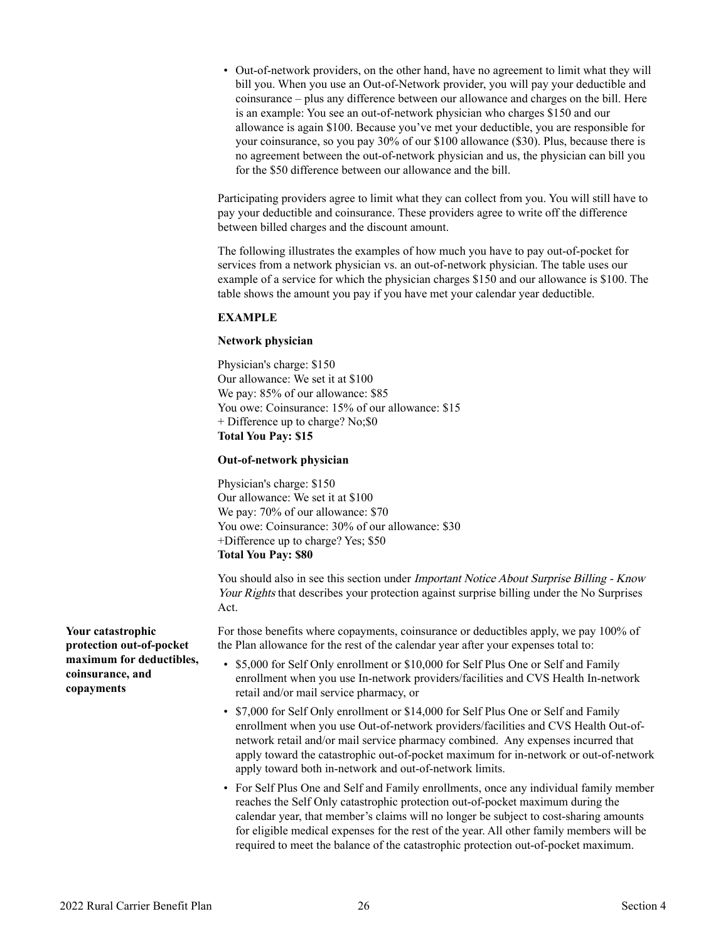• Out-of-network providers, on the other hand, have no agreement to limit what they will bill you. When you use an Out-of-Network provider, you will pay your deductible and coinsurance – plus any difference between our allowance and charges on the bill. Here is an example: You see an out-of-network physician who charges \$150 and our allowance is again \$100. Because you've met your deductible, you are responsible for your coinsurance, so you pay 30% of our \$100 allowance (\$30). Plus, because there is no agreement between the out-of-network physician and us, the physician can bill you for the \$50 difference between our allowance and the bill.

Participating providers agree to limit what they can collect from you. You will still have to pay your deductible and coinsurance. These providers agree to write off the difference between billed charges and the discount amount.

The following illustrates the examples of how much you have to pay out-of-pocket for services from a network physician vs. an out-of-network physician. The table uses our example of a service for which the physician charges \$150 and our allowance is \$100. The table shows the amount you pay if you have met your calendar year deductible.

#### **EXAMPLE**

#### **Network physician**

Physician's charge: \$150 Our allowance: We set it at \$100 We pay: 85% of our allowance: \$85 You owe: Coinsurance: 15% of our allowance: \$15 + Difference up to charge? No;\$0 **Total You Pay: \$15** 

#### **Out-of-network physician**

Physician's charge: \$150 Our allowance: We set it at \$100 We pay:  $70\%$  of our allowance: \$70 You owe: Coinsurance:  $30\%$  of our allowance: \$30 +Difference up to charge? Yes; \$50 **Total You Pay: \$80** 

You should also in see this section under *Important Notice About Surprise Billing - Know* Your Rights that describes your protection against surprise billing under the No Surprises Act.

For those benefits where copayments, coinsurance or deductibles apply, we pay 100% of the Plan allowance for the rest of the calendar year after your expenses total to:

- \$5,000 for Self Only enrollment or \$10,000 for Self Plus One or Self and Family enrollment when you use In-network providers/facilities and CVS Health In-network retail and/or mail service pharmacy, or
- \$7,000 for Self Only enrollment or \$14,000 for Self Plus One or Self and Family enrollment when you use Out-of-network providers/facilities and CVS Health Out-ofnetwork retail and/or mail service pharmacy combined. Any expenses incurred that apply toward the catastrophic out-of-pocket maximum for in-network or out-of-network apply toward both in-network and out-of-network limits.
- For Self Plus One and Self and Family enrollments, once any individual family member reaches the Self Only catastrophic protection out-of-pocket maximum during the calendar year, that member's claims will no longer be subject to cost-sharing amounts for eligible medical expenses for the rest of the year. All other family members will be required to meet the balance of the catastrophic protection out-of-pocket maximum.

<span id="page-27-0"></span>**Your catastrophic protection out-of-pocket maximum for deductibles, coinsurance, and copayments**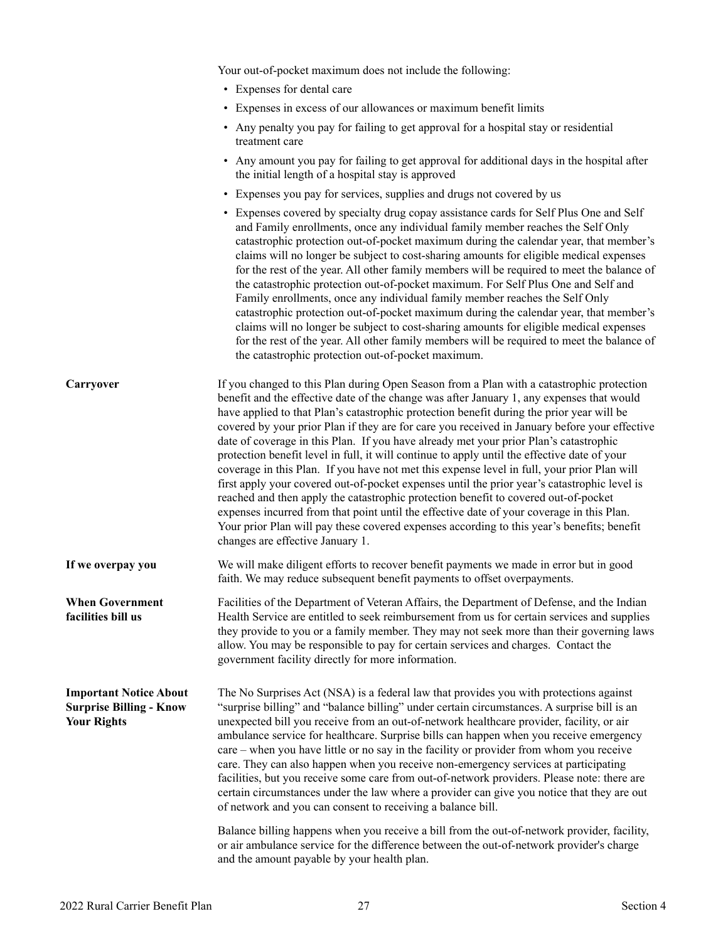Your out-of-pocket maximum does not include the following:

- Expenses for dental care
- Expenses in excess of our allowances or maximum benefit limits
- Any penalty you pay for failing to get approval for a hospital stay or residential treatment care
- Any amount you pay for failing to get approval for additional days in the hospital after the initial length of a hospital stay is approved
- Expenses you pay for services, supplies and drugs not covered by us
- Expenses covered by specialty drug copay assistance cards for Self Plus One and Self and Family enrollments, once any individual family member reaches the Self Only catastrophic protection out-of-pocket maximum during the calendar year, that member's claims will no longer be subject to cost-sharing amounts for eligible medical expenses for the rest of the year. All other family members will be required to meet the balance of the catastrophic protection out-of-pocket maximum. For Self Plus One and Self and Family enrollments, once any individual family member reaches the Self Only catastrophic protection out-of-pocket maximum during the calendar year, that member's claims will no longer be subject to cost-sharing amounts for eligible medical expenses for the rest of the year. All other family members will be required to meet the balance of the catastrophic protection out-of-pocket maximum.

<span id="page-28-2"></span><span id="page-28-1"></span><span id="page-28-0"></span>

| Carryover                                                                             | If you changed to this Plan during Open Season from a Plan with a catastrophic protection<br>benefit and the effective date of the change was after January 1, any expenses that would<br>have applied to that Plan's catastrophic protection benefit during the prior year will be<br>covered by your prior Plan if they are for care you received in January before your effective<br>date of coverage in this Plan. If you have already met your prior Plan's catastrophic<br>protection benefit level in full, it will continue to apply until the effective date of your<br>coverage in this Plan. If you have not met this expense level in full, your prior Plan will<br>first apply your covered out-of-pocket expenses until the prior year's catastrophic level is<br>reached and then apply the catastrophic protection benefit to covered out-of-pocket<br>expenses incurred from that point until the effective date of your coverage in this Plan.<br>Your prior Plan will pay these covered expenses according to this year's benefits; benefit<br>changes are effective January 1. |
|---------------------------------------------------------------------------------------|----------------------------------------------------------------------------------------------------------------------------------------------------------------------------------------------------------------------------------------------------------------------------------------------------------------------------------------------------------------------------------------------------------------------------------------------------------------------------------------------------------------------------------------------------------------------------------------------------------------------------------------------------------------------------------------------------------------------------------------------------------------------------------------------------------------------------------------------------------------------------------------------------------------------------------------------------------------------------------------------------------------------------------------------------------------------------------------------------|
| If we overpay you                                                                     | We will make diligent efforts to recover benefit payments we made in error but in good<br>faith. We may reduce subsequent benefit payments to offset overpayments.                                                                                                                                                                                                                                                                                                                                                                                                                                                                                                                                                                                                                                                                                                                                                                                                                                                                                                                                 |
| <b>When Government</b><br>facilities bill us                                          | Facilities of the Department of Veteran Affairs, the Department of Defense, and the Indian<br>Health Service are entitled to seek reimbursement from us for certain services and supplies<br>they provide to you or a family member. They may not seek more than their governing laws<br>allow. You may be responsible to pay for certain services and charges. Contact the<br>government facility directly for more information.                                                                                                                                                                                                                                                                                                                                                                                                                                                                                                                                                                                                                                                                  |
| <b>Important Notice About</b><br><b>Surprise Billing - Know</b><br><b>Your Rights</b> | The No Surprises Act (NSA) is a federal law that provides you with protections against<br>"surprise billing" and "balance billing" under certain circumstances. A surprise bill is an<br>unexpected bill you receive from an out-of-network healthcare provider, facility, or air<br>ambulance service for healthcare. Surprise bills can happen when you receive emergency<br>care – when you have little or no say in the facility or provider from whom you receive<br>care. They can also happen when you receive non-emergency services at participating<br>facilities, but you receive some care from out-of-network providers. Please note: there are<br>certain circumstances under the law where a provider can give you notice that they are out<br>of network and you can consent to receiving a balance bill.                                                                                                                                                                                                                                                                          |

Balance billing happens when you receive a bill from the out-of-network provider, facility, or air ambulance service for the difference between the out-of-network provider's charge and the amount payable by your health plan.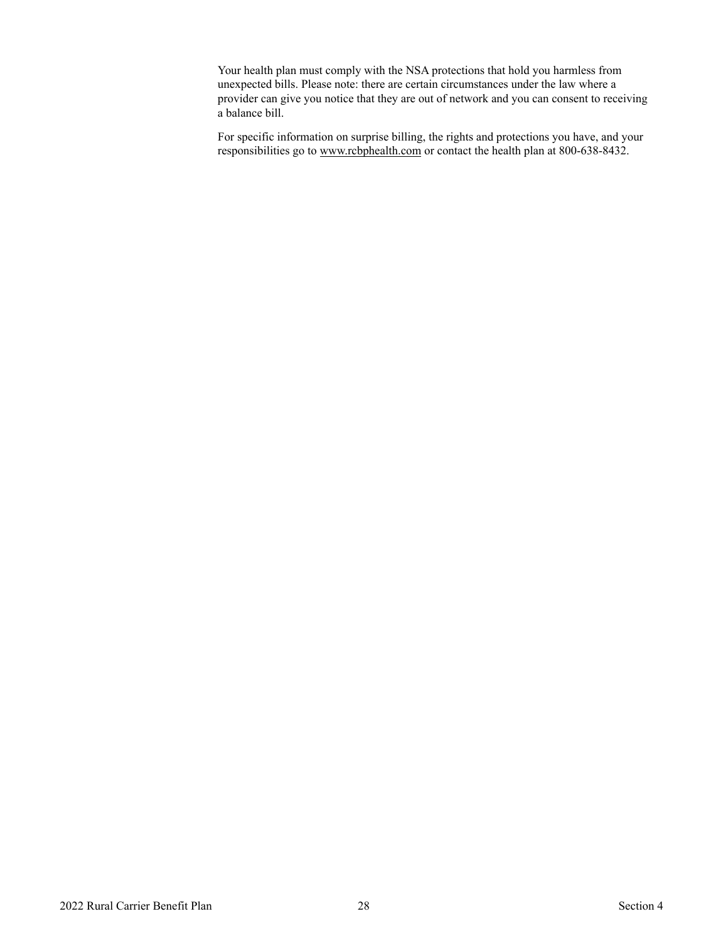Your health plan must comply with the NSA protections that hold you harmless from unexpected bills. Please note: there are certain circumstances under the law where a provider can give you notice that they are out of network and you can consent to receiving a balance bill.

For specific information on surprise billing, the rights and protections you have, and your responsibilities go to www.rcbphealth.com or contact the health plan at 800-638-8432.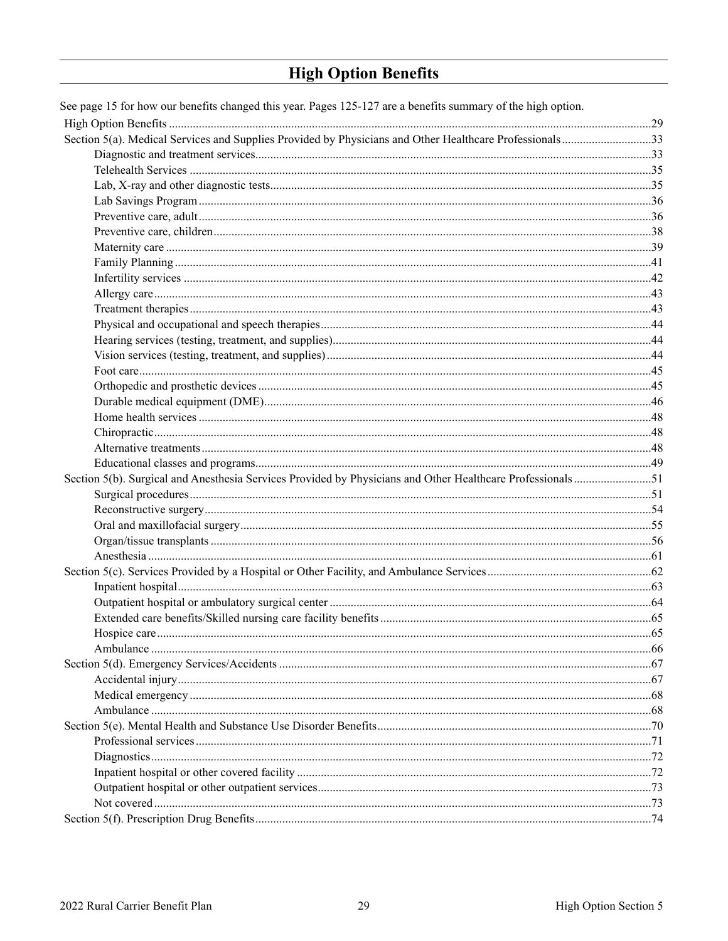## <span id="page-30-0"></span>**High Option Benefits**

| See page 15 for how our benefits changed this year. Pages 125-127 are a benefits summary of the high option. |  |
|--------------------------------------------------------------------------------------------------------------|--|
|                                                                                                              |  |
| Section 5(a). Medical Services and Supplies Provided by Physicians and Other Healthcare Professionals33      |  |
|                                                                                                              |  |
|                                                                                                              |  |
|                                                                                                              |  |
|                                                                                                              |  |
|                                                                                                              |  |
|                                                                                                              |  |
|                                                                                                              |  |
|                                                                                                              |  |
|                                                                                                              |  |
|                                                                                                              |  |
|                                                                                                              |  |
|                                                                                                              |  |
|                                                                                                              |  |
|                                                                                                              |  |
|                                                                                                              |  |
|                                                                                                              |  |
|                                                                                                              |  |
|                                                                                                              |  |
|                                                                                                              |  |
|                                                                                                              |  |
|                                                                                                              |  |
| Section 5(b). Surgical and Anesthesia Services Provided by Physicians and Other Healthcare Professionals51   |  |
|                                                                                                              |  |
|                                                                                                              |  |
|                                                                                                              |  |
|                                                                                                              |  |
|                                                                                                              |  |
|                                                                                                              |  |
|                                                                                                              |  |
|                                                                                                              |  |
|                                                                                                              |  |
|                                                                                                              |  |
|                                                                                                              |  |
|                                                                                                              |  |
|                                                                                                              |  |
|                                                                                                              |  |
|                                                                                                              |  |
|                                                                                                              |  |
|                                                                                                              |  |
|                                                                                                              |  |
|                                                                                                              |  |
|                                                                                                              |  |
|                                                                                                              |  |
|                                                                                                              |  |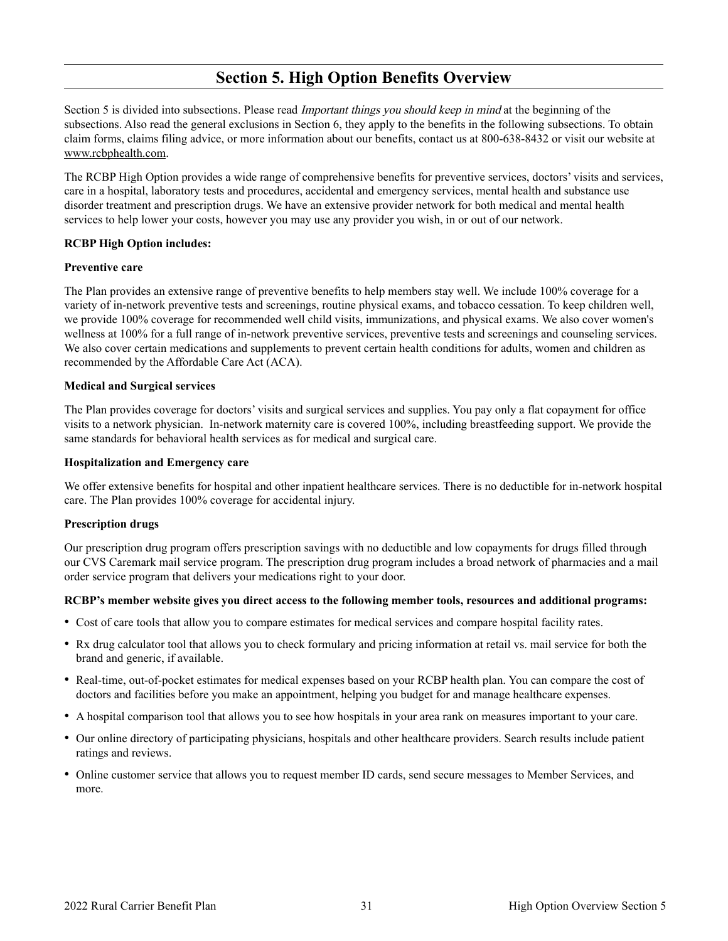## **Section 5. High Option Benefits Overview**

Section 5 is divided into subsections. Please read *Important things you should keep in mind* at the beginning of the subsections. Also read the general exclusions in Section 6, they apply to the benefits in the following subsections. To obtain claim forms, claims filing advice, or more information about our benefits, contact us at 800-638-8432 or visit our website at www.rcbphealth.com.

The RCBP High Option provides a wide range of comprehensive benefits for preventive services, doctors' visits and services, care in a hospital, laboratory tests and procedures, accidental and emergency services, mental health and substance use disorder treatment and prescription drugs. We have an extensive provider network for both medical and mental health services to help lower your costs, however you may use any provider you wish, in or out of our network.

#### **RCBP High Option includes:**

#### **Preventive care**

The Plan provides an extensive range of preventive benefits to help members stay well. We include 100% coverage for a variety of in-network preventive tests and screenings, routine physical exams, and tobacco cessation. To keep children well, we provide 100% coverage for recommended well child visits, immunizations, and physical exams. We also cover women's wellness at 100% for a full range of in-network preventive services, preventive tests and screenings and counseling services. We also cover certain medications and supplements to prevent certain health conditions for adults, women and children as recommended by the Affordable Care Act (ACA).

#### **Medical and Surgical services**

The Plan provides coverage for doctors' visits and surgical services and supplies. You pay only a flat copayment for office visits to a network physician. In-network maternity care is covered 100%, including breastfeeding support. We provide the same standards for behavioral health services as for medical and surgical care.

#### **Hospitalization and Emergency care**

We offer extensive benefits for hospital and other inpatient healthcare services. There is no deductible for in-network hospital care. The Plan provides 100% coverage for accidental injury.

#### **Prescription drugs**

Our prescription drug program offers prescription savings with no deductible and low copayments for drugs filled through our CVS Caremark mail service program. The prescription drug program includes a broad network of pharmacies and a mail order service program that delivers your medications right to your door.

#### **RCBP's member website gives you direct access to the following member tools, resources and additional programs:**

- • Cost of care tools that allow you to compare estimates for medical services and compare hospital facility rates.
- Rx drug calculator tool that allows you to check formulary and pricing information at retail vs. mail service for both the brand and generic, if available.
- • Real-time, out-of-pocket estimates for medical expenses based on your RCBP health plan. You can compare the cost of doctors and facilities before you make an appointment, helping you budget for and manage healthcare expenses.
- • A hospital comparison tool that allows you to see how hospitals in your area rank on measures important to your care.
- • Our online directory of participating physicians, hospitals and other healthcare providers. Search results include patient ratings and reviews.
- • Online customer service that allows you to request member ID cards, send secure messages to Member Services, and more.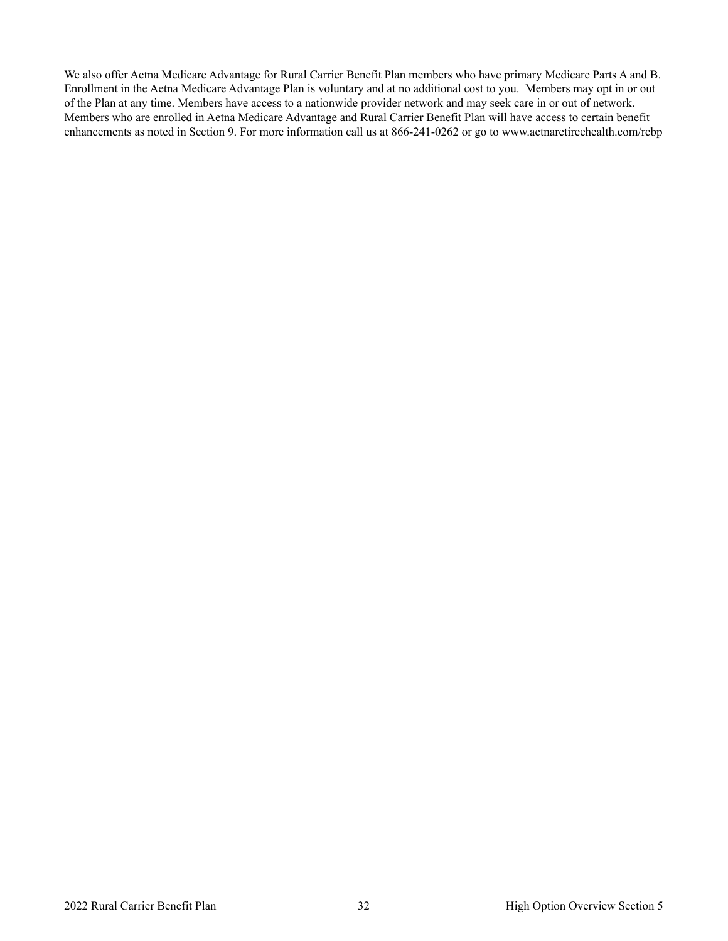We also offer Aetna Medicare Advantage for Rural Carrier Benefit Plan members who have primary Medicare Parts A and B. Enrollment in the Aetna Medicare Advantage Plan is voluntary and at no additional cost to you. Members may opt in or out of the Plan at any time. Members have access to a nationwide provider network and may seek care in or out of network. Members who are enrolled in Aetna Medicare Advantage and Rural Carrier Benefit Plan will have access to certain benefit enhancements as noted in Section 9. For more information call us at 866-241-0262 or go to www.aetnaretireehealth.com/rcbp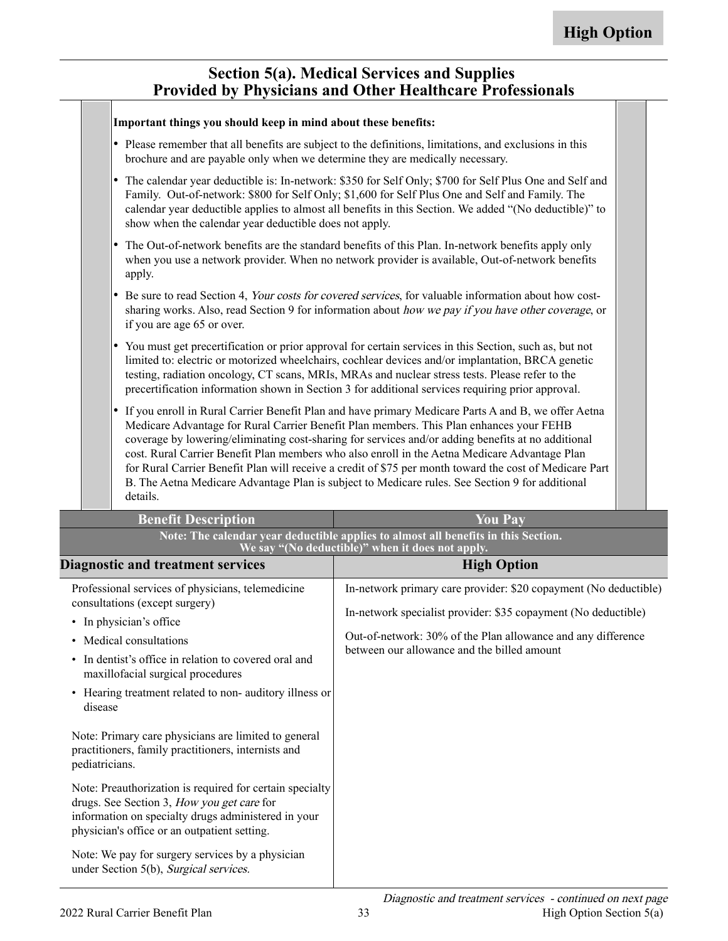### <span id="page-34-0"></span>**Section 5(a). Medical Services and Supplies Provided by Physicians and Other Healthcare Professionals**

| Important things you should keep in mind about these benefits:                                                                                                                                                                                                                                                                                                                                                                   |                                                                                                                                                                                                                                                                                                                                                                                                                                                                                                                                                                                                                     |  |  |  |
|----------------------------------------------------------------------------------------------------------------------------------------------------------------------------------------------------------------------------------------------------------------------------------------------------------------------------------------------------------------------------------------------------------------------------------|---------------------------------------------------------------------------------------------------------------------------------------------------------------------------------------------------------------------------------------------------------------------------------------------------------------------------------------------------------------------------------------------------------------------------------------------------------------------------------------------------------------------------------------------------------------------------------------------------------------------|--|--|--|
| brochure and are payable only when we determine they are medically necessary.                                                                                                                                                                                                                                                                                                                                                    | • Please remember that all benefits are subject to the definitions, limitations, and exclusions in this                                                                                                                                                                                                                                                                                                                                                                                                                                                                                                             |  |  |  |
| $\bullet$<br>show when the calendar year deductible does not apply.                                                                                                                                                                                                                                                                                                                                                              | The calendar year deductible is: In-network: \$350 for Self Only; \$700 for Self Plus One and Self and<br>Family. Out-of-network: \$800 for Self Only; \$1,600 for Self Plus One and Self and Family. The<br>calendar year deductible applies to almost all benefits in this Section. We added "(No deductible)" to                                                                                                                                                                                                                                                                                                 |  |  |  |
| I۰<br>apply.                                                                                                                                                                                                                                                                                                                                                                                                                     | The Out-of-network benefits are the standard benefits of this Plan. In-network benefits apply only<br>when you use a network provider. When no network provider is available, Out-of-network benefits                                                                                                                                                                                                                                                                                                                                                                                                               |  |  |  |
| if you are age 65 or over.                                                                                                                                                                                                                                                                                                                                                                                                       | Be sure to read Section 4, Your costs for covered services, for valuable information about how cost-<br>sharing works. Also, read Section 9 for information about how we pay if you have other coverage, or                                                                                                                                                                                                                                                                                                                                                                                                         |  |  |  |
| You must get precertification or prior approval for certain services in this Section, such as, but not<br>$\bullet$<br>limited to: electric or motorized wheelchairs, cochlear devices and/or implantation, BRCA genetic<br>testing, radiation oncology, CT scans, MRIs, MRAs and nuclear stress tests. Please refer to the<br>precertification information shown in Section 3 for additional services requiring prior approval. |                                                                                                                                                                                                                                                                                                                                                                                                                                                                                                                                                                                                                     |  |  |  |
| $\bullet$<br>details.                                                                                                                                                                                                                                                                                                                                                                                                            | If you enroll in Rural Carrier Benefit Plan and have primary Medicare Parts A and B, we offer Aetna<br>Medicare Advantage for Rural Carrier Benefit Plan members. This Plan enhances your FEHB<br>coverage by lowering/eliminating cost-sharing for services and/or adding benefits at no additional<br>cost. Rural Carrier Benefit Plan members who also enroll in the Aetna Medicare Advantage Plan<br>for Rural Carrier Benefit Plan will receive a credit of \$75 per month toward the cost of Medicare Part<br>B. The Aetna Medicare Advantage Plan is subject to Medicare rules. See Section 9 for additional |  |  |  |
| <b>Benefit Description</b>                                                                                                                                                                                                                                                                                                                                                                                                       | <b>You Pay</b>                                                                                                                                                                                                                                                                                                                                                                                                                                                                                                                                                                                                      |  |  |  |
| Note: The calendar year deductible applies to almost all benefits in this Section.<br>We say "(No deductible)" when it does not apply.                                                                                                                                                                                                                                                                                           |                                                                                                                                                                                                                                                                                                                                                                                                                                                                                                                                                                                                                     |  |  |  |
| <b>Diagnostic and treatment services</b>                                                                                                                                                                                                                                                                                                                                                                                         | <b>High Option</b>                                                                                                                                                                                                                                                                                                                                                                                                                                                                                                                                                                                                  |  |  |  |
| Professional services of physicians, telemedicine<br>consultations (except surgery)<br>• In physician's office<br>• Medical consultations<br>• In dentist's office in relation to covered oral and<br>maxillofacial surgical procedures<br>• Hearing treatment related to non- auditory illness or<br>disease                                                                                                                    | In-network primary care provider: \$20 copayment (No deductible)<br>In-network specialist provider: \$35 copayment (No deductible)<br>Out-of-network: 30% of the Plan allowance and any difference<br>between our allowance and the billed amount                                                                                                                                                                                                                                                                                                                                                                   |  |  |  |
| Note: Primary care physicians are limited to general                                                                                                                                                                                                                                                                                                                                                                             |                                                                                                                                                                                                                                                                                                                                                                                                                                                                                                                                                                                                                     |  |  |  |

Note: Preauthorization is required for certain specialty drugs. See Section 3, How you get care for information on specialty drugs administered in your

<span id="page-34-1"></span>practitioners, family practitioners, internists and

Note: We pay for surgery services by a physician under Section 5(b), Surgical services.

physician's office or an outpatient setting.

pediatricians.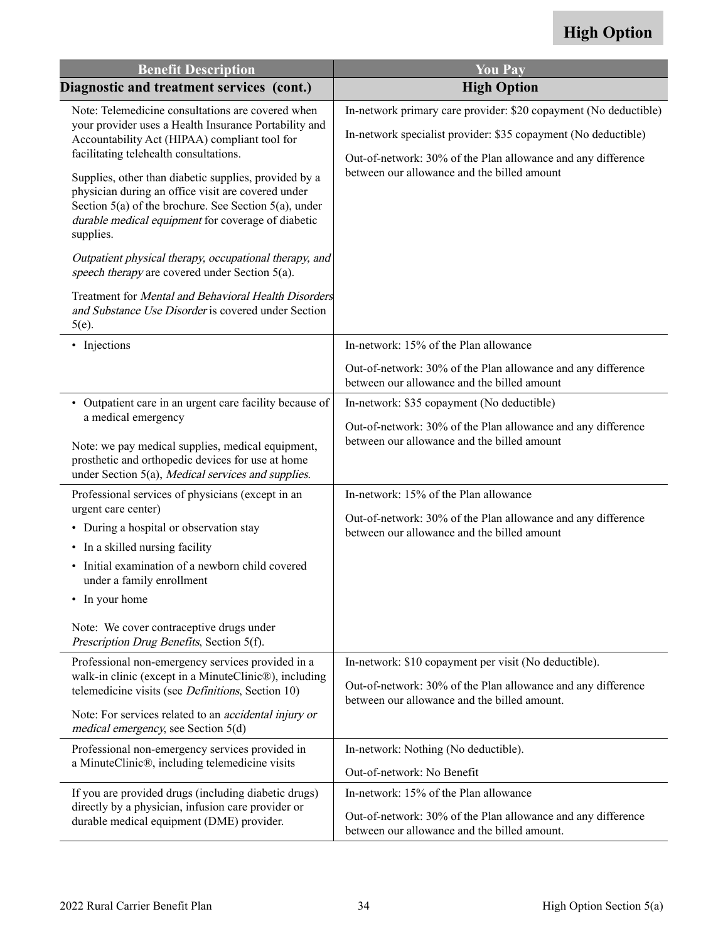## **High Option**

| <b>Benefit Description</b>                                                                                                                                                                                                                                                                                                                                                                                                                                                                                                                                                                                                                                                       | <b>You Pay</b>                                                                                                                                                                                                                                                                                                    |
|----------------------------------------------------------------------------------------------------------------------------------------------------------------------------------------------------------------------------------------------------------------------------------------------------------------------------------------------------------------------------------------------------------------------------------------------------------------------------------------------------------------------------------------------------------------------------------------------------------------------------------------------------------------------------------|-------------------------------------------------------------------------------------------------------------------------------------------------------------------------------------------------------------------------------------------------------------------------------------------------------------------|
| Diagnostic and treatment services (cont.)                                                                                                                                                                                                                                                                                                                                                                                                                                                                                                                                                                                                                                        | <b>High Option</b>                                                                                                                                                                                                                                                                                                |
| Note: Telemedicine consultations are covered when<br>your provider uses a Health Insurance Portability and<br>Accountability Act (HIPAA) compliant tool for<br>facilitating telehealth consultations.<br>Supplies, other than diabetic supplies, provided by a<br>physician during an office visit are covered under<br>Section $5(a)$ of the brochure. See Section $5(a)$ , under<br>durable medical equipment for coverage of diabetic<br>supplies.<br>Outpatient physical therapy, occupational therapy, and<br>speech therapy are covered under Section 5(a).<br>Treatment for Mental and Behavioral Health Disorders<br>and Substance Use Disorder is covered under Section | In-network primary care provider: \$20 copayment (No deductible)<br>In-network specialist provider: \$35 copayment (No deductible)<br>Out-of-network: 30% of the Plan allowance and any difference<br>between our allowance and the billed amount                                                                 |
| $5(e)$ .<br>• Injections                                                                                                                                                                                                                                                                                                                                                                                                                                                                                                                                                                                                                                                         | In-network: 15% of the Plan allowance<br>Out-of-network: 30% of the Plan allowance and any difference<br>between our allowance and the billed amount                                                                                                                                                              |
| • Outpatient care in an urgent care facility because of<br>a medical emergency<br>Note: we pay medical supplies, medical equipment,<br>prosthetic and orthopedic devices for use at home<br>under Section 5(a), Medical services and supplies.<br>Professional services of physicians (except in an<br>urgent care center)<br>• During a hospital or observation stay<br>• In a skilled nursing facility<br>Initial examination of a newborn child covered<br>$\bullet$<br>under a family enrollment<br>• In your home<br>Note: We cover contraceptive drugs under<br>Prescription Drug Benefits, Section 5(f).                                                                  | In-network: \$35 copayment (No deductible)<br>Out-of-network: 30% of the Plan allowance and any difference<br>between our allowance and the billed amount<br>In-network: 15% of the Plan allowance<br>Out-of-network: 30% of the Plan allowance and any difference<br>between our allowance and the billed amount |
| Professional non-emergency services provided in a<br>walk-in clinic (except in a MinuteClinic®), including<br>telemedicine visits (see <i>Definitions</i> , Section 10)<br>Note: For services related to an <i>accidental injury or</i><br>medical emergency, see Section 5(d)                                                                                                                                                                                                                                                                                                                                                                                                   | In-network: \$10 copayment per visit (No deductible).<br>Out-of-network: 30% of the Plan allowance and any difference<br>between our allowance and the billed amount.                                                                                                                                             |
| Professional non-emergency services provided in<br>a MinuteClinic®, including telemedicine visits<br>If you are provided drugs (including diabetic drugs)<br>directly by a physician, infusion care provider or<br>durable medical equipment (DME) provider.                                                                                                                                                                                                                                                                                                                                                                                                                     | In-network: Nothing (No deductible).<br>Out-of-network: No Benefit<br>In-network: 15% of the Plan allowance<br>Out-of-network: 30% of the Plan allowance and any difference<br>between our allowance and the billed amount.                                                                                       |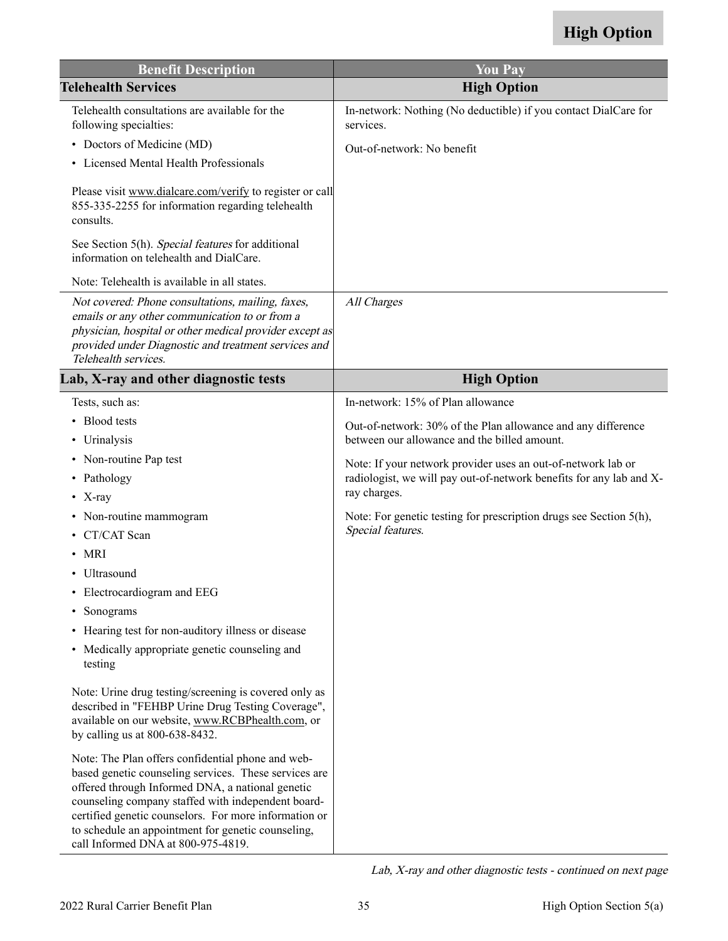| <b>Benefit Description</b>                                                                                                                                                                                                                                                                                                                                                | <b>You Pay</b>                                                                          |
|---------------------------------------------------------------------------------------------------------------------------------------------------------------------------------------------------------------------------------------------------------------------------------------------------------------------------------------------------------------------------|-----------------------------------------------------------------------------------------|
| <b>Telehealth Services</b>                                                                                                                                                                                                                                                                                                                                                | <b>High Option</b>                                                                      |
| Telehealth consultations are available for the<br>following specialties:                                                                                                                                                                                                                                                                                                  | In-network: Nothing (No deductible) if you contact DialCare for<br>services.            |
| • Doctors of Medicine (MD)                                                                                                                                                                                                                                                                                                                                                | Out-of-network: No benefit                                                              |
| • Licensed Mental Health Professionals                                                                                                                                                                                                                                                                                                                                    |                                                                                         |
| Please visit www.dialcare.com/verify to register or call<br>855-335-2255 for information regarding telehealth<br>consults.<br>See Section 5(h). Special features for additional                                                                                                                                                                                           |                                                                                         |
| information on telehealth and DialCare.                                                                                                                                                                                                                                                                                                                                   |                                                                                         |
| Note: Telehealth is available in all states.                                                                                                                                                                                                                                                                                                                              |                                                                                         |
| Not covered: Phone consultations, mailing, faxes,<br>emails or any other communication to or from a<br>physician, hospital or other medical provider except as<br>provided under Diagnostic and treatment services and<br>Telehealth services.                                                                                                                            | All Charges                                                                             |
| Lab, X-ray and other diagnostic tests                                                                                                                                                                                                                                                                                                                                     | <b>High Option</b>                                                                      |
| Tests, such as:                                                                                                                                                                                                                                                                                                                                                           | In-network: 15% of Plan allowance                                                       |
| <b>Blood</b> tests                                                                                                                                                                                                                                                                                                                                                        | Out-of-network: 30% of the Plan allowance and any difference                            |
| • Urinalysis                                                                                                                                                                                                                                                                                                                                                              | between our allowance and the billed amount.                                            |
| Non-routine Pap test<br>٠                                                                                                                                                                                                                                                                                                                                                 | Note: If your network provider uses an out-of-network lab or                            |
| Pathology<br>٠                                                                                                                                                                                                                                                                                                                                                            | radiologist, we will pay out-of-network benefits for any lab and X-                     |
| • $X$ -ray                                                                                                                                                                                                                                                                                                                                                                | ray charges.                                                                            |
| Non-routine mammogram<br>٠                                                                                                                                                                                                                                                                                                                                                | Note: For genetic testing for prescription drugs see Section 5(h),<br>Special features. |
| CT/CAT Scan                                                                                                                                                                                                                                                                                                                                                               |                                                                                         |
| $\bullet$ MRI                                                                                                                                                                                                                                                                                                                                                             |                                                                                         |
| • Ultrasound                                                                                                                                                                                                                                                                                                                                                              |                                                                                         |
| Electrocardiogram and EEG                                                                                                                                                                                                                                                                                                                                                 |                                                                                         |
| Sonograms<br>٠                                                                                                                                                                                                                                                                                                                                                            |                                                                                         |
| Hearing test for non-auditory illness or disease<br>٠<br>• Medically appropriate genetic counseling and<br>testing                                                                                                                                                                                                                                                        |                                                                                         |
| Note: Urine drug testing/screening is covered only as<br>described in "FEHBP Urine Drug Testing Coverage",<br>available on our website, www.RCBPhealth.com, or<br>by calling us at 800-638-8432.                                                                                                                                                                          |                                                                                         |
| Note: The Plan offers confidential phone and web-<br>based genetic counseling services. These services are<br>offered through Informed DNA, a national genetic<br>counseling company staffed with independent board-<br>certified genetic counselors. For more information or<br>to schedule an appointment for genetic counseling,<br>call Informed DNA at 800-975-4819. |                                                                                         |

Lab, X-ray and other diagnostic tests - continued on next page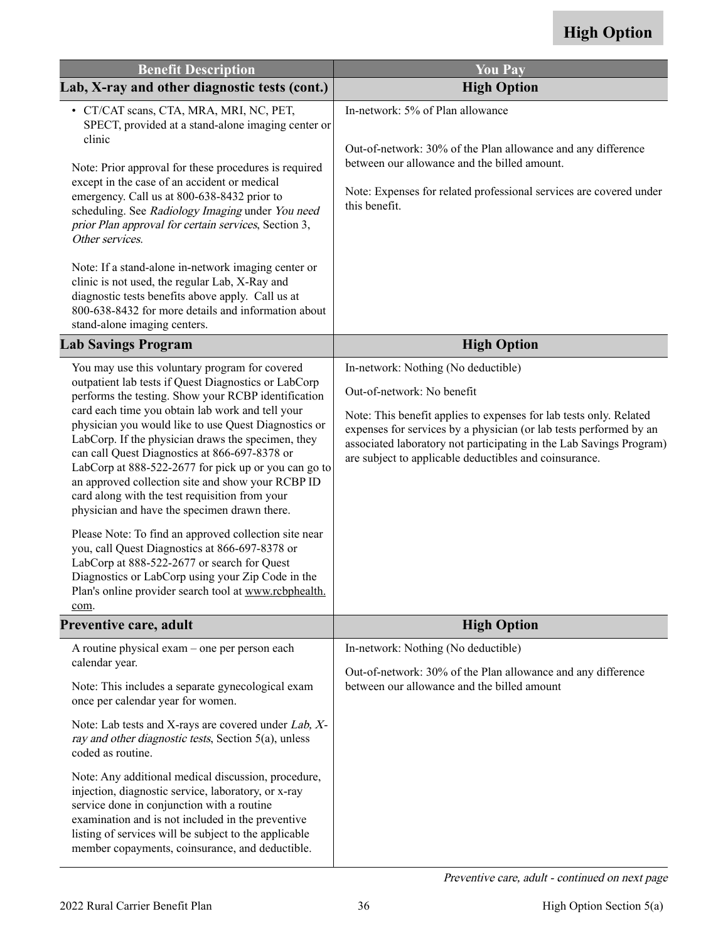| <b>Benefit Description</b>                                                                                                                                                                                                                                                                                                                                                                                                                                                                                                                                                                                                                                                                                                                                                                                                            | <b>You Pay</b>                                                                                                                                                                                                                                                                                          |
|---------------------------------------------------------------------------------------------------------------------------------------------------------------------------------------------------------------------------------------------------------------------------------------------------------------------------------------------------------------------------------------------------------------------------------------------------------------------------------------------------------------------------------------------------------------------------------------------------------------------------------------------------------------------------------------------------------------------------------------------------------------------------------------------------------------------------------------|---------------------------------------------------------------------------------------------------------------------------------------------------------------------------------------------------------------------------------------------------------------------------------------------------------|
| Lab, X-ray and other diagnostic tests (cont.)                                                                                                                                                                                                                                                                                                                                                                                                                                                                                                                                                                                                                                                                                                                                                                                         | <b>High Option</b>                                                                                                                                                                                                                                                                                      |
| · CT/CAT scans, CTA, MRA, MRI, NC, PET,<br>SPECT, provided at a stand-alone imaging center or                                                                                                                                                                                                                                                                                                                                                                                                                                                                                                                                                                                                                                                                                                                                         | In-network: 5% of Plan allowance                                                                                                                                                                                                                                                                        |
| clinic<br>Note: Prior approval for these procedures is required<br>except in the case of an accident or medical<br>emergency. Call us at 800-638-8432 prior to<br>scheduling. See Radiology Imaging under You need<br>prior Plan approval for certain services, Section 3,<br>Other services.                                                                                                                                                                                                                                                                                                                                                                                                                                                                                                                                         | Out-of-network: 30% of the Plan allowance and any difference<br>between our allowance and the billed amount.<br>Note: Expenses for related professional services are covered under<br>this benefit.                                                                                                     |
| Note: If a stand-alone in-network imaging center or<br>clinic is not used, the regular Lab, X-Ray and<br>diagnostic tests benefits above apply. Call us at<br>800-638-8432 for more details and information about<br>stand-alone imaging centers.                                                                                                                                                                                                                                                                                                                                                                                                                                                                                                                                                                                     |                                                                                                                                                                                                                                                                                                         |
| <b>Lab Savings Program</b>                                                                                                                                                                                                                                                                                                                                                                                                                                                                                                                                                                                                                                                                                                                                                                                                            | <b>High Option</b>                                                                                                                                                                                                                                                                                      |
| You may use this voluntary program for covered                                                                                                                                                                                                                                                                                                                                                                                                                                                                                                                                                                                                                                                                                                                                                                                        | In-network: Nothing (No deductible)                                                                                                                                                                                                                                                                     |
| outpatient lab tests if Quest Diagnostics or LabCorp<br>performs the testing. Show your RCBP identification<br>card each time you obtain lab work and tell your<br>physician you would like to use Quest Diagnostics or<br>LabCorp. If the physician draws the specimen, they<br>can call Quest Diagnostics at 866-697-8378 or<br>LabCorp at 888-522-2677 for pick up or you can go to<br>an approved collection site and show your RCBP ID<br>card along with the test requisition from your<br>physician and have the specimen drawn there.<br>Please Note: To find an approved collection site near<br>you, call Quest Diagnostics at 866-697-8378 or<br>LabCorp at 888-522-2677 or search for Quest<br>Diagnostics or LabCorp using your Zip Code in the<br>Plan's online provider search tool at www.rcbphealth.<br><u>com</u> . | Out-of-network: No benefit<br>Note: This benefit applies to expenses for lab tests only. Related<br>expenses for services by a physician (or lab tests performed by an<br>associated laboratory not participating in the Lab Savings Program)<br>are subject to applicable deductibles and coinsurance. |
| Preventive care, adult                                                                                                                                                                                                                                                                                                                                                                                                                                                                                                                                                                                                                                                                                                                                                                                                                | <b>High Option</b>                                                                                                                                                                                                                                                                                      |
| A routine physical exam – one per person each<br>calendar year.<br>Note: This includes a separate gynecological exam<br>once per calendar year for women.                                                                                                                                                                                                                                                                                                                                                                                                                                                                                                                                                                                                                                                                             | In-network: Nothing (No deductible)<br>Out-of-network: 30% of the Plan allowance and any difference<br>between our allowance and the billed amount                                                                                                                                                      |
| Note: Lab tests and X-rays are covered under Lab, X-<br>ray and other diagnostic tests, Section 5(a), unless<br>coded as routine.                                                                                                                                                                                                                                                                                                                                                                                                                                                                                                                                                                                                                                                                                                     |                                                                                                                                                                                                                                                                                                         |
| Note: Any additional medical discussion, procedure,<br>injection, diagnostic service, laboratory, or x-ray<br>service done in conjunction with a routine<br>examination and is not included in the preventive<br>listing of services will be subject to the applicable<br>member copayments, coinsurance, and deductible.                                                                                                                                                                                                                                                                                                                                                                                                                                                                                                             |                                                                                                                                                                                                                                                                                                         |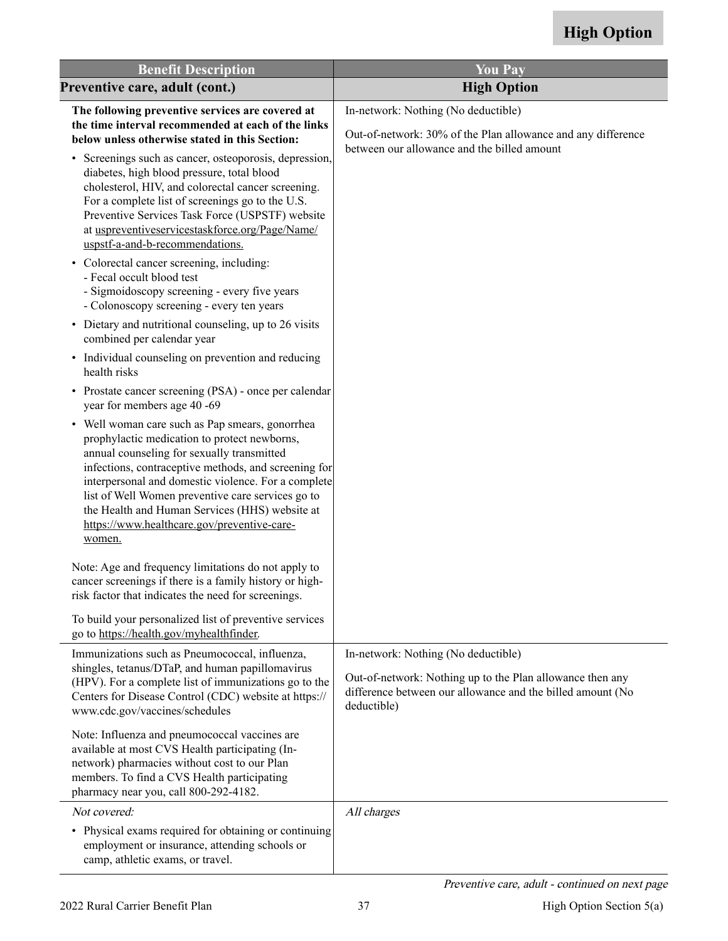| <b>Benefit Description</b>                                                                                                                                                                                                                                                                                                                                                                                                   | <b>You Pay</b>                                                                                                                                                                |
|------------------------------------------------------------------------------------------------------------------------------------------------------------------------------------------------------------------------------------------------------------------------------------------------------------------------------------------------------------------------------------------------------------------------------|-------------------------------------------------------------------------------------------------------------------------------------------------------------------------------|
| Preventive care, adult (cont.)                                                                                                                                                                                                                                                                                                                                                                                               | <b>High Option</b>                                                                                                                                                            |
| The following preventive services are covered at<br>the time interval recommended at each of the links<br>below unless otherwise stated in this Section:                                                                                                                                                                                                                                                                     | In-network: Nothing (No deductible)<br>Out-of-network: 30% of the Plan allowance and any difference<br>between our allowance and the billed amount                            |
| • Screenings such as cancer, osteoporosis, depression,<br>diabetes, high blood pressure, total blood<br>cholesterol, HIV, and colorectal cancer screening.<br>For a complete list of screenings go to the U.S.<br>Preventive Services Task Force (USPSTF) website<br>at uspreventiveservicestaskforce.org/Page/Name/<br>uspstf-a-and-b-recommendations.                                                                      |                                                                                                                                                                               |
| • Colorectal cancer screening, including:<br>- Fecal occult blood test<br>- Sigmoidoscopy screening - every five years<br>- Colonoscopy screening - every ten years                                                                                                                                                                                                                                                          |                                                                                                                                                                               |
| • Dietary and nutritional counseling, up to 26 visits<br>combined per calendar year                                                                                                                                                                                                                                                                                                                                          |                                                                                                                                                                               |
| • Individual counseling on prevention and reducing<br>health risks                                                                                                                                                                                                                                                                                                                                                           |                                                                                                                                                                               |
| • Prostate cancer screening (PSA) - once per calendar<br>year for members age 40 -69                                                                                                                                                                                                                                                                                                                                         |                                                                                                                                                                               |
| • Well woman care such as Pap smears, gonorrhea<br>prophylactic medication to protect newborns,<br>annual counseling for sexually transmitted<br>infections, contraceptive methods, and screening for<br>interpersonal and domestic violence. For a complete<br>list of Well Women preventive care services go to<br>the Health and Human Services (HHS) website at<br>https://www.healthcare.gov/preventive-care-<br>women. |                                                                                                                                                                               |
| Note: Age and frequency limitations do not apply to<br>cancer screenings if there is a family history or high-<br>risk factor that indicates the need for screenings.                                                                                                                                                                                                                                                        |                                                                                                                                                                               |
| To build your personalized list of preventive services<br>go to https://health.gov/myhealthfinder.                                                                                                                                                                                                                                                                                                                           |                                                                                                                                                                               |
| Immunizations such as Pneumococcal, influenza,<br>shingles, tetanus/DTaP, and human papillomavirus<br>(HPV). For a complete list of immunizations go to the<br>Centers for Disease Control (CDC) website at https://<br>www.cdc.gov/vaccines/schedules                                                                                                                                                                       | In-network: Nothing (No deductible)<br>Out-of-network: Nothing up to the Plan allowance then any<br>difference between our allowance and the billed amount (No<br>deductible) |
| Note: Influenza and pneumococcal vaccines are<br>available at most CVS Health participating (In-<br>network) pharmacies without cost to our Plan<br>members. To find a CVS Health participating<br>pharmacy near you, call 800-292-4182.                                                                                                                                                                                     |                                                                                                                                                                               |
| Not covered:<br>• Physical exams required for obtaining or continuing<br>employment or insurance, attending schools or<br>camp, athletic exams, or travel.                                                                                                                                                                                                                                                                   | All charges                                                                                                                                                                   |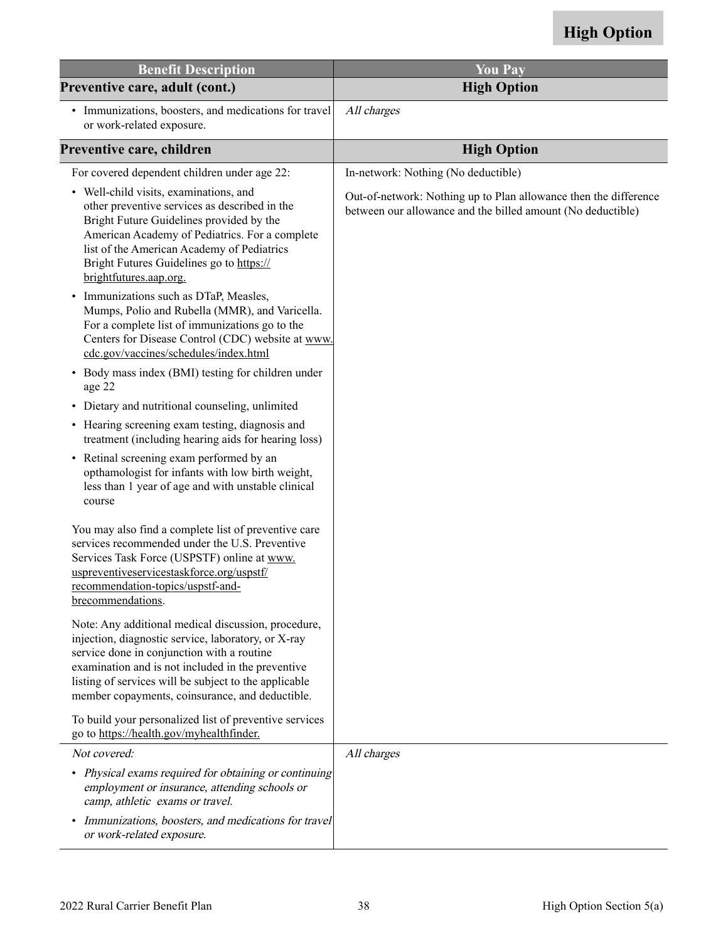| <b>Benefit Description</b>                                                                                                                                                                                                                                                                                                | <b>You Pay</b>                                                                                                                  |
|---------------------------------------------------------------------------------------------------------------------------------------------------------------------------------------------------------------------------------------------------------------------------------------------------------------------------|---------------------------------------------------------------------------------------------------------------------------------|
| Preventive care, adult (cont.)                                                                                                                                                                                                                                                                                            | <b>High Option</b>                                                                                                              |
| • Immunizations, boosters, and medications for travel<br>or work-related exposure.                                                                                                                                                                                                                                        | All charges                                                                                                                     |
| Preventive care, children                                                                                                                                                                                                                                                                                                 | <b>High Option</b>                                                                                                              |
| For covered dependent children under age 22:                                                                                                                                                                                                                                                                              | In-network: Nothing (No deductible)                                                                                             |
| • Well-child visits, examinations, and<br>other preventive services as described in the<br>Bright Future Guidelines provided by the<br>American Academy of Pediatrics. For a complete<br>list of the American Academy of Pediatrics<br>Bright Futures Guidelines go to https://<br>brightfutures.aap.org.                 | Out-of-network: Nothing up to Plan allowance then the difference<br>between our allowance and the billed amount (No deductible) |
| • Immunizations such as DTaP, Measles,<br>Mumps, Polio and Rubella (MMR), and Varicella.<br>For a complete list of immunizations go to the<br>Centers for Disease Control (CDC) website at www.<br>cdc.gov/vaccines/schedules/index.html<br>• Body mass index (BMI) testing for children under<br>age 22                  |                                                                                                                                 |
| • Dietary and nutritional counseling, unlimited                                                                                                                                                                                                                                                                           |                                                                                                                                 |
| • Hearing screening exam testing, diagnosis and<br>treatment (including hearing aids for hearing loss)                                                                                                                                                                                                                    |                                                                                                                                 |
| • Retinal screening exam performed by an<br>opthamologist for infants with low birth weight,<br>less than 1 year of age and with unstable clinical<br>course                                                                                                                                                              |                                                                                                                                 |
| You may also find a complete list of preventive care<br>services recommended under the U.S. Preventive<br>Services Task Force (USPSTF) online at www.<br>uspreventiveservicestaskforce.org/uspstf/<br>recommendation-topics/uspstf-and-<br>brecommendations.                                                              |                                                                                                                                 |
| Note: Any additional medical discussion, procedure,<br>injection, diagnostic service, laboratory, or X-ray<br>service done in conjunction with a routine<br>examination and is not included in the preventive<br>listing of services will be subject to the applicable<br>member copayments, coinsurance, and deductible. |                                                                                                                                 |
| To build your personalized list of preventive services<br>go to https://health.gov/myhealthfinder.                                                                                                                                                                                                                        |                                                                                                                                 |
| Not covered:                                                                                                                                                                                                                                                                                                              | All charges                                                                                                                     |
| • Physical exams required for obtaining or continuing<br>employment or insurance, attending schools or<br>camp, athletic exams or travel.                                                                                                                                                                                 |                                                                                                                                 |
| Immunizations, boosters, and medications for travel<br>or work-related exposure.                                                                                                                                                                                                                                          |                                                                                                                                 |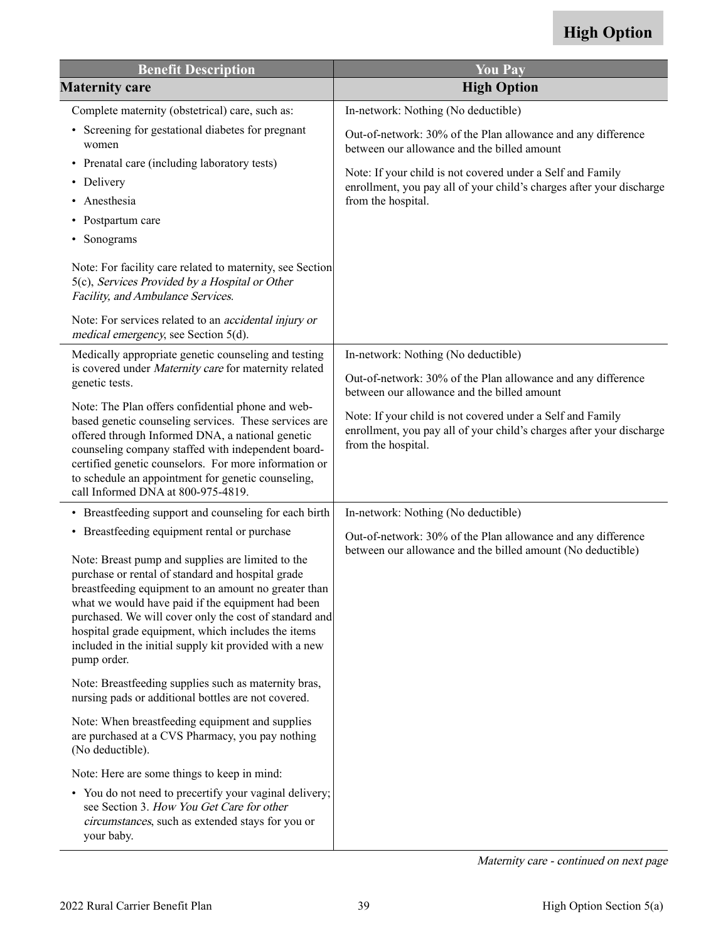| <b>Benefit Description</b>                                                                                                                                                                                                                                                                                                                                                                                                                                   | <b>You Pay</b>                                                                                                                                           |
|--------------------------------------------------------------------------------------------------------------------------------------------------------------------------------------------------------------------------------------------------------------------------------------------------------------------------------------------------------------------------------------------------------------------------------------------------------------|----------------------------------------------------------------------------------------------------------------------------------------------------------|
| <b>Maternity care</b>                                                                                                                                                                                                                                                                                                                                                                                                                                        | <b>High Option</b>                                                                                                                                       |
| Complete maternity (obstetrical) care, such as:                                                                                                                                                                                                                                                                                                                                                                                                              | In-network: Nothing (No deductible)                                                                                                                      |
| • Screening for gestational diabetes for pregnant<br>women                                                                                                                                                                                                                                                                                                                                                                                                   | Out-of-network: 30% of the Plan allowance and any difference<br>between our allowance and the billed amount                                              |
| • Prenatal care (including laboratory tests)<br>• Delivery<br>Anesthesia<br>• Postpartum care                                                                                                                                                                                                                                                                                                                                                                | Note: If your child is not covered under a Self and Family<br>enrollment, you pay all of your child's charges after your discharge<br>from the hospital. |
| Sonograms<br>٠                                                                                                                                                                                                                                                                                                                                                                                                                                               |                                                                                                                                                          |
| Note: For facility care related to maternity, see Section<br>5(c), Services Provided by a Hospital or Other<br>Facility, and Ambulance Services.                                                                                                                                                                                                                                                                                                             |                                                                                                                                                          |
| Note: For services related to an <i>accidental injury or</i><br>medical emergency, see Section 5(d).                                                                                                                                                                                                                                                                                                                                                         |                                                                                                                                                          |
| Medically appropriate genetic counseling and testing                                                                                                                                                                                                                                                                                                                                                                                                         | In-network: Nothing (No deductible)                                                                                                                      |
| is covered under Maternity care for maternity related<br>genetic tests.                                                                                                                                                                                                                                                                                                                                                                                      | Out-of-network: 30% of the Plan allowance and any difference<br>between our allowance and the billed amount                                              |
| Note: The Plan offers confidential phone and web-<br>based genetic counseling services. These services are<br>offered through Informed DNA, a national genetic<br>counseling company staffed with independent board-<br>certified genetic counselors. For more information or<br>to schedule an appointment for genetic counseling,<br>call Informed DNA at 800-975-4819.                                                                                    | Note: If your child is not covered under a Self and Family<br>enrollment, you pay all of your child's charges after your discharge<br>from the hospital. |
| • Breastfeeding support and counseling for each birth                                                                                                                                                                                                                                                                                                                                                                                                        | In-network: Nothing (No deductible)                                                                                                                      |
| • Breastfeeding equipment rental or purchase<br>Note: Breast pump and supplies are limited to the<br>purchase or rental of standard and hospital grade<br>breastfeeding equipment to an amount no greater than<br>what we would have paid if the equipment had been<br>purchased. We will cover only the cost of standard and<br>hospital grade equipment, which includes the items<br>included in the initial supply kit provided with a new<br>pump order. | Out-of-network: 30% of the Plan allowance and any difference<br>between our allowance and the billed amount (No deductible)                              |
| Note: Breastfeeding supplies such as maternity bras,<br>nursing pads or additional bottles are not covered.                                                                                                                                                                                                                                                                                                                                                  |                                                                                                                                                          |
| Note: When breastfeeding equipment and supplies<br>are purchased at a CVS Pharmacy, you pay nothing<br>(No deductible).                                                                                                                                                                                                                                                                                                                                      |                                                                                                                                                          |
| Note: Here are some things to keep in mind:                                                                                                                                                                                                                                                                                                                                                                                                                  |                                                                                                                                                          |
| • You do not need to precertify your vaginal delivery;<br>see Section 3. How You Get Care for other<br>circumstances, such as extended stays for you or<br>your baby.                                                                                                                                                                                                                                                                                        |                                                                                                                                                          |

Maternity care - continued on next page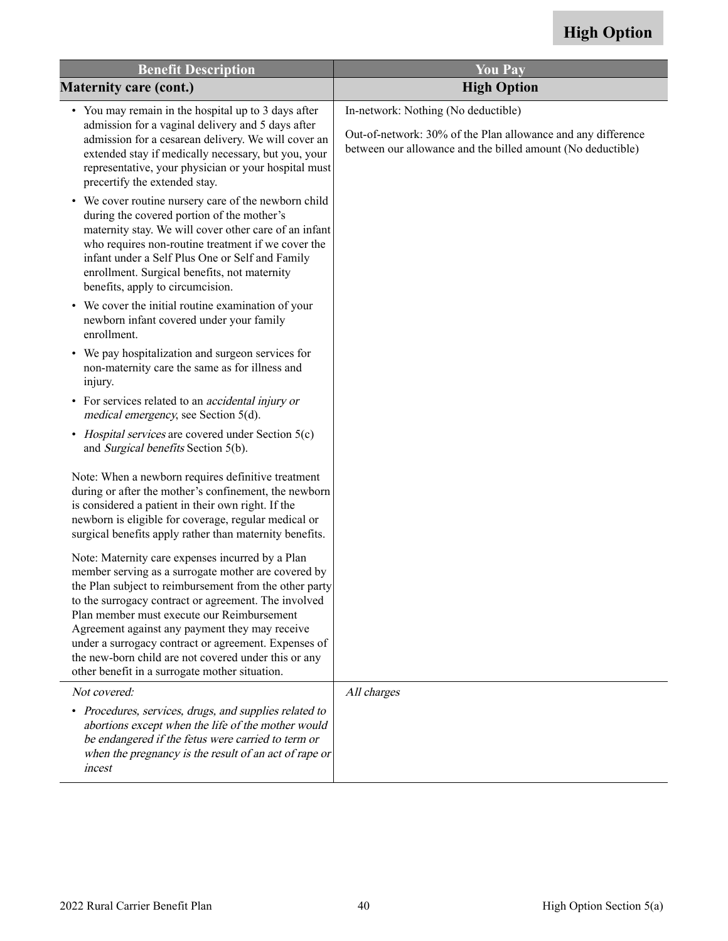| <b>Benefit Description</b>                                                                                                                                                                                                                                                                                                                                                                                                                                                                  | <b>You Pay</b>                                                                                                                                                     |
|---------------------------------------------------------------------------------------------------------------------------------------------------------------------------------------------------------------------------------------------------------------------------------------------------------------------------------------------------------------------------------------------------------------------------------------------------------------------------------------------|--------------------------------------------------------------------------------------------------------------------------------------------------------------------|
| <b>Maternity care (cont.)</b>                                                                                                                                                                                                                                                                                                                                                                                                                                                               | <b>High Option</b>                                                                                                                                                 |
| • You may remain in the hospital up to 3 days after<br>admission for a vaginal delivery and 5 days after<br>admission for a cesarean delivery. We will cover an<br>extended stay if medically necessary, but you, your<br>representative, your physician or your hospital must<br>precertify the extended stay.                                                                                                                                                                             | In-network: Nothing (No deductible)<br>Out-of-network: 30% of the Plan allowance and any difference<br>between our allowance and the billed amount (No deductible) |
| • We cover routine nursery care of the newborn child<br>during the covered portion of the mother's<br>maternity stay. We will cover other care of an infant<br>who requires non-routine treatment if we cover the<br>infant under a Self Plus One or Self and Family<br>enrollment. Surgical benefits, not maternity<br>benefits, apply to circumcision.                                                                                                                                    |                                                                                                                                                                    |
| • We cover the initial routine examination of your<br>newborn infant covered under your family<br>enrollment.                                                                                                                                                                                                                                                                                                                                                                               |                                                                                                                                                                    |
| • We pay hospitalization and surgeon services for<br>non-maternity care the same as for illness and<br>injury.                                                                                                                                                                                                                                                                                                                                                                              |                                                                                                                                                                    |
| • For services related to an <i>accidental injury or</i><br>medical emergency, see Section 5(d).                                                                                                                                                                                                                                                                                                                                                                                            |                                                                                                                                                                    |
| • Hospital services are covered under Section 5(c)<br>and Surgical benefits Section 5(b).                                                                                                                                                                                                                                                                                                                                                                                                   |                                                                                                                                                                    |
| Note: When a newborn requires definitive treatment<br>during or after the mother's confinement, the newborn<br>is considered a patient in their own right. If the<br>newborn is eligible for coverage, regular medical or<br>surgical benefits apply rather than maternity benefits.                                                                                                                                                                                                        |                                                                                                                                                                    |
| Note: Maternity care expenses incurred by a Plan<br>member serving as a surrogate mother are covered by<br>the Plan subject to reimbursement from the other party<br>to the surrogacy contract or agreement. The involved<br>Plan member must execute our Reimbursement<br>Agreement against any payment they may receive<br>under a surrogacy contract or agreement. Expenses of<br>the new-born child are not covered under this or any<br>other benefit in a surrogate mother situation. |                                                                                                                                                                    |
| Not covered:                                                                                                                                                                                                                                                                                                                                                                                                                                                                                | All charges                                                                                                                                                        |
| • Procedures, services, drugs, and supplies related to<br>abortions except when the life of the mother would<br>be endangered if the fetus were carried to term or<br>when the pregnancy is the result of an act of rape or<br>incest                                                                                                                                                                                                                                                       |                                                                                                                                                                    |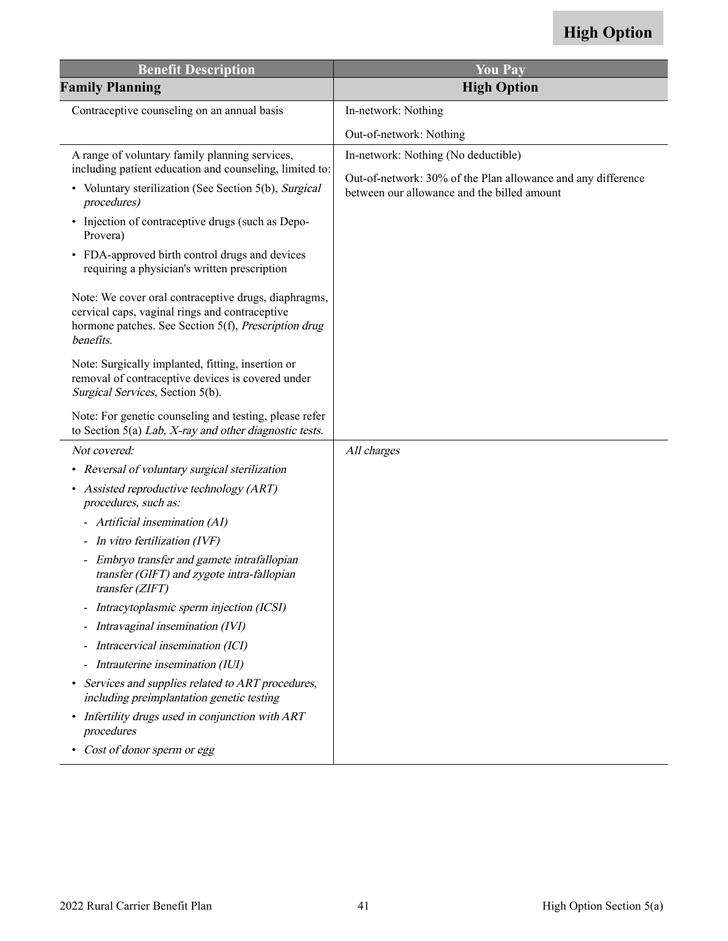| <b>Benefit Description</b>                                                                                                                                                  | <b>You Pay</b>                                                                                              |
|-----------------------------------------------------------------------------------------------------------------------------------------------------------------------------|-------------------------------------------------------------------------------------------------------------|
| <b>Family Planning</b>                                                                                                                                                      | <b>High Option</b>                                                                                          |
| Contraceptive counseling on an annual basis                                                                                                                                 | In-network: Nothing                                                                                         |
|                                                                                                                                                                             | Out-of-network: Nothing                                                                                     |
| A range of voluntary family planning services,<br>including patient education and counseling, limited to:                                                                   | In-network: Nothing (No deductible)                                                                         |
| • Voluntary sterilization (See Section 5(b), Surgical<br>procedures)                                                                                                        | Out-of-network: 30% of the Plan allowance and any difference<br>between our allowance and the billed amount |
| • Injection of contraceptive drugs (such as Depo-<br>Provera)                                                                                                               |                                                                                                             |
| FDA-approved birth control drugs and devices<br>$\bullet$<br>requiring a physician's written prescription                                                                   |                                                                                                             |
| Note: We cover oral contraceptive drugs, diaphragms,<br>cervical caps, vaginal rings and contraceptive<br>hormone patches. See Section 5(f), Prescription drug<br>benefits. |                                                                                                             |
| Note: Surgically implanted, fitting, insertion or<br>removal of contraceptive devices is covered under<br>Surgical Services, Section 5(b).                                  |                                                                                                             |
| Note: For genetic counseling and testing, please refer<br>to Section 5(a) Lab, $X$ -ray and other diagnostic tests.                                                         |                                                                                                             |
| Not covered:                                                                                                                                                                | All charges                                                                                                 |
| Reversal of voluntary surgical sterilization<br>٠                                                                                                                           |                                                                                                             |
| Assisted reproductive technology (ART)<br>procedures, such as:                                                                                                              |                                                                                                             |
| - Artificial insemination (AI)                                                                                                                                              |                                                                                                             |
| In vitro fertilization (IVF)                                                                                                                                                |                                                                                                             |
| - Embryo transfer and gamete intrafallopian<br>transfer (GIFT) and zygote intra-fallopian<br>transfer(ZIFT)                                                                 |                                                                                                             |
| Intracytoplasmic sperm injection (ICSI)                                                                                                                                     |                                                                                                             |
| Intravaginal insemination (IVI)<br>$\blacksquare$                                                                                                                           |                                                                                                             |
| Intracervical insemination (ICI)<br>$\qquad \qquad \blacksquare$                                                                                                            |                                                                                                             |
| - Intrauterine insemination (IUI)                                                                                                                                           |                                                                                                             |
| Services and supplies related to ART procedures,<br>including preimplantation genetic testing                                                                               |                                                                                                             |
| Infertility drugs used in conjunction with ART<br>procedures                                                                                                                |                                                                                                             |
| Cost of donor sperm or egg                                                                                                                                                  |                                                                                                             |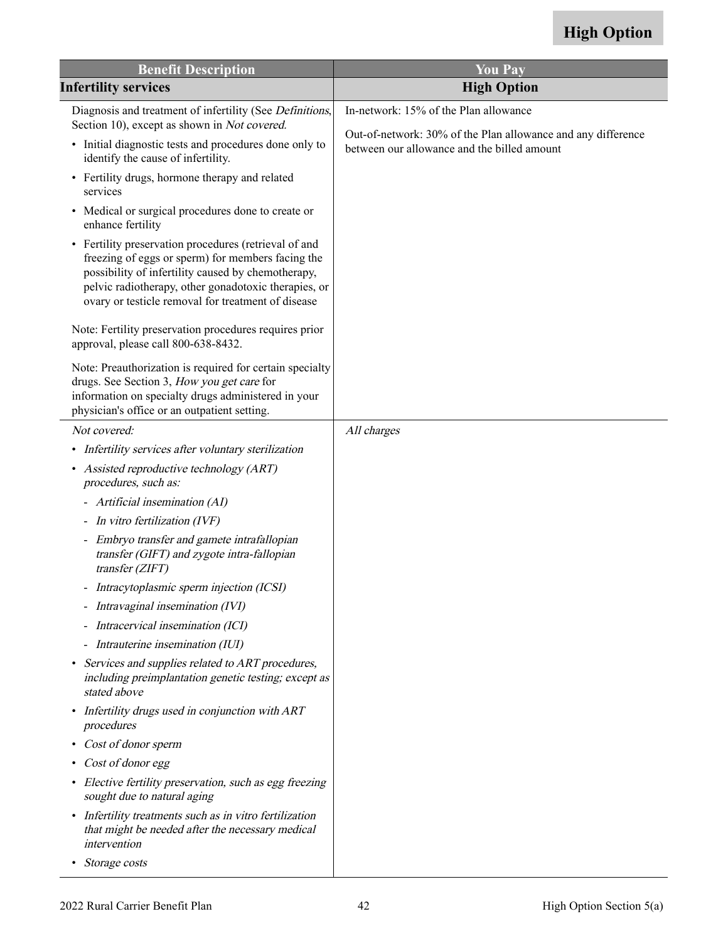| <b>Benefit Description</b>                                                                                                                                                                                                                                                     | <b>You Pay</b>                                                                                              |
|--------------------------------------------------------------------------------------------------------------------------------------------------------------------------------------------------------------------------------------------------------------------------------|-------------------------------------------------------------------------------------------------------------|
| <b>Infertility services</b>                                                                                                                                                                                                                                                    | <b>High Option</b>                                                                                          |
| Diagnosis and treatment of infertility (See Definitions,<br>Section 10), except as shown in Not covered.                                                                                                                                                                       | In-network: 15% of the Plan allowance                                                                       |
| • Initial diagnostic tests and procedures done only to<br>identify the cause of infertility.                                                                                                                                                                                   | Out-of-network: 30% of the Plan allowance and any difference<br>between our allowance and the billed amount |
| • Fertility drugs, hormone therapy and related<br>services                                                                                                                                                                                                                     |                                                                                                             |
| • Medical or surgical procedures done to create or<br>enhance fertility                                                                                                                                                                                                        |                                                                                                             |
| • Fertility preservation procedures (retrieval of and<br>freezing of eggs or sperm) for members facing the<br>possibility of infertility caused by chemotherapy,<br>pelvic radiotherapy, other gonadotoxic therapies, or<br>ovary or testicle removal for treatment of disease |                                                                                                             |
| Note: Fertility preservation procedures requires prior<br>approval, please call 800-638-8432.                                                                                                                                                                                  |                                                                                                             |
| Note: Preauthorization is required for certain specialty<br>drugs. See Section 3, How you get care for<br>information on specialty drugs administered in your<br>physician's office or an outpatient setting.                                                                  |                                                                                                             |
| Not covered:                                                                                                                                                                                                                                                                   | All charges                                                                                                 |
| • Infertility services after voluntary sterilization                                                                                                                                                                                                                           |                                                                                                             |
| • Assisted reproductive technology (ART)<br>procedures, such as:                                                                                                                                                                                                               |                                                                                                             |
| - Artificial insemination (AI)                                                                                                                                                                                                                                                 |                                                                                                             |
| In vitro fertilization (IVF)                                                                                                                                                                                                                                                   |                                                                                                             |
| - Embryo transfer and gamete intrafallopian<br>transfer (GIFT) and zygote intra-fallopian<br>transfer (ZIFT)                                                                                                                                                                   |                                                                                                             |
| - Intracytoplasmic sperm injection (ICSI)                                                                                                                                                                                                                                      |                                                                                                             |
| - Intravaginal insemination (IVI)                                                                                                                                                                                                                                              |                                                                                                             |
| - Intracervical insemination (ICI)                                                                                                                                                                                                                                             |                                                                                                             |
| - Intrauterine insemination (IUI)                                                                                                                                                                                                                                              |                                                                                                             |
| Services and supplies related to ART procedures,<br>$\bullet$<br>including preimplantation genetic testing; except as<br>stated above                                                                                                                                          |                                                                                                             |
| • Infertility drugs used in conjunction with ART<br>procedures                                                                                                                                                                                                                 |                                                                                                             |
| Cost of donor sperm                                                                                                                                                                                                                                                            |                                                                                                             |
| Cost of donor egg<br>$\bullet$                                                                                                                                                                                                                                                 |                                                                                                             |
| • Elective fertility preservation, such as egg freezing<br>sought due to natural aging                                                                                                                                                                                         |                                                                                                             |
| • Infertility treatments such as in vitro fertilization<br>that might be needed after the necessary medical<br>intervention                                                                                                                                                    |                                                                                                             |
| Storage costs<br>$\bullet$                                                                                                                                                                                                                                                     |                                                                                                             |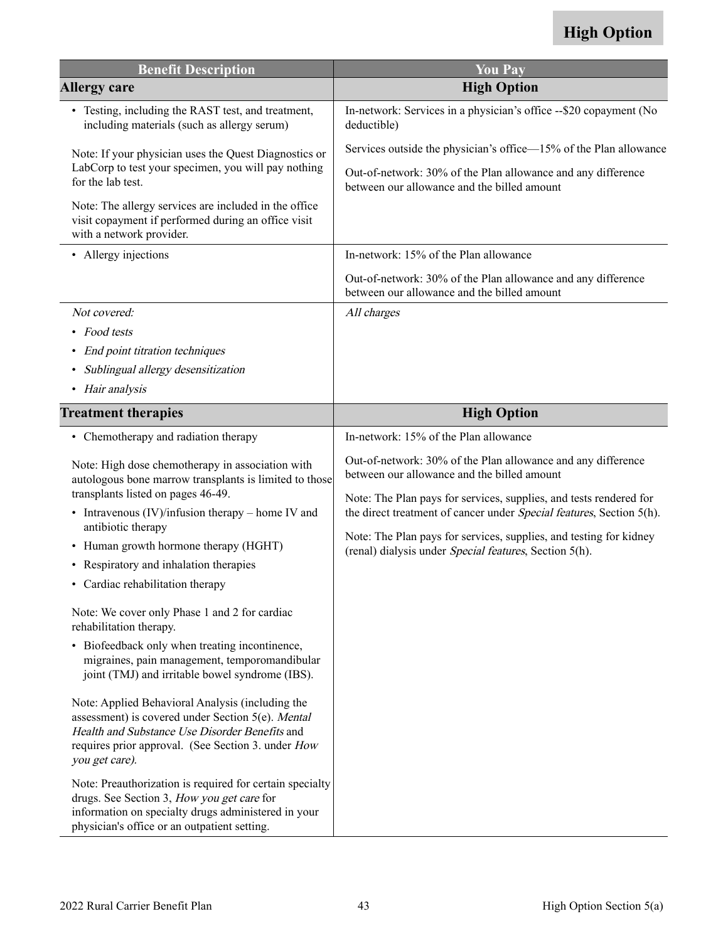| <b>Benefit Description</b>                                                                                                                                                                                                      | <b>You Pay</b>                                                                                                                             |
|---------------------------------------------------------------------------------------------------------------------------------------------------------------------------------------------------------------------------------|--------------------------------------------------------------------------------------------------------------------------------------------|
| <b>Allergy care</b>                                                                                                                                                                                                             | <b>High Option</b>                                                                                                                         |
| • Testing, including the RAST test, and treatment,<br>including materials (such as allergy serum)                                                                                                                               | In-network: Services in a physician's office -- \$20 copayment (No<br>deductible)                                                          |
| Note: If your physician uses the Quest Diagnostics or                                                                                                                                                                           | Services outside the physician's office—15% of the Plan allowance                                                                          |
| LabCorp to test your specimen, you will pay nothing<br>for the lab test.                                                                                                                                                        | Out-of-network: 30% of the Plan allowance and any difference<br>between our allowance and the billed amount                                |
| Note: The allergy services are included in the office<br>visit copayment if performed during an office visit<br>with a network provider.                                                                                        |                                                                                                                                            |
| • Allergy injections                                                                                                                                                                                                            | In-network: 15% of the Plan allowance                                                                                                      |
|                                                                                                                                                                                                                                 | Out-of-network: 30% of the Plan allowance and any difference<br>between our allowance and the billed amount                                |
| Not covered:                                                                                                                                                                                                                    | All charges                                                                                                                                |
| • Food tests                                                                                                                                                                                                                    |                                                                                                                                            |
| End point titration techniques                                                                                                                                                                                                  |                                                                                                                                            |
| Sublingual allergy desensitization                                                                                                                                                                                              |                                                                                                                                            |
| • Hair analysis                                                                                                                                                                                                                 |                                                                                                                                            |
| <b>Treatment therapies</b>                                                                                                                                                                                                      | <b>High Option</b>                                                                                                                         |
| • Chemotherapy and radiation therapy                                                                                                                                                                                            | In-network: 15% of the Plan allowance                                                                                                      |
| Note: High dose chemotherapy in association with<br>autologous bone marrow transplants is limited to those<br>transplants listed on pages 46-49.                                                                                | Out-of-network: 30% of the Plan allowance and any difference<br>between our allowance and the billed amount                                |
| • Intravenous $(IV)/$ infusion therapy – home IV and<br>antibiotic therapy                                                                                                                                                      | Note: The Plan pays for services, supplies, and tests rendered for<br>the direct treatment of cancer under Special features, Section 5(h). |
| • Human growth hormone therapy (HGHT)                                                                                                                                                                                           | Note: The Plan pays for services, supplies, and testing for kidney<br>(renal) dialysis under Special features, Section 5(h).               |
| • Respiratory and inhalation therapies                                                                                                                                                                                          |                                                                                                                                            |
| • Cardiac rehabilitation therapy                                                                                                                                                                                                |                                                                                                                                            |
| Note: We cover only Phase 1 and 2 for cardiac<br>rehabilitation therapy.                                                                                                                                                        |                                                                                                                                            |
| • Biofeedback only when treating incontinence,<br>migraines, pain management, temporomandibular<br>joint (TMJ) and irritable bowel syndrome (IBS).                                                                              |                                                                                                                                            |
| Note: Applied Behavioral Analysis (including the<br>assessment) is covered under Section 5(e). Mental<br>Health and Substance Use Disorder Benefits and<br>requires prior approval. (See Section 3. under How<br>you get care). |                                                                                                                                            |
| Note: Preauthorization is required for certain specialty<br>drugs. See Section 3, How you get care for<br>information on specialty drugs administered in your<br>physician's office or an outpatient setting.                   |                                                                                                                                            |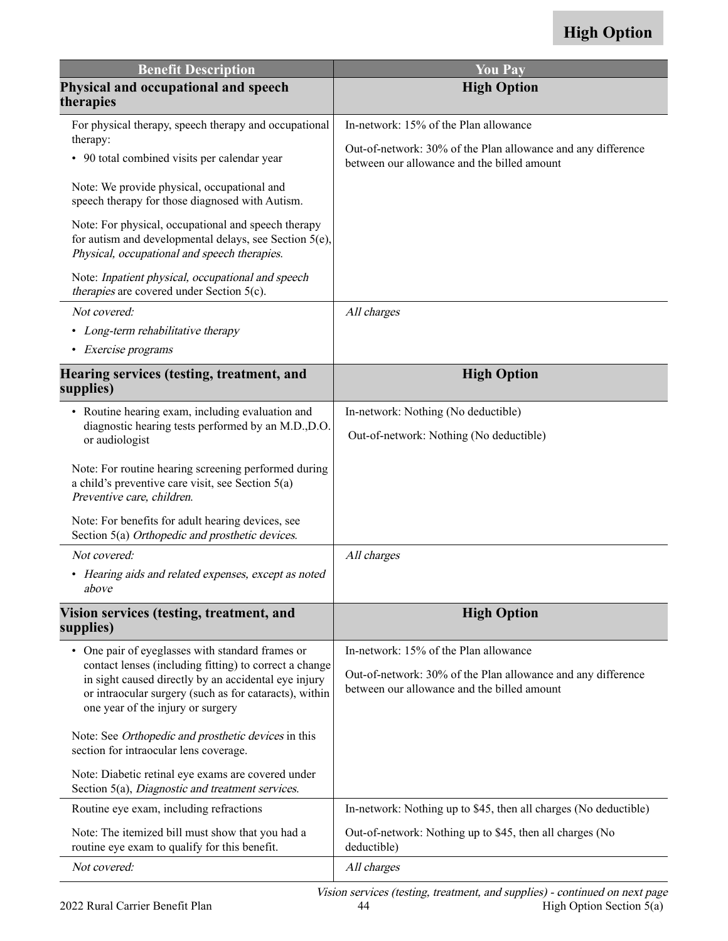| <b>Benefit Description</b>                                                                                                                                                                                    | <b>You Pay</b>                                                                                              |
|---------------------------------------------------------------------------------------------------------------------------------------------------------------------------------------------------------------|-------------------------------------------------------------------------------------------------------------|
| Physical and occupational and speech<br>therapies                                                                                                                                                             | <b>High Option</b>                                                                                          |
| For physical therapy, speech therapy and occupational                                                                                                                                                         | In-network: 15% of the Plan allowance                                                                       |
| therapy:<br>• 90 total combined visits per calendar year                                                                                                                                                      | Out-of-network: 30% of the Plan allowance and any difference<br>between our allowance and the billed amount |
| Note: We provide physical, occupational and<br>speech therapy for those diagnosed with Autism.                                                                                                                |                                                                                                             |
| Note: For physical, occupational and speech therapy<br>for autism and developmental delays, see Section 5(e),<br>Physical, occupational and speech therapies.                                                 |                                                                                                             |
| Note: Inpatient physical, occupational and speech<br><i>therapies</i> are covered under Section 5(c).                                                                                                         |                                                                                                             |
| Not covered:                                                                                                                                                                                                  | All charges                                                                                                 |
| • Long-term rehabilitative therapy                                                                                                                                                                            |                                                                                                             |
| • Exercise programs                                                                                                                                                                                           |                                                                                                             |
| Hearing services (testing, treatment, and<br>supplies)                                                                                                                                                        | <b>High Option</b>                                                                                          |
| • Routine hearing exam, including evaluation and                                                                                                                                                              | In-network: Nothing (No deductible)                                                                         |
| diagnostic hearing tests performed by an M.D., D.O.<br>or audiologist                                                                                                                                         | Out-of-network: Nothing (No deductible)                                                                     |
| Note: For routine hearing screening performed during<br>a child's preventive care visit, see Section $5(a)$<br>Preventive care, children.                                                                     |                                                                                                             |
| Note: For benefits for adult hearing devices, see<br>Section 5(a) Orthopedic and prosthetic devices.                                                                                                          |                                                                                                             |
| Not covered:                                                                                                                                                                                                  | All charges                                                                                                 |
| • Hearing aids and related expenses, except as noted<br>above                                                                                                                                                 |                                                                                                             |
| Vision services (testing, treatment, and<br>supplies)                                                                                                                                                         | <b>High Option</b>                                                                                          |
| • One pair of eyeglasses with standard frames or                                                                                                                                                              | In-network: 15% of the Plan allowance                                                                       |
| contact lenses (including fitting) to correct a change<br>in sight caused directly by an accidental eye injury<br>or intraocular surgery (such as for cataracts), within<br>one year of the injury or surgery | Out-of-network: 30% of the Plan allowance and any difference<br>between our allowance and the billed amount |
| Note: See Orthopedic and prosthetic devices in this<br>section for intraocular lens coverage.                                                                                                                 |                                                                                                             |
| Note: Diabetic retinal eye exams are covered under<br>Section 5(a), Diagnostic and treatment services.                                                                                                        |                                                                                                             |
| Routine eye exam, including refractions                                                                                                                                                                       | In-network: Nothing up to \$45, then all charges (No deductible)                                            |
| Note: The itemized bill must show that you had a<br>routine eye exam to qualify for this benefit.                                                                                                             | Out-of-network: Nothing up to \$45, then all charges (No<br>deductible)                                     |
| Not covered:                                                                                                                                                                                                  | All charges                                                                                                 |
|                                                                                                                                                                                                               | Vision services (testing treatment and supplies) - continued on next page                                   |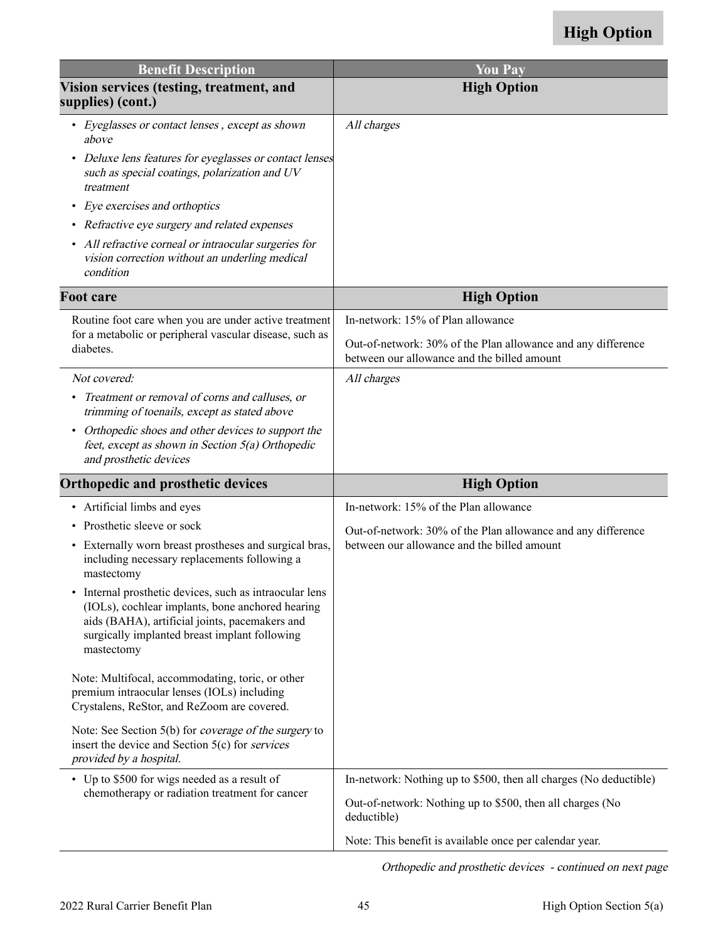| <b>Benefit Description</b>                                                                                                                                                                                                 | <b>You Pay</b>                                                                                              |
|----------------------------------------------------------------------------------------------------------------------------------------------------------------------------------------------------------------------------|-------------------------------------------------------------------------------------------------------------|
| Vision services (testing, treatment, and<br>supplies) (cont.)                                                                                                                                                              | <b>High Option</b>                                                                                          |
| • Eyeglasses or contact lenses, except as shown<br>above                                                                                                                                                                   | All charges                                                                                                 |
| Deluxe lens features for eyeglasses or contact lenses<br>$\bullet$<br>such as special coatings, polarization and UV<br>treatment                                                                                           |                                                                                                             |
| Eye exercises and orthoptics<br>$\bullet$                                                                                                                                                                                  |                                                                                                             |
| • Refractive eye surgery and related expenses                                                                                                                                                                              |                                                                                                             |
| All refractive corneal or intraocular surgeries for<br>$\bullet$<br>vision correction without an underling medical<br>condition                                                                                            |                                                                                                             |
| <b>Foot care</b>                                                                                                                                                                                                           | <b>High Option</b>                                                                                          |
| Routine foot care when you are under active treatment                                                                                                                                                                      | In-network: 15% of Plan allowance                                                                           |
| for a metabolic or peripheral vascular disease, such as<br>diabetes.                                                                                                                                                       | Out-of-network: 30% of the Plan allowance and any difference<br>between our allowance and the billed amount |
| Not covered:                                                                                                                                                                                                               | All charges                                                                                                 |
| Treatment or removal of corns and calluses, or<br>$\bullet$<br>trimming of toenails, except as stated above                                                                                                                |                                                                                                             |
| Orthopedic shoes and other devices to support the<br>$\bullet$<br>feet, except as shown in Section 5(a) Orthopedic<br>and prosthetic devices                                                                               |                                                                                                             |
| <b>Orthopedic and prosthetic devices</b>                                                                                                                                                                                   | <b>High Option</b>                                                                                          |
| • Artificial limbs and eyes                                                                                                                                                                                                | In-network: 15% of the Plan allowance                                                                       |
| Prosthetic sleeve or sock                                                                                                                                                                                                  | Out-of-network: 30% of the Plan allowance and any difference                                                |
| • Externally worn breast prostheses and surgical bras,<br>including necessary replacements following a<br>mastectomy                                                                                                       | between our allowance and the billed amount                                                                 |
| Internal prosthetic devices, such as intraocular lens<br>(IOLs), cochlear implants, bone anchored hearing<br>aids (BAHA), artificial joints, pacemakers and<br>surgically implanted breast implant following<br>mastectomy |                                                                                                             |
| Note: Multifocal, accommodating, toric, or other<br>premium intraocular lenses (IOLs) including<br>Crystalens, ReStor, and ReZoom are covered.                                                                             |                                                                                                             |
| Note: See Section 5(b) for <i>coverage of the surgery</i> to<br>insert the device and Section 5(c) for <i>services</i><br>provided by a hospital.                                                                          |                                                                                                             |
| • Up to \$500 for wigs needed as a result of                                                                                                                                                                               | In-network: Nothing up to \$500, then all charges (No deductible)                                           |
| chemotherapy or radiation treatment for cancer                                                                                                                                                                             | Out-of-network: Nothing up to \$500, then all charges (No<br>deductible)                                    |
|                                                                                                                                                                                                                            | Note: This benefit is available once per calendar year.                                                     |

Orthopedic and prosthetic devices - continued on next page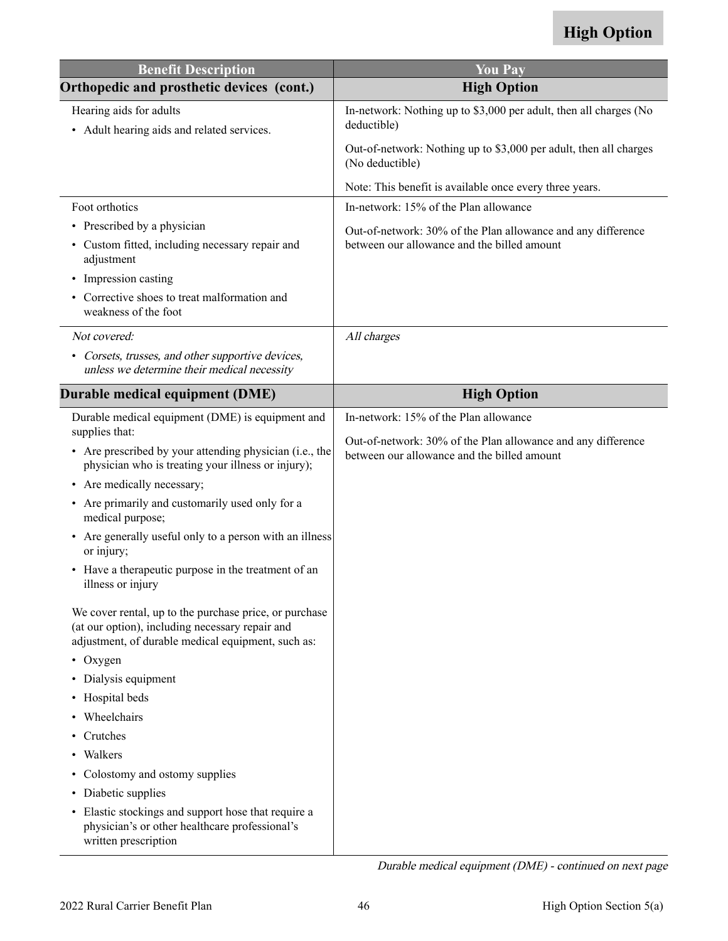<span id="page-47-0"></span>

| <b>Benefit Description</b>                                                                                                                                      | <b>You Pay</b>                                                                                              |
|-----------------------------------------------------------------------------------------------------------------------------------------------------------------|-------------------------------------------------------------------------------------------------------------|
| Orthopedic and prosthetic devices (cont.)                                                                                                                       | <b>High Option</b>                                                                                          |
| Hearing aids for adults<br>• Adult hearing aids and related services.                                                                                           | In-network: Nothing up to \$3,000 per adult, then all charges (No<br>deductible)                            |
|                                                                                                                                                                 | Out-of-network: Nothing up to \$3,000 per adult, then all charges<br>(No deductible)                        |
|                                                                                                                                                                 | Note: This benefit is available once every three years.                                                     |
| Foot orthotics                                                                                                                                                  | In-network: 15% of the Plan allowance                                                                       |
| • Prescribed by a physician                                                                                                                                     | Out-of-network: 30% of the Plan allowance and any difference                                                |
| • Custom fitted, including necessary repair and<br>adjustment                                                                                                   | between our allowance and the billed amount                                                                 |
| Impression casting<br>$\bullet$                                                                                                                                 |                                                                                                             |
| • Corrective shoes to treat malformation and<br>weakness of the foot                                                                                            |                                                                                                             |
| Not covered:                                                                                                                                                    | All charges                                                                                                 |
| • Corsets, trusses, and other supportive devices,<br>unless we determine their medical necessity                                                                |                                                                                                             |
| Durable medical equipment (DME)                                                                                                                                 | <b>High Option</b>                                                                                          |
| Durable medical equipment (DME) is equipment and<br>supplies that:                                                                                              | In-network: 15% of the Plan allowance                                                                       |
| • Are prescribed by your attending physician (i.e., the<br>physician who is treating your illness or injury);                                                   | Out-of-network: 30% of the Plan allowance and any difference<br>between our allowance and the billed amount |
| • Are medically necessary;                                                                                                                                      |                                                                                                             |
| Are primarily and customarily used only for a<br>$\bullet$<br>medical purpose;                                                                                  |                                                                                                             |
| Are generally useful only to a person with an illness<br>or injury;                                                                                             |                                                                                                             |
| • Have a therapeutic purpose in the treatment of an<br>illness or injury                                                                                        |                                                                                                             |
| We cover rental, up to the purchase price, or purchase<br>(at our option), including necessary repair and<br>adjustment, of durable medical equipment, such as: |                                                                                                             |
| $\cdot$ Oxygen                                                                                                                                                  |                                                                                                             |
| Dialysis equipment                                                                                                                                              |                                                                                                             |
| Hospital beds                                                                                                                                                   |                                                                                                             |
| Wheelchairs                                                                                                                                                     |                                                                                                             |
| Crutches                                                                                                                                                        |                                                                                                             |
| Walkers                                                                                                                                                         |                                                                                                             |
| Colostomy and ostomy supplies<br>٠                                                                                                                              |                                                                                                             |
| Diabetic supplies<br>$\bullet$                                                                                                                                  |                                                                                                             |
| Elastic stockings and support hose that require a<br>$\bullet$<br>physician's or other healthcare professional's<br>written prescription                        |                                                                                                             |

Durable medical equipment (DME) - continued on next page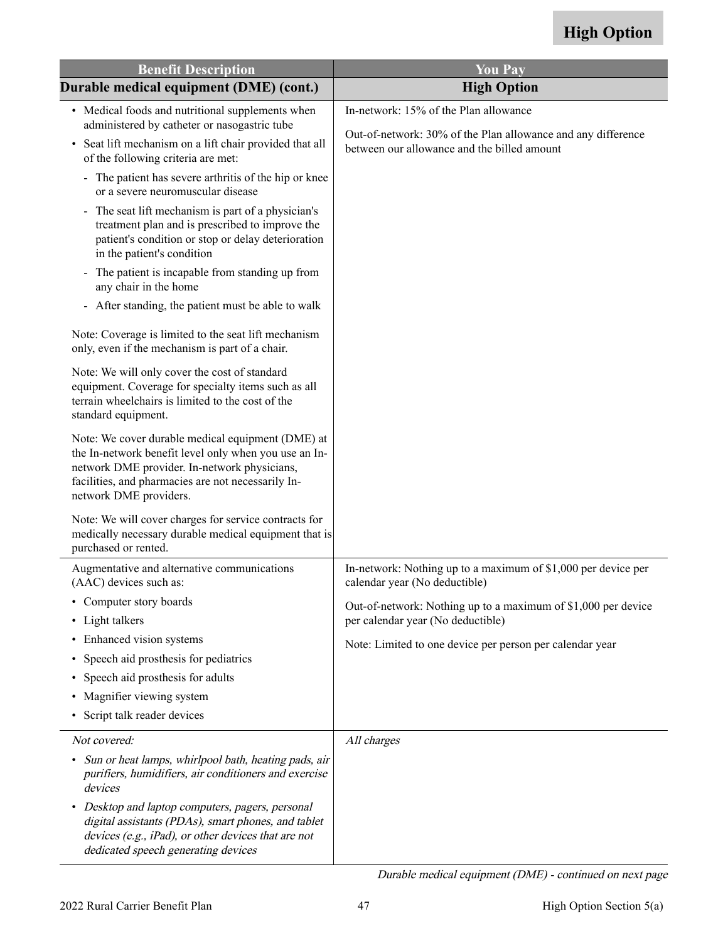| <b>Benefit Description</b>                                                                                                                                                                                                                 | <b>You Pay</b>                                                                                              |
|--------------------------------------------------------------------------------------------------------------------------------------------------------------------------------------------------------------------------------------------|-------------------------------------------------------------------------------------------------------------|
| Durable medical equipment (DME) (cont.)                                                                                                                                                                                                    | <b>High Option</b>                                                                                          |
| • Medical foods and nutritional supplements when<br>administered by catheter or nasogastric tube                                                                                                                                           | In-network: 15% of the Plan allowance                                                                       |
| Seat lift mechanism on a lift chair provided that all<br>$\bullet$<br>of the following criteria are met:                                                                                                                                   | Out-of-network: 30% of the Plan allowance and any difference<br>between our allowance and the billed amount |
| - The patient has severe arthritis of the hip or knee<br>or a severe neuromuscular disease                                                                                                                                                 |                                                                                                             |
| The seat lift mechanism is part of a physician's<br>$\overline{\phantom{0}}$<br>treatment plan and is prescribed to improve the<br>patient's condition or stop or delay deterioration<br>in the patient's condition                        |                                                                                                             |
| The patient is incapable from standing up from<br>$\blacksquare$<br>any chair in the home                                                                                                                                                  |                                                                                                             |
| - After standing, the patient must be able to walk                                                                                                                                                                                         |                                                                                                             |
| Note: Coverage is limited to the seat lift mechanism<br>only, even if the mechanism is part of a chair.                                                                                                                                    |                                                                                                             |
| Note: We will only cover the cost of standard<br>equipment. Coverage for specialty items such as all<br>terrain wheelchairs is limited to the cost of the<br>standard equipment.                                                           |                                                                                                             |
| Note: We cover durable medical equipment (DME) at<br>the In-network benefit level only when you use an In-<br>network DME provider. In-network physicians,<br>facilities, and pharmacies are not necessarily In-<br>network DME providers. |                                                                                                             |
| Note: We will cover charges for service contracts for<br>medically necessary durable medical equipment that is<br>purchased or rented.                                                                                                     |                                                                                                             |
| Augmentative and alternative communications<br>(AAC) devices such as:                                                                                                                                                                      | In-network: Nothing up to a maximum of \$1,000 per device per<br>calendar year (No deductible)              |
| • Computer story boards<br>• Light talkers                                                                                                                                                                                                 | Out-of-network: Nothing up to a maximum of \$1,000 per device<br>per calendar year (No deductible)          |
| • Enhanced vision systems                                                                                                                                                                                                                  | Note: Limited to one device per person per calendar year                                                    |
| Speech aid prosthesis for pediatrics                                                                                                                                                                                                       |                                                                                                             |
| Speech aid prosthesis for adults                                                                                                                                                                                                           |                                                                                                             |
| Magnifier viewing system                                                                                                                                                                                                                   |                                                                                                             |
| • Script talk reader devices                                                                                                                                                                                                               |                                                                                                             |
| Not covered:                                                                                                                                                                                                                               | All charges                                                                                                 |
| Sun or heat lamps, whirlpool bath, heating pads, air<br>purifiers, humidifiers, air conditioners and exercise<br>devices                                                                                                                   |                                                                                                             |
| Desktop and laptop computers, pagers, personal<br>digital assistants (PDAs), smart phones, and tablet<br>devices (e.g., $iPad$ ), or other devices that are not<br>dedicated speech generating devices                                     |                                                                                                             |

Durable medical equipment (DME) - continued on next page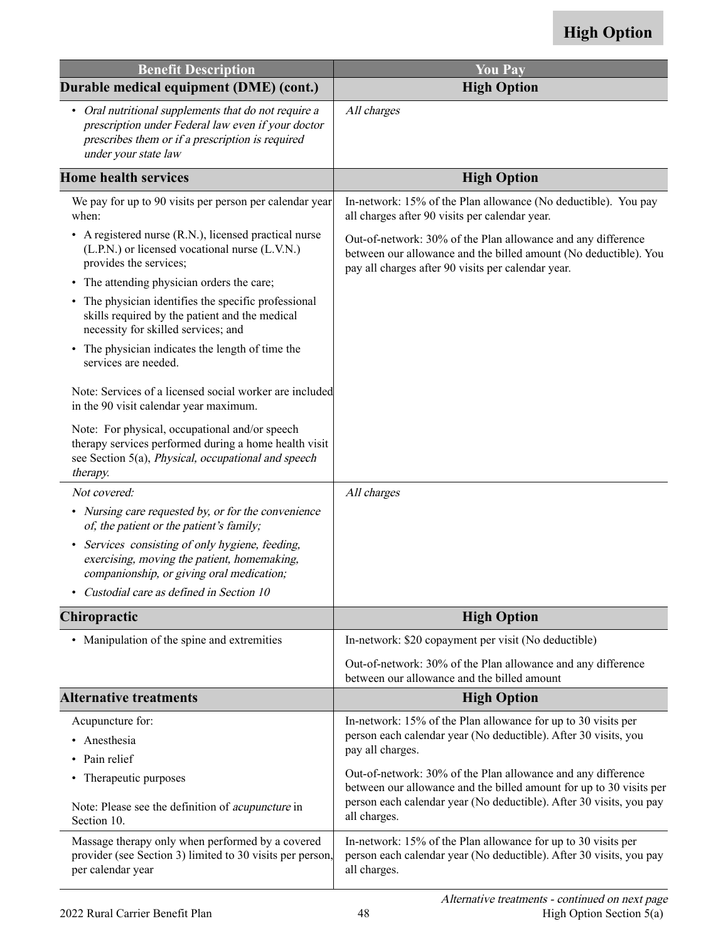| <b>Benefit Description</b>                                                                                                                                                             | <b>You Pay</b>                                                                                                                                                                                             |
|----------------------------------------------------------------------------------------------------------------------------------------------------------------------------------------|------------------------------------------------------------------------------------------------------------------------------------------------------------------------------------------------------------|
| Durable medical equipment (DME) (cont.)                                                                                                                                                | <b>High Option</b>                                                                                                                                                                                         |
| • Oral nutritional supplements that do not require a<br>prescription under Federal law even if your doctor<br>prescribes them or if a prescription is required<br>under your state law | All charges                                                                                                                                                                                                |
| <b>Home health services</b>                                                                                                                                                            | <b>High Option</b>                                                                                                                                                                                         |
| We pay for up to 90 visits per person per calendar year<br>when:                                                                                                                       | In-network: 15% of the Plan allowance (No deductible). You pay<br>all charges after 90 visits per calendar year.                                                                                           |
| • A registered nurse (R.N.), licensed practical nurse<br>(L.P.N.) or licensed vocational nurse (L.V.N.)<br>provides the services;                                                      | Out-of-network: 30% of the Plan allowance and any difference<br>between our allowance and the billed amount (No deductible). You<br>pay all charges after 90 visits per calendar year.                     |
| The attending physician orders the care;<br>٠                                                                                                                                          |                                                                                                                                                                                                            |
| • The physician identifies the specific professional<br>skills required by the patient and the medical<br>necessity for skilled services; and                                          |                                                                                                                                                                                                            |
| The physician indicates the length of time the<br>٠<br>services are needed.                                                                                                            |                                                                                                                                                                                                            |
| Note: Services of a licensed social worker are included<br>in the 90 visit calendar year maximum.                                                                                      |                                                                                                                                                                                                            |
| Note: For physical, occupational and/or speech<br>therapy services performed during a home health visit<br>see Section 5(a), Physical, occupational and speech<br>therapy.             |                                                                                                                                                                                                            |
| Not covered:                                                                                                                                                                           | All charges                                                                                                                                                                                                |
| • Nursing care requested by, or for the convenience<br>of, the patient or the patient's family;                                                                                        |                                                                                                                                                                                                            |
| Services consisting of only hygiene, feeding,<br>$\bullet$<br>exercising, moving the patient, homemaking,<br>companionship, or giving oral medication;                                 |                                                                                                                                                                                                            |
| Custodial care as defined in Section 10                                                                                                                                                |                                                                                                                                                                                                            |
| <b>Chiropractic</b>                                                                                                                                                                    | <b>High Option</b>                                                                                                                                                                                         |
| • Manipulation of the spine and extremities                                                                                                                                            | In-network: \$20 copayment per visit (No deductible)                                                                                                                                                       |
|                                                                                                                                                                                        | Out-of-network: 30% of the Plan allowance and any difference<br>between our allowance and the billed amount                                                                                                |
| <b>Alternative treatments</b>                                                                                                                                                          | <b>High Option</b>                                                                                                                                                                                         |
| Acupuncture for:                                                                                                                                                                       | In-network: 15% of the Plan allowance for up to 30 visits per                                                                                                                                              |
| Anesthesia                                                                                                                                                                             | person each calendar year (No deductible). After 30 visits, you<br>pay all charges.                                                                                                                        |
| Pain relief                                                                                                                                                                            |                                                                                                                                                                                                            |
| Therapeutic purposes<br>٠<br>Note: Please see the definition of <i>acupuncture</i> in                                                                                                  | Out-of-network: 30% of the Plan allowance and any difference<br>between our allowance and the billed amount for up to 30 visits per<br>person each calendar year (No deductible). After 30 visits, you pay |
| Section 10.                                                                                                                                                                            | all charges.                                                                                                                                                                                               |
| Massage therapy only when performed by a covered<br>provider (see Section 3) limited to 30 visits per person,<br>per calendar year                                                     | In-network: 15% of the Plan allowance for up to 30 visits per<br>person each calendar year (No deductible). After 30 visits, you pay<br>all charges.                                                       |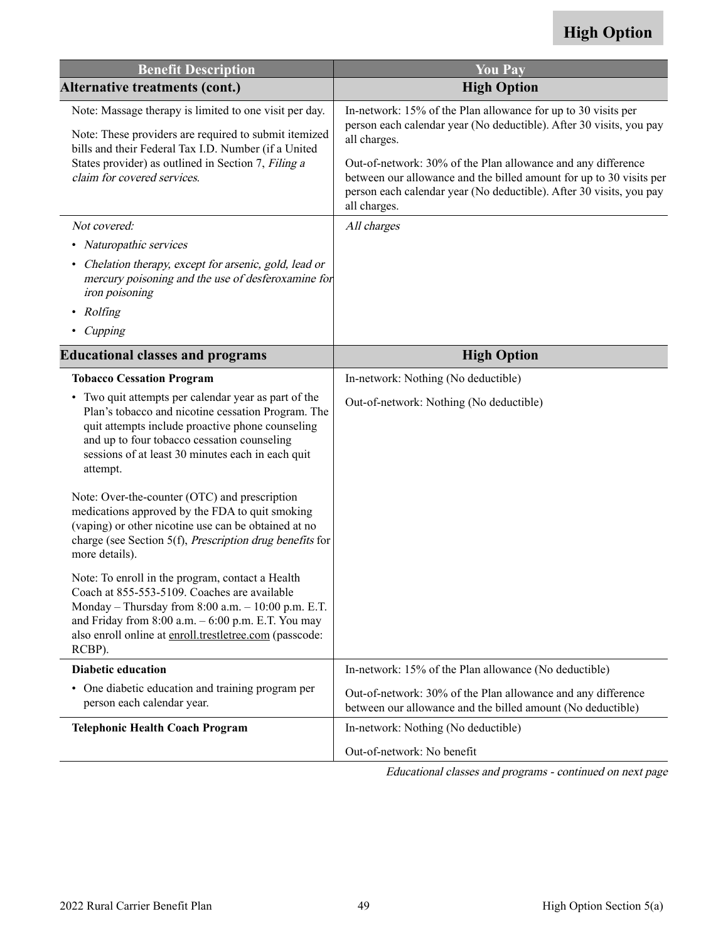<span id="page-50-0"></span>

| <b>Benefit Description</b>                                                                                                                                                                                                                                                           | <b>You Pay</b>                                                                                                                                                                                                                                                                                                                                                                     |
|--------------------------------------------------------------------------------------------------------------------------------------------------------------------------------------------------------------------------------------------------------------------------------------|------------------------------------------------------------------------------------------------------------------------------------------------------------------------------------------------------------------------------------------------------------------------------------------------------------------------------------------------------------------------------------|
| <b>Alternative treatments (cont.)</b>                                                                                                                                                                                                                                                | <b>High Option</b>                                                                                                                                                                                                                                                                                                                                                                 |
| Note: Massage therapy is limited to one visit per day.<br>Note: These providers are required to submit itemized<br>bills and their Federal Tax I.D. Number (if a United<br>States provider) as outlined in Section 7, Filing a<br>claim for covered services.                        | In-network: 15% of the Plan allowance for up to 30 visits per<br>person each calendar year (No deductible). After 30 visits, you pay<br>all charges.<br>Out-of-network: 30% of the Plan allowance and any difference<br>between our allowance and the billed amount for up to 30 visits per<br>person each calendar year (No deductible). After 30 visits, you pay<br>all charges. |
| Not covered:                                                                                                                                                                                                                                                                         | All charges                                                                                                                                                                                                                                                                                                                                                                        |
| Naturopathic services<br>٠                                                                                                                                                                                                                                                           |                                                                                                                                                                                                                                                                                                                                                                                    |
| Chelation therapy, except for arsenic, gold, lead or<br>mercury poisoning and the use of desferoxamine for<br>iron poisoning                                                                                                                                                         |                                                                                                                                                                                                                                                                                                                                                                                    |
| Rolfing<br>٠                                                                                                                                                                                                                                                                         |                                                                                                                                                                                                                                                                                                                                                                                    |
| Cupping                                                                                                                                                                                                                                                                              |                                                                                                                                                                                                                                                                                                                                                                                    |
| <b>Educational classes and programs</b>                                                                                                                                                                                                                                              | <b>High Option</b>                                                                                                                                                                                                                                                                                                                                                                 |
| <b>Tobacco Cessation Program</b>                                                                                                                                                                                                                                                     | In-network: Nothing (No deductible)                                                                                                                                                                                                                                                                                                                                                |
| • Two quit attempts per calendar year as part of the<br>Plan's tobacco and nicotine cessation Program. The<br>quit attempts include proactive phone counseling<br>and up to four tobacco cessation counseling<br>sessions of at least 30 minutes each in each quit<br>attempt.       | Out-of-network: Nothing (No deductible)                                                                                                                                                                                                                                                                                                                                            |
| Note: Over-the-counter (OTC) and prescription<br>medications approved by the FDA to quit smoking<br>(vaping) or other nicotine use can be obtained at no<br>charge (see Section 5(f), Prescription drug benefits for<br>more details).                                               |                                                                                                                                                                                                                                                                                                                                                                                    |
| Note: To enroll in the program, contact a Health<br>Coach at 855-553-5109. Coaches are available<br>Monday - Thursday from 8:00 a.m. - 10:00 p.m. E.T.<br>and Friday from $8:00$ a.m. $-6:00$ p.m. E.T. You may<br>also enroll online at enroll.trestletree.com (passcode:<br>RCBP). |                                                                                                                                                                                                                                                                                                                                                                                    |
| <b>Diabetic education</b>                                                                                                                                                                                                                                                            | In-network: 15% of the Plan allowance (No deductible)                                                                                                                                                                                                                                                                                                                              |
| • One diabetic education and training program per<br>person each calendar year.                                                                                                                                                                                                      | Out-of-network: 30% of the Plan allowance and any difference<br>between our allowance and the billed amount (No deductible)                                                                                                                                                                                                                                                        |
| <b>Telephonic Health Coach Program</b>                                                                                                                                                                                                                                               | In-network: Nothing (No deductible)                                                                                                                                                                                                                                                                                                                                                |
|                                                                                                                                                                                                                                                                                      | Out-of-network: No benefit                                                                                                                                                                                                                                                                                                                                                         |

Educational classes and programs - continued on next page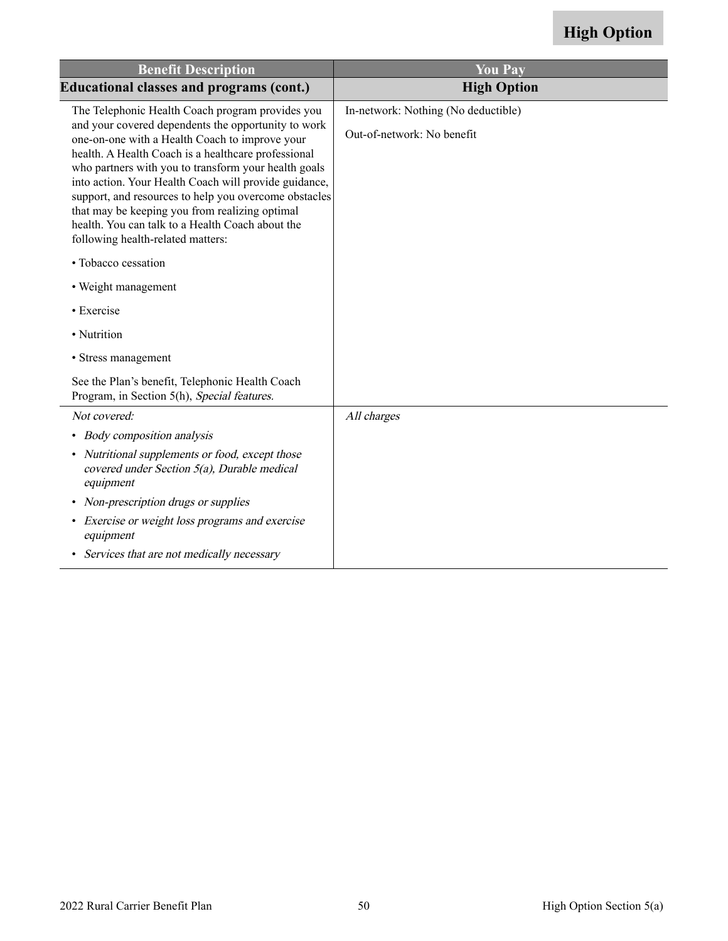| <b>Benefit Description</b>                                                                                                                                                                                                                                                                                                                                                                                                                                                        | <b>You Pay</b>                      |
|-----------------------------------------------------------------------------------------------------------------------------------------------------------------------------------------------------------------------------------------------------------------------------------------------------------------------------------------------------------------------------------------------------------------------------------------------------------------------------------|-------------------------------------|
| <b>Educational classes and programs (cont.)</b>                                                                                                                                                                                                                                                                                                                                                                                                                                   | <b>High Option</b>                  |
| The Telephonic Health Coach program provides you                                                                                                                                                                                                                                                                                                                                                                                                                                  | In-network: Nothing (No deductible) |
| and your covered dependents the opportunity to work<br>one-on-one with a Health Coach to improve your<br>health. A Health Coach is a healthcare professional<br>who partners with you to transform your health goals<br>into action. Your Health Coach will provide guidance,<br>support, and resources to help you overcome obstacles<br>that may be keeping you from realizing optimal<br>health. You can talk to a Health Coach about the<br>following health-related matters: | Out-of-network: No benefit          |
| • Tobacco cessation                                                                                                                                                                                                                                                                                                                                                                                                                                                               |                                     |
| • Weight management                                                                                                                                                                                                                                                                                                                                                                                                                                                               |                                     |
| • Exercise                                                                                                                                                                                                                                                                                                                                                                                                                                                                        |                                     |
| · Nutrition                                                                                                                                                                                                                                                                                                                                                                                                                                                                       |                                     |
| • Stress management                                                                                                                                                                                                                                                                                                                                                                                                                                                               |                                     |
| See the Plan's benefit, Telephonic Health Coach<br>Program, in Section 5(h), Special features.                                                                                                                                                                                                                                                                                                                                                                                    |                                     |
| Not covered:                                                                                                                                                                                                                                                                                                                                                                                                                                                                      | All charges                         |
| • Body composition analysis                                                                                                                                                                                                                                                                                                                                                                                                                                                       |                                     |
| • Nutritional supplements or food, except those<br>covered under Section 5(a), Durable medical<br>equipment                                                                                                                                                                                                                                                                                                                                                                       |                                     |
| • Non-prescription drugs or supplies                                                                                                                                                                                                                                                                                                                                                                                                                                              |                                     |
| • Exercise or weight loss programs and exercise<br>equipment                                                                                                                                                                                                                                                                                                                                                                                                                      |                                     |
| • Services that are not medically necessary                                                                                                                                                                                                                                                                                                                                                                                                                                       |                                     |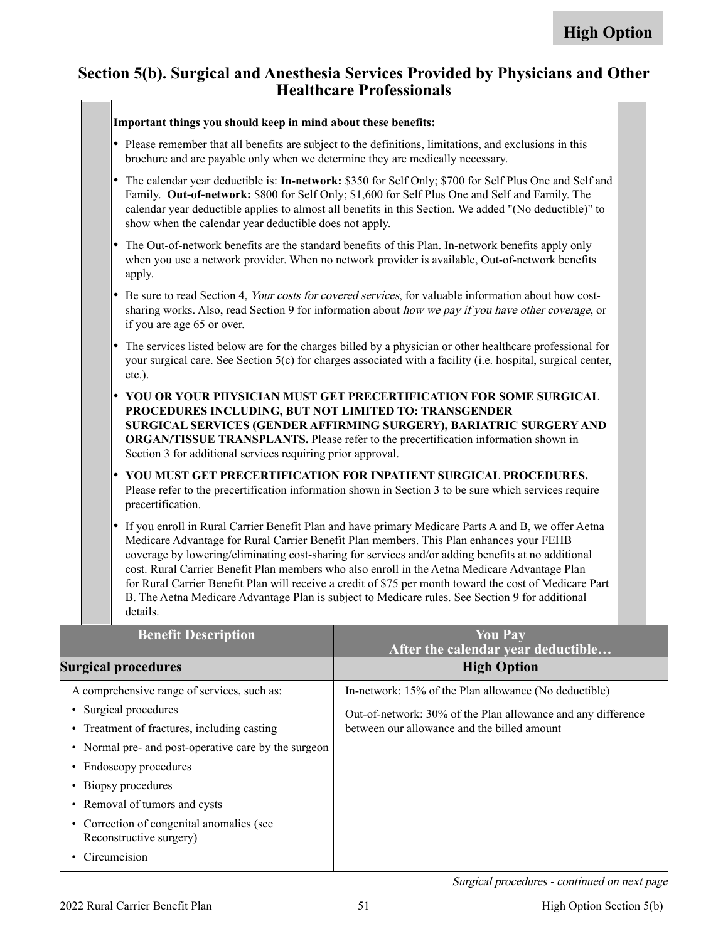#### **Section 5(b). Surgical and Anesthesia Services Provided by Physicians and Other Healthcare Professionals**

| Important things you should keep in mind about these benefits:                                                                    |                                                                                                                                                                                                                                                                                                                                                                                                                                                                                                                                                                                                                     |
|-----------------------------------------------------------------------------------------------------------------------------------|---------------------------------------------------------------------------------------------------------------------------------------------------------------------------------------------------------------------------------------------------------------------------------------------------------------------------------------------------------------------------------------------------------------------------------------------------------------------------------------------------------------------------------------------------------------------------------------------------------------------|
| brochure and are payable only when we determine they are medically necessary.                                                     | • Please remember that all benefits are subject to the definitions, limitations, and exclusions in this                                                                                                                                                                                                                                                                                                                                                                                                                                                                                                             |
| $\bullet$<br>show when the calendar year deductible does not apply.                                                               | The calendar year deductible is: In-network: \$350 for Self Only; \$700 for Self Plus One and Self and<br>Family. Out-of-network: \$800 for Self Only; \$1,600 for Self Plus One and Self and Family. The<br>calendar year deductible applies to almost all benefits in this Section. We added "(No deductible)" to                                                                                                                                                                                                                                                                                                 |
| $\bullet$<br>apply.                                                                                                               | The Out-of-network benefits are the standard benefits of this Plan. In-network benefits apply only<br>when you use a network provider. When no network provider is available, Out-of-network benefits                                                                                                                                                                                                                                                                                                                                                                                                               |
| $\bullet$<br>if you are age 65 or over.                                                                                           | Be sure to read Section 4, Your costs for covered services, for valuable information about how cost-<br>sharing works. Also, read Section 9 for information about how we pay if you have other coverage, or                                                                                                                                                                                                                                                                                                                                                                                                         |
| $\bullet$<br>$etc.$ ).                                                                                                            | The services listed below are for the charges billed by a physician or other healthcare professional for<br>your surgical care. See Section 5(c) for charges associated with a facility (i.e. hospital, surgical center,                                                                                                                                                                                                                                                                                                                                                                                            |
| $\bullet$<br>PROCEDURES INCLUDING, BUT NOT LIMITED TO: TRANSGENDER<br>Section 3 for additional services requiring prior approval. | YOU OR YOUR PHYSICIAN MUST GET PRECERTIFICATION FOR SOME SURGICAL<br>SURGICAL SERVICES (GENDER AFFIRMING SURGERY), BARIATRIC SURGERY AND<br><b>ORGAN/TISSUE TRANSPLANTS.</b> Please refer to the precertification information shown in                                                                                                                                                                                                                                                                                                                                                                              |
| $\bullet$<br>precertification.                                                                                                    | YOU MUST GET PRECERTIFICATION FOR INPATIENT SURGICAL PROCEDURES.<br>Please refer to the precertification information shown in Section 3 to be sure which services require                                                                                                                                                                                                                                                                                                                                                                                                                                           |
| $\bullet$<br>details.                                                                                                             | If you enroll in Rural Carrier Benefit Plan and have primary Medicare Parts A and B, we offer Aetna<br>Medicare Advantage for Rural Carrier Benefit Plan members. This Plan enhances your FEHB<br>coverage by lowering/eliminating cost-sharing for services and/or adding benefits at no additional<br>cost. Rural Carrier Benefit Plan members who also enroll in the Aetna Medicare Advantage Plan<br>for Rural Carrier Benefit Plan will receive a credit of \$75 per month toward the cost of Medicare Part<br>B. The Aetna Medicare Advantage Plan is subject to Medicare rules. See Section 9 for additional |
| <b>Benefit Description</b>                                                                                                        | <b>You Pay</b><br>After the calendar year deductible                                                                                                                                                                                                                                                                                                                                                                                                                                                                                                                                                                |
| <b>Surgical procedures</b>                                                                                                        | <b>High Option</b>                                                                                                                                                                                                                                                                                                                                                                                                                                                                                                                                                                                                  |
| A comprehensive range of services, such as:                                                                                       | In-network: 15% of the Plan allowance (No deductible)                                                                                                                                                                                                                                                                                                                                                                                                                                                                                                                                                               |
| • Surgical procedures<br>• Treatment of fractures, including casting                                                              | Out-of-network: 30% of the Plan allowance and any difference<br>between our allowance and the billed amount                                                                                                                                                                                                                                                                                                                                                                                                                                                                                                         |

- Normal pre- and post-operative care by the surgeon
- Endoscopy procedures
- Biopsy procedures
- Removal of tumors and cysts
- Correction of congenital anomalies (see Reconstructive surgery)
- Circumcision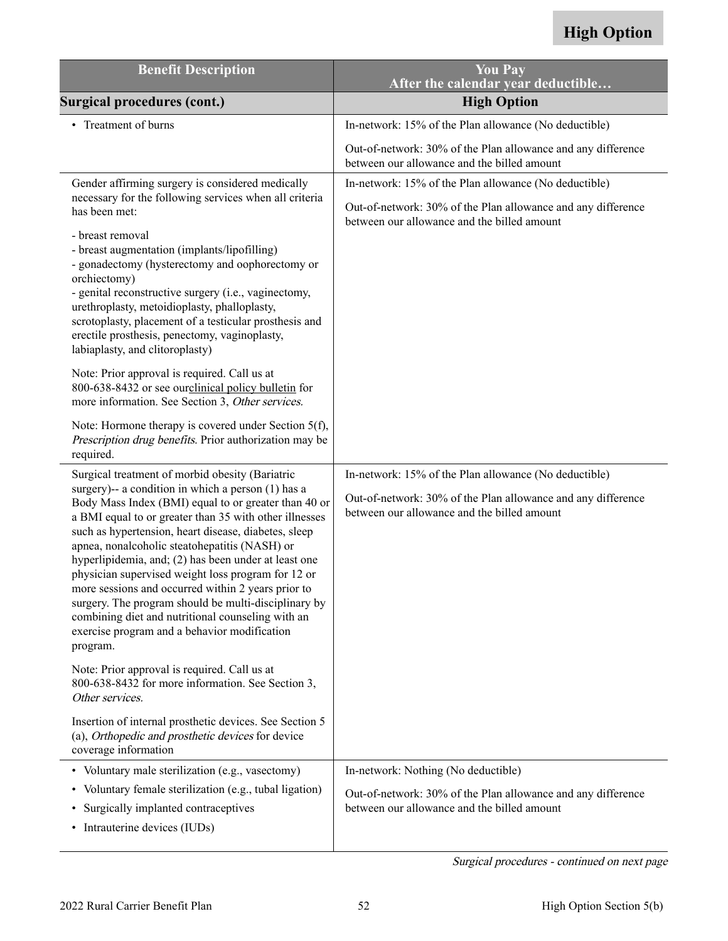| <b>Benefit Description</b>                                                                                                                                                                                                                                                                                                                                                                                                                                                                                                                                                                                                                                                    | <b>You Pay</b><br>After the calendar year deductible                                                                                                                 |
|-------------------------------------------------------------------------------------------------------------------------------------------------------------------------------------------------------------------------------------------------------------------------------------------------------------------------------------------------------------------------------------------------------------------------------------------------------------------------------------------------------------------------------------------------------------------------------------------------------------------------------------------------------------------------------|----------------------------------------------------------------------------------------------------------------------------------------------------------------------|
| <b>Surgical procedures (cont.)</b>                                                                                                                                                                                                                                                                                                                                                                                                                                                                                                                                                                                                                                            | <b>High Option</b>                                                                                                                                                   |
| Treatment of burns                                                                                                                                                                                                                                                                                                                                                                                                                                                                                                                                                                                                                                                            | In-network: 15% of the Plan allowance (No deductible)                                                                                                                |
|                                                                                                                                                                                                                                                                                                                                                                                                                                                                                                                                                                                                                                                                               | Out-of-network: 30% of the Plan allowance and any difference<br>between our allowance and the billed amount                                                          |
| Gender affirming surgery is considered medically                                                                                                                                                                                                                                                                                                                                                                                                                                                                                                                                                                                                                              | In-network: 15% of the Plan allowance (No deductible)                                                                                                                |
| necessary for the following services when all criteria<br>has been met:                                                                                                                                                                                                                                                                                                                                                                                                                                                                                                                                                                                                       | Out-of-network: 30% of the Plan allowance and any difference<br>between our allowance and the billed amount                                                          |
| - breast removal<br>- breast augmentation (implants/lipofilling)<br>- gonadectomy (hysterectomy and oophorectomy or<br>orchiectomy)<br>- genital reconstructive surgery (i.e., vaginectomy,<br>urethroplasty, metoidioplasty, phalloplasty,<br>scrotoplasty, placement of a testicular prosthesis and<br>erectile prosthesis, penectomy, vaginoplasty,<br>labiaplasty, and clitoroplasty)                                                                                                                                                                                                                                                                                     |                                                                                                                                                                      |
| Note: Prior approval is required. Call us at<br>800-638-8432 or see our clinical policy bulletin for<br>more information. See Section 3, Other services.                                                                                                                                                                                                                                                                                                                                                                                                                                                                                                                      |                                                                                                                                                                      |
| Note: Hormone therapy is covered under Section 5(f),<br>Prescription drug benefits. Prior authorization may be<br>required.                                                                                                                                                                                                                                                                                                                                                                                                                                                                                                                                                   |                                                                                                                                                                      |
| Surgical treatment of morbid obesity (Bariatric<br>surgery)-- a condition in which a person (1) has a<br>Body Mass Index (BMI) equal to or greater than 40 or<br>a BMI equal to or greater than 35 with other illnesses<br>such as hypertension, heart disease, diabetes, sleep<br>apnea, nonalcoholic steatohepatitis (NASH) or<br>hyperlipidemia, and; (2) has been under at least one<br>physician supervised weight loss program for 12 or<br>more sessions and occurred within 2 years prior to<br>surgery. The program should be multi-disciplinary by<br>combining diet and nutritional counseling with an<br>exercise program and a behavior modification<br>program. | In-network: 15% of the Plan allowance (No deductible)<br>Out-of-network: 30% of the Plan allowance and any difference<br>between our allowance and the billed amount |
| Note: Prior approval is required. Call us at<br>800-638-8432 for more information. See Section 3,<br>Other services.                                                                                                                                                                                                                                                                                                                                                                                                                                                                                                                                                          |                                                                                                                                                                      |
| Insertion of internal prosthetic devices. See Section 5<br>(a), Orthopedic and prosthetic devices for device<br>coverage information                                                                                                                                                                                                                                                                                                                                                                                                                                                                                                                                          |                                                                                                                                                                      |
| • Voluntary male sterilization (e.g., vasectomy)                                                                                                                                                                                                                                                                                                                                                                                                                                                                                                                                                                                                                              | In-network: Nothing (No deductible)                                                                                                                                  |
| Voluntary female sterilization (e.g., tubal ligation)<br>$\bullet$<br>Surgically implanted contraceptives<br>$\bullet$<br>• Intrauterine devices (IUDs)                                                                                                                                                                                                                                                                                                                                                                                                                                                                                                                       | Out-of-network: 30% of the Plan allowance and any difference<br>between our allowance and the billed amount                                                          |

Surgical procedures - continued on next page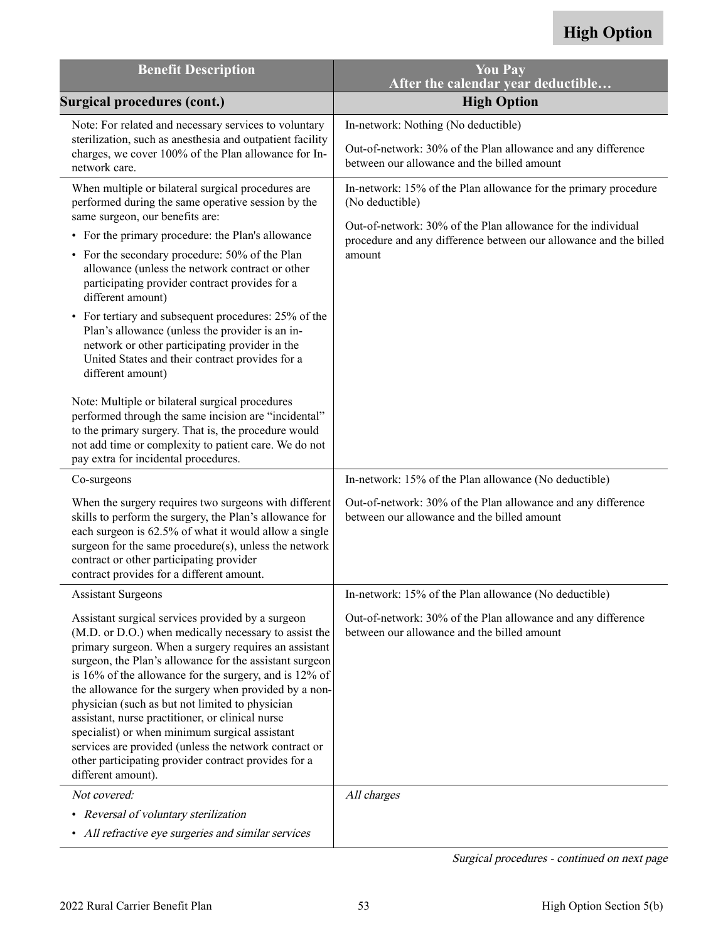| <b>Benefit Description</b>                                                                                                                                                                                                                                                                                                                                                                                                                                                                                                                                                                                                                                                                                                                                                                                                                                                            | <b>You Pay</b><br>After the calendar year deductible                                                                                                                                                                              |
|---------------------------------------------------------------------------------------------------------------------------------------------------------------------------------------------------------------------------------------------------------------------------------------------------------------------------------------------------------------------------------------------------------------------------------------------------------------------------------------------------------------------------------------------------------------------------------------------------------------------------------------------------------------------------------------------------------------------------------------------------------------------------------------------------------------------------------------------------------------------------------------|-----------------------------------------------------------------------------------------------------------------------------------------------------------------------------------------------------------------------------------|
| <b>Surgical procedures (cont.)</b>                                                                                                                                                                                                                                                                                                                                                                                                                                                                                                                                                                                                                                                                                                                                                                                                                                                    | <b>High Option</b>                                                                                                                                                                                                                |
| Note: For related and necessary services to voluntary<br>sterilization, such as anesthesia and outpatient facility<br>charges, we cover 100% of the Plan allowance for In-<br>network care.                                                                                                                                                                                                                                                                                                                                                                                                                                                                                                                                                                                                                                                                                           | In-network: Nothing (No deductible)<br>Out-of-network: 30% of the Plan allowance and any difference<br>between our allowance and the billed amount                                                                                |
| When multiple or bilateral surgical procedures are<br>performed during the same operative session by the<br>same surgeon, our benefits are:<br>• For the primary procedure: the Plan's allowance<br>• For the secondary procedure: 50% of the Plan<br>allowance (unless the network contract or other<br>participating provider contract provides for a<br>different amount)<br>• For tertiary and subsequent procedures: 25% of the<br>Plan's allowance (unless the provider is an in-<br>network or other participating provider in the<br>United States and their contract provides for a<br>different amount)<br>Note: Multiple or bilateral surgical procedures<br>performed through the same incision are "incidental"<br>to the primary surgery. That is, the procedure would<br>not add time or complexity to patient care. We do not<br>pay extra for incidental procedures. | In-network: 15% of the Plan allowance for the primary procedure<br>(No deductible)<br>Out-of-network: 30% of the Plan allowance for the individual<br>procedure and any difference between our allowance and the billed<br>amount |
| Co-surgeons                                                                                                                                                                                                                                                                                                                                                                                                                                                                                                                                                                                                                                                                                                                                                                                                                                                                           | In-network: 15% of the Plan allowance (No deductible)                                                                                                                                                                             |
| When the surgery requires two surgeons with different<br>skills to perform the surgery, the Plan's allowance for<br>each surgeon is 62.5% of what it would allow a single<br>surgeon for the same procedure(s), unless the network<br>contract or other participating provider<br>contract provides for a different amount.                                                                                                                                                                                                                                                                                                                                                                                                                                                                                                                                                           | Out-of-network: 30% of the Plan allowance and any difference<br>between our allowance and the billed amount                                                                                                                       |
| <b>Assistant Surgeons</b>                                                                                                                                                                                                                                                                                                                                                                                                                                                                                                                                                                                                                                                                                                                                                                                                                                                             | In-network: 15% of the Plan allowance (No deductible)                                                                                                                                                                             |
| Assistant surgical services provided by a surgeon<br>(M.D. or D.O.) when medically necessary to assist the<br>primary surgeon. When a surgery requires an assistant<br>surgeon, the Plan's allowance for the assistant surgeon<br>is 16% of the allowance for the surgery, and is 12% of<br>the allowance for the surgery when provided by a non-<br>physician (such as but not limited to physician<br>assistant, nurse practitioner, or clinical nurse<br>specialist) or when minimum surgical assistant<br>services are provided (unless the network contract or<br>other participating provider contract provides for a<br>different amount).                                                                                                                                                                                                                                     | Out-of-network: 30% of the Plan allowance and any difference<br>between our allowance and the billed amount                                                                                                                       |
| Not covered:                                                                                                                                                                                                                                                                                                                                                                                                                                                                                                                                                                                                                                                                                                                                                                                                                                                                          | All charges                                                                                                                                                                                                                       |
| • Reversal of voluntary sterilization<br>• All refractive eye surgeries and similar services                                                                                                                                                                                                                                                                                                                                                                                                                                                                                                                                                                                                                                                                                                                                                                                          |                                                                                                                                                                                                                                   |

Surgical procedures - continued on next page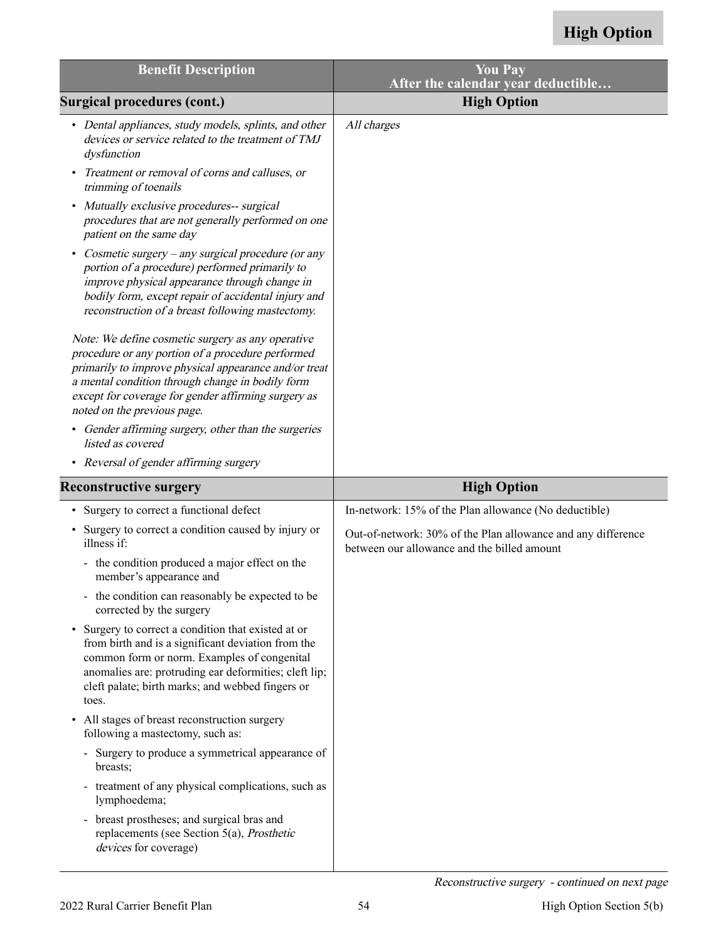| <b>Benefit Description</b>                                                                                                                                                                                                                                                                                | <b>You Pay</b><br>After the calendar year deductible                                                        |
|-----------------------------------------------------------------------------------------------------------------------------------------------------------------------------------------------------------------------------------------------------------------------------------------------------------|-------------------------------------------------------------------------------------------------------------|
| <b>Surgical procedures (cont.)</b>                                                                                                                                                                                                                                                                        | <b>High Option</b>                                                                                          |
| • Dental appliances, study models, splints, and other<br>devices or service related to the treatment of TMJ<br>dysfunction                                                                                                                                                                                | All charges                                                                                                 |
| Treatment or removal of corns and calluses, or<br>trimming of toenails                                                                                                                                                                                                                                    |                                                                                                             |
| Mutually exclusive procedures-- surgical<br>٠<br>procedures that are not generally performed on one<br>patient on the same day                                                                                                                                                                            |                                                                                                             |
| Cosmetic surgery – any surgical procedure (or any<br>portion of a procedure) performed primarily to<br>improve physical appearance through change in<br>bodily form, except repair of accidental injury and<br>reconstruction of a breast following mastectomy.                                           |                                                                                                             |
| Note: We define cosmetic surgery as any operative<br>procedure or any portion of a procedure performed<br>primarily to improve physical appearance and/or treat<br>a mental condition through change in bodily form<br>except for coverage for gender affirming surgery as<br>noted on the previous page. |                                                                                                             |
| • Gender affirming surgery, other than the surgeries<br>listed as covered                                                                                                                                                                                                                                 |                                                                                                             |
| • Reversal of gender affirming surgery                                                                                                                                                                                                                                                                    |                                                                                                             |
|                                                                                                                                                                                                                                                                                                           |                                                                                                             |
| <b>Reconstructive surgery</b>                                                                                                                                                                                                                                                                             | <b>High Option</b>                                                                                          |
| Surgery to correct a functional defect                                                                                                                                                                                                                                                                    | In-network: 15% of the Plan allowance (No deductible)                                                       |
| Surgery to correct a condition caused by injury or<br>illness if:                                                                                                                                                                                                                                         | Out-of-network: 30% of the Plan allowance and any difference<br>between our allowance and the billed amount |
| - the condition produced a major effect on the<br>member's appearance and                                                                                                                                                                                                                                 |                                                                                                             |
| - the condition can reasonably be expected to be<br>corrected by the surgery                                                                                                                                                                                                                              |                                                                                                             |
| Surgery to correct a condition that existed at or<br>from birth and is a significant deviation from the<br>common form or norm. Examples of congenital<br>anomalies are: protruding ear deformities; cleft lip;<br>cleft palate; birth marks; and webbed fingers or<br>toes.                              |                                                                                                             |
| All stages of breast reconstruction surgery<br>٠<br>following a mastectomy, such as:                                                                                                                                                                                                                      |                                                                                                             |
| - Surgery to produce a symmetrical appearance of<br>breasts;                                                                                                                                                                                                                                              |                                                                                                             |
| treatment of any physical complications, such as<br>$\blacksquare$<br>lymphoedema;                                                                                                                                                                                                                        |                                                                                                             |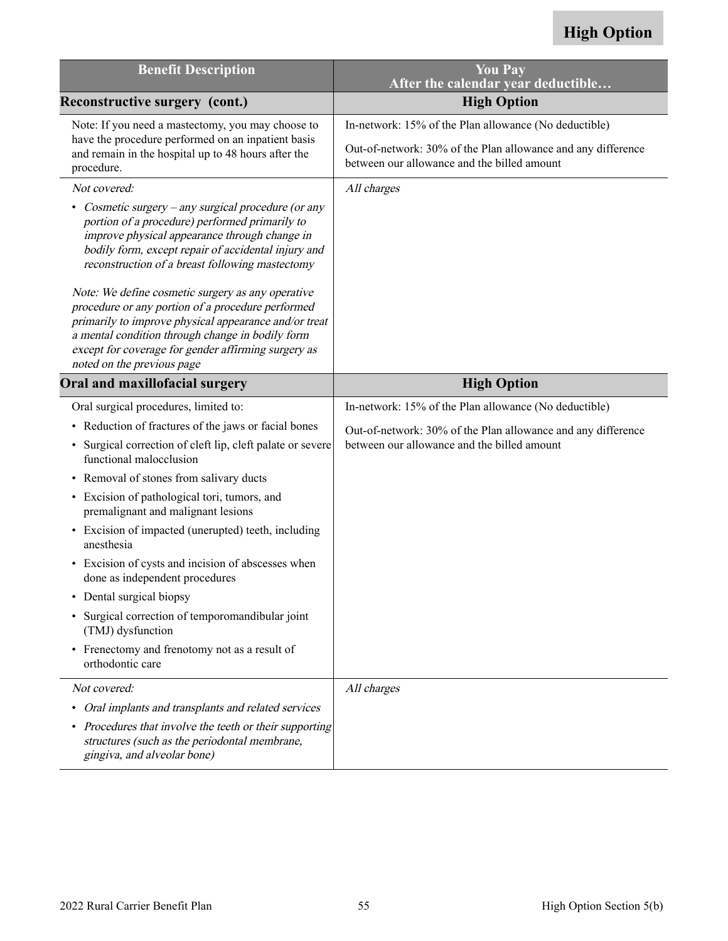| <b>Benefit Description</b>                                                                                                                                                                                                                                                                               | <b>You Pay</b><br>After the calendar year deductible                                                        |
|----------------------------------------------------------------------------------------------------------------------------------------------------------------------------------------------------------------------------------------------------------------------------------------------------------|-------------------------------------------------------------------------------------------------------------|
| Reconstructive surgery (cont.)                                                                                                                                                                                                                                                                           | <b>High Option</b>                                                                                          |
| Note: If you need a mastectomy, you may choose to                                                                                                                                                                                                                                                        | In-network: 15% of the Plan allowance (No deductible)                                                       |
| have the procedure performed on an inpatient basis<br>and remain in the hospital up to 48 hours after the<br>procedure.                                                                                                                                                                                  | Out-of-network: 30% of the Plan allowance and any difference<br>between our allowance and the billed amount |
| Not covered:                                                                                                                                                                                                                                                                                             | All charges                                                                                                 |
| Cosmetic surgery – any surgical procedure (or any<br>$\bullet$<br>portion of a procedure) performed primarily to<br>improve physical appearance through change in<br>bodily form, except repair of accidental injury and<br>reconstruction of a breast following mastectomy                              |                                                                                                             |
| Note: We define cosmetic surgery as any operative<br>procedure or any portion of a procedure performed<br>primarily to improve physical appearance and/or treat<br>a mental condition through change in bodily form<br>except for coverage for gender affirming surgery as<br>noted on the previous page |                                                                                                             |
| Oral and maxillofacial surgery                                                                                                                                                                                                                                                                           | <b>High Option</b>                                                                                          |
| Oral surgical procedures, limited to:                                                                                                                                                                                                                                                                    | In-network: 15% of the Plan allowance (No deductible)                                                       |
| Reduction of fractures of the jaws or facial bones                                                                                                                                                                                                                                                       | Out-of-network: 30% of the Plan allowance and any difference                                                |
| Surgical correction of cleft lip, cleft palate or severe<br>$\bullet$<br>functional malocclusion                                                                                                                                                                                                         | between our allowance and the billed amount                                                                 |
| Removal of stones from salivary ducts                                                                                                                                                                                                                                                                    |                                                                                                             |
| • Excision of pathological tori, tumors, and<br>premalignant and malignant lesions                                                                                                                                                                                                                       |                                                                                                             |
| Excision of impacted (unerupted) teeth, including<br>$\bullet$<br>anesthesia                                                                                                                                                                                                                             |                                                                                                             |
| Excision of cysts and incision of abscesses when<br>$\bullet$<br>done as independent procedures                                                                                                                                                                                                          |                                                                                                             |
| • Dental surgical biopsy                                                                                                                                                                                                                                                                                 |                                                                                                             |
| Surgical correction of temporomandibular joint<br>(TMJ) dysfunction                                                                                                                                                                                                                                      |                                                                                                             |
| • Frenectomy and frenotomy not as a result of<br>orthodontic care                                                                                                                                                                                                                                        |                                                                                                             |
| Not covered:                                                                                                                                                                                                                                                                                             | All charges                                                                                                 |
| Oral implants and transplants and related services<br>٠                                                                                                                                                                                                                                                  |                                                                                                             |
| • Procedures that involve the teeth or their supporting<br>structures (such as the periodontal membrane,<br>gingiva, and alveolar bone)                                                                                                                                                                  |                                                                                                             |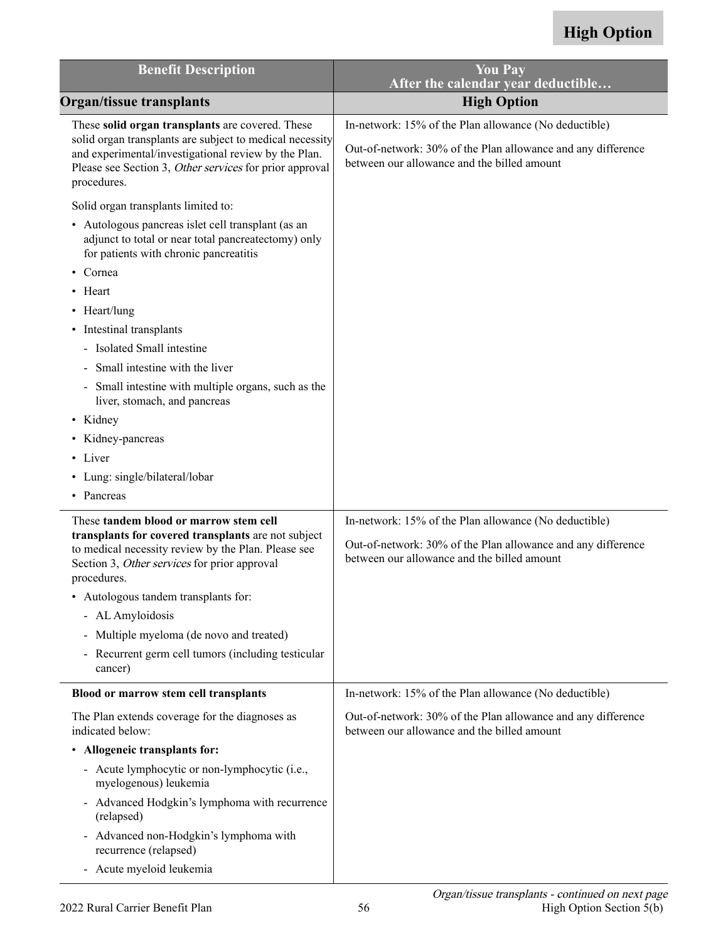| <b>Benefit Description</b>                                                                                                                                                                                                                     | <b>You Pay</b><br>After the calendar year deductible                                                                                                                 |
|------------------------------------------------------------------------------------------------------------------------------------------------------------------------------------------------------------------------------------------------|----------------------------------------------------------------------------------------------------------------------------------------------------------------------|
| <b>Organ/tissue transplants</b>                                                                                                                                                                                                                | <b>High Option</b>                                                                                                                                                   |
| These solid organ transplants are covered. These<br>solid organ transplants are subject to medical necessity<br>and experimental/investigational review by the Plan.<br>Please see Section 3, Other services for prior approval<br>procedures. | In-network: 15% of the Plan allowance (No deductible)<br>Out-of-network: 30% of the Plan allowance and any difference<br>between our allowance and the billed amount |
| Solid organ transplants limited to:                                                                                                                                                                                                            |                                                                                                                                                                      |
| • Autologous pancreas islet cell transplant (as an<br>adjunct to total or near total pancreatectomy) only<br>for patients with chronic pancreatitis                                                                                            |                                                                                                                                                                      |
| Cornea                                                                                                                                                                                                                                         |                                                                                                                                                                      |
| • Heart                                                                                                                                                                                                                                        |                                                                                                                                                                      |
| • Heart/lung                                                                                                                                                                                                                                   |                                                                                                                                                                      |
| • Intestinal transplants                                                                                                                                                                                                                       |                                                                                                                                                                      |
| - Isolated Small intestine                                                                                                                                                                                                                     |                                                                                                                                                                      |
| - Small intestine with the liver                                                                                                                                                                                                               |                                                                                                                                                                      |
| - Small intestine with multiple organs, such as the<br>liver, stomach, and pancreas                                                                                                                                                            |                                                                                                                                                                      |
| • Kidney                                                                                                                                                                                                                                       |                                                                                                                                                                      |
| • Kidney-pancreas                                                                                                                                                                                                                              |                                                                                                                                                                      |
| • Liver                                                                                                                                                                                                                                        |                                                                                                                                                                      |
| • Lung: single/bilateral/lobar                                                                                                                                                                                                                 |                                                                                                                                                                      |
| • Pancreas                                                                                                                                                                                                                                     |                                                                                                                                                                      |
| These tandem blood or marrow stem cell<br>transplants for covered transplants are not subject<br>to medical necessity review by the Plan. Please see<br>Section 3, Other services for prior approval<br>procedures.                            | In-network: 15% of the Plan allowance (No deductible)<br>Out-of-network: 30% of the Plan allowance and any difference<br>between our allowance and the billed amount |
| • Autologous tandem transplants for:                                                                                                                                                                                                           |                                                                                                                                                                      |
| - AL Amyloidosis                                                                                                                                                                                                                               |                                                                                                                                                                      |
| - Multiple myeloma (de novo and treated)                                                                                                                                                                                                       |                                                                                                                                                                      |
| - Recurrent germ cell tumors (including testicular<br>cancer)                                                                                                                                                                                  |                                                                                                                                                                      |
| Blood or marrow stem cell transplants                                                                                                                                                                                                          | In-network: 15% of the Plan allowance (No deductible)                                                                                                                |
| The Plan extends coverage for the diagnoses as<br>indicated below:                                                                                                                                                                             | Out-of-network: 30% of the Plan allowance and any difference<br>between our allowance and the billed amount                                                          |
| • Allogeneic transplants for:                                                                                                                                                                                                                  |                                                                                                                                                                      |
| - Acute lymphocytic or non-lymphocytic (i.e.,<br>myelogenous) leukemia                                                                                                                                                                         |                                                                                                                                                                      |
| - Advanced Hodgkin's lymphoma with recurrence<br>(relapsed)                                                                                                                                                                                    |                                                                                                                                                                      |
| - Advanced non-Hodgkin's lymphoma with<br>recurrence (relapsed)                                                                                                                                                                                |                                                                                                                                                                      |
| - Acute myeloid leukemia                                                                                                                                                                                                                       |                                                                                                                                                                      |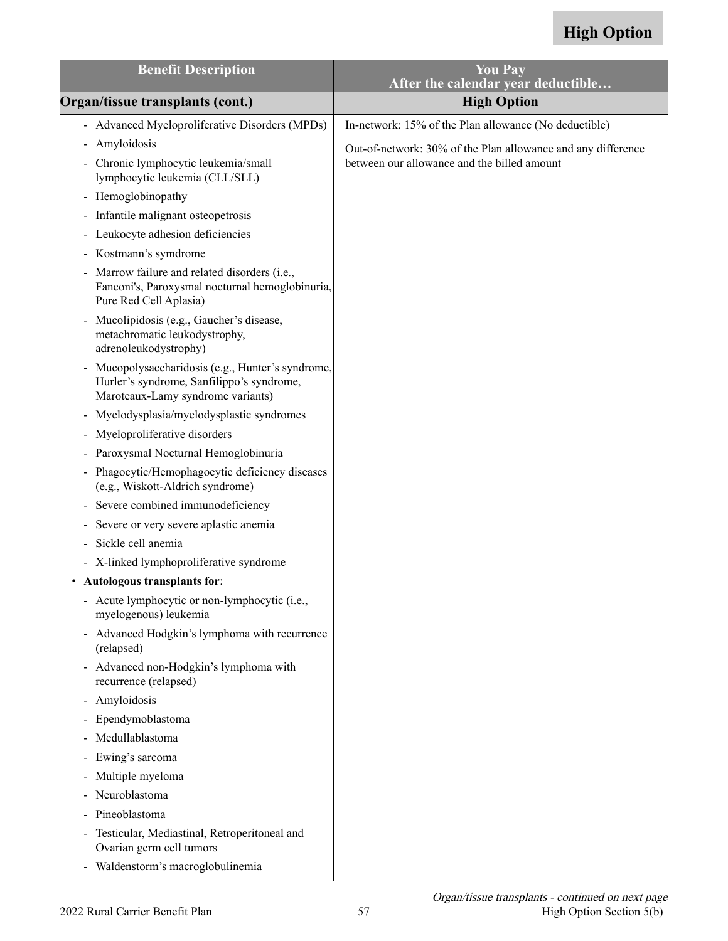| <b>Benefit Description</b>                                                                                                                          | <b>You Pay</b><br>After the calendar year deductible         |
|-----------------------------------------------------------------------------------------------------------------------------------------------------|--------------------------------------------------------------|
| Organ/tissue transplants (cont.)                                                                                                                    | <b>High Option</b>                                           |
| - Advanced Myeloproliferative Disorders (MPDs)                                                                                                      | In-network: 15% of the Plan allowance (No deductible)        |
| Amyloidosis<br>$\blacksquare$                                                                                                                       | Out-of-network: 30% of the Plan allowance and any difference |
| - Chronic lymphocytic leukemia/small<br>lymphocytic leukemia (CLL/SLL)                                                                              | between our allowance and the billed amount                  |
| - Hemoglobinopathy                                                                                                                                  |                                                              |
| Infantile malignant osteopetrosis<br>$\qquad \qquad \blacksquare$                                                                                   |                                                              |
| Leukocyte adhesion deficiencies<br>$\blacksquare$                                                                                                   |                                                              |
| Kostmann's symdrome<br>$\blacksquare$                                                                                                               |                                                              |
| Marrow failure and related disorders (i.e.,<br>Fanconi's, Paroxysmal nocturnal hemoglobinuria,<br>Pure Red Cell Aplasia)                            |                                                              |
| Mucolipidosis (e.g., Gaucher's disease,<br>metachromatic leukodystrophy,<br>adrenoleukodystrophy)                                                   |                                                              |
| Mucopolysaccharidosis (e.g., Hunter's syndrome,<br>$\blacksquare$<br>Hurler's syndrome, Sanfilippo's syndrome,<br>Maroteaux-Lamy syndrome variants) |                                                              |
| Myelodysplasia/myelodysplastic syndromes<br>$\qquad \qquad \blacksquare$                                                                            |                                                              |
| Myeloproliferative disorders<br>$\qquad \qquad \blacksquare$                                                                                        |                                                              |
| Paroxysmal Nocturnal Hemoglobinuria<br>$\blacksquare$                                                                                               |                                                              |
| Phagocytic/Hemophagocytic deficiency diseases<br>$\blacksquare$<br>(e.g., Wiskott-Aldrich syndrome)                                                 |                                                              |
| Severe combined immunodeficiency<br>$\qquad \qquad \blacksquare$                                                                                    |                                                              |
| Severe or very severe aplastic anemia<br>$\overline{\phantom{0}}$                                                                                   |                                                              |
| Sickle cell anemia                                                                                                                                  |                                                              |
| - X-linked lymphoproliferative syndrome                                                                                                             |                                                              |
| Autologous transplants for:                                                                                                                         |                                                              |
| - Acute lymphocytic or non-lymphocytic (i.e.,<br>myelogenous) leukemia                                                                              |                                                              |
| - Advanced Hodgkin's lymphoma with recurrence<br>(relapsed)                                                                                         |                                                              |
| Advanced non-Hodgkin's lymphoma with<br>$\blacksquare$<br>recurrence (relapsed)                                                                     |                                                              |
| Amyloidosis<br>$\blacksquare$                                                                                                                       |                                                              |
| Ependymoblastoma<br>$\blacksquare$                                                                                                                  |                                                              |
| Medullablastoma                                                                                                                                     |                                                              |
| Ewing's sarcoma<br>$\blacksquare$                                                                                                                   |                                                              |
| Multiple myeloma<br>$\qquad \qquad \blacksquare$                                                                                                    |                                                              |
| Neuroblastoma<br>-                                                                                                                                  |                                                              |
| Pineoblastoma                                                                                                                                       |                                                              |
| Testicular, Mediastinal, Retroperitoneal and<br>Ovarian germ cell tumors                                                                            |                                                              |
| Waldenstorm's macroglobulinemia                                                                                                                     |                                                              |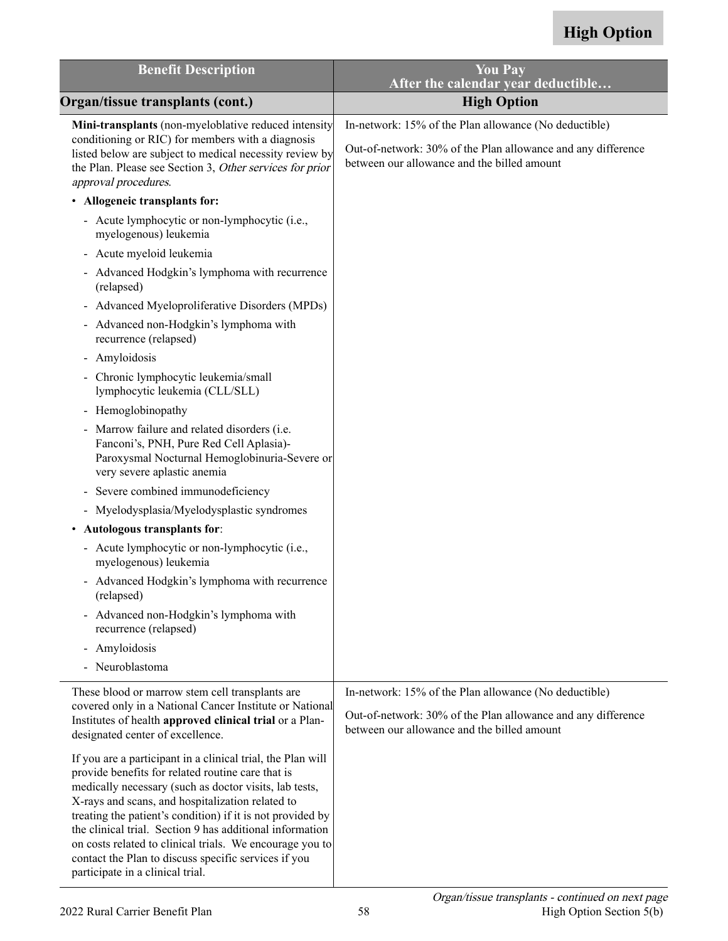| <b>Benefit Description</b>                                                                                                                                                                                                                                                                                                                                                                                                                                                                                       | <b>You Pay</b><br>After the calendar year deductible                                                        |
|------------------------------------------------------------------------------------------------------------------------------------------------------------------------------------------------------------------------------------------------------------------------------------------------------------------------------------------------------------------------------------------------------------------------------------------------------------------------------------------------------------------|-------------------------------------------------------------------------------------------------------------|
| Organ/tissue transplants (cont.)                                                                                                                                                                                                                                                                                                                                                                                                                                                                                 | <b>High Option</b>                                                                                          |
| Mini-transplants (non-myeloblative reduced intensity                                                                                                                                                                                                                                                                                                                                                                                                                                                             | In-network: 15% of the Plan allowance (No deductible)                                                       |
| conditioning or RIC) for members with a diagnosis<br>listed below are subject to medical necessity review by<br>the Plan. Please see Section 3, Other services for prior<br>approval procedures.                                                                                                                                                                                                                                                                                                                 | Out-of-network: 30% of the Plan allowance and any difference<br>between our allowance and the billed amount |
| • Allogeneic transplants for:                                                                                                                                                                                                                                                                                                                                                                                                                                                                                    |                                                                                                             |
| - Acute lymphocytic or non-lymphocytic (i.e.,<br>myelogenous) leukemia                                                                                                                                                                                                                                                                                                                                                                                                                                           |                                                                                                             |
| - Acute myeloid leukemia                                                                                                                                                                                                                                                                                                                                                                                                                                                                                         |                                                                                                             |
| - Advanced Hodgkin's lymphoma with recurrence<br>(relapsed)                                                                                                                                                                                                                                                                                                                                                                                                                                                      |                                                                                                             |
| - Advanced Myeloproliferative Disorders (MPDs)                                                                                                                                                                                                                                                                                                                                                                                                                                                                   |                                                                                                             |
| - Advanced non-Hodgkin's lymphoma with<br>recurrence (relapsed)                                                                                                                                                                                                                                                                                                                                                                                                                                                  |                                                                                                             |
| - Amyloidosis                                                                                                                                                                                                                                                                                                                                                                                                                                                                                                    |                                                                                                             |
| - Chronic lymphocytic leukemia/small<br>lymphocytic leukemia (CLL/SLL)                                                                                                                                                                                                                                                                                                                                                                                                                                           |                                                                                                             |
| - Hemoglobinopathy                                                                                                                                                                                                                                                                                                                                                                                                                                                                                               |                                                                                                             |
| - Marrow failure and related disorders (i.e.<br>Fanconi's, PNH, Pure Red Cell Aplasia)-<br>Paroxysmal Nocturnal Hemoglobinuria-Severe or<br>very severe aplastic anemia                                                                                                                                                                                                                                                                                                                                          |                                                                                                             |
| Severe combined immunodeficiency                                                                                                                                                                                                                                                                                                                                                                                                                                                                                 |                                                                                                             |
| - Myelodysplasia/Myelodysplastic syndromes                                                                                                                                                                                                                                                                                                                                                                                                                                                                       |                                                                                                             |
| Autologous transplants for:<br>٠                                                                                                                                                                                                                                                                                                                                                                                                                                                                                 |                                                                                                             |
| - Acute lymphocytic or non-lymphocytic (i.e.,<br>myelogenous) leukemia                                                                                                                                                                                                                                                                                                                                                                                                                                           |                                                                                                             |
| - Advanced Hodgkin's lymphoma with recurrence<br>(relapsed)                                                                                                                                                                                                                                                                                                                                                                                                                                                      |                                                                                                             |
| - Advanced non-Hodgkin's lymphoma with<br>recurrence (relapsed)                                                                                                                                                                                                                                                                                                                                                                                                                                                  |                                                                                                             |
| Amyloidosis<br>$\blacksquare$                                                                                                                                                                                                                                                                                                                                                                                                                                                                                    |                                                                                                             |
| - Neuroblastoma                                                                                                                                                                                                                                                                                                                                                                                                                                                                                                  |                                                                                                             |
| These blood or marrow stem cell transplants are                                                                                                                                                                                                                                                                                                                                                                                                                                                                  | In-network: 15% of the Plan allowance (No deductible)                                                       |
| covered only in a National Cancer Institute or National<br>Institutes of health approved clinical trial or a Plan-<br>designated center of excellence.                                                                                                                                                                                                                                                                                                                                                           | Out-of-network: 30% of the Plan allowance and any difference<br>between our allowance and the billed amount |
| If you are a participant in a clinical trial, the Plan will<br>provide benefits for related routine care that is<br>medically necessary (such as doctor visits, lab tests,<br>X-rays and scans, and hospitalization related to<br>treating the patient's condition) if it is not provided by<br>the clinical trial. Section 9 has additional information<br>on costs related to clinical trials. We encourage you to<br>contact the Plan to discuss specific services if you<br>participate in a clinical trial. |                                                                                                             |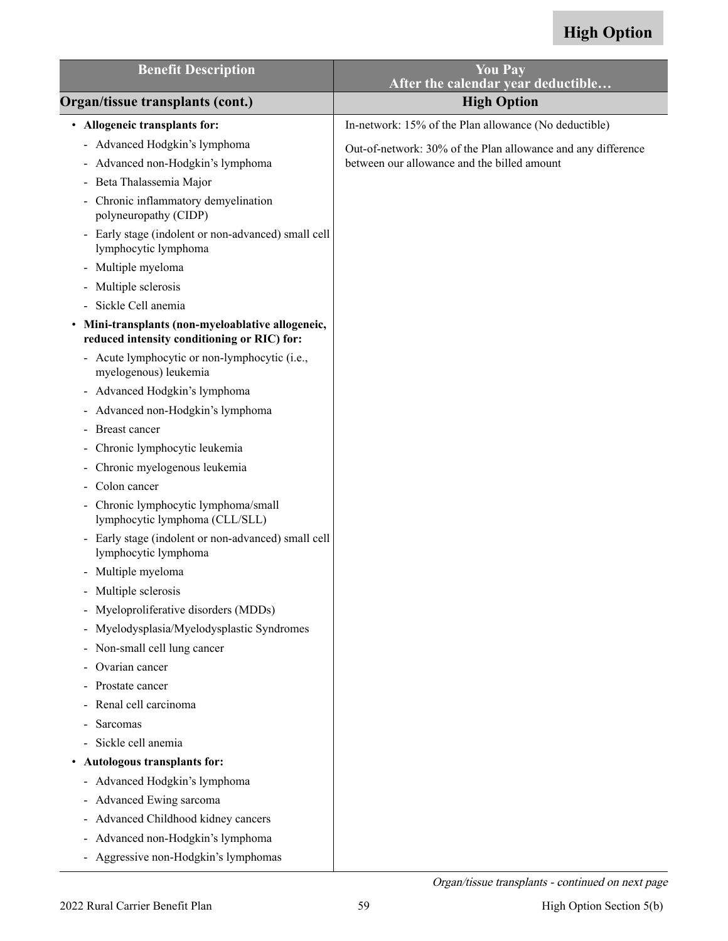| <b>Benefit Description</b>                                                                     | <b>You Pay</b>                                               |
|------------------------------------------------------------------------------------------------|--------------------------------------------------------------|
|                                                                                                | After the calendar year deductible                           |
| Organ/tissue transplants (cont.)                                                               | <b>High Option</b>                                           |
| • Allogeneic transplants for:                                                                  | In-network: 15% of the Plan allowance (No deductible)        |
| Advanced Hodgkin's lymphoma                                                                    | Out-of-network: 30% of the Plan allowance and any difference |
| - Advanced non-Hodgkin's lymphoma                                                              | between our allowance and the billed amount                  |
| Beta Thalassemia Major<br>$\blacksquare$                                                       |                                                              |
| Chronic inflammatory demyelination<br>polyneuropathy (CIDP)                                    |                                                              |
| Early stage (indolent or non-advanced) small cell<br>$\blacksquare$<br>lymphocytic lymphoma    |                                                              |
| Multiple myeloma<br>$\blacksquare$                                                             |                                                              |
| Multiple sclerosis                                                                             |                                                              |
| Sickle Cell anemia                                                                             |                                                              |
| Mini-transplants (non-myeloablative allogeneic,<br>reduced intensity conditioning or RIC) for: |                                                              |
| - Acute lymphocytic or non-lymphocytic (i.e.,<br>myelogenous) leukemia                         |                                                              |
| - Advanced Hodgkin's lymphoma                                                                  |                                                              |
| Advanced non-Hodgkin's lymphoma<br>$\blacksquare$                                              |                                                              |
| Breast cancer                                                                                  |                                                              |
| Chronic lymphocytic leukemia<br>$\qquad \qquad \blacksquare$                                   |                                                              |
| Chronic myelogenous leukemia<br>-                                                              |                                                              |
| Colon cancer                                                                                   |                                                              |
| Chronic lymphocytic lymphoma/small<br>$\blacksquare$<br>lymphocytic lymphoma (CLL/SLL)         |                                                              |
| - Early stage (indolent or non-advanced) small cell<br>lymphocytic lymphoma                    |                                                              |
| - Multiple myeloma                                                                             |                                                              |
| Multiple sclerosis                                                                             |                                                              |
| Myeloproliferative disorders (MDDs)                                                            |                                                              |
| Myelodysplasia/Myelodysplastic Syndromes<br>$\qquad \qquad \blacksquare$                       |                                                              |
| Non-small cell lung cancer<br>$\blacksquare$                                                   |                                                              |
| Ovarian cancer<br>$\qquad \qquad \blacksquare$                                                 |                                                              |
| Prostate cancer                                                                                |                                                              |
| Renal cell carcinoma<br>$\qquad \qquad \blacksquare$                                           |                                                              |
| Sarcomas                                                                                       |                                                              |
| Sickle cell anemia<br>$\overline{\phantom{0}}$                                                 |                                                              |
| Autologous transplants for:<br>$\bullet$                                                       |                                                              |
| - Advanced Hodgkin's lymphoma                                                                  |                                                              |
| Advanced Ewing sarcoma<br>$\blacksquare$                                                       |                                                              |
| Advanced Childhood kidney cancers<br>$\blacksquare$                                            |                                                              |
| Advanced non-Hodgkin's lymphoma<br>-                                                           |                                                              |
| Aggressive non-Hodgkin's lymphomas                                                             |                                                              |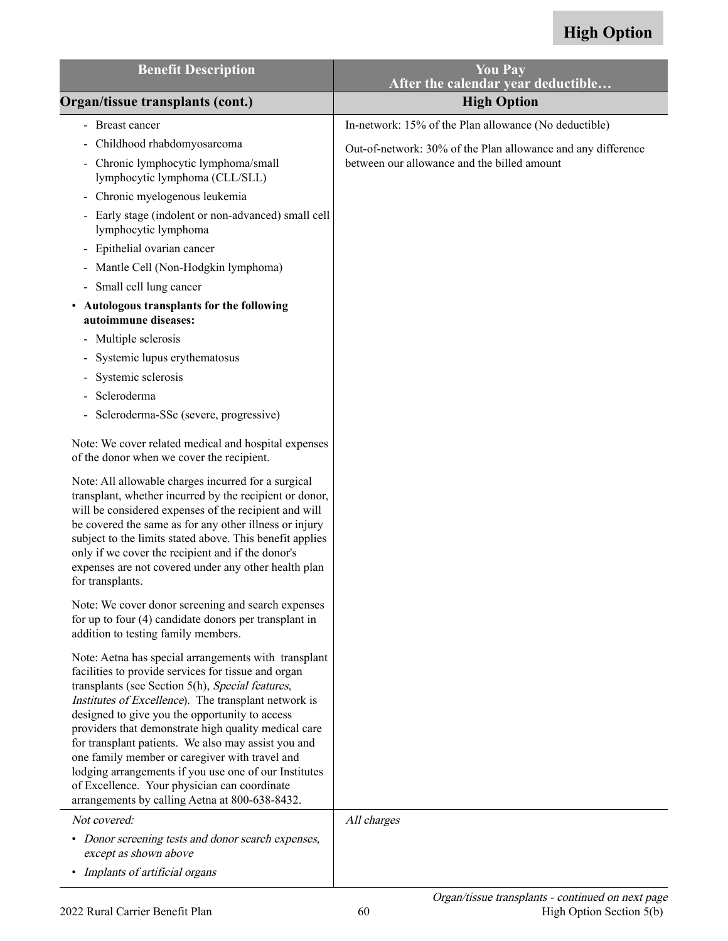| <b>Benefit Description</b>                                                                                                                                                                                                                                                                                                                                                                                                                                                                                                                                                                            | <b>You Pay</b><br>After the calendar year deductible         |
|-------------------------------------------------------------------------------------------------------------------------------------------------------------------------------------------------------------------------------------------------------------------------------------------------------------------------------------------------------------------------------------------------------------------------------------------------------------------------------------------------------------------------------------------------------------------------------------------------------|--------------------------------------------------------------|
| Organ/tissue transplants (cont.)                                                                                                                                                                                                                                                                                                                                                                                                                                                                                                                                                                      | <b>High Option</b>                                           |
| - Breast cancer                                                                                                                                                                                                                                                                                                                                                                                                                                                                                                                                                                                       | In-network: 15% of the Plan allowance (No deductible)        |
| Childhood rhabdomyosarcoma                                                                                                                                                                                                                                                                                                                                                                                                                                                                                                                                                                            | Out-of-network: 30% of the Plan allowance and any difference |
| - Chronic lymphocytic lymphoma/small<br>lymphocytic lymphoma (CLL/SLL)                                                                                                                                                                                                                                                                                                                                                                                                                                                                                                                                | between our allowance and the billed amount                  |
| - Chronic myelogenous leukemia                                                                                                                                                                                                                                                                                                                                                                                                                                                                                                                                                                        |                                                              |
| - Early stage (indolent or non-advanced) small cell<br>lymphocytic lymphoma                                                                                                                                                                                                                                                                                                                                                                                                                                                                                                                           |                                                              |
| Epithelial ovarian cancer                                                                                                                                                                                                                                                                                                                                                                                                                                                                                                                                                                             |                                                              |
| - Mantle Cell (Non-Hodgkin lymphoma)                                                                                                                                                                                                                                                                                                                                                                                                                                                                                                                                                                  |                                                              |
| - Small cell lung cancer                                                                                                                                                                                                                                                                                                                                                                                                                                                                                                                                                                              |                                                              |
| Autologous transplants for the following<br>$\bullet$<br>autoimmune diseases:                                                                                                                                                                                                                                                                                                                                                                                                                                                                                                                         |                                                              |
| - Multiple sclerosis                                                                                                                                                                                                                                                                                                                                                                                                                                                                                                                                                                                  |                                                              |
| Systemic lupus erythematosus                                                                                                                                                                                                                                                                                                                                                                                                                                                                                                                                                                          |                                                              |
| Systemic sclerosis                                                                                                                                                                                                                                                                                                                                                                                                                                                                                                                                                                                    |                                                              |
| Scleroderma                                                                                                                                                                                                                                                                                                                                                                                                                                                                                                                                                                                           |                                                              |
| - Scleroderma-SSc (severe, progressive)                                                                                                                                                                                                                                                                                                                                                                                                                                                                                                                                                               |                                                              |
| Note: We cover related medical and hospital expenses<br>of the donor when we cover the recipient.                                                                                                                                                                                                                                                                                                                                                                                                                                                                                                     |                                                              |
| Note: All allowable charges incurred for a surgical<br>transplant, whether incurred by the recipient or donor,<br>will be considered expenses of the recipient and will<br>be covered the same as for any other illness or injury<br>subject to the limits stated above. This benefit applies<br>only if we cover the recipient and if the donor's<br>expenses are not covered under any other health plan<br>for transplants.                                                                                                                                                                        |                                                              |
| Note: We cover donor screening and search expenses<br>for up to four (4) candidate donors per transplant in<br>addition to testing family members.                                                                                                                                                                                                                                                                                                                                                                                                                                                    |                                                              |
| Note: Aetna has special arrangements with transplant<br>facilities to provide services for tissue and organ<br>transplants (see Section 5(h), Special features,<br>Institutes of Excellence). The transplant network is<br>designed to give you the opportunity to access<br>providers that demonstrate high quality medical care<br>for transplant patients. We also may assist you and<br>one family member or caregiver with travel and<br>lodging arrangements if you use one of our Institutes<br>of Excellence. Your physician can coordinate<br>arrangements by calling Aetna at 800-638-8432. |                                                              |
| Not covered:                                                                                                                                                                                                                                                                                                                                                                                                                                                                                                                                                                                          | All charges                                                  |
| • Donor screening tests and donor search expenses,<br>except as shown above                                                                                                                                                                                                                                                                                                                                                                                                                                                                                                                           |                                                              |
| • Implants of artificial organs                                                                                                                                                                                                                                                                                                                                                                                                                                                                                                                                                                       |                                                              |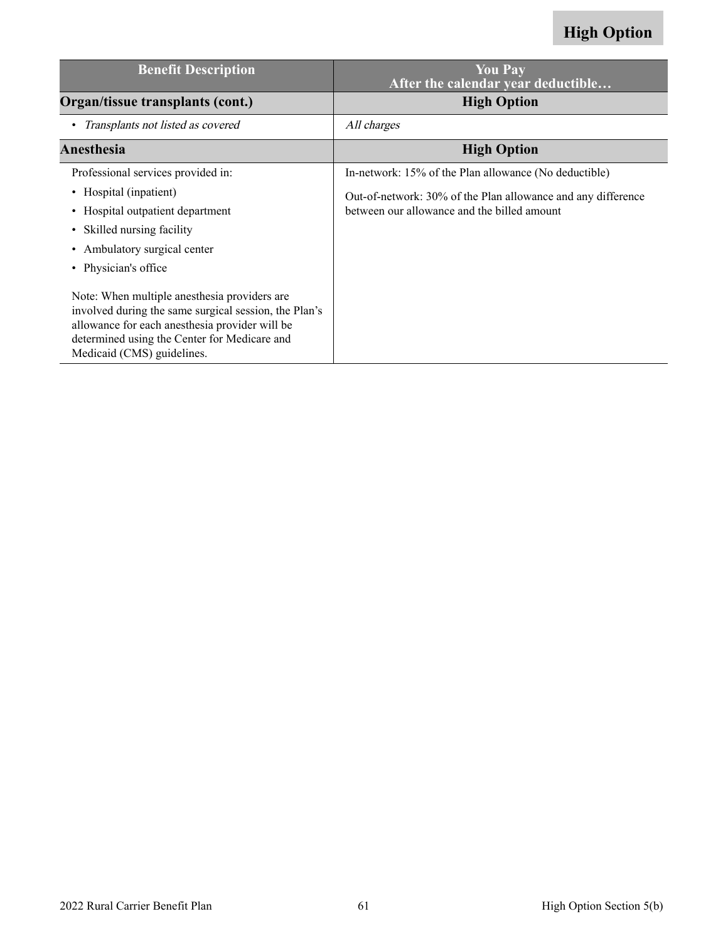| <b>Benefit Description</b>                                                                                                                                                                                                            | <b>You Pay</b><br>After the calendar year deductible                                                        |
|---------------------------------------------------------------------------------------------------------------------------------------------------------------------------------------------------------------------------------------|-------------------------------------------------------------------------------------------------------------|
| Organ/tissue transplants (cont.)                                                                                                                                                                                                      | <b>High Option</b>                                                                                          |
| Transplants not listed as covered                                                                                                                                                                                                     | All charges                                                                                                 |
| Anesthesia                                                                                                                                                                                                                            | <b>High Option</b>                                                                                          |
| Professional services provided in:                                                                                                                                                                                                    | In-network: 15% of the Plan allowance (No deductible)                                                       |
| • Hospital (inpatient)<br>Hospital outpatient department<br>Skilled nursing facility<br>$\bullet$<br>Ambulatory surgical center<br>$\bullet$<br>• Physician's office                                                                  | Out-of-network: 30% of the Plan allowance and any difference<br>between our allowance and the billed amount |
| Note: When multiple anesthesia providers are<br>involved during the same surgical session, the Plan's<br>allowance for each anesthesia provider will be<br>determined using the Center for Medicare and<br>Medicaid (CMS) guidelines. |                                                                                                             |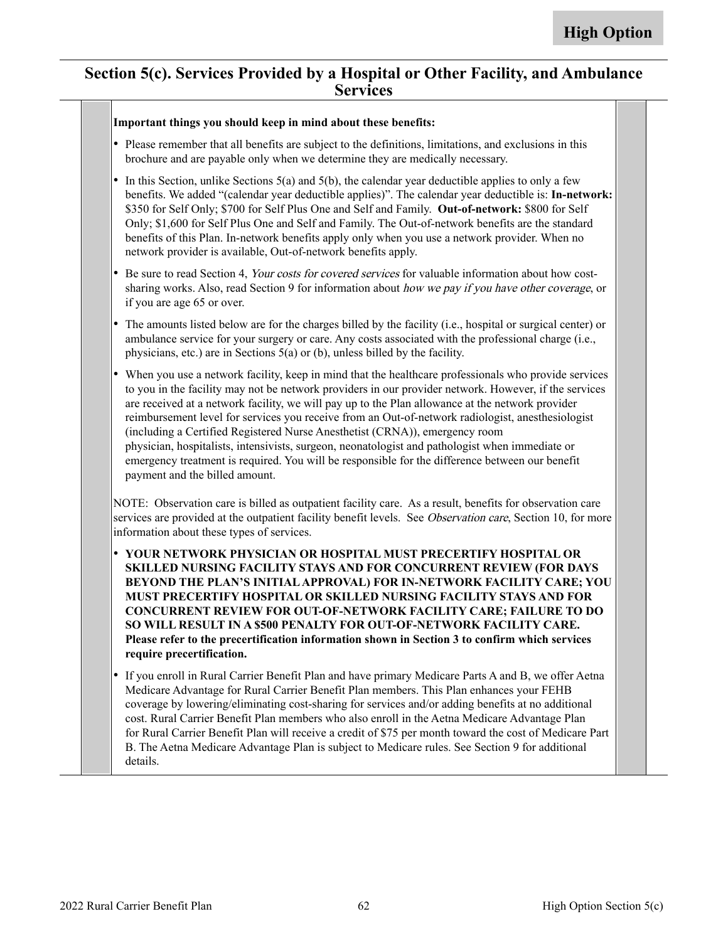#### **Section 5(c). Services Provided by a Hospital or Other Facility, and Ambulance Services**

#### **Important things you should keep in mind about these benefits:**

- Please remember that all benefits are subject to the definitions, limitations, and exclusions in this brochure and are payable only when we determine they are medically necessary.
- •In this Section, unlike Sections  $5(a)$  and  $5(b)$ , the calendar year deductible applies to only a few benefits. We added "(calendar year deductible applies)". The calendar year deductible is: **In-network:** \$350 for Self Only; \$700 for Self Plus One and Self and Family. **Out-of-network:** \$800 for Self Only; \$1,600 for Self Plus One and Self and Family. The Out-of-network benefits are the standard benefits of this Plan. In-network benefits apply only when you use a network provider. When no network provider is available, Out-of-network benefits apply.
- • Be sure to read Section 4, Your costs for covered services for valuable information about how costsharing works. Also, read Section 9 for information about how we pay if you have other coverage, or if you are age 65 or over.
- • The amounts listed below are for the charges billed by the facility (i.e., hospital or surgical center) or ambulance service for your surgery or care. Any costs associated with the professional charge (i.e., physicians, etc.) are in Sections 5(a) or (b), unless billed by the facility.
- • When you use a network facility, keep in mind that the healthcare professionals who provide services to you in the facility may not be network providers in our provider network. However, if the services are received at a network facility, we will pay up to the Plan allowance at the network provider reimbursement level for services you receive from an Out-of-network radiologist, anesthesiologist (including a Certified Registered Nurse Anesthetist (CRNA)), emergency room physician, hospitalists, intensivists, surgeon, neonatologist and pathologist when immediate or emergency treatment is required. You will be responsible for the difference between our benefit payment and the billed amount.

NOTE: Observation care is billed as outpatient facility care. As a result, benefits for observation care services are provided at the outpatient facility benefit levels. See Observation care, Section 10, for more information about these types of services.

- • **YOUR NETWORK PHYSICIAN OR HOSPITAL MUST PRECERTIFY HOSPITAL OR SKILLED NURSING FACILITY STAYS AND FOR CONCURRENT REVIEW (FOR DAYS BEYOND THE PLAN'S INITIAL APPROVAL) FOR IN-NETWORK FACILITY CARE; YOU MUST PRECERTIFY HOSPITAL OR SKILLED NURSING FACILITY STAYS AND FOR CONCURRENT REVIEW FOR OUT-OF-NETWORK FACILITY CARE; FAILURE TO DO SO WILL RESULT IN A \$500 PENALTY FOR OUT-OF-NETWORK FACILITY CARE. Please refer to the precertification information shown in Section 3 to confirm which services require precertification.**
- • If you enroll in Rural Carrier Benefit Plan and have primary Medicare Parts A and B, we offer Aetna Medicare Advantage for Rural Carrier Benefit Plan members. This Plan enhances your FEHB coverage by lowering/eliminating cost-sharing for services and/or adding benefits at no additional cost. Rural Carrier Benefit Plan members who also enroll in the Aetna Medicare Advantage Plan for Rural Carrier Benefit Plan will receive a credit of \$75 per month toward the cost of Medicare Part B. The Aetna Medicare Advantage Plan is subject to Medicare rules. See Section 9 for additional details.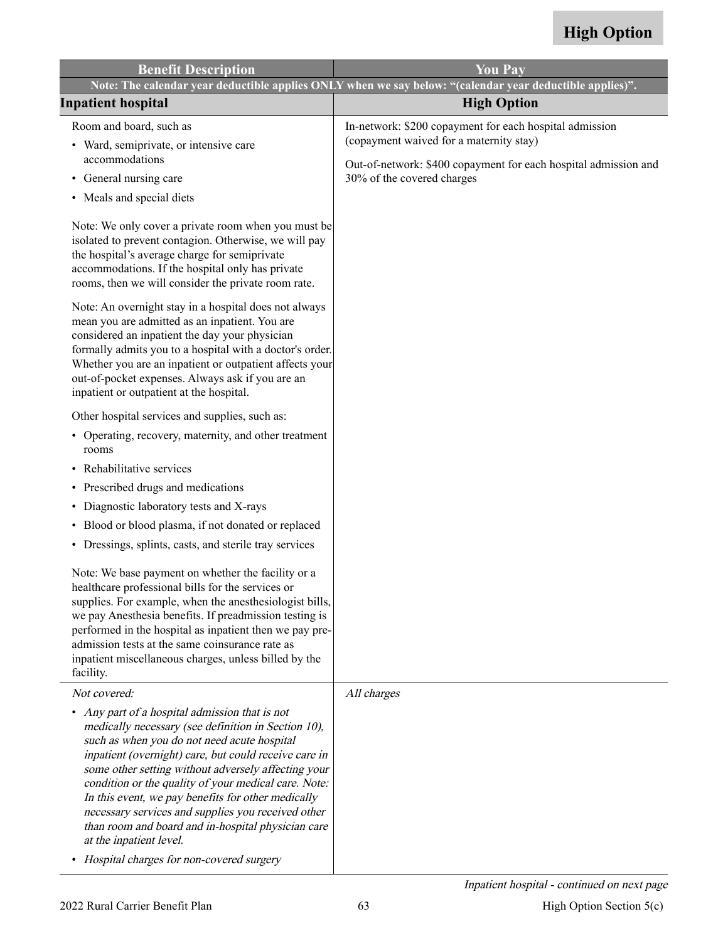| <b>Benefit Description</b>                                                                                                                                                                                                                                                                                                                                                                                                                                                                                                                                              | <b>You Pay</b>                                                                                                                                                                                      |
|-------------------------------------------------------------------------------------------------------------------------------------------------------------------------------------------------------------------------------------------------------------------------------------------------------------------------------------------------------------------------------------------------------------------------------------------------------------------------------------------------------------------------------------------------------------------------|-----------------------------------------------------------------------------------------------------------------------------------------------------------------------------------------------------|
|                                                                                                                                                                                                                                                                                                                                                                                                                                                                                                                                                                         | Note: The calendar year deductible applies ONLY when we say below: "(calendar year deductible applies)".                                                                                            |
| <b>Inpatient hospital</b>                                                                                                                                                                                                                                                                                                                                                                                                                                                                                                                                               | <b>High Option</b>                                                                                                                                                                                  |
| Room and board, such as<br>• Ward, semiprivate, or intensive care<br>accommodations<br>General nursing care<br>٠<br>• Meals and special diets                                                                                                                                                                                                                                                                                                                                                                                                                           | In-network: \$200 copayment for each hospital admission<br>(copayment waived for a maternity stay)<br>Out-of-network: \$400 copayment for each hospital admission and<br>30% of the covered charges |
| Note: We only cover a private room when you must be<br>isolated to prevent contagion. Otherwise, we will pay<br>the hospital's average charge for semiprivate<br>accommodations. If the hospital only has private<br>rooms, then we will consider the private room rate.                                                                                                                                                                                                                                                                                                |                                                                                                                                                                                                     |
| Note: An overnight stay in a hospital does not always<br>mean you are admitted as an inpatient. You are<br>considered an inpatient the day your physician<br>formally admits you to a hospital with a doctor's order.<br>Whether you are an inpatient or outpatient affects your<br>out-of-pocket expenses. Always ask if you are an<br>inpatient or outpatient at the hospital.                                                                                                                                                                                        |                                                                                                                                                                                                     |
| Other hospital services and supplies, such as:                                                                                                                                                                                                                                                                                                                                                                                                                                                                                                                          |                                                                                                                                                                                                     |
| • Operating, recovery, maternity, and other treatment<br>rooms                                                                                                                                                                                                                                                                                                                                                                                                                                                                                                          |                                                                                                                                                                                                     |
| Rehabilitative services<br>$\bullet$                                                                                                                                                                                                                                                                                                                                                                                                                                                                                                                                    |                                                                                                                                                                                                     |
| • Prescribed drugs and medications                                                                                                                                                                                                                                                                                                                                                                                                                                                                                                                                      |                                                                                                                                                                                                     |
| Diagnostic laboratory tests and X-rays<br>٠                                                                                                                                                                                                                                                                                                                                                                                                                                                                                                                             |                                                                                                                                                                                                     |
| Blood or blood plasma, if not donated or replaced<br>٠                                                                                                                                                                                                                                                                                                                                                                                                                                                                                                                  |                                                                                                                                                                                                     |
| • Dressings, splints, casts, and sterile tray services                                                                                                                                                                                                                                                                                                                                                                                                                                                                                                                  |                                                                                                                                                                                                     |
| Note: We base payment on whether the facility or a<br>healthcare professional bills for the services or<br>supplies. For example, when the anesthesiologist bills,<br>we pay Anesthesia benefits. If preadmission testing is<br>performed in the hospital as inpatient then we pay pre-<br>admission tests at the same coinsurance rate as<br>inpatient miscellaneous charges, unless billed by the<br>facility.                                                                                                                                                        |                                                                                                                                                                                                     |
| Not covered:                                                                                                                                                                                                                                                                                                                                                                                                                                                                                                                                                            | All charges                                                                                                                                                                                         |
| • Any part of a hospital admission that is not<br>medically necessary (see definition in Section 10),<br>such as when you do not need acute hospital<br>inpatient (overnight) care, but could receive care in<br>some other setting without adversely affecting your<br>condition or the quality of your medical care. Note:<br>In this event, we pay benefits for other medically<br>necessary services and supplies you received other<br>than room and board and in-hospital physician care<br>at the inpatient level.<br>• Hospital charges for non-covered surgery |                                                                                                                                                                                                     |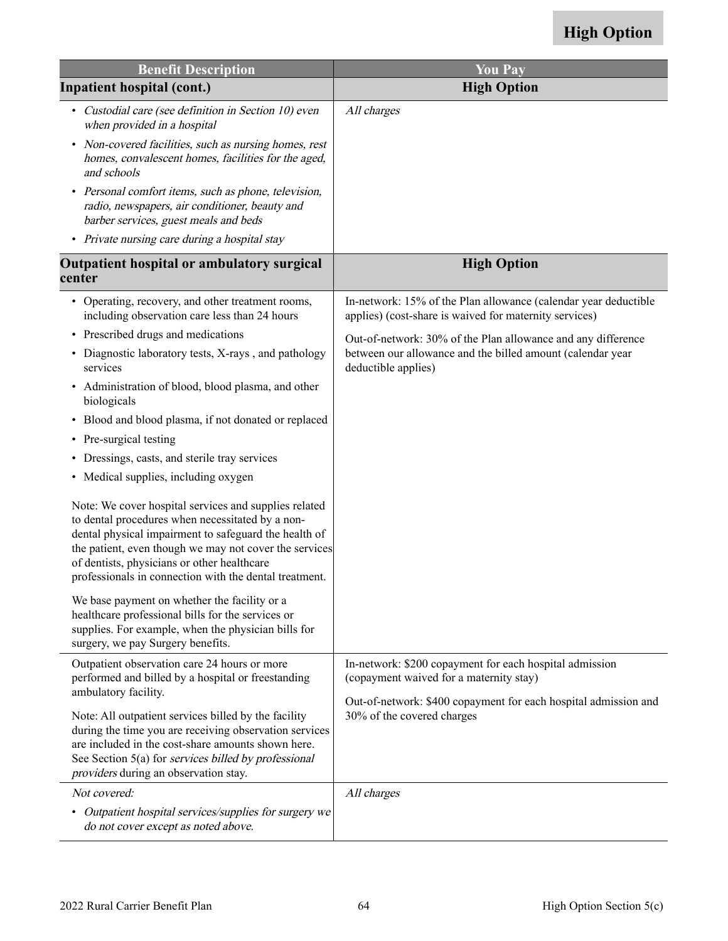| <b>Benefit Description</b>                                                                                                                                                                                                                                                                                                            | <b>You Pay</b>                                                                                                            |
|---------------------------------------------------------------------------------------------------------------------------------------------------------------------------------------------------------------------------------------------------------------------------------------------------------------------------------------|---------------------------------------------------------------------------------------------------------------------------|
| <b>Inpatient hospital (cont.)</b>                                                                                                                                                                                                                                                                                                     | <b>High Option</b>                                                                                                        |
| • Custodial care (see definition in Section 10) even<br>when provided in a hospital                                                                                                                                                                                                                                                   | All charges                                                                                                               |
| • Non-covered facilities, such as nursing homes, rest<br>homes, convalescent homes, facilities for the aged,<br>and schools                                                                                                                                                                                                           |                                                                                                                           |
| • Personal comfort items, such as phone, television,<br>radio, newspapers, air conditioner, beauty and<br>barber services, guest meals and beds                                                                                                                                                                                       |                                                                                                                           |
| • Private nursing care during a hospital stay                                                                                                                                                                                                                                                                                         |                                                                                                                           |
| Outpatient hospital or ambulatory surgical<br>center                                                                                                                                                                                                                                                                                  | <b>High Option</b>                                                                                                        |
| • Operating, recovery, and other treatment rooms,<br>including observation care less than 24 hours                                                                                                                                                                                                                                    | In-network: 15% of the Plan allowance (calendar year deductible<br>applies) (cost-share is waived for maternity services) |
| • Prescribed drugs and medications                                                                                                                                                                                                                                                                                                    | Out-of-network: 30% of the Plan allowance and any difference                                                              |
| • Diagnostic laboratory tests, X-rays, and pathology<br>services                                                                                                                                                                                                                                                                      | between our allowance and the billed amount (calendar year<br>deductible applies)                                         |
| • Administration of blood, blood plasma, and other<br>biologicals                                                                                                                                                                                                                                                                     |                                                                                                                           |
| • Blood and blood plasma, if not donated or replaced                                                                                                                                                                                                                                                                                  |                                                                                                                           |
| • Pre-surgical testing                                                                                                                                                                                                                                                                                                                |                                                                                                                           |
| • Dressings, casts, and sterile tray services                                                                                                                                                                                                                                                                                         |                                                                                                                           |
| • Medical supplies, including oxygen                                                                                                                                                                                                                                                                                                  |                                                                                                                           |
| Note: We cover hospital services and supplies related<br>to dental procedures when necessitated by a non-<br>dental physical impairment to safeguard the health of<br>the patient, even though we may not cover the services<br>of dentists, physicians or other healthcare<br>professionals in connection with the dental treatment. |                                                                                                                           |
| We base payment on whether the facility or a<br>healthcare professional bills for the services or<br>supplies. For example, when the physician bills for<br>surgery, we pay Surgery benefits.                                                                                                                                         |                                                                                                                           |
| Outpatient observation care 24 hours or more<br>performed and billed by a hospital or freestanding<br>ambulatory facility.                                                                                                                                                                                                            | In-network: \$200 copayment for each hospital admission<br>(copayment waived for a maternity stay)                        |
| Note: All outpatient services billed by the facility<br>during the time you are receiving observation services<br>are included in the cost-share amounts shown here.<br>See Section 5(a) for services billed by professional<br>providers during an observation stay.                                                                 | Out-of-network: \$400 copayment for each hospital admission and<br>30% of the covered charges                             |
| Not covered:                                                                                                                                                                                                                                                                                                                          | All charges                                                                                                               |
| • Outpatient hospital services/supplies for surgery we<br>do not cover except as noted above.                                                                                                                                                                                                                                         |                                                                                                                           |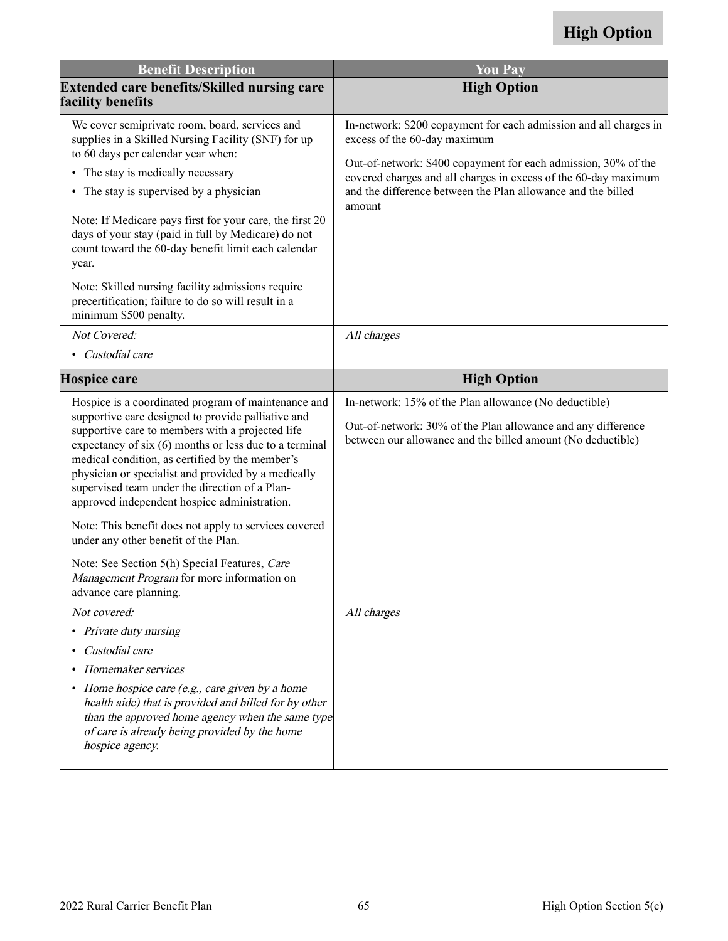| <b>Benefit Description</b>                                                                                                                                                                                                                                                                                                                                                                                                          | <b>You Pay</b>                                                                                                                                                                       |
|-------------------------------------------------------------------------------------------------------------------------------------------------------------------------------------------------------------------------------------------------------------------------------------------------------------------------------------------------------------------------------------------------------------------------------------|--------------------------------------------------------------------------------------------------------------------------------------------------------------------------------------|
| <b>Extended care benefits/Skilled nursing care</b><br>facility benefits                                                                                                                                                                                                                                                                                                                                                             | <b>High Option</b>                                                                                                                                                                   |
| We cover semiprivate room, board, services and<br>supplies in a Skilled Nursing Facility (SNF) for up                                                                                                                                                                                                                                                                                                                               | In-network: \$200 copayment for each admission and all charges in<br>excess of the 60-day maximum                                                                                    |
| to 60 days per calendar year when:<br>• The stay is medically necessary                                                                                                                                                                                                                                                                                                                                                             | Out-of-network: \$400 copayment for each admission, 30% of the<br>covered charges and all charges in excess of the 60-day maximum                                                    |
| The stay is supervised by a physician<br>٠                                                                                                                                                                                                                                                                                                                                                                                          | and the difference between the Plan allowance and the billed<br>amount                                                                                                               |
| Note: If Medicare pays first for your care, the first 20<br>days of your stay (paid in full by Medicare) do not<br>count toward the 60-day benefit limit each calendar<br>year.                                                                                                                                                                                                                                                     |                                                                                                                                                                                      |
| Note: Skilled nursing facility admissions require<br>precertification; failure to do so will result in a<br>minimum \$500 penalty.                                                                                                                                                                                                                                                                                                  |                                                                                                                                                                                      |
| Not Covered:                                                                                                                                                                                                                                                                                                                                                                                                                        | All charges                                                                                                                                                                          |
| • Custodial care                                                                                                                                                                                                                                                                                                                                                                                                                    |                                                                                                                                                                                      |
| <b>Hospice care</b>                                                                                                                                                                                                                                                                                                                                                                                                                 | <b>High Option</b>                                                                                                                                                                   |
| Hospice is a coordinated program of maintenance and<br>supportive care designed to provide palliative and<br>supportive care to members with a projected life<br>expectancy of six (6) months or less due to a terminal<br>medical condition, as certified by the member's<br>physician or specialist and provided by a medically<br>supervised team under the direction of a Plan-<br>approved independent hospice administration. | In-network: 15% of the Plan allowance (No deductible)<br>Out-of-network: 30% of the Plan allowance and any difference<br>between our allowance and the billed amount (No deductible) |
| Note: This benefit does not apply to services covered<br>under any other benefit of the Plan.                                                                                                                                                                                                                                                                                                                                       |                                                                                                                                                                                      |
| Note: See Section 5(h) Special Features, Care<br>Management Program for more information on<br>advance care planning.                                                                                                                                                                                                                                                                                                               |                                                                                                                                                                                      |
| Not covered:                                                                                                                                                                                                                                                                                                                                                                                                                        | All charges                                                                                                                                                                          |
| • Private duty nursing                                                                                                                                                                                                                                                                                                                                                                                                              |                                                                                                                                                                                      |
| Custodial care<br>$\bullet$                                                                                                                                                                                                                                                                                                                                                                                                         |                                                                                                                                                                                      |
| Homemaker services                                                                                                                                                                                                                                                                                                                                                                                                                  |                                                                                                                                                                                      |
| • Home hospice care (e.g., care given by a home<br>health aide) that is provided and billed for by other<br>than the approved home agency when the same type<br>of care is already being provided by the home<br>hospice agency.                                                                                                                                                                                                    |                                                                                                                                                                                      |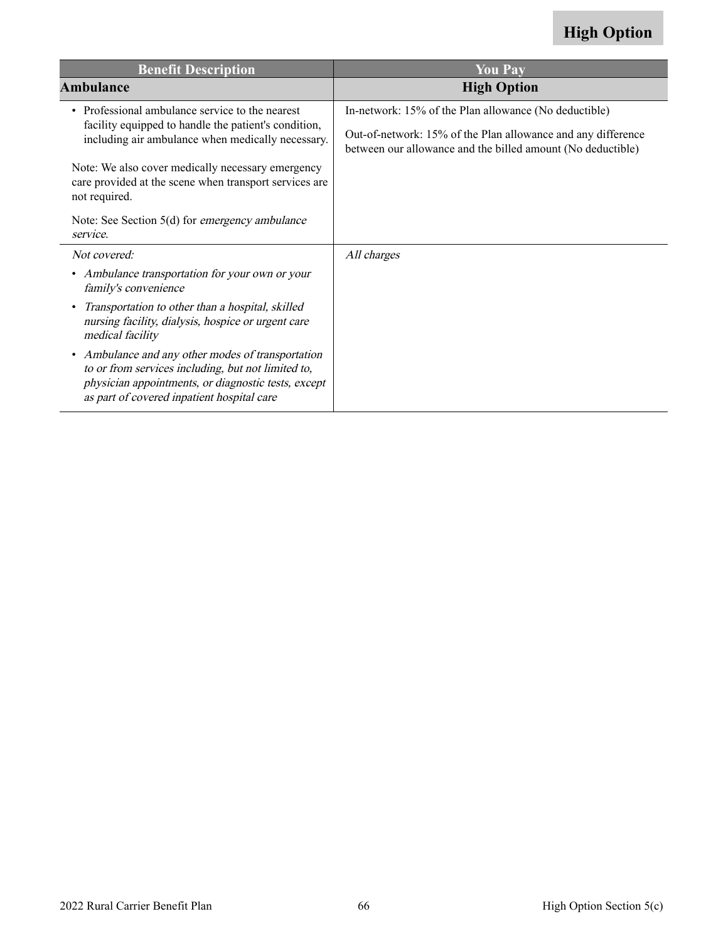| <b>Benefit Description</b>                                                                                                                                                                                   | <b>You Pay</b>                                                                                                              |
|--------------------------------------------------------------------------------------------------------------------------------------------------------------------------------------------------------------|-----------------------------------------------------------------------------------------------------------------------------|
| Ambulance                                                                                                                                                                                                    | <b>High Option</b>                                                                                                          |
| • Professional ambulance service to the nearest<br>facility equipped to handle the patient's condition,<br>including air ambulance when medically necessary.                                                 | In-network: 15% of the Plan allowance (No deductible)                                                                       |
|                                                                                                                                                                                                              | Out-of-network: 15% of the Plan allowance and any difference<br>between our allowance and the billed amount (No deductible) |
| Note: We also cover medically necessary emergency<br>care provided at the scene when transport services are<br>not required.                                                                                 |                                                                                                                             |
| Note: See Section 5(d) for <i>emergency ambulance</i><br>service.                                                                                                                                            |                                                                                                                             |
| Not covered:                                                                                                                                                                                                 | All charges                                                                                                                 |
| • Ambulance transportation for your own or your<br>family's convenience                                                                                                                                      |                                                                                                                             |
| Transportation to other than a hospital, skilled<br>$\bullet$<br>nursing facility, dialysis, hospice or urgent care<br>medical facility                                                                      |                                                                                                                             |
| • Ambulance and any other modes of transportation<br>to or from services including, but not limited to,<br>physician appointments, or diagnostic tests, except<br>as part of covered inpatient hospital care |                                                                                                                             |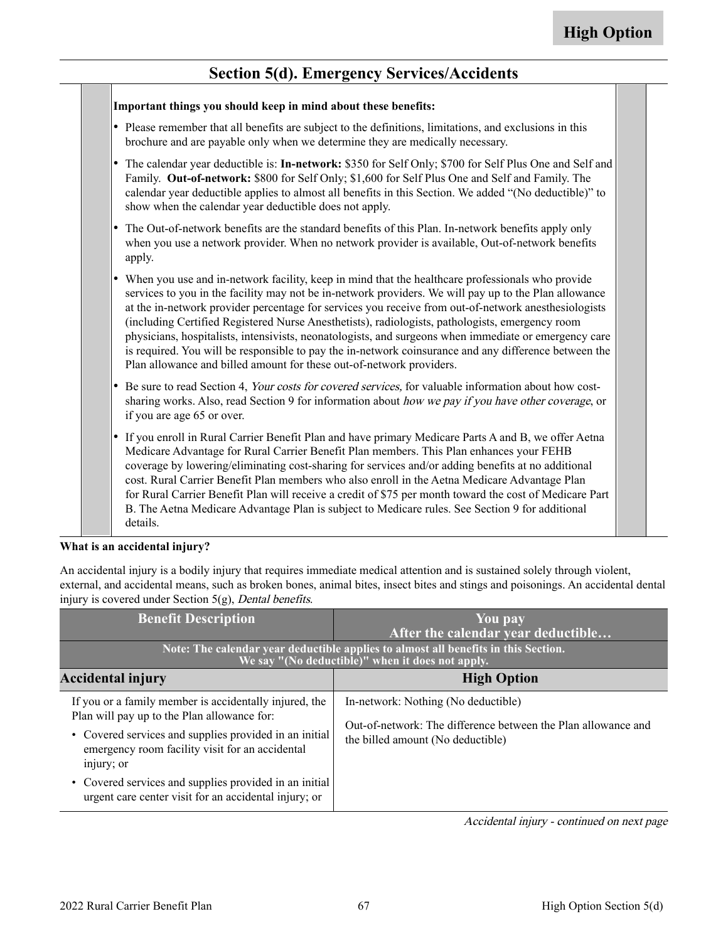#### **Section 5(d). Emergency Services/Accidents**

| Important things you should keep in mind about these benefits:                                                                                                                                                                                                                                                                                                                                                                                                                                                                                                                                                                                                                                                 |
|----------------------------------------------------------------------------------------------------------------------------------------------------------------------------------------------------------------------------------------------------------------------------------------------------------------------------------------------------------------------------------------------------------------------------------------------------------------------------------------------------------------------------------------------------------------------------------------------------------------------------------------------------------------------------------------------------------------|
| • Please remember that all benefits are subject to the definitions, limitations, and exclusions in this<br>brochure and are payable only when we determine they are medically necessary.                                                                                                                                                                                                                                                                                                                                                                                                                                                                                                                       |
| • The calendar year deductible is: In-network: \$350 for Self Only; \$700 for Self Plus One and Self and<br>Family. Out-of-network: \$800 for Self Only; \$1,600 for Self Plus One and Self and Family. The<br>calendar year deductible applies to almost all benefits in this Section. We added "(No deductible)" to<br>show when the calendar year deductible does not apply.                                                                                                                                                                                                                                                                                                                                |
| The Out-of-network benefits are the standard benefits of this Plan. In-network benefits apply only<br>when you use a network provider. When no network provider is available, Out-of-network benefits<br>apply.                                                                                                                                                                                                                                                                                                                                                                                                                                                                                                |
| When you use and in-network facility, keep in mind that the healthcare professionals who provide<br>services to you in the facility may not be in-network providers. We will pay up to the Plan allowance<br>at the in-network provider percentage for services you receive from out-of-network anesthesiologists<br>(including Certified Registered Nurse Anesthetists), radiologists, pathologists, emergency room<br>physicians, hospitalists, intensivists, neonatologists, and surgeons when immediate or emergency care<br>is required. You will be responsible to pay the in-network coinsurance and any difference between the<br>Plan allowance and billed amount for these out-of-network providers. |
| Be sure to read Section 4, Your costs for covered services, for valuable information about how cost-<br>sharing works. Also, read Section 9 for information about how we pay if you have other coverage, or<br>if you are age 65 or over.                                                                                                                                                                                                                                                                                                                                                                                                                                                                      |
| • If you enroll in Rural Carrier Benefit Plan and have primary Medicare Parts A and B, we offer Aetna<br>Medicare Advantage for Rural Carrier Benefit Plan members. This Plan enhances your FEHB<br>coverage by lowering/eliminating cost-sharing for services and/or adding benefits at no additional<br>cost. Rural Carrier Benefit Plan members who also enroll in the Aetna Medicare Advantage Plan<br>for Rural Carrier Benefit Plan will receive a credit of \$75 per month toward the cost of Medicare Part<br>B. The Aetna Medicare Advantage Plan is subject to Medicare rules. See Section 9 for additional<br>details.                                                                              |

#### **What is an accidental injury?**

An accidental injury is a bodily injury that requires immediate medical attention and is sustained solely through violent, external, and accidental means, such as broken bones, animal bites, insect bites and stings and poisonings. An accidental dental injury is covered under Section 5(g), Dental benefits.

| <b>Benefit Description</b>                                                                                                                                                                                                       | You pay<br>After the calendar year deductible                                                                                             |
|----------------------------------------------------------------------------------------------------------------------------------------------------------------------------------------------------------------------------------|-------------------------------------------------------------------------------------------------------------------------------------------|
| Note: The calendar year deductible applies to almost all benefits in this Section.<br>We say "(No deductible)" when it does not apply.                                                                                           |                                                                                                                                           |
| <b>Accidental injury</b>                                                                                                                                                                                                         | <b>High Option</b>                                                                                                                        |
| If you or a family member is accidentally injured, the<br>Plan will pay up to the Plan allowance for:<br>• Covered services and supplies provided in an initial<br>emergency room facility visit for an accidental<br>injury; or | In-network: Nothing (No deductible)<br>Out-of-network: The difference between the Plan allowance and<br>the billed amount (No deductible) |
| • Covered services and supplies provided in an initial<br>urgent care center visit for an accidental injury; or                                                                                                                  |                                                                                                                                           |

Accidental injury - continued on next page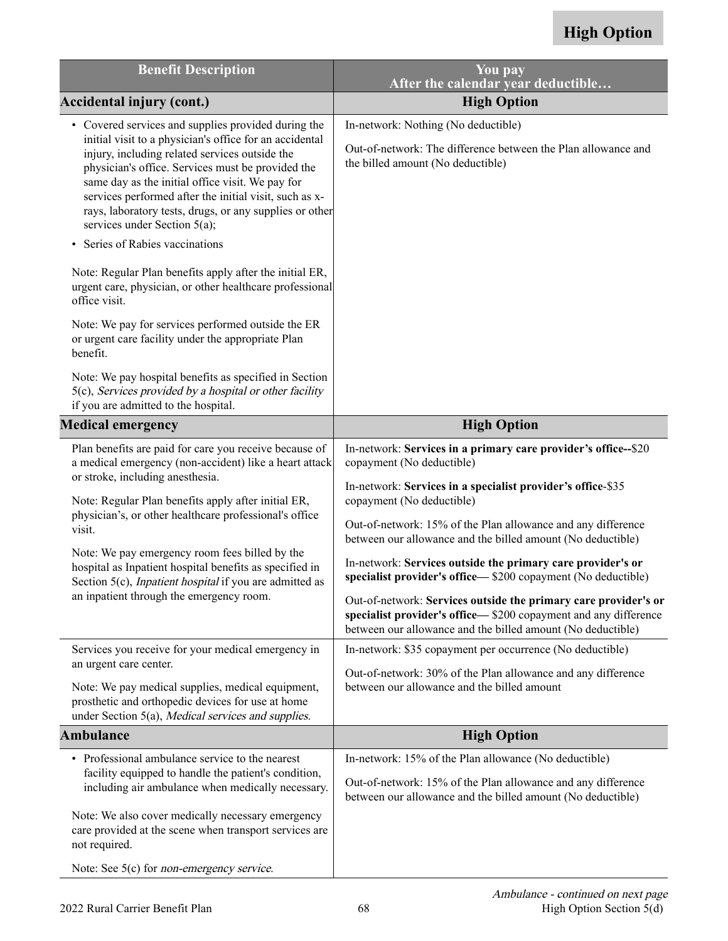| <b>Benefit Description</b>                                                                                                                                                                                                                                                                                                                                                                                                                                                                                                                                                                                                                                                                                                                                 | You pay<br>After the calendar year deductible                                                                                                                                                                                                                                                                                                                                                                                                                                                                                                                                                                                                                                                                                                                                                                                           |
|------------------------------------------------------------------------------------------------------------------------------------------------------------------------------------------------------------------------------------------------------------------------------------------------------------------------------------------------------------------------------------------------------------------------------------------------------------------------------------------------------------------------------------------------------------------------------------------------------------------------------------------------------------------------------------------------------------------------------------------------------------|-----------------------------------------------------------------------------------------------------------------------------------------------------------------------------------------------------------------------------------------------------------------------------------------------------------------------------------------------------------------------------------------------------------------------------------------------------------------------------------------------------------------------------------------------------------------------------------------------------------------------------------------------------------------------------------------------------------------------------------------------------------------------------------------------------------------------------------------|
| <b>Accidental injury (cont.)</b>                                                                                                                                                                                                                                                                                                                                                                                                                                                                                                                                                                                                                                                                                                                           | <b>High Option</b>                                                                                                                                                                                                                                                                                                                                                                                                                                                                                                                                                                                                                                                                                                                                                                                                                      |
| • Covered services and supplies provided during the<br>initial visit to a physician's office for an accidental<br>injury, including related services outside the<br>physician's office. Services must be provided the<br>same day as the initial office visit. We pay for<br>services performed after the initial visit, such as x-<br>rays, laboratory tests, drugs, or any supplies or other<br>services under Section 5(a);<br>Series of Rabies vaccinations                                                                                                                                                                                                                                                                                            | In-network: Nothing (No deductible)<br>Out-of-network: The difference between the Plan allowance and<br>the billed amount (No deductible)                                                                                                                                                                                                                                                                                                                                                                                                                                                                                                                                                                                                                                                                                               |
| Note: Regular Plan benefits apply after the initial ER,<br>urgent care, physician, or other healthcare professional<br>office visit.                                                                                                                                                                                                                                                                                                                                                                                                                                                                                                                                                                                                                       |                                                                                                                                                                                                                                                                                                                                                                                                                                                                                                                                                                                                                                                                                                                                                                                                                                         |
| Note: We pay for services performed outside the ER<br>or urgent care facility under the appropriate Plan<br>benefit.                                                                                                                                                                                                                                                                                                                                                                                                                                                                                                                                                                                                                                       |                                                                                                                                                                                                                                                                                                                                                                                                                                                                                                                                                                                                                                                                                                                                                                                                                                         |
| Note: We pay hospital benefits as specified in Section<br>5(c), Services provided by a hospital or other facility<br>if you are admitted to the hospital.                                                                                                                                                                                                                                                                                                                                                                                                                                                                                                                                                                                                  |                                                                                                                                                                                                                                                                                                                                                                                                                                                                                                                                                                                                                                                                                                                                                                                                                                         |
| <b>Medical emergency</b>                                                                                                                                                                                                                                                                                                                                                                                                                                                                                                                                                                                                                                                                                                                                   | <b>High Option</b>                                                                                                                                                                                                                                                                                                                                                                                                                                                                                                                                                                                                                                                                                                                                                                                                                      |
| Plan benefits are paid for care you receive because of<br>a medical emergency (non-accident) like a heart attack<br>or stroke, including anesthesia.<br>Note: Regular Plan benefits apply after initial ER,<br>physician's, or other healthcare professional's office<br>visit.<br>Note: We pay emergency room fees billed by the<br>hospital as Inpatient hospital benefits as specified in<br>Section 5(c), <i>Inpatient hospital</i> if you are admitted as<br>an inpatient through the emergency room.<br>Services you receive for your medical emergency in<br>an urgent care center.<br>Note: We pay medical supplies, medical equipment,<br>prosthetic and orthopedic devices for use at home<br>under Section 5(a), Medical services and supplies. | In-network: Services in a primary care provider's office--\$20<br>copayment (No deductible)<br>In-network: Services in a specialist provider's office-\$35<br>copayment (No deductible)<br>Out-of-network: 15% of the Plan allowance and any difference<br>between our allowance and the billed amount (No deductible)<br>In-network: Services outside the primary care provider's or<br>specialist provider's office— \$200 copayment (No deductible)<br>Out-of-network: Services outside the primary care provider's or<br>specialist provider's office—\$200 copayment and any difference<br>between our allowance and the billed amount (No deductible)<br>In-network: \$35 copayment per occurrence (No deductible)<br>Out-of-network: 30% of the Plan allowance and any difference<br>between our allowance and the billed amount |
| <b>Ambulance</b>                                                                                                                                                                                                                                                                                                                                                                                                                                                                                                                                                                                                                                                                                                                                           | <b>High Option</b>                                                                                                                                                                                                                                                                                                                                                                                                                                                                                                                                                                                                                                                                                                                                                                                                                      |
| • Professional ambulance service to the nearest<br>facility equipped to handle the patient's condition,<br>including air ambulance when medically necessary.<br>Note: We also cover medically necessary emergency<br>care provided at the scene when transport services are                                                                                                                                                                                                                                                                                                                                                                                                                                                                                | In-network: 15% of the Plan allowance (No deductible)<br>Out-of-network: 15% of the Plan allowance and any difference<br>between our allowance and the billed amount (No deductible)                                                                                                                                                                                                                                                                                                                                                                                                                                                                                                                                                                                                                                                    |
| not required.                                                                                                                                                                                                                                                                                                                                                                                                                                                                                                                                                                                                                                                                                                                                              |                                                                                                                                                                                                                                                                                                                                                                                                                                                                                                                                                                                                                                                                                                                                                                                                                                         |

Note: See 5(c) for non-emergency service.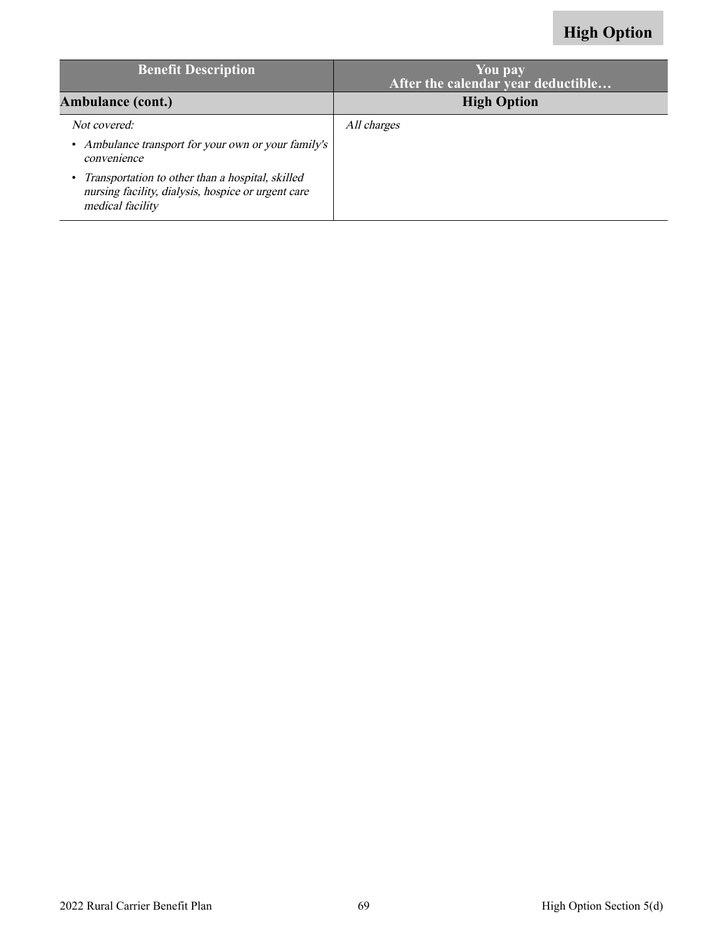| <b>Benefit Description</b>                                                                                                 | You pay<br>After the calendar year deductible |
|----------------------------------------------------------------------------------------------------------------------------|-----------------------------------------------|
| <b>Ambulance (cont.)</b>                                                                                                   | <b>High Option</b>                            |
| Not covered:                                                                                                               | All charges                                   |
| • Ambulance transport for your own or your family's<br>convenience                                                         |                                               |
| Transportation to other than a hospital, skilled<br>nursing facility, dialysis, hospice or urgent care<br>medical facility |                                               |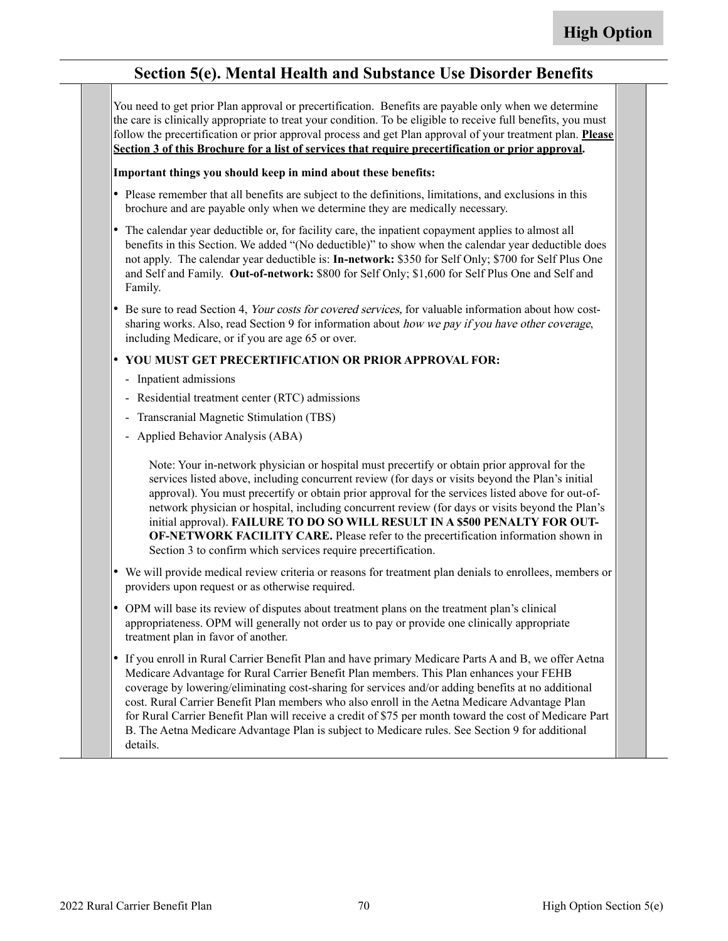#### **Section 5(e). Mental Health and Substance Use Disorder Benefits**

You need to get prior Plan approval or precertification. Benefits are payable only when we determine the care is clinically appropriate to treat your condition. To be eligible to receive full benefits, you must follow the precertification or prior approval process and get Plan approval of your treatment plan. **Please Section 3 of this Brochure for a list of services that require precertification or prior approval.**

#### **Important things you should keep in mind about these benefits:**

- Please remember that all benefits are subject to the definitions, limitations, and exclusions in this brochure and are payable only when we determine they are medically necessary.
- The calendar year deductible or, for facility care, the inpatient copayment applies to almost all benefits in this Section. We added "(No deductible)" to show when the calendar year deductible does not apply. The calendar year deductible is: **In-network:** \$350 for Self Only; \$700 for Self Plus One and Self and Family. **Out-of-network:** \$800 for Self Only; \$1,600 for Self Plus One and Self and Family.
- • Be sure to read Section 4, Your costs for covered services, for valuable information about how costsharing works. Also, read Section 9 for information about how we pay if you have other coverage, including Medicare, or if you are age 65 or over.

#### • **YOU MUST GET PRECERTIFICATION OR PRIOR APPROVAL FOR:**

- Inpatient admissions
- Residential treatment center (RTC) admissions
- Transcranial Magnetic Stimulation (TBS)
- Applied Behavior Analysis (ABA)

Note: Your in-network physician or hospital must precertify or obtain prior approval for the services listed above, including concurrent review (for days or visits beyond the Plan's initial approval). You must precertify or obtain prior approval for the services listed above for out-ofnetwork physician or hospital, including concurrent review (for days or visits beyond the Plan's initial approval). **FAILURE TO DO SO WILL RESULT IN A \$500 PENALTY FOR OUT-OF-NETWORK FACILITY CARE.** Please refer to the precertification information shown in Section 3 to confirm which services require precertification.

- We will provide medical review criteria or reasons for treatment plan denials to enrollees, members or providers upon request or as otherwise required.
- OPM will base its review of disputes about treatment plans on the treatment plan's clinical appropriateness. OPM will generally not order us to pay or provide one clinically appropriate treatment plan in favor of another.
- • If you enroll in Rural Carrier Benefit Plan and have primary Medicare Parts A and B, we offer Aetna Medicare Advantage for Rural Carrier Benefit Plan members. This Plan enhances your FEHB coverage by lowering/eliminating cost-sharing for services and/or adding benefits at no additional cost. Rural Carrier Benefit Plan members who also enroll in the Aetna Medicare Advantage Plan for Rural Carrier Benefit Plan will receive a credit of \$75 per month toward the cost of Medicare Part B. The Aetna Medicare Advantage Plan is subject to Medicare rules. See Section 9 for additional details.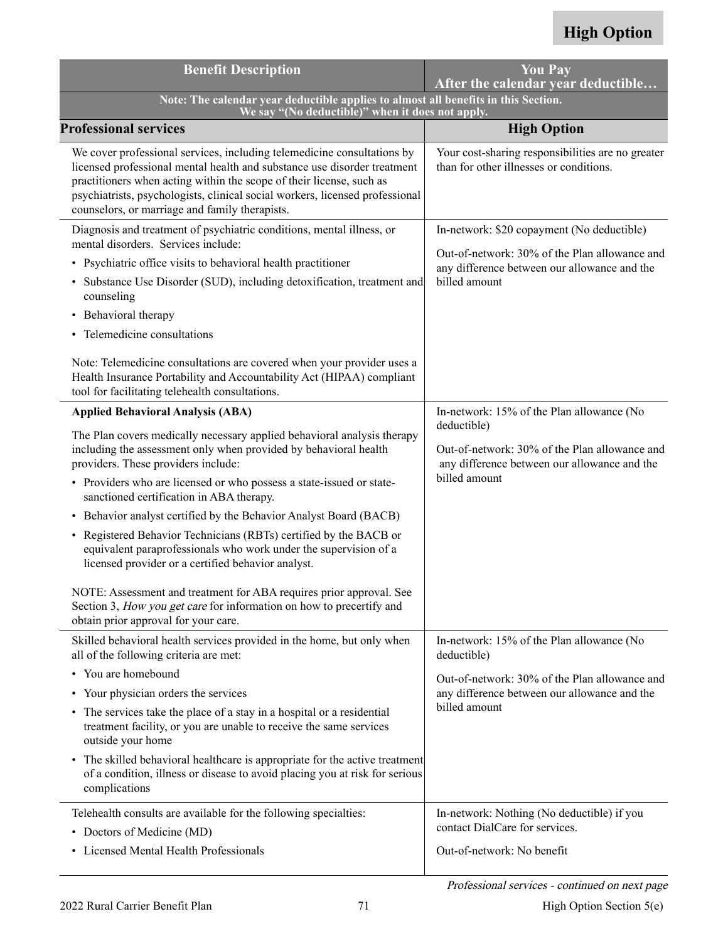| <b>Benefit Description</b>                                                                                                                                                                                                                                                                                                                                    | <b>You Pay</b><br>After the calendar year deductible                                                         |
|---------------------------------------------------------------------------------------------------------------------------------------------------------------------------------------------------------------------------------------------------------------------------------------------------------------------------------------------------------------|--------------------------------------------------------------------------------------------------------------|
| Note: The calendar year deductible applies to almost all benefits in this Section.<br>We say "(No deductible)" when it does not apply.                                                                                                                                                                                                                        |                                                                                                              |
| <b>Professional services</b>                                                                                                                                                                                                                                                                                                                                  | <b>High Option</b>                                                                                           |
| We cover professional services, including telemedicine consultations by<br>licensed professional mental health and substance use disorder treatment<br>practitioners when acting within the scope of their license, such as<br>psychiatrists, psychologists, clinical social workers, licensed professional<br>counselors, or marriage and family therapists. | Your cost-sharing responsibilities are no greater<br>than for other illnesses or conditions.                 |
| Diagnosis and treatment of psychiatric conditions, mental illness, or<br>mental disorders. Services include:                                                                                                                                                                                                                                                  | In-network: \$20 copayment (No deductible)                                                                   |
| • Psychiatric office visits to behavioral health practitioner                                                                                                                                                                                                                                                                                                 | Out-of-network: 30% of the Plan allowance and<br>any difference between our allowance and the                |
| Substance Use Disorder (SUD), including detoxification, treatment and<br>counseling                                                                                                                                                                                                                                                                           | billed amount                                                                                                |
| Behavioral therapy<br>$\bullet$                                                                                                                                                                                                                                                                                                                               |                                                                                                              |
| Telemedicine consultations<br>$\bullet$                                                                                                                                                                                                                                                                                                                       |                                                                                                              |
| Note: Telemedicine consultations are covered when your provider uses a<br>Health Insurance Portability and Accountability Act (HIPAA) compliant<br>tool for facilitating telehealth consultations.                                                                                                                                                            |                                                                                                              |
| <b>Applied Behavioral Analysis (ABA)</b>                                                                                                                                                                                                                                                                                                                      | In-network: 15% of the Plan allowance (No                                                                    |
| The Plan covers medically necessary applied behavioral analysis therapy<br>including the assessment only when provided by behavioral health<br>providers. These providers include:                                                                                                                                                                            | deductible)<br>Out-of-network: 30% of the Plan allowance and<br>any difference between our allowance and the |
| • Providers who are licensed or who possess a state-issued or state-<br>sanctioned certification in ABA therapy.                                                                                                                                                                                                                                              | billed amount                                                                                                |
| • Behavior analyst certified by the Behavior Analyst Board (BACB)                                                                                                                                                                                                                                                                                             |                                                                                                              |
| • Registered Behavior Technicians (RBTs) certified by the BACB or<br>equivalent paraprofessionals who work under the supervision of a<br>licensed provider or a certified behavior analyst.                                                                                                                                                                   |                                                                                                              |
| NOTE: Assessment and treatment for ABA requires prior approval. See<br>Section 3, How you get care for information on how to precertify and<br>obtain prior approval for your care.                                                                                                                                                                           |                                                                                                              |
| Skilled behavioral health services provided in the home, but only when<br>all of the following criteria are met:                                                                                                                                                                                                                                              | In-network: 15% of the Plan allowance (No<br>deductible)                                                     |
| • You are homebound                                                                                                                                                                                                                                                                                                                                           | Out-of-network: 30% of the Plan allowance and                                                                |
| Your physician orders the services<br>$\bullet$                                                                                                                                                                                                                                                                                                               | any difference between our allowance and the                                                                 |
| • The services take the place of a stay in a hospital or a residential<br>treatment facility, or you are unable to receive the same services<br>outside your home                                                                                                                                                                                             | billed amount                                                                                                |
| • The skilled behavioral healthcare is appropriate for the active treatment<br>of a condition, illness or disease to avoid placing you at risk for serious<br>complications                                                                                                                                                                                   |                                                                                                              |
| Telehealth consults are available for the following specialties:                                                                                                                                                                                                                                                                                              | In-network: Nothing (No deductible) if you                                                                   |
| • Doctors of Medicine (MD)                                                                                                                                                                                                                                                                                                                                    | contact DialCare for services.                                                                               |
| • Licensed Mental Health Professionals                                                                                                                                                                                                                                                                                                                        | Out-of-network: No benefit                                                                                   |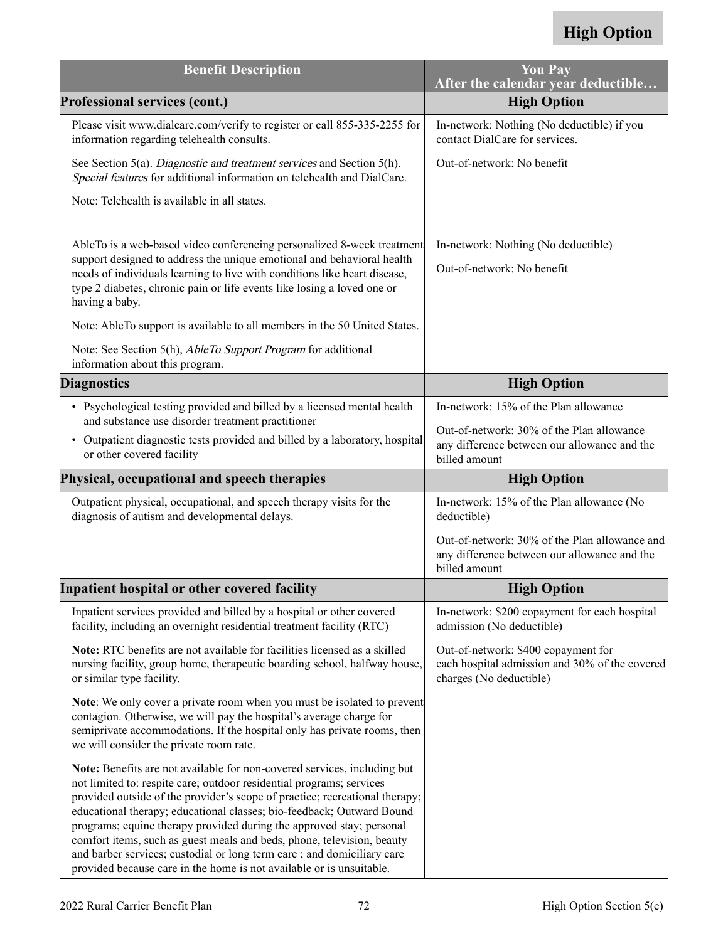| <b>Benefit Description</b>                                                                                                                                                                                                                                                                                                 | <b>You Pay</b><br>After the calendar year deductible                                                             |
|----------------------------------------------------------------------------------------------------------------------------------------------------------------------------------------------------------------------------------------------------------------------------------------------------------------------------|------------------------------------------------------------------------------------------------------------------|
| <b>Professional services (cont.)</b>                                                                                                                                                                                                                                                                                       | <b>High Option</b>                                                                                               |
| Please visit www.dialcare.com/verify to register or call 855-335-2255 for<br>information regarding telehealth consults.                                                                                                                                                                                                    | In-network: Nothing (No deductible) if you<br>contact DialCare for services.                                     |
| See Section 5(a). Diagnostic and treatment services and Section 5(h).<br>Special features for additional information on telehealth and DialCare.                                                                                                                                                                           | Out-of-network: No benefit                                                                                       |
| Note: Telehealth is available in all states.                                                                                                                                                                                                                                                                               |                                                                                                                  |
| AbleTo is a web-based video conferencing personalized 8-week treatment<br>support designed to address the unique emotional and behavioral health<br>needs of individuals learning to live with conditions like heart disease,<br>type 2 diabetes, chronic pain or life events like losing a loved one or<br>having a baby. | In-network: Nothing (No deductible)<br>Out-of-network: No benefit                                                |
| Note: AbleTo support is available to all members in the 50 United States.                                                                                                                                                                                                                                                  |                                                                                                                  |
| Note: See Section 5(h), <i>AbleTo Support Program</i> for additional<br>information about this program.                                                                                                                                                                                                                    |                                                                                                                  |
| <b>Diagnostics</b>                                                                                                                                                                                                                                                                                                         | <b>High Option</b>                                                                                               |
| • Psychological testing provided and billed by a licensed mental health<br>and substance use disorder treatment practitioner                                                                                                                                                                                               | In-network: 15% of the Plan allowance                                                                            |
| • Outpatient diagnostic tests provided and billed by a laboratory, hospital<br>or other covered facility                                                                                                                                                                                                                   | Out-of-network: 30% of the Plan allowance<br>any difference between our allowance and the<br>billed amount       |
| Physical, occupational and speech therapies                                                                                                                                                                                                                                                                                |                                                                                                                  |
|                                                                                                                                                                                                                                                                                                                            | <b>High Option</b>                                                                                               |
| Outpatient physical, occupational, and speech therapy visits for the<br>diagnosis of autism and developmental delays.                                                                                                                                                                                                      | In-network: 15% of the Plan allowance (No<br>deductible)                                                         |
|                                                                                                                                                                                                                                                                                                                            | Out-of-network: 30% of the Plan allowance and<br>any difference between our allowance and the<br>billed amount   |
| Inpatient hospital or other covered facility                                                                                                                                                                                                                                                                               | <b>High Option</b>                                                                                               |
| Inpatient services provided and billed by a hospital or other covered<br>facility, including an overnight residential treatment facility (RTC)                                                                                                                                                                             | In-network: \$200 copayment for each hospital<br>admission (No deductible)                                       |
| Note: RTC benefits are not available for facilities licensed as a skilled<br>nursing facility, group home, therapeutic boarding school, halfway house,<br>or similar type facility.                                                                                                                                        | Out-of-network: \$400 copayment for<br>each hospital admission and 30% of the covered<br>charges (No deductible) |
| <b>Note:</b> We only cover a private room when you must be isolated to prevent<br>contagion. Otherwise, we will pay the hospital's average charge for<br>semiprivate accommodations. If the hospital only has private rooms, then<br>we will consider the private room rate.                                               |                                                                                                                  |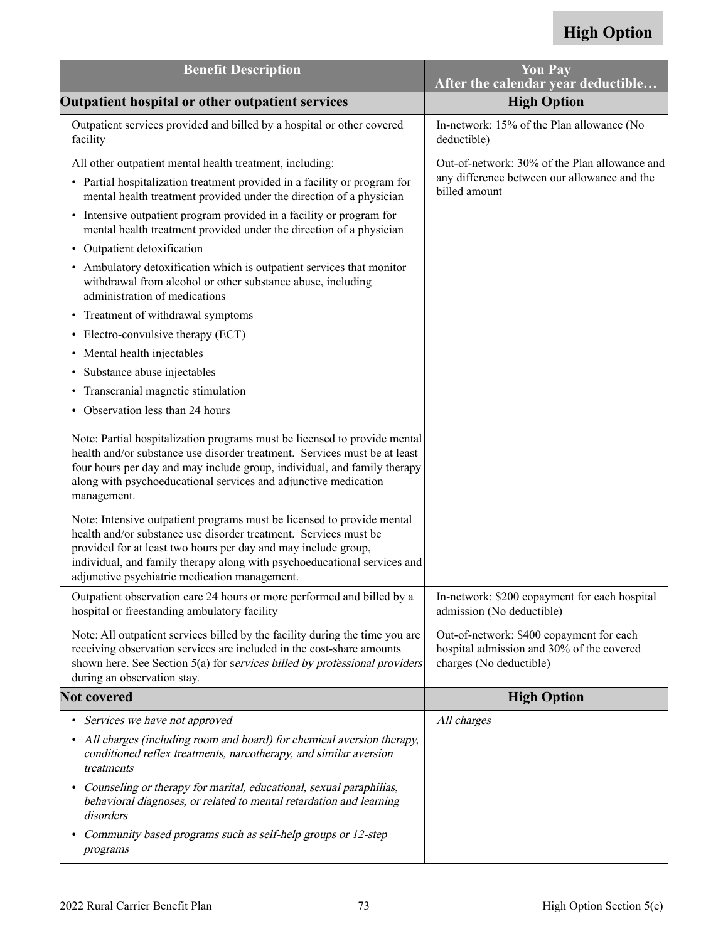| <b>Benefit Description</b>                                                                                                                                                                                                                                                                                                                | <b>You Pay</b><br>After the calendar year deductible                                                             |
|-------------------------------------------------------------------------------------------------------------------------------------------------------------------------------------------------------------------------------------------------------------------------------------------------------------------------------------------|------------------------------------------------------------------------------------------------------------------|
| Outpatient hospital or other outpatient services                                                                                                                                                                                                                                                                                          | <b>High Option</b>                                                                                               |
| Outpatient services provided and billed by a hospital or other covered<br>facility                                                                                                                                                                                                                                                        | In-network: 15% of the Plan allowance (No<br>deductible)                                                         |
| All other outpatient mental health treatment, including:<br>• Partial hospitalization treatment provided in a facility or program for<br>mental health treatment provided under the direction of a physician                                                                                                                              | Out-of-network: 30% of the Plan allowance and<br>any difference between our allowance and the<br>billed amount   |
| • Intensive outpatient program provided in a facility or program for<br>mental health treatment provided under the direction of a physician                                                                                                                                                                                               |                                                                                                                  |
| Outpatient detoxification<br>$\bullet$                                                                                                                                                                                                                                                                                                    |                                                                                                                  |
| • Ambulatory detoxification which is outpatient services that monitor<br>withdrawal from alcohol or other substance abuse, including<br>administration of medications                                                                                                                                                                     |                                                                                                                  |
| Treatment of withdrawal symptoms<br>$\bullet$                                                                                                                                                                                                                                                                                             |                                                                                                                  |
| • Electro-convulsive therapy (ECT)                                                                                                                                                                                                                                                                                                        |                                                                                                                  |
| • Mental health injectables                                                                                                                                                                                                                                                                                                               |                                                                                                                  |
| Substance abuse injectables<br>٠                                                                                                                                                                                                                                                                                                          |                                                                                                                  |
| Transcranial magnetic stimulation<br>٠                                                                                                                                                                                                                                                                                                    |                                                                                                                  |
| Observation less than 24 hours<br>٠                                                                                                                                                                                                                                                                                                       |                                                                                                                  |
| Note: Partial hospitalization programs must be licensed to provide mental<br>health and/or substance use disorder treatment. Services must be at least<br>four hours per day and may include group, individual, and family therapy<br>along with psychoeducational services and adjunctive medication<br>management.                      |                                                                                                                  |
| Note: Intensive outpatient programs must be licensed to provide mental<br>health and/or substance use disorder treatment. Services must be<br>provided for at least two hours per day and may include group,<br>individual, and family therapy along with psychoeducational services and<br>adjunctive psychiatric medication management. |                                                                                                                  |
| Outpatient observation care 24 hours or more performed and billed by a<br>hospital or freestanding ambulatory facility                                                                                                                                                                                                                    | In-network: \$200 copayment for each hospital<br>admission (No deductible)                                       |
| Note: All outpatient services billed by the facility during the time you are<br>receiving observation services are included in the cost-share amounts<br>shown here. See Section 5(a) for services billed by professional providers<br>during an observation stay.                                                                        | Out-of-network: \$400 copayment for each<br>hospital admission and 30% of the covered<br>charges (No deductible) |
| <b>Not covered</b>                                                                                                                                                                                                                                                                                                                        | <b>High Option</b>                                                                                               |
| Services we have not approved                                                                                                                                                                                                                                                                                                             | All charges                                                                                                      |
| All charges (including room and board) for chemical aversion therapy,<br>٠<br>conditioned reflex treatments, narcotherapy, and similar aversion<br>treatments                                                                                                                                                                             |                                                                                                                  |
| Counseling or therapy for marital, educational, sexual paraphilias,<br>٠<br>behavioral diagnoses, or related to mental retardation and learning<br>disorders                                                                                                                                                                              |                                                                                                                  |
| Community based programs such as self-help groups or 12-step<br>٠<br>programs                                                                                                                                                                                                                                                             |                                                                                                                  |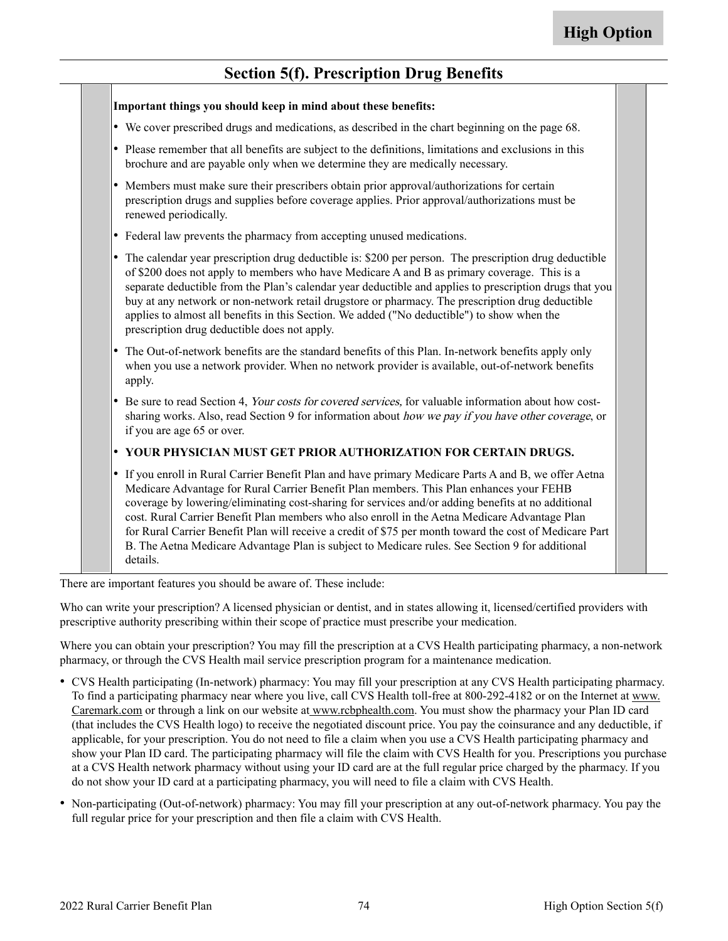#### **Section 5(f). Prescription Drug Benefits**

| Important things you should keep in mind about these benefits:                                                                                                                                                                                                                                                                                                                                                                                                                                                                                                                                                                    |
|-----------------------------------------------------------------------------------------------------------------------------------------------------------------------------------------------------------------------------------------------------------------------------------------------------------------------------------------------------------------------------------------------------------------------------------------------------------------------------------------------------------------------------------------------------------------------------------------------------------------------------------|
| • We cover prescribed drugs and medications, as described in the chart beginning on the page 68.                                                                                                                                                                                                                                                                                                                                                                                                                                                                                                                                  |
| • Please remember that all benefits are subject to the definitions, limitations and exclusions in this<br>brochure and are payable only when we determine they are medically necessary.                                                                                                                                                                                                                                                                                                                                                                                                                                           |
| Members must make sure their prescribers obtain prior approval/authorizations for certain<br>prescription drugs and supplies before coverage applies. Prior approval/authorizations must be<br>renewed periodically.                                                                                                                                                                                                                                                                                                                                                                                                              |
| • Federal law prevents the pharmacy from accepting unused medications.                                                                                                                                                                                                                                                                                                                                                                                                                                                                                                                                                            |
| • The calendar year prescription drug deductible is: \$200 per person. The prescription drug deductible<br>of \$200 does not apply to members who have Medicare A and B as primary coverage. This is a<br>separate deductible from the Plan's calendar year deductible and applies to prescription drugs that you<br>buy at any network or non-network retail drugstore or pharmacy. The prescription drug deductible<br>applies to almost all benefits in this Section. We added ("No deductible") to show when the<br>prescription drug deductible does not apply.                                                              |
| The Out-of-network benefits are the standard benefits of this Plan. In-network benefits apply only<br>when you use a network provider. When no network provider is available, out-of-network benefits<br>apply.                                                                                                                                                                                                                                                                                                                                                                                                                   |
| Be sure to read Section 4, Your costs for covered services, for valuable information about how cost-<br>sharing works. Also, read Section 9 for information about how we pay if you have other coverage, or<br>if you are age 65 or over.                                                                                                                                                                                                                                                                                                                                                                                         |
| • YOUR PHYSICIAN MUST GET PRIOR AUTHORIZATION FOR CERTAIN DRUGS.                                                                                                                                                                                                                                                                                                                                                                                                                                                                                                                                                                  |
| • If you enroll in Rural Carrier Benefit Plan and have primary Medicare Parts A and B, we offer Aetna<br>Medicare Advantage for Rural Carrier Benefit Plan members. This Plan enhances your FEHB<br>coverage by lowering/eliminating cost-sharing for services and/or adding benefits at no additional<br>cost. Rural Carrier Benefit Plan members who also enroll in the Aetna Medicare Advantage Plan<br>for Rural Carrier Benefit Plan will receive a credit of \$75 per month toward the cost of Medicare Part<br>B. The Aetna Medicare Advantage Plan is subject to Medicare rules. See Section 9 for additional<br>details. |

There are important features you should be aware of. These include:

Who can write your prescription? A licensed physician or dentist, and in states allowing it, licensed/certified providers with prescriptive authority prescribing within their scope of practice must prescribe your medication.

Where you can obtain your prescription? You may fill the prescription at a CVS Health participating pharmacy, a non-network pharmacy, or through the CVS Health mail service prescription program for a maintenance medication.

- CVS Health participating (In-network) pharmacy: You may fill your prescription at any CVS Health participating pharmacy. To find a participating pharmacy near where you live, call CVS Health toll-free at 800-292-4182 or on the Internet at [www.](http://www.Caremark.com) [Caremark.com](http://www.Caremark.com) or through a link on our website a[t www.rcbphealth.com.](http://www.rcbphealth.com) You must show the pharmacy your Plan ID card (that includes the CVS Health logo) to receive the negotiated discount price. You pay the coinsurance and any deductible, if applicable, for your prescription. You do not need to file a claim when you use a CVS Health participating pharmacy and show your Plan ID card. The participating pharmacy will file the claim with CVS Health for you. Prescriptions you purchase at a CVS Health network pharmacy without using your ID card are at the full regular price charged by the pharmacy. If you do not show your ID card at a participating pharmacy, you will need to file a claim with CVS Health.
- Non-participating (Out-of-network) pharmacy: You may fill your prescription at any out-of-network pharmacy. You pay the full regular price for your prescription and then file a claim with CVS Health.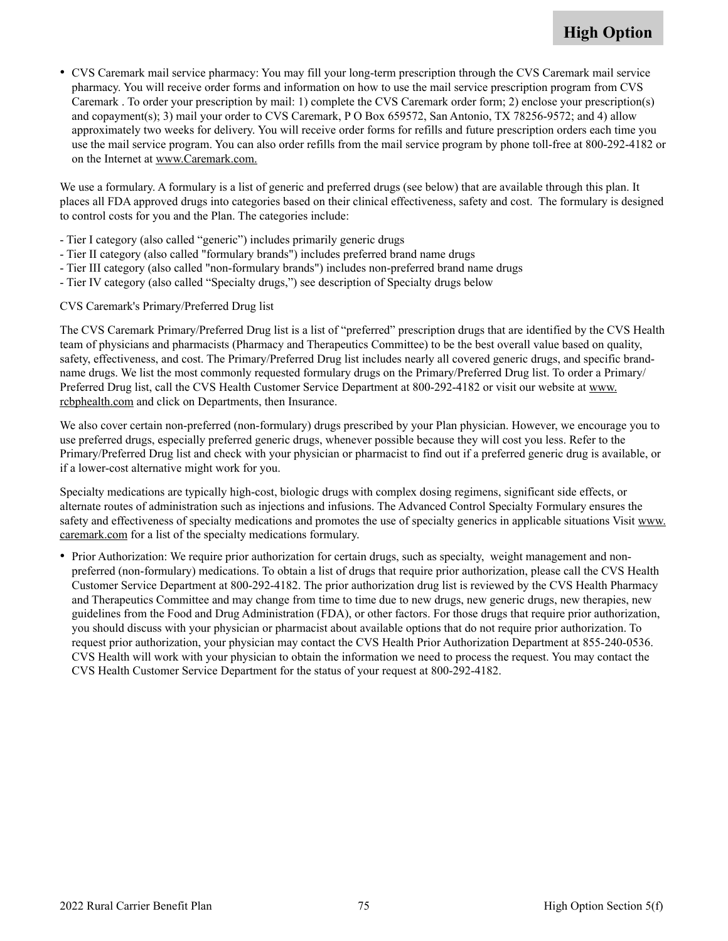• CVS Caremark mail service pharmacy: You may fill your long-term prescription through the CVS Caremark mail service pharmacy. You will receive order forms and information on how to use the mail service prescription program from CVS Caremark . To order your prescription by mail: 1) complete the CVS Caremark order form; 2) enclose your prescription(s) and copayment(s); 3) mail your order to CVS Caremark, P O Box 659572, San Antonio, TX 78256-9572; and 4) allow approximately two weeks for delivery. You will receive order forms for refills and future prescription orders each time you use the mail service program. You can also order refills from the mail service program by phone toll-free at 800-292-4182 or on the Internet at [www.Caremark.com](http://www.Caremark.com).

We use a formulary. A formulary is a list of generic and preferred drugs (see below) that are available through this plan. It places all FDA approved drugs into categories based on their clinical effectiveness, safety and cost. The formulary is designed to control costs for you and the Plan. The categories include:

- Tier I category (also called "generic") includes primarily generic drugs
- Tier II category (also called "formulary brands") includes preferred brand name drugs
- Tier III category (also called "non-formulary brands") includes non-preferred brand name drugs
- Tier IV category (also called "Specialty drugs,") see description of Specialty drugs below

CVS Caremark's Primary/Preferred Drug list

The CVS Caremark Primary/Preferred Drug list is a list of "preferred" prescription drugs that are identified by the CVS Health team of physicians and pharmacists (Pharmacy and Therapeutics Committee) to be the best overall value based on quality, safety, effectiveness, and cost. The Primary/Preferred Drug list includes nearly all covered generic drugs, and specific brandname drugs. We list the most commonly requested formulary drugs on the Primary/Preferred Drug list. To order a Primary/ Preferred Drug list, call the CVS Health Customer Service Department at 800-292-4182 or visit our website at [www.](http://www.rcbphealth.com) [rcbphealth.com](http://www.rcbphealth.com) and click on Departments, then Insurance.

We also cover certain non-preferred (non-formulary) drugs prescribed by your Plan physician. However, we encourage you to use preferred drugs, especially preferred generic drugs, whenever possible because they will cost you less. Refer to the Primary/Preferred Drug list and check with your physician or pharmacist to find out if a preferred generic drug is available, or if a lower-cost alternative might work for you.

Specialty medications are typically high-cost, biologic drugs with complex dosing regimens, significant side effects, or alternate routes of administration such as injections and infusions. The Advanced Control Specialty Formulary ensures the safety and effectiveness of specialty medications and promotes the use of specialty generics in applicable situations Visit [www.](http://www.Caremark.com) [caremark.com](http://www.Caremark.com) for a list of the specialty medications formulary.

• Prior Authorization: We require prior authorization for certain drugs, such as specialty, weight management and nonpreferred (non-formulary) medications. To obtain a list of drugs that require prior authorization, please call the CVS Health Customer Service Department at 800-292-4182. The prior authorization drug list is reviewed by the CVS Health Pharmacy and Therapeutics Committee and may change from time to time due to new drugs, new generic drugs, new therapies, new guidelines from the Food and Drug Administration (FDA), or other factors. For those drugs that require prior authorization, you should discuss with your physician or pharmacist about available options that do not require prior authorization. To request prior authorization, your physician may contact the CVS Health Prior Authorization Department at 855-240-0536. CVS Health will work with your physician to obtain the information we need to process the request. You may contact the CVS Health Customer Service Department for the status of your request at 800-292-4182.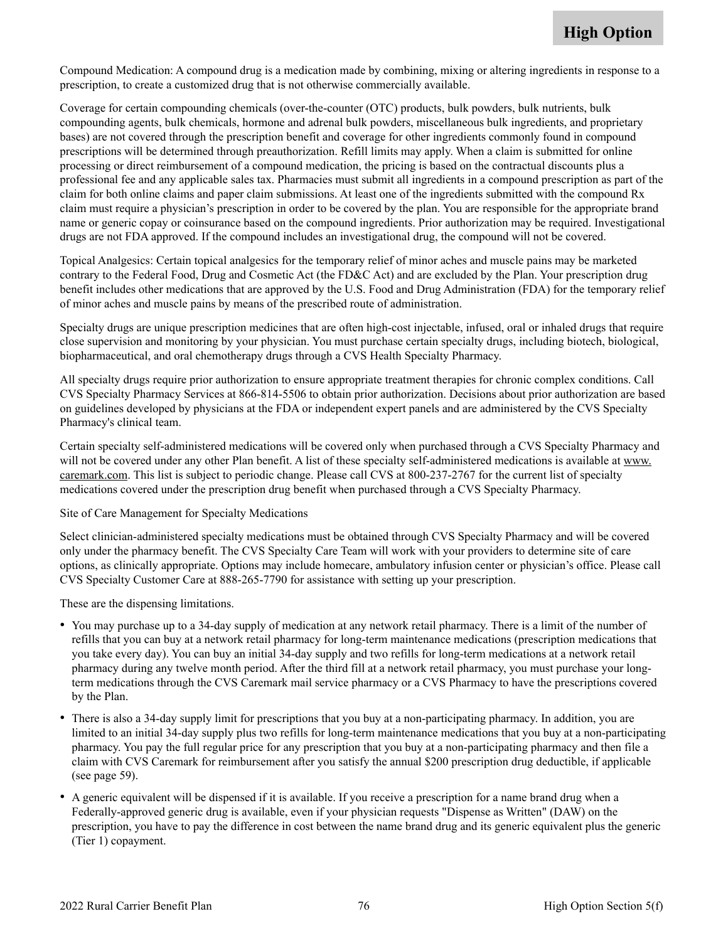Compound Medication: A compound drug is a medication made by combining, mixing or altering ingredients in response to a prescription, to create a customized drug that is not otherwise commercially available.

Coverage for certain compounding chemicals (over-the-counter (OTC) products, bulk powders, bulk nutrients, bulk compounding agents, bulk chemicals, hormone and adrenal bulk powders, miscellaneous bulk ingredients, and proprietary bases) are not covered through the prescription benefit and coverage for other ingredients commonly found in compound prescriptions will be determined through preauthorization. Refill limits may apply. When a claim is submitted for online processing or direct reimbursement of a compound medication, the pricing is based on the contractual discounts plus a professional fee and any applicable sales tax. Pharmacies must submit all ingredients in a compound prescription as part of the claim for both online claims and paper claim submissions. At least one of the ingredients submitted with the compound Rx claim must require a physician's prescription in order to be covered by the plan. You are responsible for the appropriate brand name or generic copay or coinsurance based on the compound ingredients. Prior authorization may be required. Investigational drugs are not FDA approved. If the compound includes an investigational drug, the compound will not be covered.

Topical Analgesics: Certain topical analgesics for the temporary relief of minor aches and muscle pains may be marketed contrary to the Federal Food, Drug and Cosmetic Act (the FD&C Act) and are excluded by the Plan. Your prescription drug benefit includes other medications that are approved by the U.S. Food and Drug Administration (FDA) for the temporary relief of minor aches and muscle pains by means of the prescribed route of administration.

Specialty drugs are unique prescription medicines that are often high-cost injectable, infused, oral or inhaled drugs that require close supervision and monitoring by your physician. You must purchase certain specialty drugs, including biotech, biological, biopharmaceutical, and oral chemotherapy drugs through a CVS Health Specialty Pharmacy.

All specialty drugs require prior authorization to ensure appropriate treatment therapies for chronic complex conditions. Call CVS Specialty Pharmacy Services at 866-814-5506 to obtain prior authorization. Decisions about prior authorization are based on guidelines developed by physicians at the FDA or independent expert panels and are administered by the CVS Specialty Pharmacy's clinical team.

Certain specialty self-administered medications will be covered only when purchased through a CVS Specialty Pharmacy and will not be covered under any other Plan benefit. A list of these specialty self-administered medications is available at [www.](http://www.Caremark.com) [caremark.com](http://www.Caremark.com). This list is subject to periodic change. Please call CVS at 800-237-2767 for the current list of specialty medications covered under the prescription drug benefit when purchased through a CVS Specialty Pharmacy.

#### Site of Care Management for Specialty Medications

Select clinician-administered specialty medications must be obtained through CVS Specialty Pharmacy and will be covered only under the pharmacy benefit. The CVS Specialty Care Team will work with your providers to determine site of care options, as clinically appropriate. Options may include homecare, ambulatory infusion center or physician's office. Please call CVS Specialty Customer Care at 888-265-7790 for assistance with setting up your prescription.

These are the dispensing limitations.

- You may purchase up to a 34-day supply of medication at any network retail pharmacy. There is a limit of the number of refills that you can buy at a network retail pharmacy for long-term maintenance medications (prescription medications that you take every day). You can buy an initial 34-day supply and two refills for long-term medications at a network retail pharmacy during any twelve month period. After the third fill at a network retail pharmacy, you must purchase your longterm medications through the CVS Caremark mail service pharmacy or a CVS Pharmacy to have the prescriptions covered by the Plan.
- There is also a 34-day supply limit for prescriptions that you buy at a non-participating pharmacy. In addition, you are limited to an initial 34-day supply plus two refills for long-term maintenance medications that you buy at a non-participating pharmacy. You pay the full regular price for any prescription that you buy at a non-participating pharmacy and then file a claim with CVS Caremark for reimbursement after you satisfy the annual \$200 prescription drug deductible, if applicable (see page [59\)](#page-60-0).
- A generic equivalent will be dispensed if it is available. If you receive a prescription for a name brand drug when a Federally-approved generic drug is available, even if your physician requests "Dispense as Written" (DAW) on the prescription, you have to pay the difference in cost between the name brand drug and its generic equivalent plus the generic (Tier 1) copayment.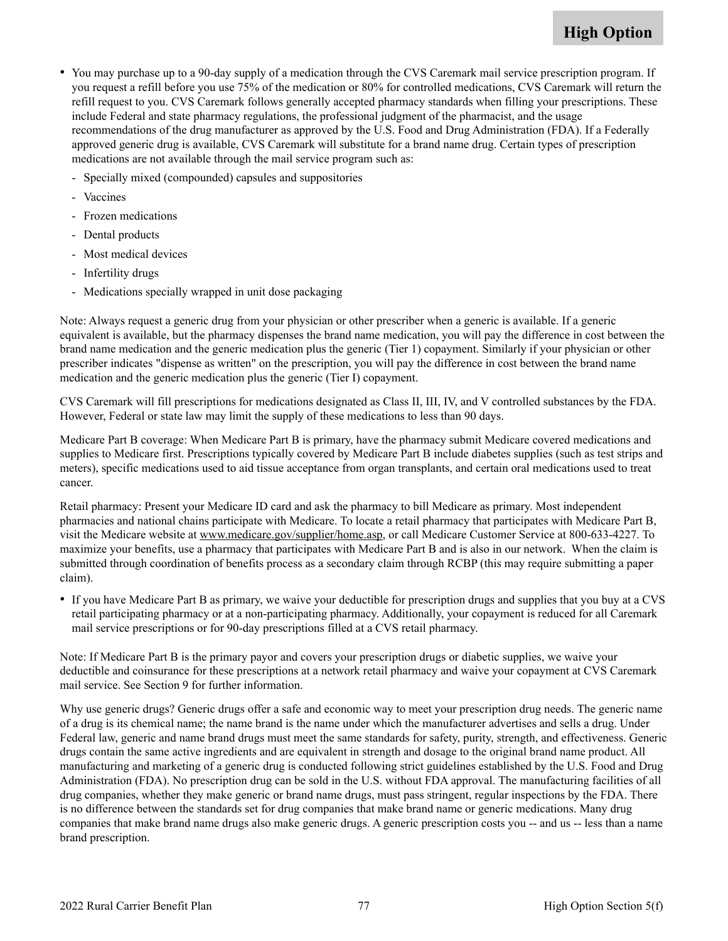- • You may purchase up to a 90-day supply of a medication through the CVS Caremark mail service prescription program. If you request a refill before you use 75% of the medication or 80% for controlled medications, CVS Caremark will return the refill request to you. CVS Caremark follows generally accepted pharmacy standards when filling your prescriptions. These include Federal and state pharmacy regulations, the professional judgment of the pharmacist, and the usage recommendations of the drug manufacturer as approved by the U.S. Food and Drug Administration (FDA). If a Federally approved generic drug is available, CVS Caremark will substitute for a brand name drug. Certain types of prescription medications are not available through the mail service program such as:
	- Specially mixed (compounded) capsules and suppositories
	- Vaccines
	- Frozen medications
	- Dental products
	- Most medical devices
	- Infertility drugs
	- Medications specially wrapped in unit dose packaging

Note: Always request a generic drug from your physician or other prescriber when a generic is available. If a generic equivalent is available, but the pharmacy dispenses the brand name medication, you will pay the difference in cost between the brand name medication and the generic medication plus the generic (Tier 1) copayment. Similarly if your physician or other prescriber indicates "dispense as written" on the prescription, you will pay the difference in cost between the brand name medication and the generic medication plus the generic (Tier I) copayment.

CVS Caremark will fill prescriptions for medications designated as Class II, III, IV, and V controlled substances by the FDA. However, Federal or state law may limit the supply of these medications to less than 90 days.

Medicare Part B coverage: When Medicare Part B is primary, have the pharmacy submit Medicare covered medications and supplies to Medicare first. Prescriptions typically covered by Medicare Part B include diabetes supplies (such as test strips and meters), specific medications used to aid tissue acceptance from organ transplants, and certain oral medications used to treat cancer.

Retail pharmacy: Present your Medicare ID card and ask the pharmacy to bill Medicare as primary. Most independent pharmacies and national chains participate with Medicare. To locate a retail pharmacy that participates with Medicare Part B, visit the Medicare website at [www.medicare.gov/supplier/home.asp,](http://www.medicare.gov/supplier/home.asp) or call Medicare Customer Service at 800-633-4227. To maximize your benefits, use a pharmacy that participates with Medicare Part B and is also in our network. When the claim is submitted through coordination of benefits process as a secondary claim through RCBP (this may require submitting a paper claim).

• If you have Medicare Part B as primary, we waive your deductible for prescription drugs and supplies that you buy at a CVS retail participating pharmacy or at a non-participating pharmacy. Additionally, your copayment is reduced for all Caremark mail service prescriptions or for 90-day prescriptions filled at a CVS retail pharmacy.

Note: If Medicare Part B is the primary payor and covers your prescription drugs or diabetic supplies, we waive your deductible and coinsurance for these prescriptions at a network retail pharmacy and waive your copayment at CVS Caremark mail service. See Section 9 for further information.

Why use generic drugs? Generic drugs offer a safe and economic way to meet your prescription drug needs. The generic name of a drug is its chemical name; the name brand is the name under which the manufacturer advertises and sells a drug. Under Federal law, generic and name brand drugs must meet the same standards for safety, purity, strength, and effectiveness. Generic drugs contain the same active ingredients and are equivalent in strength and dosage to the original brand name product. All manufacturing and marketing of a generic drug is conducted following strict guidelines established by the U.S. Food and Drug Administration (FDA). No prescription drug can be sold in the U.S. without FDA approval. The manufacturing facilities of all drug companies, whether they make generic or brand name drugs, must pass stringent, regular inspections by the FDA. There is no difference between the standards set for drug companies that make brand name or generic medications. Many drug companies that make brand name drugs also make generic drugs. A generic prescription costs you -- and us -- less than a name brand prescription.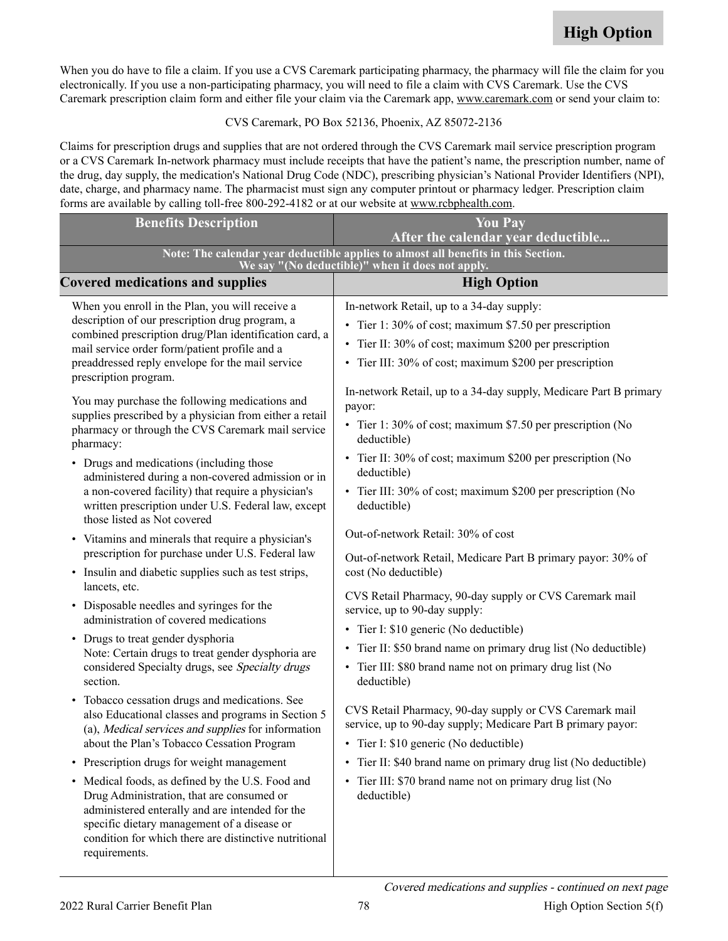When you do have to file a claim. If you use a CVS Caremark participating pharmacy, the pharmacy will file the claim for you electronically. If you use a non-participating pharmacy, you will need to file a claim with CVS Caremark. Use the CVS Caremark prescription claim form and either file your claim via the Caremark app, [www.caremark.com](http://www.Caremark.com) or send your claim to:

CVS Caremark, PO Box 52136, Phoenix, AZ 85072-2136

Claims for prescription drugs and supplies that are not ordered through the CVS Caremark mail service prescription program or a CVS Caremark In-network pharmacy must include receipts that have the patient's name, the prescription number, name of the drug, day supply, the medication's National Drug Code (NDC), prescribing physician's National Provider Identifiers (NPI), date, charge, and pharmacy name. The pharmacist must sign any computer printout or pharmacy ledger. Prescription claim forms are available by calling toll-free 800-292-4182 or at our website at [www.rcbphealth.com](http://www.rcbphealth.com).

| <b>Benefits Description</b>                                                                                                                                                                                           | <b>You Pay</b><br>After the calendar year deductible                                                                    |  |
|-----------------------------------------------------------------------------------------------------------------------------------------------------------------------------------------------------------------------|-------------------------------------------------------------------------------------------------------------------------|--|
|                                                                                                                                                                                                                       | Note: The calendar year deductible applies to almost all benefits in this Section.                                      |  |
| We say "(No deductible)" when it does not apply.                                                                                                                                                                      |                                                                                                                         |  |
| <b>Covered medications and supplies</b>                                                                                                                                                                               | <b>High Option</b>                                                                                                      |  |
| When you enroll in the Plan, you will receive a                                                                                                                                                                       | In-network Retail, up to a 34-day supply:                                                                               |  |
| description of our prescription drug program, a<br>combined prescription drug/Plan identification card, a<br>mail service order form/patient profile and a                                                            | • Tier 1: 30% of cost; maximum \$7.50 per prescription                                                                  |  |
|                                                                                                                                                                                                                       | Tier II: 30% of cost; maximum \$200 per prescription                                                                    |  |
| preaddressed reply envelope for the mail service<br>prescription program.                                                                                                                                             | Tier III: 30% of cost; maximum \$200 per prescription                                                                   |  |
| You may purchase the following medications and                                                                                                                                                                        | In-network Retail, up to a 34-day supply, Medicare Part B primary                                                       |  |
| supplies prescribed by a physician from either a retail                                                                                                                                                               | payor:                                                                                                                  |  |
| pharmacy or through the CVS Caremark mail service<br>pharmacy:                                                                                                                                                        | • Tier 1: 30% of cost; maximum \$7.50 per prescription (No<br>deductible)                                               |  |
| • Drugs and medications (including those<br>administered during a non-covered admission or in                                                                                                                         | • Tier II: 30% of cost; maximum \$200 per prescription (No<br>deductible)                                               |  |
| a non-covered facility) that require a physician's                                                                                                                                                                    | • Tier III: 30% of cost; maximum \$200 per prescription (No                                                             |  |
| written prescription under U.S. Federal law, except<br>those listed as Not covered                                                                                                                                    | deductible)                                                                                                             |  |
| • Vitamins and minerals that require a physician's<br>prescription for purchase under U.S. Federal law                                                                                                                | Out-of-network Retail: 30% of cost<br>Out-of-network Retail, Medicare Part B primary payor: 30% of                      |  |
| Insulin and diabetic supplies such as test strips,<br>$\bullet$                                                                                                                                                       | cost (No deductible)                                                                                                    |  |
| lancets, etc.<br>• Disposable needles and syringes for the                                                                                                                                                            | CVS Retail Pharmacy, 90-day supply or CVS Caremark mail<br>service, up to 90-day supply:                                |  |
| administration of covered medications                                                                                                                                                                                 | Tier I: \$10 generic (No deductible)<br>$\bullet$                                                                       |  |
| • Drugs to treat gender dysphoria                                                                                                                                                                                     | Tier II: \$50 brand name on primary drug list (No deductible)<br>$\bullet$                                              |  |
| Note: Certain drugs to treat gender dysphoria are<br>considered Specialty drugs, see Specialty drugs<br>section.                                                                                                      | • Tier III: \$80 brand name not on primary drug list (No                                                                |  |
|                                                                                                                                                                                                                       | deductible)                                                                                                             |  |
| Tobacco cessation drugs and medications. See<br>$\bullet$<br>also Educational classes and programs in Section 5<br>(a), Medical services and supplies for information<br>about the Plan's Tobacco Cessation Program   | CVS Retail Pharmacy, 90-day supply or CVS Caremark mail<br>service, up to 90-day supply; Medicare Part B primary payor: |  |
|                                                                                                                                                                                                                       | Tier I: \$10 generic (No deductible)                                                                                    |  |
| Prescription drugs for weight management<br>$\bullet$                                                                                                                                                                 | Tier II: \$40 brand name on primary drug list (No deductible)<br>$\bullet$                                              |  |
| Medical foods, as defined by the U.S. Food and<br>$\bullet$                                                                                                                                                           | Tier III: \$70 brand name not on primary drug list (No<br>$\bullet$                                                     |  |
| Drug Administration, that are consumed or<br>administered enterally and are intended for the<br>specific dietary management of a disease or<br>condition for which there are distinctive nutritional<br>requirements. | deductible)                                                                                                             |  |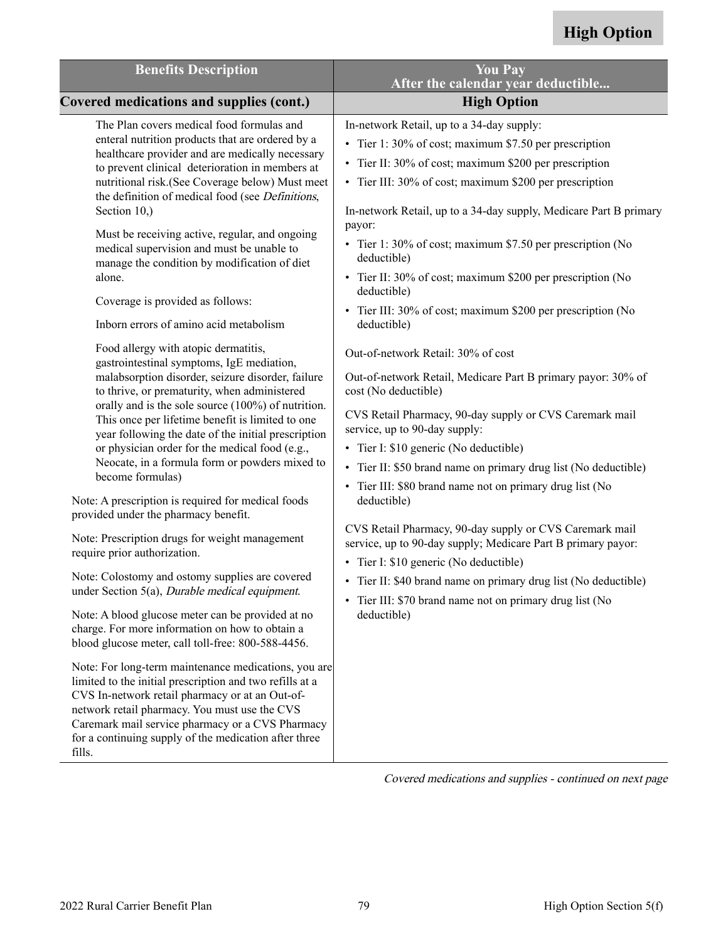| <b>Benefits Description</b>                                                                                                                                                                                                                                                                                                                                                                                                                                                                                                                                                   | <b>You Pay</b><br>After the calendar year deductible                                                                                                                                                                                                                                                                                                                                                                                                                                                                                            |
|-------------------------------------------------------------------------------------------------------------------------------------------------------------------------------------------------------------------------------------------------------------------------------------------------------------------------------------------------------------------------------------------------------------------------------------------------------------------------------------------------------------------------------------------------------------------------------|-------------------------------------------------------------------------------------------------------------------------------------------------------------------------------------------------------------------------------------------------------------------------------------------------------------------------------------------------------------------------------------------------------------------------------------------------------------------------------------------------------------------------------------------------|
| <b>Covered medications and supplies (cont.)</b>                                                                                                                                                                                                                                                                                                                                                                                                                                                                                                                               | <b>High Option</b>                                                                                                                                                                                                                                                                                                                                                                                                                                                                                                                              |
| The Plan covers medical food formulas and<br>enteral nutrition products that are ordered by a<br>healthcare provider and are medically necessary<br>to prevent clinical deterioration in members at<br>nutritional risk.(See Coverage below) Must meet<br>the definition of medical food (see Definitions,<br>Section 10.)<br>Must be receiving active, regular, and ongoing<br>medical supervision and must be unable to<br>manage the condition by modification of diet<br>alone.<br>Coverage is provided as follows:<br>Inborn errors of amino acid metabolism             | In-network Retail, up to a 34-day supply:<br>• Tier 1: 30% of cost; maximum \$7.50 per prescription<br>• Tier II: 30% of cost; maximum \$200 per prescription<br>• Tier III: 30% of cost; maximum \$200 per prescription<br>In-network Retail, up to a 34-day supply, Medicare Part B primary<br>payor:<br>• Tier 1: 30% of cost; maximum \$7.50 per prescription (No<br>deductible)<br>• Tier II: 30% of cost; maximum \$200 per prescription (No<br>deductible)<br>• Tier III: 30% of cost; maximum \$200 per prescription (No<br>deductible) |
| Food allergy with atopic dermatitis,<br>gastrointestinal symptoms, IgE mediation,<br>malabsorption disorder, seizure disorder, failure<br>to thrive, or prematurity, when administered<br>orally and is the sole source (100%) of nutrition.<br>This once per lifetime benefit is limited to one<br>year following the date of the initial prescription<br>or physician order for the medical food (e.g.,<br>Neocate, in a formula form or powders mixed to<br>become formulas)<br>Note: A prescription is required for medical foods<br>provided under the pharmacy benefit. | Out-of-network Retail: 30% of cost<br>Out-of-network Retail, Medicare Part B primary payor: 30% of<br>cost (No deductible)<br>CVS Retail Pharmacy, 90-day supply or CVS Caremark mail<br>service, up to 90-day supply:<br>• Tier I: \$10 generic (No deductible)<br>• Tier II: \$50 brand name on primary drug list (No deductible)<br>• Tier III: \$80 brand name not on primary drug list (No<br>deductible)                                                                                                                                  |
| Note: Prescription drugs for weight management<br>require prior authorization.<br>Note: Colostomy and ostomy supplies are covered<br>under Section 5(a), <i>Durable medical equipment</i> .                                                                                                                                                                                                                                                                                                                                                                                   | CVS Retail Pharmacy, 90-day supply or CVS Caremark mail<br>service, up to 90-day supply; Medicare Part B primary payor:<br>• Tier I: \$10 generic (No deductible)<br>• Tier II: \$40 brand name on primary drug list (No deductible)                                                                                                                                                                                                                                                                                                            |
| Note: A blood glucose meter can be provided at no<br>charge. For more information on how to obtain a<br>blood glucose meter, call toll-free: 800-588-4456.                                                                                                                                                                                                                                                                                                                                                                                                                    | • Tier III: \$70 brand name not on primary drug list (No<br>deductible)                                                                                                                                                                                                                                                                                                                                                                                                                                                                         |
| Note: For long-term maintenance medications, you are<br>limited to the initial prescription and two refills at a<br>CVS In-network retail pharmacy or at an Out-of-<br>network retail pharmacy. You must use the CVS<br>Caremark mail service pharmacy or a CVS Pharmacy<br>for a continuing supply of the medication after three<br>fills.                                                                                                                                                                                                                                   |                                                                                                                                                                                                                                                                                                                                                                                                                                                                                                                                                 |

Covered medications and supplies - continued on next page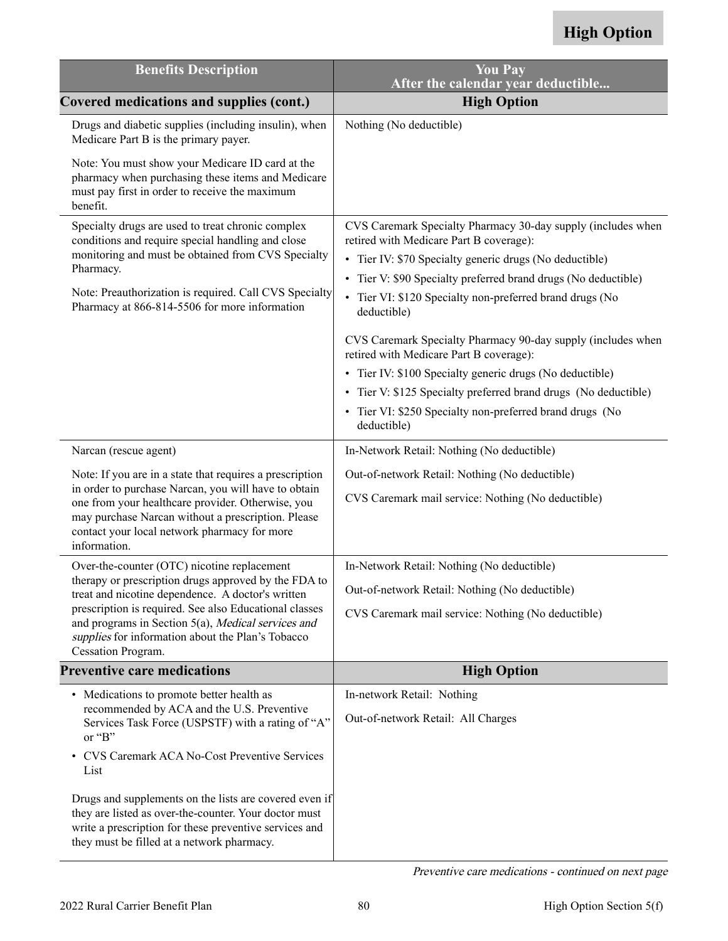| <b>Benefits Description</b>                                                                                                                                                                                                     | <b>You Pay</b><br>After the calendar year deductible                                                                                                 |
|---------------------------------------------------------------------------------------------------------------------------------------------------------------------------------------------------------------------------------|------------------------------------------------------------------------------------------------------------------------------------------------------|
| Covered medications and supplies (cont.)                                                                                                                                                                                        | <b>High Option</b>                                                                                                                                   |
| Drugs and diabetic supplies (including insulin), when<br>Medicare Part B is the primary payer.                                                                                                                                  | Nothing (No deductible)                                                                                                                              |
| Note: You must show your Medicare ID card at the<br>pharmacy when purchasing these items and Medicare<br>must pay first in order to receive the maximum<br>benefit.                                                             |                                                                                                                                                      |
| Specialty drugs are used to treat chronic complex<br>conditions and require special handling and close                                                                                                                          | CVS Caremark Specialty Pharmacy 30-day supply (includes when<br>retired with Medicare Part B coverage):                                              |
| monitoring and must be obtained from CVS Specialty<br>Pharmacy.                                                                                                                                                                 | • Tier IV: \$70 Specialty generic drugs (No deductible)                                                                                              |
| Note: Preauthorization is required. Call CVS Specialty<br>Pharmacy at 866-814-5506 for more information                                                                                                                         | • Tier V: \$90 Specialty preferred brand drugs (No deductible)<br>Tier VI: \$120 Specialty non-preferred brand drugs (No<br>$\bullet$<br>deductible) |
|                                                                                                                                                                                                                                 | CVS Caremark Specialty Pharmacy 90-day supply (includes when<br>retired with Medicare Part B coverage):                                              |
|                                                                                                                                                                                                                                 | • Tier IV: \$100 Specialty generic drugs (No deductible)                                                                                             |
|                                                                                                                                                                                                                                 | • Tier V: \$125 Specialty preferred brand drugs (No deductible)                                                                                      |
|                                                                                                                                                                                                                                 | • Tier VI: \$250 Specialty non-preferred brand drugs (No<br>deductible)                                                                              |
| Narcan (rescue agent)                                                                                                                                                                                                           | In-Network Retail: Nothing (No deductible)                                                                                                           |
| Note: If you are in a state that requires a prescription                                                                                                                                                                        | Out-of-network Retail: Nothing (No deductible)                                                                                                       |
| in order to purchase Narcan, you will have to obtain<br>one from your healthcare provider. Otherwise, you<br>may purchase Narcan without a prescription. Please<br>contact your local network pharmacy for more<br>information. | CVS Caremark mail service: Nothing (No deductible)                                                                                                   |
| Over-the-counter (OTC) nicotine replacement                                                                                                                                                                                     | In-Network Retail: Nothing (No deductible)                                                                                                           |
| therapy or prescription drugs approved by the FDA to<br>treat and nicotine dependence. A doctor's written                                                                                                                       | Out-of-network Retail: Nothing (No deductible)                                                                                                       |
| prescription is required. See also Educational classes<br>and programs in Section 5(a), Medical services and<br>supplies for information about the Plan's Tobacco                                                               | CVS Caremark mail service: Nothing (No deductible)                                                                                                   |
| Cessation Program.                                                                                                                                                                                                              |                                                                                                                                                      |
| <b>Preventive care medications</b>                                                                                                                                                                                              | <b>High Option</b>                                                                                                                                   |
| • Medications to promote better health as                                                                                                                                                                                       | In-network Retail: Nothing                                                                                                                           |
| recommended by ACA and the U.S. Preventive<br>Services Task Force (USPSTF) with a rating of "A"<br>or "B"                                                                                                                       | Out-of-network Retail: All Charges                                                                                                                   |
| CVS Caremark ACA No-Cost Preventive Services<br>List                                                                                                                                                                            |                                                                                                                                                      |
| Drugs and supplements on the lists are covered even if<br>they are listed as over-the-counter. Your doctor must<br>write a prescription for these preventive services and<br>they must be filled at a network pharmacy.         |                                                                                                                                                      |

Preventive care medications - continued on next page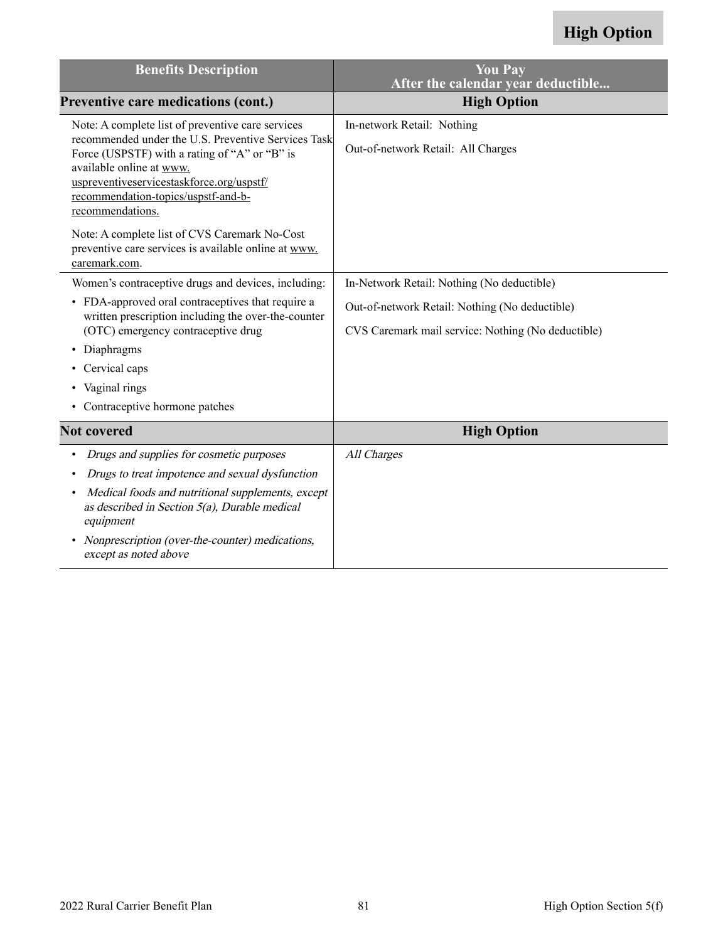| <b>Benefits Description</b>                                                                                                                                                                                                                                                                   | <b>You Pay</b><br>After the calendar year deductible                                                 |
|-----------------------------------------------------------------------------------------------------------------------------------------------------------------------------------------------------------------------------------------------------------------------------------------------|------------------------------------------------------------------------------------------------------|
| <b>Preventive care medications (cont.)</b>                                                                                                                                                                                                                                                    | <b>High Option</b>                                                                                   |
| Note: A complete list of preventive care services<br>recommended under the U.S. Preventive Services Task<br>Force (USPSTF) with a rating of "A" or "B" is<br>available online at www.<br>uspreventiveservicestaskforce.org/uspstf/<br>recommendation-topics/uspstf-and-b-<br>recommendations. | In-network Retail: Nothing<br>Out-of-network Retail: All Charges                                     |
| Note: A complete list of CVS Caremark No-Cost<br>preventive care services is available online at www.<br>caremark.com.                                                                                                                                                                        |                                                                                                      |
| Women's contraceptive drugs and devices, including:                                                                                                                                                                                                                                           | In-Network Retail: Nothing (No deductible)                                                           |
| • FDA-approved oral contraceptives that require a<br>written prescription including the over-the-counter<br>(OTC) emergency contraceptive drug                                                                                                                                                | Out-of-network Retail: Nothing (No deductible)<br>CVS Caremark mail service: Nothing (No deductible) |
| Diaphragms<br>٠                                                                                                                                                                                                                                                                               |                                                                                                      |
| Cervical caps                                                                                                                                                                                                                                                                                 |                                                                                                      |
| • Vaginal rings                                                                                                                                                                                                                                                                               |                                                                                                      |
| • Contraceptive hormone patches                                                                                                                                                                                                                                                               |                                                                                                      |
| <b>Not covered</b>                                                                                                                                                                                                                                                                            | <b>High Option</b>                                                                                   |
| Drugs and supplies for cosmetic purposes<br>٠                                                                                                                                                                                                                                                 | All Charges                                                                                          |
| Drugs to treat impotence and sexual dysfunction                                                                                                                                                                                                                                               |                                                                                                      |
| Medical foods and nutritional supplements, except<br>as described in Section $5(a)$ , Durable medical<br>equipment                                                                                                                                                                            |                                                                                                      |
| Nonprescription (over-the-counter) medications,<br>$\bullet$<br>except as noted above                                                                                                                                                                                                         |                                                                                                      |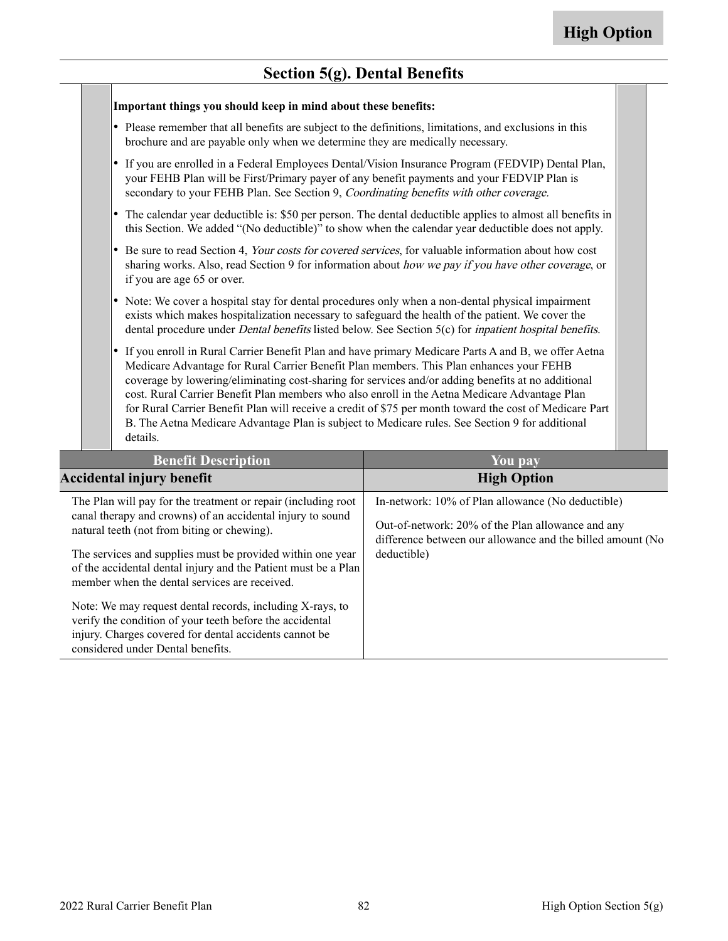**The State** 

### **Section 5(g). Dental Benefits**

| Important things you should keep in mind about these benefits:                                                                                                                                                                                                                                                                                                                                                             |                                                                                                                                                                                                                 |
|----------------------------------------------------------------------------------------------------------------------------------------------------------------------------------------------------------------------------------------------------------------------------------------------------------------------------------------------------------------------------------------------------------------------------|-----------------------------------------------------------------------------------------------------------------------------------------------------------------------------------------------------------------|
| • Please remember that all benefits are subject to the definitions, limitations, and exclusions in this<br>brochure and are payable only when we determine they are medically necessary.                                                                                                                                                                                                                                   |                                                                                                                                                                                                                 |
| $\bullet$<br>your FEHB Plan will be First/Primary payer of any benefit payments and your FEDVIP Plan is<br>secondary to your FEHB Plan. See Section 9, Coordinating benefits with other coverage.                                                                                                                                                                                                                          | If you are enrolled in a Federal Employees Dental/Vision Insurance Program (FEDVIP) Dental Plan,                                                                                                                |
|                                                                                                                                                                                                                                                                                                                                                                                                                            | The calendar year deductible is: \$50 per person. The dental deductible applies to almost all benefits in<br>this Section. We added "(No deductible)" to show when the calendar year deductible does not apply. |
| Be sure to read Section 4, Your costs for covered services, for valuable information about how cost<br>$\bullet$<br>if you are age 65 or over.                                                                                                                                                                                                                                                                             | sharing works. Also, read Section 9 for information about how we pay if you have other coverage, or                                                                                                             |
| • Note: We cover a hospital stay for dental procedures only when a non-dental physical impairment<br>exists which makes hospitalization necessary to safeguard the health of the patient. We cover the                                                                                                                                                                                                                     | dental procedure under <i>Dental benefits</i> listed below. See Section 5(c) for <i>inpatient hospital benefits</i> .                                                                                           |
| $\bullet$<br>Medicare Advantage for Rural Carrier Benefit Plan members. This Plan enhances your FEHB<br>coverage by lowering/eliminating cost-sharing for services and/or adding benefits at no additional<br>cost. Rural Carrier Benefit Plan members who also enroll in the Aetna Medicare Advantage Plan<br>B. The Aetna Medicare Advantage Plan is subject to Medicare rules. See Section 9 for additional<br>details. | If you enroll in Rural Carrier Benefit Plan and have primary Medicare Parts A and B, we offer Aetna<br>for Rural Carrier Benefit Plan will receive a credit of \$75 per month toward the cost of Medicare Part  |
| <b>Benefit Description</b>                                                                                                                                                                                                                                                                                                                                                                                                 | You pay                                                                                                                                                                                                         |
| <b>Accidental injury benefit</b>                                                                                                                                                                                                                                                                                                                                                                                           | <b>High Option</b>                                                                                                                                                                                              |
| The Plan will pay for the treatment or repair (including root                                                                                                                                                                                                                                                                                                                                                              | In-network: 10% of Plan allowance (No deductible)                                                                                                                                                               |
| canal therapy and crowns) of an accidental injury to sound                                                                                                                                                                                                                                                                                                                                                                 | $Q_{\rm tot}$ of noticeally 200/ of the Plan elleways and any                                                                                                                                                   |

| natural teeth (not from biting or chewing).<br>The services and supplies must be provided within one year                                                                       | Out-of-network: 20% of the Plan allowance and any<br>difference between our allowance and the billed amount (No<br>deductible) |
|---------------------------------------------------------------------------------------------------------------------------------------------------------------------------------|--------------------------------------------------------------------------------------------------------------------------------|
| of the accidental dental injury and the Patient must be a Plan<br>member when the dental services are received.                                                                 |                                                                                                                                |
| Note: We may request dental records, including X-rays, to<br>verify the condition of your teeth before the accidental<br>injury. Charges covered for dental accidents cannot be |                                                                                                                                |

considered under Dental benefits.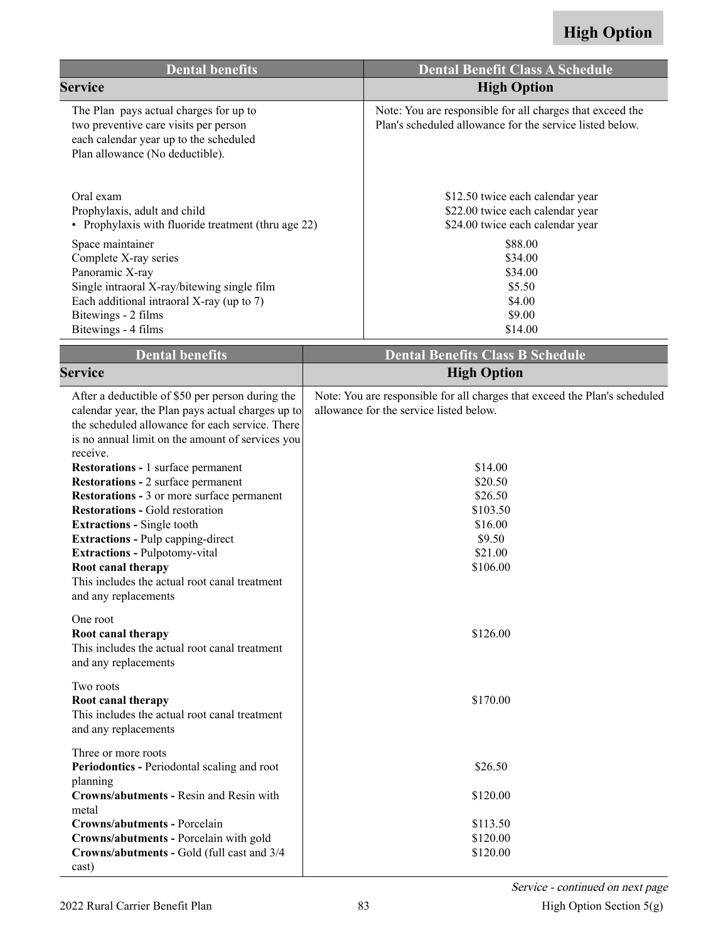| <b>Dental benefits</b>                                                                                                                                                                                                                                                                                                                                                                                                                                                                                                                                                                                                                                                                                                                               |  | <b>Dental Benefit Class A Schedule</b>                                                                                                                                                                                     |
|------------------------------------------------------------------------------------------------------------------------------------------------------------------------------------------------------------------------------------------------------------------------------------------------------------------------------------------------------------------------------------------------------------------------------------------------------------------------------------------------------------------------------------------------------------------------------------------------------------------------------------------------------------------------------------------------------------------------------------------------------|--|----------------------------------------------------------------------------------------------------------------------------------------------------------------------------------------------------------------------------|
| <b>Service</b>                                                                                                                                                                                                                                                                                                                                                                                                                                                                                                                                                                                                                                                                                                                                       |  | <b>High Option</b>                                                                                                                                                                                                         |
| The Plan pays actual charges for up to<br>two preventive care visits per person<br>each calendar year up to the scheduled<br>Plan allowance (No deductible).                                                                                                                                                                                                                                                                                                                                                                                                                                                                                                                                                                                         |  | Note: You are responsible for all charges that exceed the<br>Plan's scheduled allowance for the service listed below.                                                                                                      |
| Oral exam<br>Prophylaxis, adult and child<br>• Prophylaxis with fluoride treatment (thru age 22)                                                                                                                                                                                                                                                                                                                                                                                                                                                                                                                                                                                                                                                     |  | \$12.50 twice each calendar year<br>\$22.00 twice each calendar year<br>\$24.00 twice each calendar year                                                                                                                   |
| Space maintainer<br>Complete X-ray series<br>Panoramic X-ray<br>Single intraoral X-ray/bitewing single film<br>Each additional intraoral X-ray (up to 7)<br>Bitewings - 2 films<br>Bitewings - 4 films                                                                                                                                                                                                                                                                                                                                                                                                                                                                                                                                               |  | \$88.00<br>\$34.00<br>\$34.00<br>\$5.50<br>\$4.00<br>\$9.00<br>\$14.00                                                                                                                                                     |
| <b>Dental benefits</b>                                                                                                                                                                                                                                                                                                                                                                                                                                                                                                                                                                                                                                                                                                                               |  | <b>Dental Benefits Class B Schedule</b>                                                                                                                                                                                    |
| <b>Service</b>                                                                                                                                                                                                                                                                                                                                                                                                                                                                                                                                                                                                                                                                                                                                       |  | <b>High Option</b>                                                                                                                                                                                                         |
| After a deductible of \$50 per person during the<br>calendar year, the Plan pays actual charges up to<br>the scheduled allowance for each service. There<br>is no annual limit on the amount of services you<br>receive.<br><b>Restorations - 1 surface permanent</b><br><b>Restorations - 2 surface permanent</b><br><b>Restorations - 3 or more surface permanent</b><br><b>Restorations - Gold restoration</b><br><b>Extractions - Single tooth</b><br><b>Extractions - Pulp capping-direct</b><br><b>Extractions - Pulpotomy-vital</b><br>Root canal therapy<br>This includes the actual root canal treatment<br>and any replacements<br>One root<br>Root canal therapy<br>This includes the actual root canal treatment<br>and any replacements |  | Note: You are responsible for all charges that exceed the Plan's scheduled<br>allowance for the service listed below.<br>\$14.00<br>\$20.50<br>\$26.50<br>\$103.50<br>\$16.00<br>\$9.50<br>\$21.00<br>\$106.00<br>\$126.00 |
| Two roots<br>Root canal therapy<br>This includes the actual root canal treatment<br>and any replacements                                                                                                                                                                                                                                                                                                                                                                                                                                                                                                                                                                                                                                             |  | \$170.00                                                                                                                                                                                                                   |
| Three or more roots<br>Periodontics - Periodontal scaling and root<br>planning<br>Crowns/abutments - Resin and Resin with<br>metal                                                                                                                                                                                                                                                                                                                                                                                                                                                                                                                                                                                                                   |  | \$26.50<br>\$120.00                                                                                                                                                                                                        |
| Crowns/abutments - Porcelain<br>Crowns/abutments - Porcelain with gold<br>Crowns/abutments - Gold (full cast and 3/4<br>cast)                                                                                                                                                                                                                                                                                                                                                                                                                                                                                                                                                                                                                        |  | \$113.50<br>\$120.00<br>\$120.00                                                                                                                                                                                           |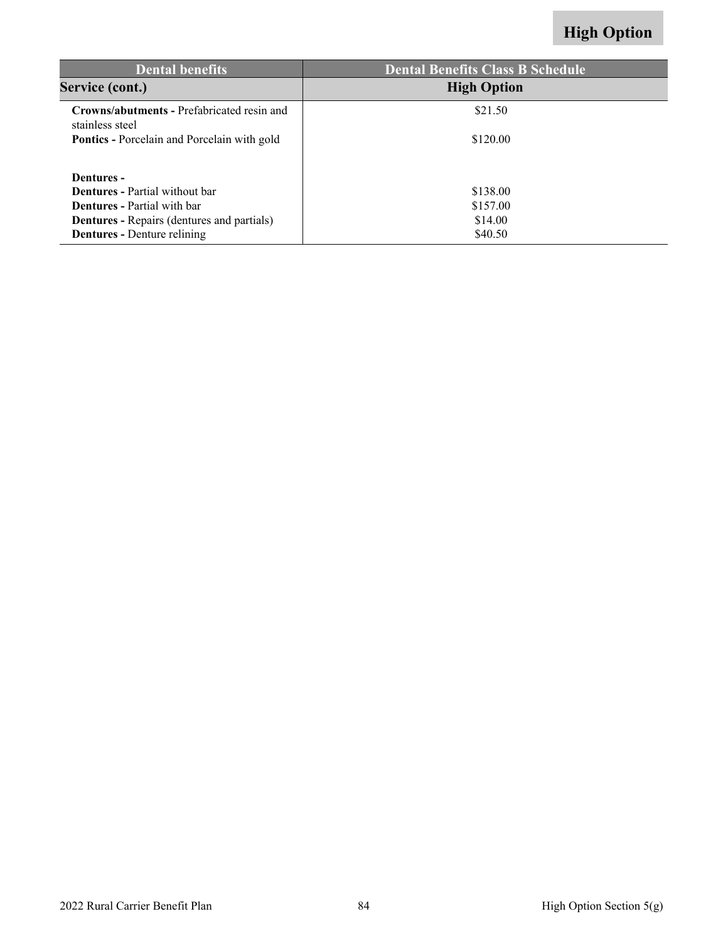| <b>Dental benefits</b>                                               | <b>Dental Benefits Class B Schedule</b> |
|----------------------------------------------------------------------|-----------------------------------------|
| Service (cont.)                                                      | <b>High Option</b>                      |
| <b>Crowns/abutments - Prefabricated resin and</b><br>stainless steel | \$21.50                                 |
| <b>Pontics</b> - Porcelain and Porcelain with gold                   | \$120.00                                |
| Dentures -                                                           |                                         |
| <b>Dentures</b> - Partial without bar                                | \$138.00                                |
| <b>Dentures</b> - Partial with bar                                   | \$157.00                                |
| <b>Dentures - Repairs (dentures and partials)</b>                    | \$14.00                                 |
| <b>Dentures</b> - Denture relining                                   | \$40.50                                 |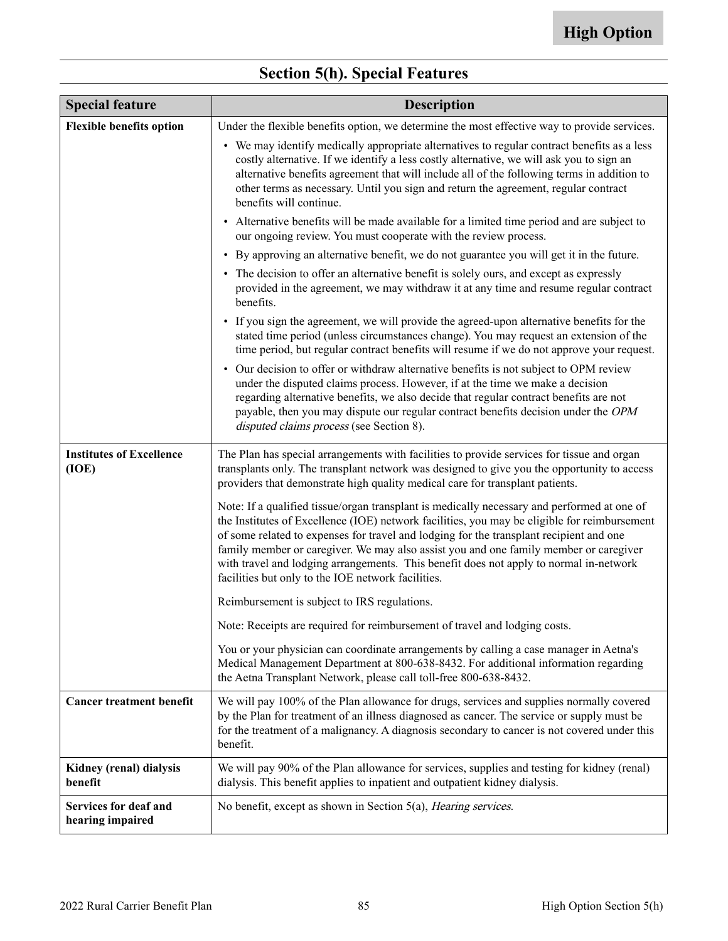| <b>Special feature</b>                           | <b>Description</b>                                                                                                                                                                                                                                                                                                                                                                                                                                                                                                              |  |  |  |  |  |
|--------------------------------------------------|---------------------------------------------------------------------------------------------------------------------------------------------------------------------------------------------------------------------------------------------------------------------------------------------------------------------------------------------------------------------------------------------------------------------------------------------------------------------------------------------------------------------------------|--|--|--|--|--|
| <b>Flexible benefits option</b>                  | Under the flexible benefits option, we determine the most effective way to provide services.                                                                                                                                                                                                                                                                                                                                                                                                                                    |  |  |  |  |  |
|                                                  | • We may identify medically appropriate alternatives to regular contract benefits as a less<br>costly alternative. If we identify a less costly alternative, we will ask you to sign an<br>alternative benefits agreement that will include all of the following terms in addition to<br>other terms as necessary. Until you sign and return the agreement, regular contract<br>benefits will continue.                                                                                                                         |  |  |  |  |  |
|                                                  | • Alternative benefits will be made available for a limited time period and are subject to<br>our ongoing review. You must cooperate with the review process.                                                                                                                                                                                                                                                                                                                                                                   |  |  |  |  |  |
|                                                  | • By approving an alternative benefit, we do not guarantee you will get it in the future.                                                                                                                                                                                                                                                                                                                                                                                                                                       |  |  |  |  |  |
|                                                  | • The decision to offer an alternative benefit is solely ours, and except as expressly<br>provided in the agreement, we may withdraw it at any time and resume regular contract<br>benefits.                                                                                                                                                                                                                                                                                                                                    |  |  |  |  |  |
|                                                  | • If you sign the agreement, we will provide the agreed-upon alternative benefits for the<br>stated time period (unless circumstances change). You may request an extension of the<br>time period, but regular contract benefits will resume if we do not approve your request.                                                                                                                                                                                                                                                 |  |  |  |  |  |
|                                                  | • Our decision to offer or withdraw alternative benefits is not subject to OPM review<br>under the disputed claims process. However, if at the time we make a decision<br>regarding alternative benefits, we also decide that regular contract benefits are not<br>payable, then you may dispute our regular contract benefits decision under the OPM<br>disputed claims process (see Section 8).                                                                                                                               |  |  |  |  |  |
| <b>Institutes of Excellence</b><br>(IOE)         | The Plan has special arrangements with facilities to provide services for tissue and organ<br>transplants only. The transplant network was designed to give you the opportunity to access<br>providers that demonstrate high quality medical care for transplant patients.                                                                                                                                                                                                                                                      |  |  |  |  |  |
|                                                  | Note: If a qualified tissue/organ transplant is medically necessary and performed at one of<br>the Institutes of Excellence (IOE) network facilities, you may be eligible for reimbursement<br>of some related to expenses for travel and lodging for the transplant recipient and one<br>family member or caregiver. We may also assist you and one family member or caregiver<br>with travel and lodging arrangements. This benefit does not apply to normal in-network<br>facilities but only to the IOE network facilities. |  |  |  |  |  |
|                                                  | Reimbursement is subject to IRS regulations.                                                                                                                                                                                                                                                                                                                                                                                                                                                                                    |  |  |  |  |  |
|                                                  | Note: Receipts are required for reimbursement of travel and lodging costs.                                                                                                                                                                                                                                                                                                                                                                                                                                                      |  |  |  |  |  |
|                                                  | You or your physician can coordinate arrangements by calling a case manager in Aetna's<br>Medical Management Department at 800-638-8432. For additional information regarding<br>the Aetna Transplant Network, please call toll-free 800-638-8432.                                                                                                                                                                                                                                                                              |  |  |  |  |  |
| <b>Cancer treatment benefit</b>                  | We will pay 100% of the Plan allowance for drugs, services and supplies normally covered<br>by the Plan for treatment of an illness diagnosed as cancer. The service or supply must be<br>for the treatment of a malignancy. A diagnosis secondary to cancer is not covered under this<br>benefit.                                                                                                                                                                                                                              |  |  |  |  |  |
| Kidney (renal) dialysis<br>benefit               | We will pay 90% of the Plan allowance for services, supplies and testing for kidney (renal)<br>dialysis. This benefit applies to inpatient and outpatient kidney dialysis.                                                                                                                                                                                                                                                                                                                                                      |  |  |  |  |  |
| <b>Services for deaf and</b><br>hearing impaired | No benefit, except as shown in Section 5(a), <i>Hearing services</i> .                                                                                                                                                                                                                                                                                                                                                                                                                                                          |  |  |  |  |  |

### **Section 5(h). Special Features**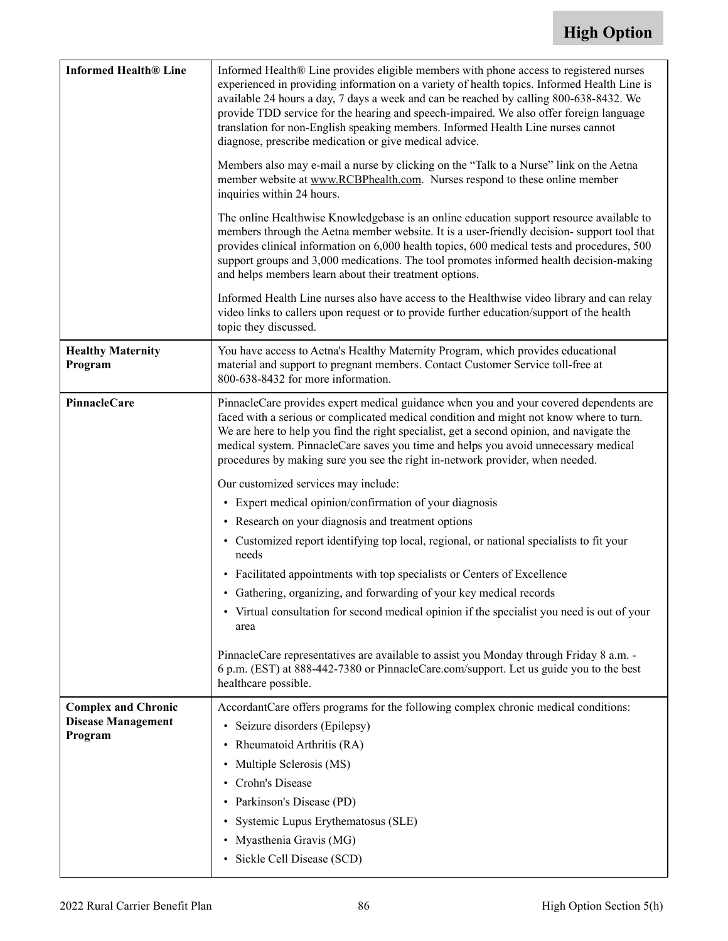| <b>Informed Health® Line</b>                                       | Informed Health® Line provides eligible members with phone access to registered nurses<br>experienced in providing information on a variety of health topics. Informed Health Line is<br>available 24 hours a day, 7 days a week and can be reached by calling 800-638-8432. We<br>provide TDD service for the hearing and speech-impaired. We also offer foreign language<br>translation for non-English speaking members. Informed Health Line nurses cannot<br>diagnose, prescribe medication or give medical advice.<br>Members also may e-mail a nurse by clicking on the "Talk to a Nurse" link on the Aetna<br>member website at www.RCBPhealth.com. Nurses respond to these online member<br>inquiries within 24 hours.<br>The online Healthwise Knowledgebase is an online education support resource available to<br>members through the Aetna member website. It is a user-friendly decision-support tool that<br>provides clinical information on 6,000 health topics, 600 medical tests and procedures, 500<br>support groups and 3,000 medications. The tool promotes informed health decision-making<br>and helps members learn about their treatment options.<br>Informed Health Line nurses also have access to the Healthwise video library and can relay<br>video links to callers upon request or to provide further education/support of the health<br>topic they discussed. |
|--------------------------------------------------------------------|---------------------------------------------------------------------------------------------------------------------------------------------------------------------------------------------------------------------------------------------------------------------------------------------------------------------------------------------------------------------------------------------------------------------------------------------------------------------------------------------------------------------------------------------------------------------------------------------------------------------------------------------------------------------------------------------------------------------------------------------------------------------------------------------------------------------------------------------------------------------------------------------------------------------------------------------------------------------------------------------------------------------------------------------------------------------------------------------------------------------------------------------------------------------------------------------------------------------------------------------------------------------------------------------------------------------------------------------------------------------------------------------------|
| <b>Healthy Maternity</b><br>Program                                | You have access to Aetna's Healthy Maternity Program, which provides educational<br>material and support to pregnant members. Contact Customer Service toll-free at<br>800-638-8432 for more information.                                                                                                                                                                                                                                                                                                                                                                                                                                                                                                                                                                                                                                                                                                                                                                                                                                                                                                                                                                                                                                                                                                                                                                                         |
| PinnacleCare                                                       | PinnacleCare provides expert medical guidance when you and your covered dependents are<br>faced with a serious or complicated medical condition and might not know where to turn.<br>We are here to help you find the right specialist, get a second opinion, and navigate the<br>medical system. PinnacleCare saves you time and helps you avoid unnecessary medical<br>procedures by making sure you see the right in-network provider, when needed.<br>Our customized services may include:<br>• Expert medical opinion/confirmation of your diagnosis<br>• Research on your diagnosis and treatment options<br>• Customized report identifying top local, regional, or national specialists to fit your<br>needs<br>• Facilitated appointments with top specialists or Centers of Excellence<br>Gathering, organizing, and forwarding of your key medical records<br>• Virtual consultation for second medical opinion if the specialist you need is out of your<br>area<br>PinnacleCare representatives are available to assist you Monday through Friday 8 a.m. -<br>6 p.m. (EST) at 888-442-7380 or PinnacleCare.com/support. Let us guide you to the best<br>healthcare possible.                                                                                                                                                                                                         |
| <b>Complex and Chronic</b><br><b>Disease Management</b><br>Program | AccordantCare offers programs for the following complex chronic medical conditions:<br>• Seizure disorders (Epilepsy)<br>• Rheumatoid Arthritis (RA)<br>• Multiple Sclerosis (MS)<br>Crohn's Disease<br>$\bullet$<br>• Parkinson's Disease (PD)<br>Systemic Lupus Erythematosus (SLE)<br>· Myasthenia Gravis (MG)<br>• Sickle Cell Disease (SCD)                                                                                                                                                                                                                                                                                                                                                                                                                                                                                                                                                                                                                                                                                                                                                                                                                                                                                                                                                                                                                                                  |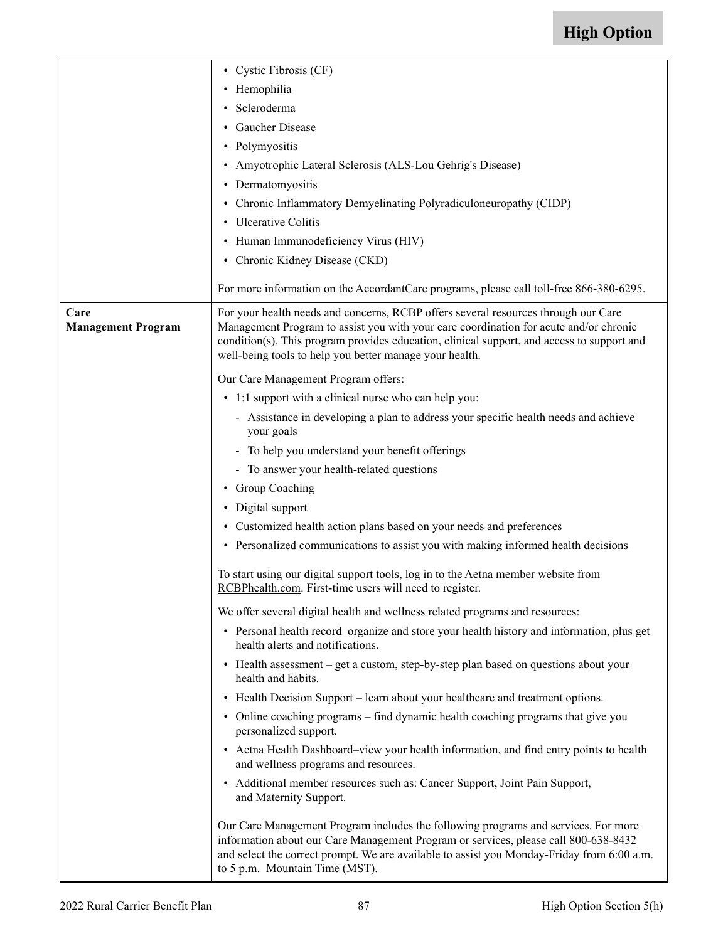|                                   | • Cystic Fibrosis (CF)                                                                                                                                                                                                                                                                                                               |  |  |  |  |
|-----------------------------------|--------------------------------------------------------------------------------------------------------------------------------------------------------------------------------------------------------------------------------------------------------------------------------------------------------------------------------------|--|--|--|--|
|                                   |                                                                                                                                                                                                                                                                                                                                      |  |  |  |  |
|                                   | • Hemophilia                                                                                                                                                                                                                                                                                                                         |  |  |  |  |
|                                   | · Scleroderma                                                                                                                                                                                                                                                                                                                        |  |  |  |  |
|                                   | • Gaucher Disease                                                                                                                                                                                                                                                                                                                    |  |  |  |  |
|                                   | • Polymyositis                                                                                                                                                                                                                                                                                                                       |  |  |  |  |
|                                   | • Amyotrophic Lateral Sclerosis (ALS-Lou Gehrig's Disease)                                                                                                                                                                                                                                                                           |  |  |  |  |
|                                   | • Dermatomyositis                                                                                                                                                                                                                                                                                                                    |  |  |  |  |
|                                   | • Chronic Inflammatory Demyelinating Polyradiculoneuropathy (CIDP)                                                                                                                                                                                                                                                                   |  |  |  |  |
|                                   | • Ulcerative Colitis                                                                                                                                                                                                                                                                                                                 |  |  |  |  |
|                                   | • Human Immunodeficiency Virus (HIV)                                                                                                                                                                                                                                                                                                 |  |  |  |  |
|                                   | • Chronic Kidney Disease (CKD)                                                                                                                                                                                                                                                                                                       |  |  |  |  |
|                                   | For more information on the AccordantCare programs, please call toll-free 866-380-6295.                                                                                                                                                                                                                                              |  |  |  |  |
| Care<br><b>Management Program</b> | For your health needs and concerns, RCBP offers several resources through our Care<br>Management Program to assist you with your care coordination for acute and/or chronic<br>condition(s). This program provides education, clinical support, and access to support and<br>well-being tools to help you better manage your health. |  |  |  |  |
|                                   | Our Care Management Program offers:                                                                                                                                                                                                                                                                                                  |  |  |  |  |
|                                   | • 1:1 support with a clinical nurse who can help you:                                                                                                                                                                                                                                                                                |  |  |  |  |
|                                   | - Assistance in developing a plan to address your specific health needs and achieve<br>your goals                                                                                                                                                                                                                                    |  |  |  |  |
|                                   | - To help you understand your benefit offerings                                                                                                                                                                                                                                                                                      |  |  |  |  |
|                                   | - To answer your health-related questions                                                                                                                                                                                                                                                                                            |  |  |  |  |
|                                   | • Group Coaching                                                                                                                                                                                                                                                                                                                     |  |  |  |  |
|                                   | • Digital support                                                                                                                                                                                                                                                                                                                    |  |  |  |  |
|                                   | • Customized health action plans based on your needs and preferences                                                                                                                                                                                                                                                                 |  |  |  |  |
|                                   | • Personalized communications to assist you with making informed health decisions                                                                                                                                                                                                                                                    |  |  |  |  |
|                                   | To start using our digital support tools, log in to the Aetna member website from<br>RCBPhealth.com. First-time users will need to register.                                                                                                                                                                                         |  |  |  |  |
|                                   | We offer several digital health and wellness related programs and resources:                                                                                                                                                                                                                                                         |  |  |  |  |
|                                   | • Personal health record–organize and store your health history and information, plus get<br>health alerts and notifications.                                                                                                                                                                                                        |  |  |  |  |
|                                   | • Health assessment – get a custom, step-by-step plan based on questions about your<br>health and habits.                                                                                                                                                                                                                            |  |  |  |  |
|                                   | • Health Decision Support – learn about your healthcare and treatment options.                                                                                                                                                                                                                                                       |  |  |  |  |
|                                   | • Online coaching programs - find dynamic health coaching programs that give you<br>personalized support.                                                                                                                                                                                                                            |  |  |  |  |
|                                   | • Aetna Health Dashboard-view your health information, and find entry points to health<br>and wellness programs and resources.                                                                                                                                                                                                       |  |  |  |  |
|                                   | • Additional member resources such as: Cancer Support, Joint Pain Support,<br>and Maternity Support.                                                                                                                                                                                                                                 |  |  |  |  |
|                                   | Our Care Management Program includes the following programs and services. For more<br>information about our Care Management Program or services, please call 800-638-8432<br>and select the correct prompt. We are available to assist you Monday-Friday from 6:00 a.m.<br>to 5 p.m. Mountain Time (MST).                            |  |  |  |  |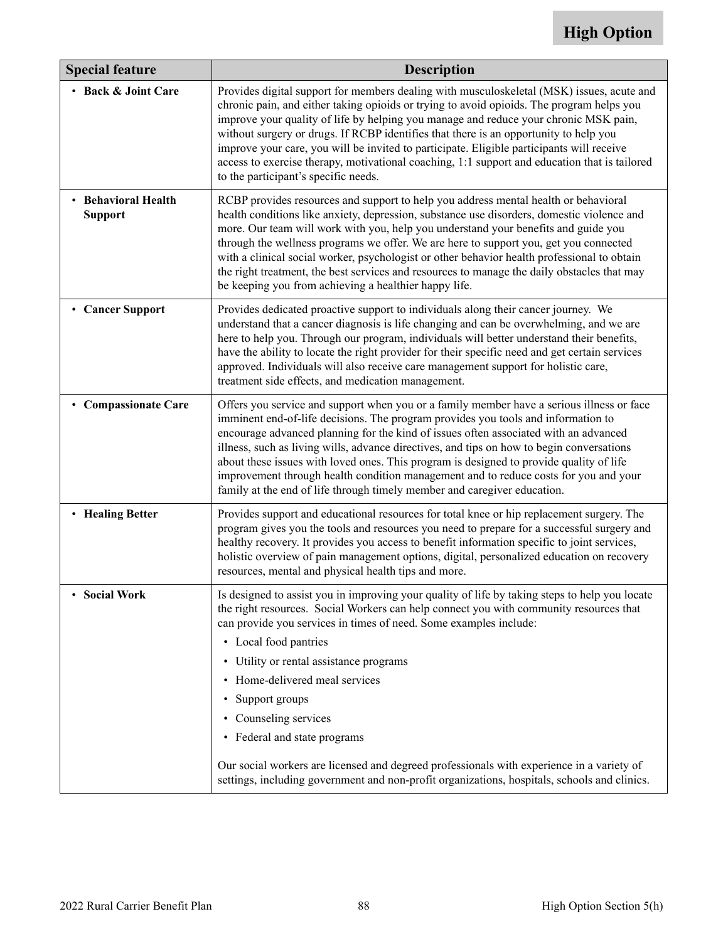| <b>Special feature</b>                     | <b>Description</b>                                                                                                                                                                                                                                                                                                                                                                                                                                                                                                                                                                                                                            |  |  |  |  |  |
|--------------------------------------------|-----------------------------------------------------------------------------------------------------------------------------------------------------------------------------------------------------------------------------------------------------------------------------------------------------------------------------------------------------------------------------------------------------------------------------------------------------------------------------------------------------------------------------------------------------------------------------------------------------------------------------------------------|--|--|--|--|--|
| • Back & Joint Care                        | Provides digital support for members dealing with musculoskeletal (MSK) issues, acute and<br>chronic pain, and either taking opioids or trying to avoid opioids. The program helps you<br>improve your quality of life by helping you manage and reduce your chronic MSK pain,<br>without surgery or drugs. If RCBP identifies that there is an opportunity to help you<br>improve your care, you will be invited to participate. Eligible participants will receive<br>access to exercise therapy, motivational coaching, 1:1 support and education that is tailored<br>to the participant's specific needs.                                 |  |  |  |  |  |
| <b>Behavioral Health</b><br><b>Support</b> | RCBP provides resources and support to help you address mental health or behavioral<br>health conditions like anxiety, depression, substance use disorders, domestic violence and<br>more. Our team will work with you, help you understand your benefits and guide you<br>through the wellness programs we offer. We are here to support you, get you connected<br>with a clinical social worker, psychologist or other behavior health professional to obtain<br>the right treatment, the best services and resources to manage the daily obstacles that may<br>be keeping you from achieving a healthier happy life.                       |  |  |  |  |  |
| <b>Cancer Support</b>                      | Provides dedicated proactive support to individuals along their cancer journey. We<br>understand that a cancer diagnosis is life changing and can be overwhelming, and we are<br>here to help you. Through our program, individuals will better understand their benefits,<br>have the ability to locate the right provider for their specific need and get certain services<br>approved. Individuals will also receive care management support for holistic care,<br>treatment side effects, and medication management.                                                                                                                      |  |  |  |  |  |
| <b>Compassionate Care</b>                  | Offers you service and support when you or a family member have a serious illness or face<br>imminent end-of-life decisions. The program provides you tools and information to<br>encourage advanced planning for the kind of issues often associated with an advanced<br>illness, such as living wills, advance directives, and tips on how to begin conversations<br>about these issues with loved ones. This program is designed to provide quality of life<br>improvement through health condition management and to reduce costs for you and your<br>family at the end of life through timely member and caregiver education.            |  |  |  |  |  |
| • Healing Better                           | Provides support and educational resources for total knee or hip replacement surgery. The<br>program gives you the tools and resources you need to prepare for a successful surgery and<br>healthy recovery. It provides you access to benefit information specific to joint services,<br>holistic overview of pain management options, digital, personalized education on recovery<br>resources, mental and physical health tips and more.                                                                                                                                                                                                   |  |  |  |  |  |
| <b>Social Work</b>                         | Is designed to assist you in improving your quality of life by taking steps to help you locate<br>the right resources. Social Workers can help connect you with community resources that<br>can provide you services in times of need. Some examples include:<br>• Local food pantries<br>• Utility or rental assistance programs<br>• Home-delivered meal services<br>• Support groups<br>• Counseling services<br>• Federal and state programs<br>Our social workers are licensed and degreed professionals with experience in a variety of<br>settings, including government and non-profit organizations, hospitals, schools and clinics. |  |  |  |  |  |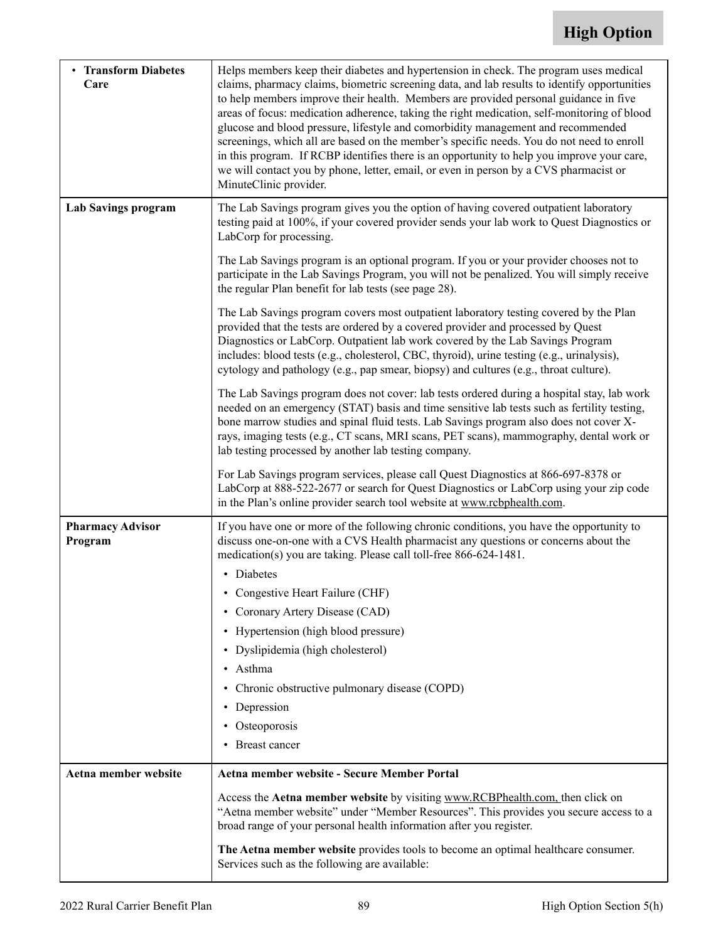<span id="page-90-0"></span>

| • Transform Diabetes<br>Care       | Helps members keep their diabetes and hypertension in check. The program uses medical<br>claims, pharmacy claims, biometric screening data, and lab results to identify opportunities<br>to help members improve their health. Members are provided personal guidance in five<br>areas of focus: medication adherence, taking the right medication, self-monitoring of blood<br>glucose and blood pressure, lifestyle and comorbidity management and recommended<br>screenings, which all are based on the member's specific needs. You do not need to enroll<br>in this program. If RCBP identifies there is an opportunity to help you improve your care,<br>we will contact you by phone, letter, email, or even in person by a CVS pharmacist or<br>MinuteClinic provider. |  |  |  |  |  |
|------------------------------------|--------------------------------------------------------------------------------------------------------------------------------------------------------------------------------------------------------------------------------------------------------------------------------------------------------------------------------------------------------------------------------------------------------------------------------------------------------------------------------------------------------------------------------------------------------------------------------------------------------------------------------------------------------------------------------------------------------------------------------------------------------------------------------|--|--|--|--|--|
| Lab Savings program                | The Lab Savings program gives you the option of having covered outpatient laboratory<br>testing paid at 100%, if your covered provider sends your lab work to Quest Diagnostics or<br>LabCorp for processing.                                                                                                                                                                                                                                                                                                                                                                                                                                                                                                                                                                  |  |  |  |  |  |
|                                    | The Lab Savings program is an optional program. If you or your provider chooses not to<br>participate in the Lab Savings Program, you will not be penalized. You will simply receive<br>the regular Plan benefit for lab tests (see page 28).                                                                                                                                                                                                                                                                                                                                                                                                                                                                                                                                  |  |  |  |  |  |
|                                    | The Lab Savings program covers most outpatient laboratory testing covered by the Plan<br>provided that the tests are ordered by a covered provider and processed by Quest<br>Diagnostics or LabCorp. Outpatient lab work covered by the Lab Savings Program<br>includes: blood tests (e.g., cholesterol, CBC, thyroid), urine testing (e.g., urinalysis),<br>cytology and pathology (e.g., pap smear, biopsy) and cultures (e.g., throat culture).                                                                                                                                                                                                                                                                                                                             |  |  |  |  |  |
|                                    | The Lab Savings program does not cover: lab tests ordered during a hospital stay, lab work<br>needed on an emergency (STAT) basis and time sensitive lab tests such as fertility testing,<br>bone marrow studies and spinal fluid tests. Lab Savings program also does not cover X-<br>rays, imaging tests (e.g., CT scans, MRI scans, PET scans), mammography, dental work or<br>lab testing processed by another lab testing company.                                                                                                                                                                                                                                                                                                                                        |  |  |  |  |  |
|                                    | For Lab Savings program services, please call Quest Diagnostics at 866-697-8378 or<br>LabCorp at 888-522-2677 or search for Quest Diagnostics or LabCorp using your zip code<br>in the Plan's online provider search tool website at www.rcbphealth.com.                                                                                                                                                                                                                                                                                                                                                                                                                                                                                                                       |  |  |  |  |  |
| <b>Pharmacy Advisor</b><br>Program | If you have one or more of the following chronic conditions, you have the opportunity to<br>discuss one-on-one with a CVS Health pharmacist any questions or concerns about the<br>medication(s) you are taking. Please call toll-free 866-624-1481.                                                                                                                                                                                                                                                                                                                                                                                                                                                                                                                           |  |  |  |  |  |
|                                    | • Diabetes                                                                                                                                                                                                                                                                                                                                                                                                                                                                                                                                                                                                                                                                                                                                                                     |  |  |  |  |  |
|                                    | • Congestive Heart Failure (CHF)                                                                                                                                                                                                                                                                                                                                                                                                                                                                                                                                                                                                                                                                                                                                               |  |  |  |  |  |
|                                    | • Coronary Artery Disease (CAD)                                                                                                                                                                                                                                                                                                                                                                                                                                                                                                                                                                                                                                                                                                                                                |  |  |  |  |  |
|                                    | • Hypertension (high blood pressure)                                                                                                                                                                                                                                                                                                                                                                                                                                                                                                                                                                                                                                                                                                                                           |  |  |  |  |  |
|                                    | • Dyslipidemia (high cholesterol)                                                                                                                                                                                                                                                                                                                                                                                                                                                                                                                                                                                                                                                                                                                                              |  |  |  |  |  |
|                                    | • Asthma                                                                                                                                                                                                                                                                                                                                                                                                                                                                                                                                                                                                                                                                                                                                                                       |  |  |  |  |  |
|                                    | • Chronic obstructive pulmonary disease (COPD)                                                                                                                                                                                                                                                                                                                                                                                                                                                                                                                                                                                                                                                                                                                                 |  |  |  |  |  |
|                                    | • Depression                                                                                                                                                                                                                                                                                                                                                                                                                                                                                                                                                                                                                                                                                                                                                                   |  |  |  |  |  |
|                                    | • Osteoporosis                                                                                                                                                                                                                                                                                                                                                                                                                                                                                                                                                                                                                                                                                                                                                                 |  |  |  |  |  |
|                                    | • Breast cancer                                                                                                                                                                                                                                                                                                                                                                                                                                                                                                                                                                                                                                                                                                                                                                |  |  |  |  |  |
| Aetna member website               | Aetna member website - Secure Member Portal                                                                                                                                                                                                                                                                                                                                                                                                                                                                                                                                                                                                                                                                                                                                    |  |  |  |  |  |
|                                    | Access the Aetna member website by visiting www.RCBPhealth.com, then click on<br>"Aetna member website" under "Member Resources". This provides you secure access to a<br>broad range of your personal health information after you register.                                                                                                                                                                                                                                                                                                                                                                                                                                                                                                                                  |  |  |  |  |  |
|                                    | The Aetna member website provides tools to become an optimal healthcare consumer.<br>Services such as the following are available:                                                                                                                                                                                                                                                                                                                                                                                                                                                                                                                                                                                                                                             |  |  |  |  |  |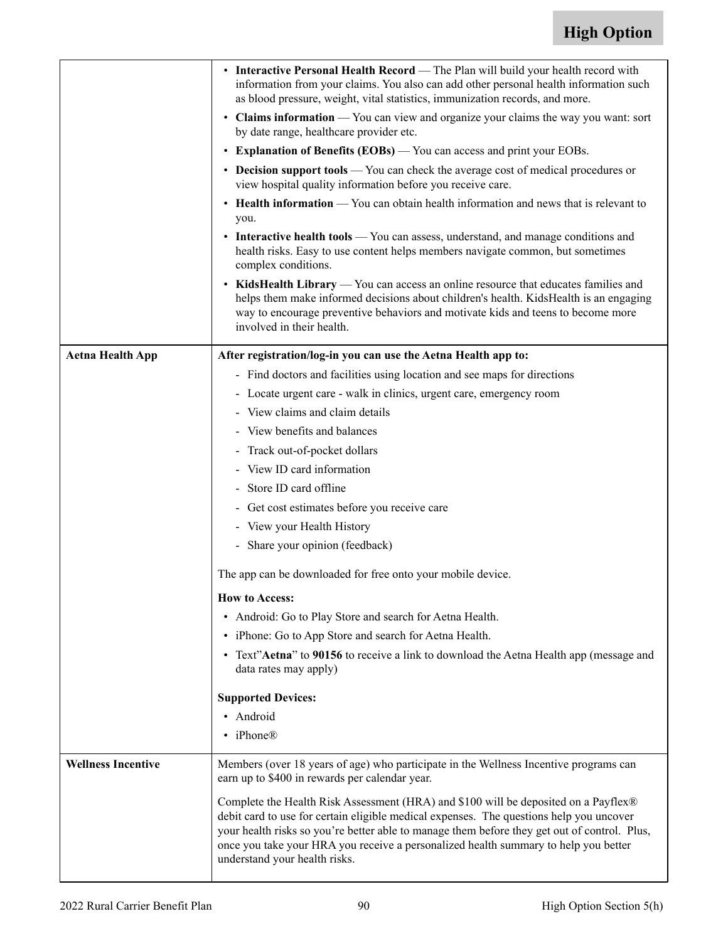|                           | • Interactive Personal Health Record — The Plan will build your health record with<br>information from your claims. You also can add other personal health information such<br>as blood pressure, weight, vital statistics, immunization records, and more.<br>• Claims information — You can view and organize your claims the way you want: sort<br>by date range, healthcare provider etc.<br>• Explanation of Benefits (EOBs) — You can access and print your EOBs.<br>• Decision support tools — You can check the average cost of medical procedures or<br>view hospital quality information before you receive care.<br>• Health information — You can obtain health information and news that is relevant to<br>you.<br>• Interactive health tools — You can assess, understand, and manage conditions and<br>health risks. Easy to use content helps members navigate common, but sometimes<br>complex conditions.<br>• KidsHealth Library — You can access an online resource that educates families and<br>helps them make informed decisions about children's health. KidsHealth is an engaging<br>way to encourage preventive behaviors and motivate kids and teens to become more<br>involved in their health. |  |  |  |  |
|---------------------------|------------------------------------------------------------------------------------------------------------------------------------------------------------------------------------------------------------------------------------------------------------------------------------------------------------------------------------------------------------------------------------------------------------------------------------------------------------------------------------------------------------------------------------------------------------------------------------------------------------------------------------------------------------------------------------------------------------------------------------------------------------------------------------------------------------------------------------------------------------------------------------------------------------------------------------------------------------------------------------------------------------------------------------------------------------------------------------------------------------------------------------------------------------------------------------------------------------------------------|--|--|--|--|
| <b>Aetna Health App</b>   | After registration/log-in you can use the Aetna Health app to:                                                                                                                                                                                                                                                                                                                                                                                                                                                                                                                                                                                                                                                                                                                                                                                                                                                                                                                                                                                                                                                                                                                                                               |  |  |  |  |
|                           | - Find doctors and facilities using location and see maps for directions                                                                                                                                                                                                                                                                                                                                                                                                                                                                                                                                                                                                                                                                                                                                                                                                                                                                                                                                                                                                                                                                                                                                                     |  |  |  |  |
|                           | - Locate urgent care - walk in clinics, urgent care, emergency room                                                                                                                                                                                                                                                                                                                                                                                                                                                                                                                                                                                                                                                                                                                                                                                                                                                                                                                                                                                                                                                                                                                                                          |  |  |  |  |
|                           | - View claims and claim details                                                                                                                                                                                                                                                                                                                                                                                                                                                                                                                                                                                                                                                                                                                                                                                                                                                                                                                                                                                                                                                                                                                                                                                              |  |  |  |  |
|                           | - View benefits and balances                                                                                                                                                                                                                                                                                                                                                                                                                                                                                                                                                                                                                                                                                                                                                                                                                                                                                                                                                                                                                                                                                                                                                                                                 |  |  |  |  |
|                           | Track out-of-pocket dollars                                                                                                                                                                                                                                                                                                                                                                                                                                                                                                                                                                                                                                                                                                                                                                                                                                                                                                                                                                                                                                                                                                                                                                                                  |  |  |  |  |
|                           | View ID card information<br>$\overline{\phantom{0}}$                                                                                                                                                                                                                                                                                                                                                                                                                                                                                                                                                                                                                                                                                                                                                                                                                                                                                                                                                                                                                                                                                                                                                                         |  |  |  |  |
|                           | Store ID card offline<br>$\overline{\phantom{0}}$                                                                                                                                                                                                                                                                                                                                                                                                                                                                                                                                                                                                                                                                                                                                                                                                                                                                                                                                                                                                                                                                                                                                                                            |  |  |  |  |
|                           | Get cost estimates before you receive care                                                                                                                                                                                                                                                                                                                                                                                                                                                                                                                                                                                                                                                                                                                                                                                                                                                                                                                                                                                                                                                                                                                                                                                   |  |  |  |  |
|                           | View your Health History<br>$\overline{\phantom{0}}$                                                                                                                                                                                                                                                                                                                                                                                                                                                                                                                                                                                                                                                                                                                                                                                                                                                                                                                                                                                                                                                                                                                                                                         |  |  |  |  |
|                           | - Share your opinion (feedback)                                                                                                                                                                                                                                                                                                                                                                                                                                                                                                                                                                                                                                                                                                                                                                                                                                                                                                                                                                                                                                                                                                                                                                                              |  |  |  |  |
|                           | The app can be downloaded for free onto your mobile device.                                                                                                                                                                                                                                                                                                                                                                                                                                                                                                                                                                                                                                                                                                                                                                                                                                                                                                                                                                                                                                                                                                                                                                  |  |  |  |  |
|                           | <b>How to Access:</b>                                                                                                                                                                                                                                                                                                                                                                                                                                                                                                                                                                                                                                                                                                                                                                                                                                                                                                                                                                                                                                                                                                                                                                                                        |  |  |  |  |
|                           | • Android: Go to Play Store and search for Aetna Health.                                                                                                                                                                                                                                                                                                                                                                                                                                                                                                                                                                                                                                                                                                                                                                                                                                                                                                                                                                                                                                                                                                                                                                     |  |  |  |  |
|                           | • iPhone: Go to App Store and search for Aetna Health.                                                                                                                                                                                                                                                                                                                                                                                                                                                                                                                                                                                                                                                                                                                                                                                                                                                                                                                                                                                                                                                                                                                                                                       |  |  |  |  |
|                           | • Text"Aetna" to 90156 to receive a link to download the Aetna Health app (message and<br>data rates may apply)                                                                                                                                                                                                                                                                                                                                                                                                                                                                                                                                                                                                                                                                                                                                                                                                                                                                                                                                                                                                                                                                                                              |  |  |  |  |
|                           | <b>Supported Devices:</b>                                                                                                                                                                                                                                                                                                                                                                                                                                                                                                                                                                                                                                                                                                                                                                                                                                                                                                                                                                                                                                                                                                                                                                                                    |  |  |  |  |
|                           | • Android                                                                                                                                                                                                                                                                                                                                                                                                                                                                                                                                                                                                                                                                                                                                                                                                                                                                                                                                                                                                                                                                                                                                                                                                                    |  |  |  |  |
|                           | • iPhone®                                                                                                                                                                                                                                                                                                                                                                                                                                                                                                                                                                                                                                                                                                                                                                                                                                                                                                                                                                                                                                                                                                                                                                                                                    |  |  |  |  |
| <b>Wellness Incentive</b> | Members (over 18 years of age) who participate in the Wellness Incentive programs can<br>earn up to \$400 in rewards per calendar year.                                                                                                                                                                                                                                                                                                                                                                                                                                                                                                                                                                                                                                                                                                                                                                                                                                                                                                                                                                                                                                                                                      |  |  |  |  |
|                           | Complete the Health Risk Assessment (HRA) and \$100 will be deposited on a Payflex®<br>debit card to use for certain eligible medical expenses. The questions help you uncover<br>your health risks so you're better able to manage them before they get out of control. Plus,<br>once you take your HRA you receive a personalized health summary to help you better<br>understand your health risks.                                                                                                                                                                                                                                                                                                                                                                                                                                                                                                                                                                                                                                                                                                                                                                                                                       |  |  |  |  |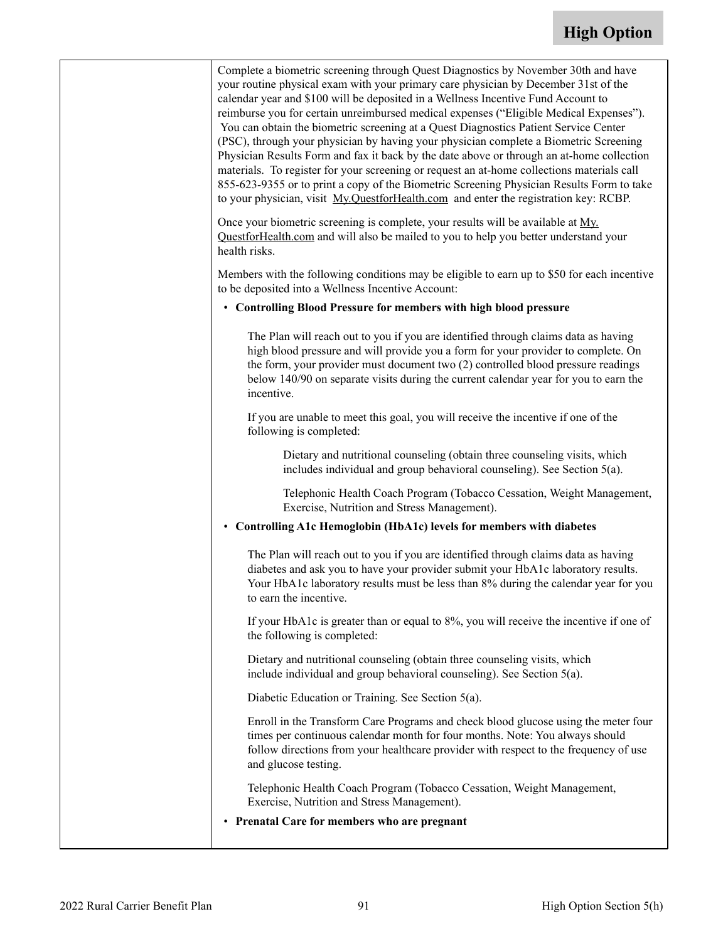| Complete a biometric screening through Quest Diagnostics by November 30th and have<br>your routine physical exam with your primary care physician by December 31st of the<br>calendar year and \$100 will be deposited in a Wellness Incentive Fund Account to<br>reimburse you for certain unreimbursed medical expenses ("Eligible Medical Expenses").<br>You can obtain the biometric screening at a Quest Diagnostics Patient Service Center<br>(PSC), through your physician by having your physician complete a Biometric Screening<br>Physician Results Form and fax it back by the date above or through an at-home collection<br>materials. To register for your screening or request an at-home collections materials call<br>855-623-9355 or to print a copy of the Biometric Screening Physician Results Form to take<br>to your physician, visit My.QuestforHealth.com and enter the registration key: RCBP. |
|---------------------------------------------------------------------------------------------------------------------------------------------------------------------------------------------------------------------------------------------------------------------------------------------------------------------------------------------------------------------------------------------------------------------------------------------------------------------------------------------------------------------------------------------------------------------------------------------------------------------------------------------------------------------------------------------------------------------------------------------------------------------------------------------------------------------------------------------------------------------------------------------------------------------------|
| Once your biometric screening is complete, your results will be available at My.<br>QuestforHealth.com and will also be mailed to you to help you better understand your<br>health risks.                                                                                                                                                                                                                                                                                                                                                                                                                                                                                                                                                                                                                                                                                                                                 |
| Members with the following conditions may be eligible to earn up to \$50 for each incentive<br>to be deposited into a Wellness Incentive Account:                                                                                                                                                                                                                                                                                                                                                                                                                                                                                                                                                                                                                                                                                                                                                                         |
| • Controlling Blood Pressure for members with high blood pressure                                                                                                                                                                                                                                                                                                                                                                                                                                                                                                                                                                                                                                                                                                                                                                                                                                                         |
| The Plan will reach out to you if you are identified through claims data as having<br>high blood pressure and will provide you a form for your provider to complete. On<br>the form, your provider must document two (2) controlled blood pressure readings<br>below 140/90 on separate visits during the current calendar year for you to earn the<br>incentive.                                                                                                                                                                                                                                                                                                                                                                                                                                                                                                                                                         |
| If you are unable to meet this goal, you will receive the incentive if one of the<br>following is completed:                                                                                                                                                                                                                                                                                                                                                                                                                                                                                                                                                                                                                                                                                                                                                                                                              |
| Dietary and nutritional counseling (obtain three counseling visits, which<br>includes individual and group behavioral counseling). See Section 5(a).                                                                                                                                                                                                                                                                                                                                                                                                                                                                                                                                                                                                                                                                                                                                                                      |
| Telephonic Health Coach Program (Tobacco Cessation, Weight Management,<br>Exercise, Nutrition and Stress Management).                                                                                                                                                                                                                                                                                                                                                                                                                                                                                                                                                                                                                                                                                                                                                                                                     |
| • Controlling A1c Hemoglobin (HbA1c) levels for members with diabetes                                                                                                                                                                                                                                                                                                                                                                                                                                                                                                                                                                                                                                                                                                                                                                                                                                                     |
| The Plan will reach out to you if you are identified through claims data as having<br>diabetes and ask you to have your provider submit your HbA1c laboratory results.<br>Your HbA1c laboratory results must be less than 8% during the calendar year for you<br>to earn the incentive.                                                                                                                                                                                                                                                                                                                                                                                                                                                                                                                                                                                                                                   |
| If your HbA1c is greater than or equal to 8%, you will receive the incentive if one of<br>the following is completed:                                                                                                                                                                                                                                                                                                                                                                                                                                                                                                                                                                                                                                                                                                                                                                                                     |
| Dietary and nutritional counseling (obtain three counseling visits, which<br>include individual and group behavioral counseling). See Section 5(a).                                                                                                                                                                                                                                                                                                                                                                                                                                                                                                                                                                                                                                                                                                                                                                       |
| Diabetic Education or Training. See Section 5(a).                                                                                                                                                                                                                                                                                                                                                                                                                                                                                                                                                                                                                                                                                                                                                                                                                                                                         |
| Enroll in the Transform Care Programs and check blood glucose using the meter four<br>times per continuous calendar month for four months. Note: You always should<br>follow directions from your healthcare provider with respect to the frequency of use<br>and glucose testing.                                                                                                                                                                                                                                                                                                                                                                                                                                                                                                                                                                                                                                        |
| Telephonic Health Coach Program (Tobacco Cessation, Weight Management,<br>Exercise, Nutrition and Stress Management).                                                                                                                                                                                                                                                                                                                                                                                                                                                                                                                                                                                                                                                                                                                                                                                                     |
| • Prenatal Care for members who are pregnant                                                                                                                                                                                                                                                                                                                                                                                                                                                                                                                                                                                                                                                                                                                                                                                                                                                                              |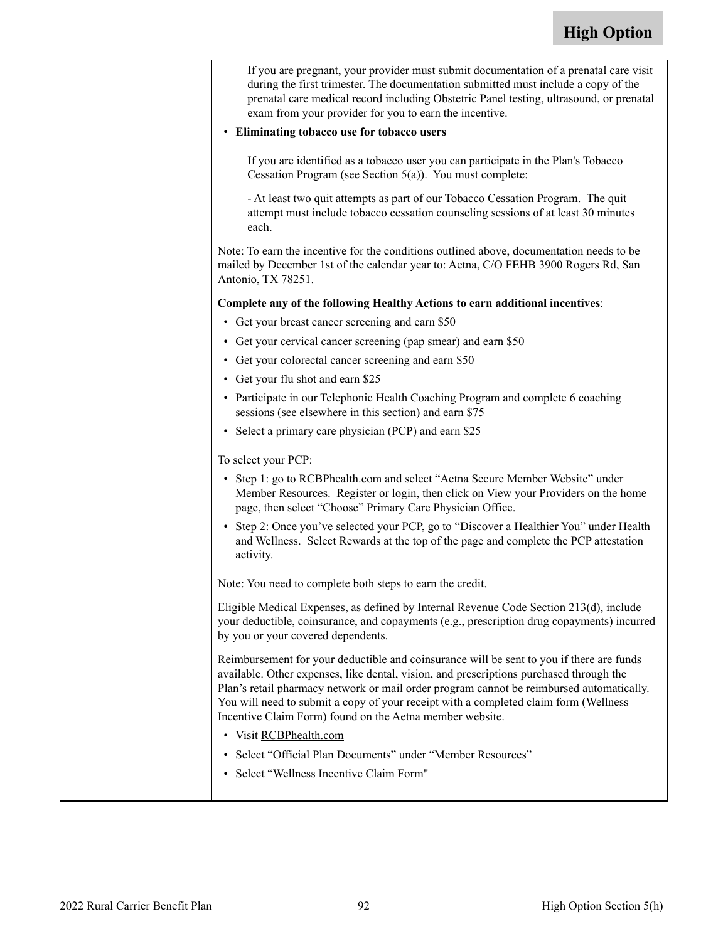| If you are pregnant, your provider must submit documentation of a prenatal care visit<br>during the first trimester. The documentation submitted must include a copy of the<br>prenatal care medical record including Obstetric Panel testing, ultrasound, or prenatal<br>exam from your provider for you to earn the incentive.                                                                                                    |
|-------------------------------------------------------------------------------------------------------------------------------------------------------------------------------------------------------------------------------------------------------------------------------------------------------------------------------------------------------------------------------------------------------------------------------------|
| • Eliminating tobacco use for tobacco users                                                                                                                                                                                                                                                                                                                                                                                         |
| If you are identified as a tobacco user you can participate in the Plan's Tobacco<br>Cessation Program (see Section 5(a)). You must complete:                                                                                                                                                                                                                                                                                       |
| - At least two quit attempts as part of our Tobacco Cessation Program. The quit<br>attempt must include tobacco cessation counseling sessions of at least 30 minutes<br>each.                                                                                                                                                                                                                                                       |
| Note: To earn the incentive for the conditions outlined above, documentation needs to be<br>mailed by December 1st of the calendar year to: Aetna, C/O FEHB 3900 Rogers Rd, San<br>Antonio, TX 78251.                                                                                                                                                                                                                               |
| Complete any of the following Healthy Actions to earn additional incentives:                                                                                                                                                                                                                                                                                                                                                        |
| • Get your breast cancer screening and earn \$50                                                                                                                                                                                                                                                                                                                                                                                    |
| • Get your cervical cancer screening (pap smear) and earn \$50                                                                                                                                                                                                                                                                                                                                                                      |
| • Get your colorectal cancer screening and earn \$50                                                                                                                                                                                                                                                                                                                                                                                |
| • Get your flu shot and earn \$25                                                                                                                                                                                                                                                                                                                                                                                                   |
| • Participate in our Telephonic Health Coaching Program and complete 6 coaching<br>sessions (see elsewhere in this section) and earn \$75                                                                                                                                                                                                                                                                                           |
| • Select a primary care physician (PCP) and earn \$25                                                                                                                                                                                                                                                                                                                                                                               |
| To select your PCP:                                                                                                                                                                                                                                                                                                                                                                                                                 |
| • Step 1: go to RCBPhealth.com and select "Aetna Secure Member Website" under<br>Member Resources. Register or login, then click on View your Providers on the home<br>page, then select "Choose" Primary Care Physician Office.                                                                                                                                                                                                    |
| • Step 2: Once you've selected your PCP, go to "Discover a Healthier You" under Health<br>and Wellness. Select Rewards at the top of the page and complete the PCP attestation<br>activity.                                                                                                                                                                                                                                         |
| Note: You need to complete both steps to earn the credit.                                                                                                                                                                                                                                                                                                                                                                           |
| Eligible Medical Expenses, as defined by Internal Revenue Code Section 213(d), include<br>your deductible, coinsurance, and copayments (e.g., prescription drug copayments) incurred<br>by you or your covered dependents.                                                                                                                                                                                                          |
| Reimbursement for your deductible and coinsurance will be sent to you if there are funds<br>available. Other expenses, like dental, vision, and prescriptions purchased through the<br>Plan's retail pharmacy network or mail order program cannot be reimbursed automatically.<br>You will need to submit a copy of your receipt with a completed claim form (Wellness<br>Incentive Claim Form) found on the Aetna member website. |
| • Visit RCBPhealth.com                                                                                                                                                                                                                                                                                                                                                                                                              |
| • Select "Official Plan Documents" under "Member Resources"                                                                                                                                                                                                                                                                                                                                                                         |
| • Select "Wellness Incentive Claim Form"                                                                                                                                                                                                                                                                                                                                                                                            |
|                                                                                                                                                                                                                                                                                                                                                                                                                                     |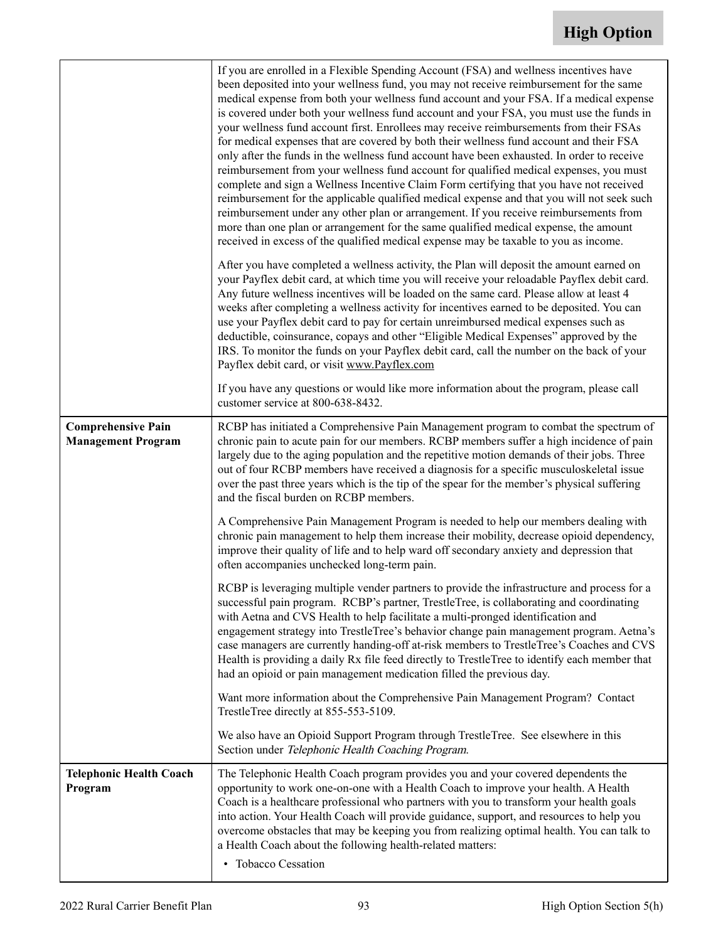|                                                        | If you are enrolled in a Flexible Spending Account (FSA) and wellness incentives have<br>been deposited into your wellness fund, you may not receive reimbursement for the same<br>medical expense from both your wellness fund account and your FSA. If a medical expense<br>is covered under both your wellness fund account and your FSA, you must use the funds in<br>your wellness fund account first. Enrollees may receive reimbursements from their FSAs<br>for medical expenses that are covered by both their wellness fund account and their FSA<br>only after the funds in the wellness fund account have been exhausted. In order to receive<br>reimbursement from your wellness fund account for qualified medical expenses, you must<br>complete and sign a Wellness Incentive Claim Form certifying that you have not received<br>reimbursement for the applicable qualified medical expense and that you will not seek such<br>reimbursement under any other plan or arrangement. If you receive reimbursements from<br>more than one plan or arrangement for the same qualified medical expense, the amount<br>received in excess of the qualified medical expense may be taxable to you as income.<br>After you have completed a wellness activity, the Plan will deposit the amount earned on<br>your Payflex debit card, at which time you will receive your reloadable Payflex debit card.<br>Any future wellness incentives will be loaded on the same card. Please allow at least 4<br>weeks after completing a wellness activity for incentives earned to be deposited. You can<br>use your Payflex debit card to pay for certain unreimbursed medical expenses such as<br>deductible, coinsurance, copays and other "Eligible Medical Expenses" approved by the<br>IRS. To monitor the funds on your Payflex debit card, call the number on the back of your<br>Payflex debit card, or visit www.Payflex.com |
|--------------------------------------------------------|----------------------------------------------------------------------------------------------------------------------------------------------------------------------------------------------------------------------------------------------------------------------------------------------------------------------------------------------------------------------------------------------------------------------------------------------------------------------------------------------------------------------------------------------------------------------------------------------------------------------------------------------------------------------------------------------------------------------------------------------------------------------------------------------------------------------------------------------------------------------------------------------------------------------------------------------------------------------------------------------------------------------------------------------------------------------------------------------------------------------------------------------------------------------------------------------------------------------------------------------------------------------------------------------------------------------------------------------------------------------------------------------------------------------------------------------------------------------------------------------------------------------------------------------------------------------------------------------------------------------------------------------------------------------------------------------------------------------------------------------------------------------------------------------------------------------------------------------------------------------------------------------------------------------------------------|
|                                                        | If you have any questions or would like more information about the program, please call<br>customer service at 800-638-8432.                                                                                                                                                                                                                                                                                                                                                                                                                                                                                                                                                                                                                                                                                                                                                                                                                                                                                                                                                                                                                                                                                                                                                                                                                                                                                                                                                                                                                                                                                                                                                                                                                                                                                                                                                                                                           |
| <b>Comprehensive Pain</b><br><b>Management Program</b> | RCBP has initiated a Comprehensive Pain Management program to combat the spectrum of<br>chronic pain to acute pain for our members. RCBP members suffer a high incidence of pain<br>largely due to the aging population and the repetitive motion demands of their jobs. Three<br>out of four RCBP members have received a diagnosis for a specific musculoskeletal issue<br>over the past three years which is the tip of the spear for the member's physical suffering<br>and the fiscal burden on RCBP members.<br>A Comprehensive Pain Management Program is needed to help our members dealing with<br>chronic pain management to help them increase their mobility, decrease opioid dependency,<br>improve their quality of life and to help ward off secondary anxiety and depression that<br>often accompanies unchecked long-term pain.<br>RCBP is leveraging multiple vender partners to provide the infrastructure and process for a<br>successful pain program. RCBP's partner, TrestleTree, is collaborating and coordinating<br>with Aetna and CVS Health to help facilitate a multi-pronged identification and<br>engagement strategy into TrestleTree's behavior change pain management program. Aetna's<br>case managers are currently handing-off at-risk members to TrestleTree's Coaches and CVS<br>Health is providing a daily Rx file feed directly to TrestleTree to identify each member that<br>had an opioid or pain management medication filled the previous day.<br>Want more information about the Comprehensive Pain Management Program? Contact<br>TrestleTree directly at 855-553-5109.<br>We also have an Opioid Support Program through TrestleTree. See elsewhere in this<br>Section under Telephonic Health Coaching Program.                                                                                                                                                                     |
| <b>Telephonic Health Coach</b>                         | The Telephonic Health Coach program provides you and your covered dependents the                                                                                                                                                                                                                                                                                                                                                                                                                                                                                                                                                                                                                                                                                                                                                                                                                                                                                                                                                                                                                                                                                                                                                                                                                                                                                                                                                                                                                                                                                                                                                                                                                                                                                                                                                                                                                                                       |
| Program                                                | opportunity to work one-on-one with a Health Coach to improve your health. A Health<br>Coach is a healthcare professional who partners with you to transform your health goals<br>into action. Your Health Coach will provide guidance, support, and resources to help you<br>overcome obstacles that may be keeping you from realizing optimal health. You can talk to<br>a Health Coach about the following health-related matters:                                                                                                                                                                                                                                                                                                                                                                                                                                                                                                                                                                                                                                                                                                                                                                                                                                                                                                                                                                                                                                                                                                                                                                                                                                                                                                                                                                                                                                                                                                  |
|                                                        |                                                                                                                                                                                                                                                                                                                                                                                                                                                                                                                                                                                                                                                                                                                                                                                                                                                                                                                                                                                                                                                                                                                                                                                                                                                                                                                                                                                                                                                                                                                                                                                                                                                                                                                                                                                                                                                                                                                                        |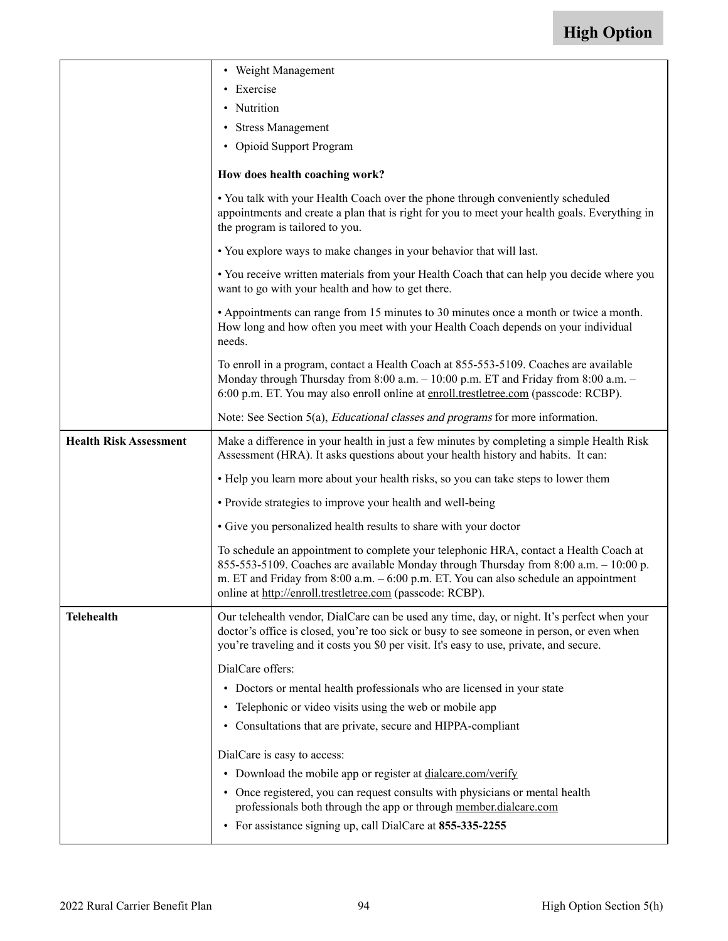|                               | • Weight Management                                                                                                                                                                                                                                                                                                                     |  |  |  |  |
|-------------------------------|-----------------------------------------------------------------------------------------------------------------------------------------------------------------------------------------------------------------------------------------------------------------------------------------------------------------------------------------|--|--|--|--|
|                               | • Exercise                                                                                                                                                                                                                                                                                                                              |  |  |  |  |
|                               | • Nutrition                                                                                                                                                                                                                                                                                                                             |  |  |  |  |
|                               | • Stress Management                                                                                                                                                                                                                                                                                                                     |  |  |  |  |
|                               | • Opioid Support Program                                                                                                                                                                                                                                                                                                                |  |  |  |  |
|                               | How does health coaching work?                                                                                                                                                                                                                                                                                                          |  |  |  |  |
|                               | • You talk with your Health Coach over the phone through conveniently scheduled<br>appointments and create a plan that is right for you to meet your health goals. Everything in<br>the program is tailored to you.                                                                                                                     |  |  |  |  |
|                               | • You explore ways to make changes in your behavior that will last.                                                                                                                                                                                                                                                                     |  |  |  |  |
|                               | • You receive written materials from your Health Coach that can help you decide where you<br>want to go with your health and how to get there.                                                                                                                                                                                          |  |  |  |  |
|                               | • Appointments can range from 15 minutes to 30 minutes once a month or twice a month.<br>How long and how often you meet with your Health Coach depends on your individual<br>needs.                                                                                                                                                    |  |  |  |  |
|                               | To enroll in a program, contact a Health Coach at 855-553-5109. Coaches are available<br>Monday through Thursday from 8:00 a.m. - 10:00 p.m. ET and Friday from 8:00 a.m. -<br>6:00 p.m. ET. You may also enroll online at enroll.trestletree.com (passcode: RCBP).                                                                     |  |  |  |  |
|                               | Note: See Section 5(a), <i>Educational classes and programs</i> for more information.                                                                                                                                                                                                                                                   |  |  |  |  |
| <b>Health Risk Assessment</b> | Make a difference in your health in just a few minutes by completing a simple Health Risk<br>Assessment (HRA). It asks questions about your health history and habits. It can:                                                                                                                                                          |  |  |  |  |
|                               | • Help you learn more about your health risks, so you can take steps to lower them                                                                                                                                                                                                                                                      |  |  |  |  |
|                               | • Provide strategies to improve your health and well-being                                                                                                                                                                                                                                                                              |  |  |  |  |
|                               | • Give you personalized health results to share with your doctor                                                                                                                                                                                                                                                                        |  |  |  |  |
|                               | To schedule an appointment to complete your telephonic HRA, contact a Health Coach at<br>855-553-5109. Coaches are available Monday through Thursday from 8:00 a.m. $-10:00$ p.<br>m. ET and Friday from $8:00$ a.m. $-6:00$ p.m. ET. You can also schedule an appointment<br>online at http://enroll.trestletree.com (passcode: RCBP). |  |  |  |  |
| <b>Telehealth</b>             | Our telehealth vendor, DialCare can be used any time, day, or night. It's perfect when your<br>doctor's office is closed, you're too sick or busy to see someone in person, or even when<br>you're traveling and it costs you \$0 per visit. It's easy to use, private, and secure.                                                     |  |  |  |  |
|                               | DialCare offers:                                                                                                                                                                                                                                                                                                                        |  |  |  |  |
|                               | • Doctors or mental health professionals who are licensed in your state                                                                                                                                                                                                                                                                 |  |  |  |  |
|                               | • Telephonic or video visits using the web or mobile app                                                                                                                                                                                                                                                                                |  |  |  |  |
|                               | • Consultations that are private, secure and HIPPA-compliant                                                                                                                                                                                                                                                                            |  |  |  |  |
|                               | DialCare is easy to access:                                                                                                                                                                                                                                                                                                             |  |  |  |  |
|                               | • Download the mobile app or register at dialcare.com/verify                                                                                                                                                                                                                                                                            |  |  |  |  |
|                               | • Once registered, you can request consults with physicians or mental health<br>professionals both through the app or through member.dialcare.com                                                                                                                                                                                       |  |  |  |  |
|                               | • For assistance signing up, call DialCare at 855-335-2255                                                                                                                                                                                                                                                                              |  |  |  |  |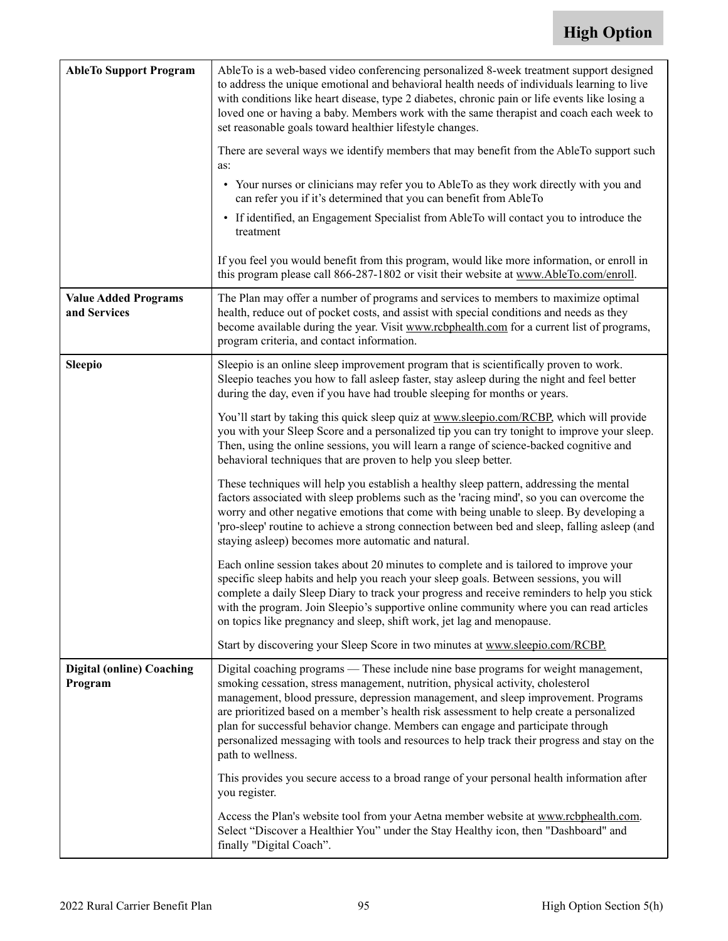| <b>AbleTo Support Program</b>               | AbleTo is a web-based video conferencing personalized 8-week treatment support designed<br>to address the unique emotional and behavioral health needs of individuals learning to live<br>with conditions like heart disease, type 2 diabetes, chronic pain or life events like losing a<br>loved one or having a baby. Members work with the same therapist and coach each week to<br>set reasonable goals toward healthier lifestyle changes.                                                                                                                  |  |  |  |  |  |
|---------------------------------------------|------------------------------------------------------------------------------------------------------------------------------------------------------------------------------------------------------------------------------------------------------------------------------------------------------------------------------------------------------------------------------------------------------------------------------------------------------------------------------------------------------------------------------------------------------------------|--|--|--|--|--|
|                                             | There are several ways we identify members that may benefit from the AbleTo support such<br>as:                                                                                                                                                                                                                                                                                                                                                                                                                                                                  |  |  |  |  |  |
|                                             | • Your nurses or clinicians may refer you to AbleTo as they work directly with you and<br>can refer you if it's determined that you can benefit from AbleTo                                                                                                                                                                                                                                                                                                                                                                                                      |  |  |  |  |  |
|                                             | • If identified, an Engagement Specialist from AbleTo will contact you to introduce the<br>treatment                                                                                                                                                                                                                                                                                                                                                                                                                                                             |  |  |  |  |  |
|                                             | If you feel you would benefit from this program, would like more information, or enroll in<br>this program please call 866-287-1802 or visit their website at www.AbleTo.com/enroll.                                                                                                                                                                                                                                                                                                                                                                             |  |  |  |  |  |
| <b>Value Added Programs</b><br>and Services | The Plan may offer a number of programs and services to members to maximize optimal<br>health, reduce out of pocket costs, and assist with special conditions and needs as they<br>become available during the year. Visit www.rcbphealth.com for a current list of programs,<br>program criteria, and contact information.                                                                                                                                                                                                                                      |  |  |  |  |  |
| <b>Sleepio</b>                              | Sleepio is an online sleep improvement program that is scientifically proven to work.<br>Sleepio teaches you how to fall asleep faster, stay asleep during the night and feel better<br>during the day, even if you have had trouble sleeping for months or years.                                                                                                                                                                                                                                                                                               |  |  |  |  |  |
|                                             | You'll start by taking this quick sleep quiz at www.sleepio.com/RCBP, which will provide<br>you with your Sleep Score and a personalized tip you can try tonight to improve your sleep.<br>Then, using the online sessions, you will learn a range of science-backed cognitive and<br>behavioral techniques that are proven to help you sleep better.                                                                                                                                                                                                            |  |  |  |  |  |
|                                             | These techniques will help you establish a healthy sleep pattern, addressing the mental<br>factors associated with sleep problems such as the 'racing mind', so you can overcome the<br>worry and other negative emotions that come with being unable to sleep. By developing a<br>'pro-sleep' routine to achieve a strong connection between bed and sleep, falling asleep (and<br>staying asleep) becomes more automatic and natural.                                                                                                                          |  |  |  |  |  |
|                                             | Each online session takes about 20 minutes to complete and is tailored to improve your<br>specific sleep habits and help you reach your sleep goals. Between sessions, you will<br>complete a daily Sleep Diary to track your progress and receive reminders to help you stick<br>with the program. Join Sleepio's supportive online community where you can read articles<br>on topics like pregnancy and sleep, shift work, jet lag and menopause.                                                                                                             |  |  |  |  |  |
|                                             | Start by discovering your Sleep Score in two minutes at www.sleepio.com/RCBP.                                                                                                                                                                                                                                                                                                                                                                                                                                                                                    |  |  |  |  |  |
| <b>Digital (online) Coaching</b><br>Program | Digital coaching programs - These include nine base programs for weight management,<br>smoking cessation, stress management, nutrition, physical activity, cholesterol<br>management, blood pressure, depression management, and sleep improvement. Programs<br>are prioritized based on a member's health risk assessment to help create a personalized<br>plan for successful behavior change. Members can engage and participate through<br>personalized messaging with tools and resources to help track their progress and stay on the<br>path to wellness. |  |  |  |  |  |
|                                             | This provides you secure access to a broad range of your personal health information after<br>you register.                                                                                                                                                                                                                                                                                                                                                                                                                                                      |  |  |  |  |  |
|                                             | Access the Plan's website tool from your Aetna member website at www.rcbphealth.com.<br>Select "Discover a Healthier You" under the Stay Healthy icon, then "Dashboard" and<br>finally "Digital Coach".                                                                                                                                                                                                                                                                                                                                                          |  |  |  |  |  |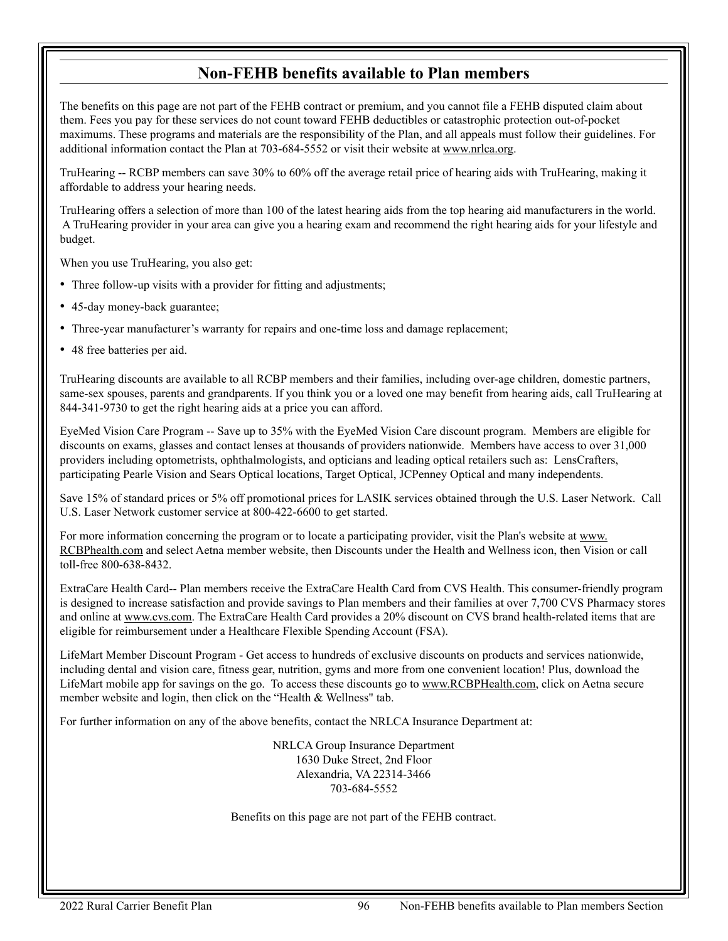#### **Non-FEHB benefits available to Plan members**

The benefits on this page are not part of the FEHB contract or premium, and you cannot file a FEHB disputed claim about them. Fees you pay for these services do not count toward FEHB deductibles or catastrophic protection out-of-pocket maximums. These programs and materials are the responsibility of the Plan, and all appeals must follow their guidelines. For additional information contact the Plan at 703-684-5552 or visit their website at [www.nrlca.org](http://www.nrlca.org).

TruHearing -- RCBP members can save 30% to 60% off the average retail price of hearing aids with TruHearing, making it affordable to address your hearing needs.

TruHearing offers a selection of more than 100 of the latest hearing aids from the top hearing aid manufacturers in the world. A TruHearing provider in your area can give you a hearing exam and recommend the right hearing aids for your lifestyle and budget.

When you use TruHearing, you also get:

- Three follow-up visits with a provider for fitting and adjustments;
- 45-day money-back guarantee;
- Three-year manufacturer's warranty for repairs and one-time loss and damage replacement;
- 48 free batteries per aid.

TruHearing discounts are available to all RCBP members and their families, including over-age children, domestic partners, same-sex spouses, parents and grandparents. If you think you or a loved one may benefit from hearing aids, call TruHearing at 844-341-9730 to get the right hearing aids at a price you can afford.

EyeMed Vision Care Program -- Save up to 35% with the EyeMed Vision Care discount program. Members are eligible for discounts on exams, glasses and contact lenses at thousands of providers nationwide. Members have access to over 31,000 providers including optometrists, ophthalmologists, and opticians and leading optical retailers such as: LensCrafters, participating Pearle Vision and Sears Optical locations, Target Optical, JCPenney Optical and many independents.

Save 15% of standard prices or 5% off promotional prices for LASIK services obtained through the U.S. Laser Network. Call U.S. Laser Network customer service at 800-422-6600 to get started.

For more information concerning the program or to locate a participating provider, visit the Plan's website at [www](http://www.RCBPhealth.com). [RCBPhealth.com](http://www.RCBPhealth.com) and select Aetna member website, then Discounts under the Health and Wellness icon, then Vision or call toll-free 800-638-8432.

ExtraCare Health Card-- Plan members receive the ExtraCare Health Card from CVS Health. This consumer-friendly program is designed to increase satisfaction and provide savings to Plan members and their families at over 7,700 CVS Pharmacy stores and online a[t www.cvs.com](http://www.cvs.com). The ExtraCare Health Card provides a 20% discount on CVS brand health-related items that are eligible for reimbursement under a Healthcare Flexible Spending Account (FSA).

LifeMart Member Discount Program - Get access to hundreds of exclusive discounts on products and services nationwide, including dental and vision care, fitness gear, nutrition, gyms and more from one convenient location! Plus, download the LifeMart mobile app for savings on the go. To access these discounts go to [www.RCBPHealth.com,](http://www.RCBPHealth.com) click on Aetna secure member website and login, then click on the "Health & Wellness" tab.

For further information on any of the above benefits, contact the NRLCA Insurance Department at:

NRLCA Group Insurance Department 1630 Duke Street, 2nd Floor Alexandria, VA 22314-3466 703-684-5552

Benefits on this page are not part of the FEHB contract.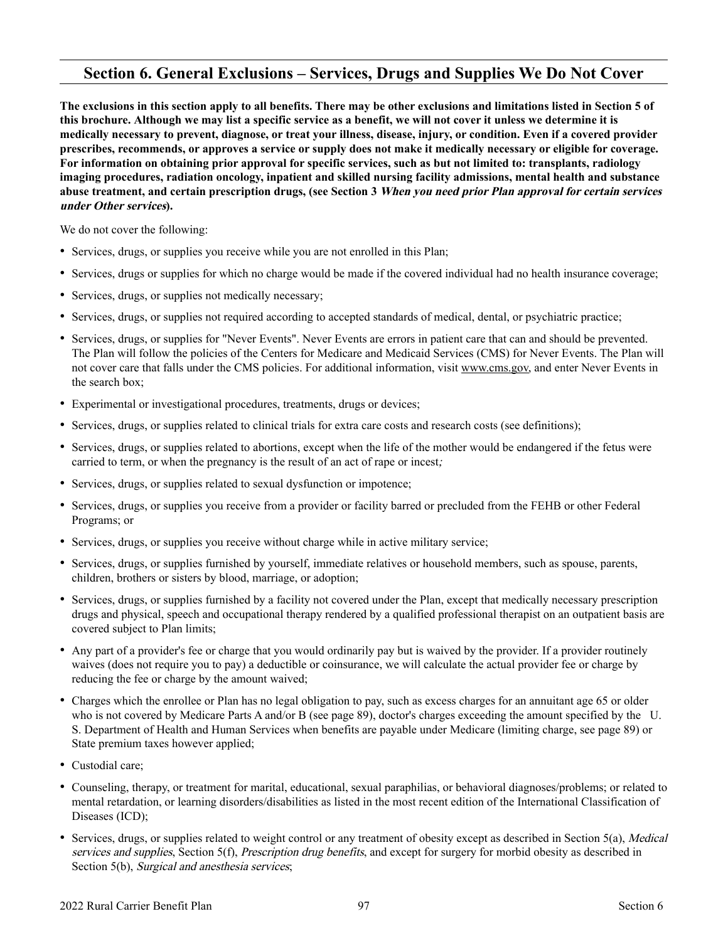#### **Section 6. General Exclusions – Services, Drugs and Supplies We Do Not Cover**

**The exclusions in this section apply to all benefits. There may be other exclusions and limitations listed in Section 5 of this brochure. Although we may list a specific service as a benefit, we will not cover it unless we determine it is medically necessary to prevent, diagnose, or treat your illness, disease, injury, or condition. Even if a covered provider prescribes, recommends, or approves a service or supply does not make it medically necessary or eligible for coverage. For information on obtaining prior approval for specific services, such as but not limited to: transplants, radiology imaging procedures, radiation oncology, inpatient and skilled nursing facility admissions, mental health and substance abuse treatment, and certain prescription drugs, (see Section 3 When you need prior Plan approval for certain services under Other services).**

We do not cover the following:

- Services, drugs, or supplies you receive while you are not enrolled in this Plan;
- Services, drugs or supplies for which no charge would be made if the covered individual had no health insurance coverage;
- Services, drugs, or supplies not medically necessary;
- Services, drugs, or supplies not required according to accepted standards of medical, dental, or psychiatric practice;
- Services, drugs, or supplies for "Never Events". Never Events are errors in patient care that can and should be prevented. The Plan will follow the policies of the Centers for Medicare and Medicaid Services (CMS) for Never Events. The Plan will not cover care that falls under the CMS policies. For additional information, visi[t www.cms.gov,](http://www.cms.gov) and enter Never Events in the search box;
- Experimental or investigational procedures, treatments, drugs or devices;
- Services, drugs, or supplies related to clinical trials for extra care costs and research costs (see definitions);
- Services, drugs, or supplies related to abortions, except when the life of the mother would be endangered if the fetus were carried to term, or when the pregnancy is the result of an act of rape or incest;
- Services, drugs, or supplies related to sexual dysfunction or impotence;
- Services, drugs, or supplies you receive from a provider or facility barred or precluded from the FEHB or other Federal Programs; or
- Services, drugs, or supplies you receive without charge while in active military service;
- Services, drugs, or supplies furnished by yourself, immediate relatives or household members, such as spouse, parents, children, brothers or sisters by blood, marriage, or adoption;
- Services, drugs, or supplies furnished by a facility not covered under the Plan, except that medically necessary prescription drugs and physical, speech and occupational therapy rendered by a qualified professional therapist on an outpatient basis are covered subject to Plan limits;
- Any part of a provider's fee or charge that you would ordinarily pay but is waived by the provider. If a provider routinely waives (does not require you to pay) a deductible or coinsurance, we will calculate the actual provider fee or charge by reducing the fee or charge by the amount waived;
- Charges which the enrollee or Plan has no legal obligation to pay, such as excess charges for an annuitant age 65 or older who is not covered by Medicare Parts A and/or B (see page [89\)](#page-90-0), doctor's charges exceeding the amount specified by the U. S. Department of Health and Human Services when benefits are payable under Medicare (limiting charge, see page [89\)](#page-90-0) or State premium taxes however applied;
- Custodial care;
- Counseling, therapy, or treatment for marital, educational, sexual paraphilias, or behavioral diagnoses/problems; or related to mental retardation, or learning disorders/disabilities as listed in the most recent edition of the International Classification of Diseases (ICD);
- Services, drugs, or supplies related to weight control or any treatment of obesity except as described in Section 5(a), *Medical* services and supplies, Section 5(f), Prescription drug benefits, and except for surgery for morbid obesity as described in Section 5(b), Surgical and anesthesia services;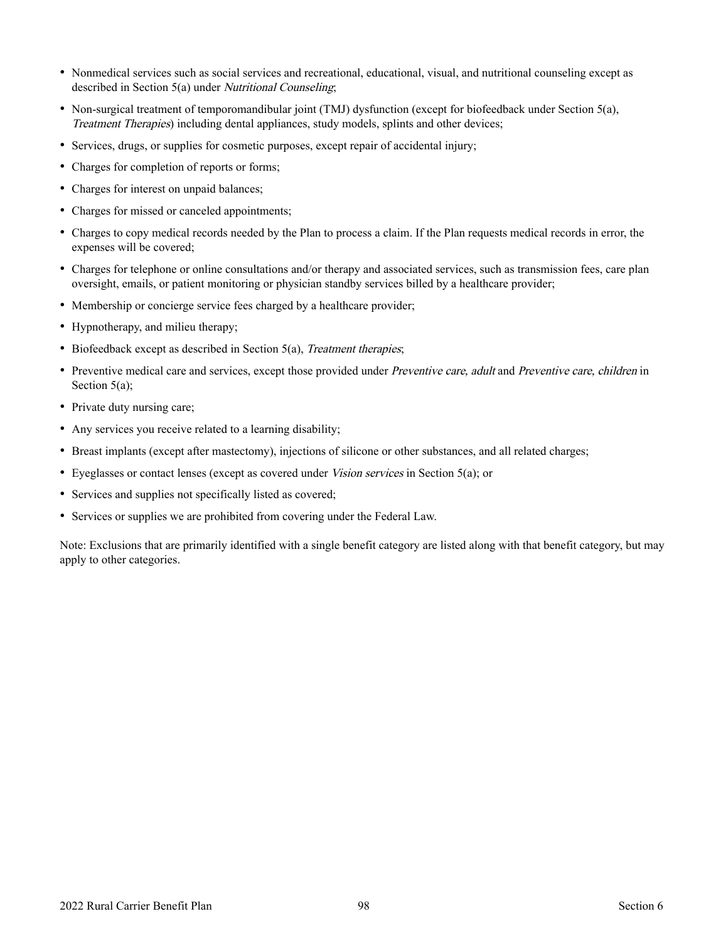- Nonmedical services such as social services and recreational, educational, visual, and nutritional counseling except as described in Section 5(a) under Nutritional Counseling;
- Non-surgical treatment of temporomandibular joint (TMJ) dysfunction (except for biofeedback under Section 5(a), Treatment Therapies) including dental appliances, study models, splints and other devices;
- Services, drugs, or supplies for cosmetic purposes, except repair of accidental injury;
- Charges for completion of reports or forms;
- Charges for interest on unpaid balances;
- Charges for missed or canceled appointments;
- Charges to copy medical records needed by the Plan to process a claim. If the Plan requests medical records in error, the expenses will be covered;
- Charges for telephone or online consultations and/or therapy and associated services, such as transmission fees, care plan oversight, emails, or patient monitoring or physician standby services billed by a healthcare provider;
- Membership or concierge service fees charged by a healthcare provider;
- Hypnotherapy, and milieu therapy;
- Biofeedback except as described in Section 5(a), Treatment therapies;
- Preventive medical care and services, except those provided under *Preventive care, adult* and *Preventive care, children* in Section 5(a);
- Private duty nursing care;
- Any services you receive related to a learning disability;
- Breast implants (except after mastectomy), injections of silicone or other substances, and all related charges;
- Eyeglasses or contact lenses (except as covered under *Vision services* in Section 5(a); or
- Services and supplies not specifically listed as covered;
- Services or supplies we are prohibited from covering under the Federal Law.

Note: Exclusions that are primarily identified with a single benefit category are listed along with that benefit category, but may apply to other categories.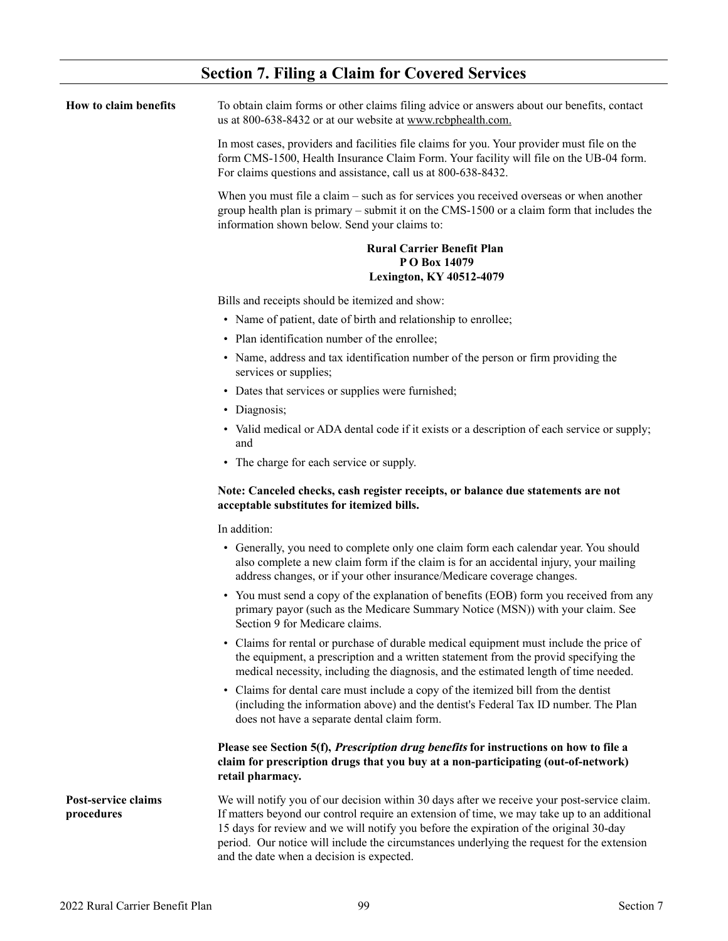| <b>Section 7. Filing a Claim for Covered Services</b> |  |  |  |  |  |  |  |
|-------------------------------------------------------|--|--|--|--|--|--|--|
|-------------------------------------------------------|--|--|--|--|--|--|--|

| How to claim benefits             | To obtain claim forms or other claims filing advice or answers about our benefits, contact<br>us at 800-638-8432 or at our website at www.rcbphealth.com.                                                                                                                                                                                                                                                                       |
|-----------------------------------|---------------------------------------------------------------------------------------------------------------------------------------------------------------------------------------------------------------------------------------------------------------------------------------------------------------------------------------------------------------------------------------------------------------------------------|
|                                   | In most cases, providers and facilities file claims for you. Your provider must file on the<br>form CMS-1500, Health Insurance Claim Form. Your facility will file on the UB-04 form.<br>For claims questions and assistance, call us at 800-638-8432.                                                                                                                                                                          |
|                                   | When you must file a claim – such as for services you received overseas or when another<br>group health plan is primary $-$ submit it on the CMS-1500 or a claim form that includes the<br>information shown below. Send your claims to:                                                                                                                                                                                        |
|                                   | <b>Rural Carrier Benefit Plan</b><br>PO Box 14079<br><b>Lexington, KY 40512-4079</b>                                                                                                                                                                                                                                                                                                                                            |
|                                   | Bills and receipts should be itemized and show:                                                                                                                                                                                                                                                                                                                                                                                 |
|                                   | • Name of patient, date of birth and relationship to enrollee;                                                                                                                                                                                                                                                                                                                                                                  |
|                                   | • Plan identification number of the enrollee;                                                                                                                                                                                                                                                                                                                                                                                   |
|                                   | • Name, address and tax identification number of the person or firm providing the<br>services or supplies;                                                                                                                                                                                                                                                                                                                      |
|                                   | • Dates that services or supplies were furnished;                                                                                                                                                                                                                                                                                                                                                                               |
|                                   | • Diagnosis;                                                                                                                                                                                                                                                                                                                                                                                                                    |
|                                   | • Valid medical or ADA dental code if it exists or a description of each service or supply;<br>and                                                                                                                                                                                                                                                                                                                              |
|                                   | • The charge for each service or supply.                                                                                                                                                                                                                                                                                                                                                                                        |
|                                   | Note: Canceled checks, cash register receipts, or balance due statements are not<br>acceptable substitutes for itemized bills.                                                                                                                                                                                                                                                                                                  |
|                                   | In addition:                                                                                                                                                                                                                                                                                                                                                                                                                    |
|                                   | • Generally, you need to complete only one claim form each calendar year. You should<br>also complete a new claim form if the claim is for an accidental injury, your mailing<br>address changes, or if your other insurance/Medicare coverage changes.                                                                                                                                                                         |
|                                   | • You must send a copy of the explanation of benefits (EOB) form you received from any<br>primary payor (such as the Medicare Summary Notice (MSN)) with your claim. See<br>Section 9 for Medicare claims.                                                                                                                                                                                                                      |
|                                   | • Claims for rental or purchase of durable medical equipment must include the price of<br>the equipment, a prescription and a written statement from the provid specifying the<br>medical necessity, including the diagnosis, and the estimated length of time needed.                                                                                                                                                          |
|                                   | • Claims for dental care must include a copy of the itemized bill from the dentist<br>(including the information above) and the dentist's Federal Tax ID number. The Plan<br>does not have a separate dental claim form.                                                                                                                                                                                                        |
|                                   | Please see Section 5(f), Prescription drug benefits for instructions on how to file a<br>claim for prescription drugs that you buy at a non-participating (out-of-network)<br>retail pharmacy.                                                                                                                                                                                                                                  |
| Post-service claims<br>procedures | We will notify you of our decision within 30 days after we receive your post-service claim.<br>If matters beyond our control require an extension of time, we may take up to an additional<br>15 days for review and we will notify you before the expiration of the original 30-day<br>period. Our notice will include the circumstances underlying the request for the extension<br>and the date when a decision is expected. |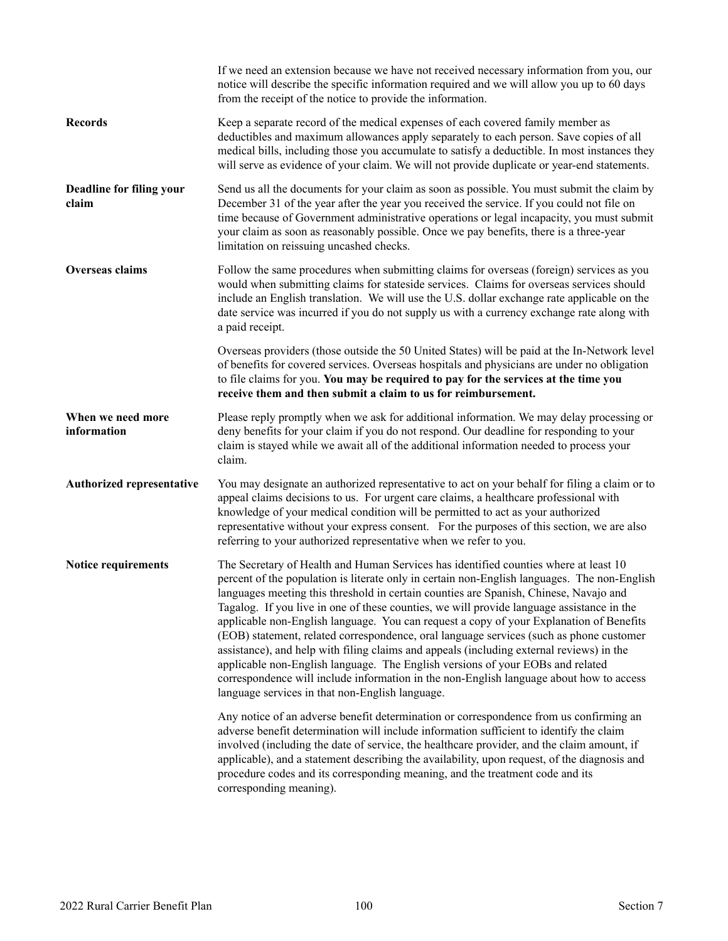|                                   | If we need an extension because we have not received necessary information from you, our<br>notice will describe the specific information required and we will allow you up to 60 days<br>from the receipt of the notice to provide the information.                                                                                                                                                                                                                                                                                                                                                                                                                                                                                                                                                                                                                                         |
|-----------------------------------|----------------------------------------------------------------------------------------------------------------------------------------------------------------------------------------------------------------------------------------------------------------------------------------------------------------------------------------------------------------------------------------------------------------------------------------------------------------------------------------------------------------------------------------------------------------------------------------------------------------------------------------------------------------------------------------------------------------------------------------------------------------------------------------------------------------------------------------------------------------------------------------------|
| <b>Records</b>                    | Keep a separate record of the medical expenses of each covered family member as<br>deductibles and maximum allowances apply separately to each person. Save copies of all<br>medical bills, including those you accumulate to satisfy a deductible. In most instances they<br>will serve as evidence of your claim. We will not provide duplicate or year-end statements.                                                                                                                                                                                                                                                                                                                                                                                                                                                                                                                    |
| Deadline for filing your<br>claim | Send us all the documents for your claim as soon as possible. You must submit the claim by<br>December 31 of the year after the year you received the service. If you could not file on<br>time because of Government administrative operations or legal incapacity, you must submit<br>your claim as soon as reasonably possible. Once we pay benefits, there is a three-year<br>limitation on reissuing uncashed checks.                                                                                                                                                                                                                                                                                                                                                                                                                                                                   |
| Overseas claims                   | Follow the same procedures when submitting claims for overseas (foreign) services as you<br>would when submitting claims for stateside services. Claims for overseas services should<br>include an English translation. We will use the U.S. dollar exchange rate applicable on the<br>date service was incurred if you do not supply us with a currency exchange rate along with<br>a paid receipt.                                                                                                                                                                                                                                                                                                                                                                                                                                                                                         |
|                                   | Overseas providers (those outside the 50 United States) will be paid at the In-Network level<br>of benefits for covered services. Overseas hospitals and physicians are under no obligation<br>to file claims for you. You may be required to pay for the services at the time you<br>receive them and then submit a claim to us for reimbursement.                                                                                                                                                                                                                                                                                                                                                                                                                                                                                                                                          |
| When we need more<br>information  | Please reply promptly when we ask for additional information. We may delay processing or<br>deny benefits for your claim if you do not respond. Our deadline for responding to your<br>claim is stayed while we await all of the additional information needed to process your<br>claim.                                                                                                                                                                                                                                                                                                                                                                                                                                                                                                                                                                                                     |
| Authorized representative         | You may designate an authorized representative to act on your behalf for filing a claim or to<br>appeal claims decisions to us. For urgent care claims, a healthcare professional with<br>knowledge of your medical condition will be permitted to act as your authorized<br>representative without your express consent. For the purposes of this section, we are also<br>referring to your authorized representative when we refer to you.                                                                                                                                                                                                                                                                                                                                                                                                                                                 |
| Notice requirements               | The Secretary of Health and Human Services has identified counties where at least 10<br>percent of the population is literate only in certain non-English languages. The non-English<br>languages meeting this threshold in certain counties are Spanish, Chinese, Navajo and<br>Tagalog. If you live in one of these counties, we will provide language assistance in the<br>applicable non-English language. You can request a copy of your Explanation of Benefits<br>(EOB) statement, related correspondence, oral language services (such as phone customer<br>assistance), and help with filing claims and appeals (including external reviews) in the<br>applicable non-English language. The English versions of your EOBs and related<br>correspondence will include information in the non-English language about how to access<br>language services in that non-English language. |
|                                   | Any notice of an adverse benefit determination or correspondence from us confirming an<br>adverse benefit determination will include information sufficient to identify the claim<br>involved (including the date of service, the healthcare provider, and the claim amount, if<br>applicable), and a statement describing the availability, upon request, of the diagnosis and<br>procedure codes and its corresponding meaning, and the treatment code and its<br>corresponding meaning).                                                                                                                                                                                                                                                                                                                                                                                                  |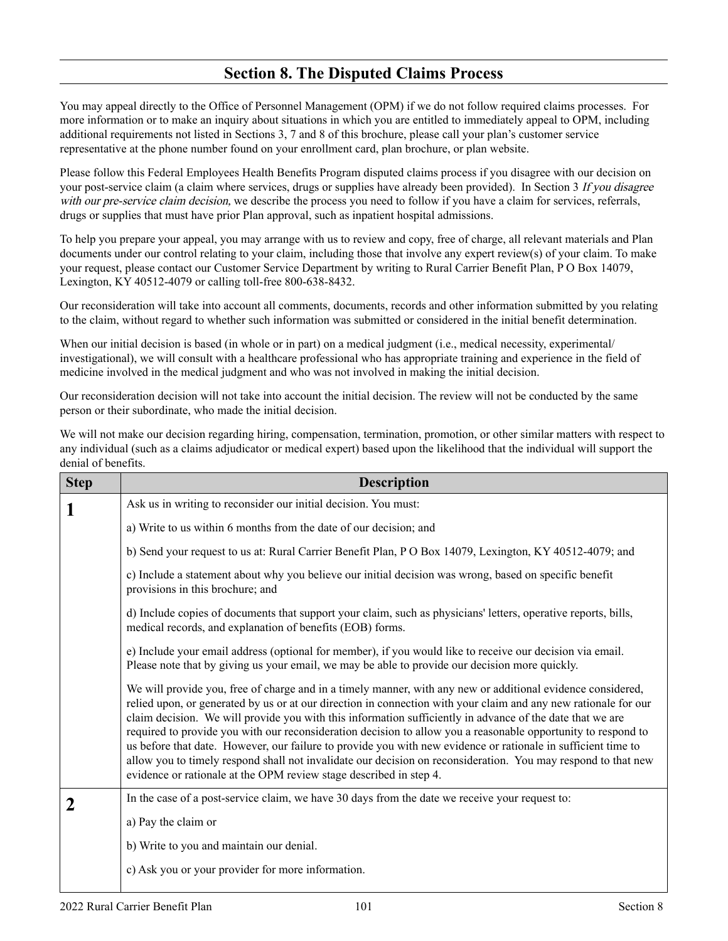#### **Section 8. The Disputed Claims Process**

You may appeal directly to the Office of Personnel Management (OPM) if we do not follow required claims processes. For more information or to make an inquiry about situations in which you are entitled to immediately appeal to OPM, including additional requirements not listed in Sections 3, 7 and 8 of this brochure, please call your plan's customer service representative at the phone number found on your enrollment card, plan brochure, or plan website.

Please follow this Federal Employees Health Benefits Program disputed claims process if you disagree with our decision on your post-service claim (a claim where services, drugs or supplies have already been provided). In Section 3 If you disagree with our pre-service claim decision, we describe the process you need to follow if you have a claim for services, referrals, drugs or supplies that must have prior Plan approval, such as inpatient hospital admissions.

To help you prepare your appeal, you may arrange with us to review and copy, free of charge, all relevant materials and Plan documents under our control relating to your claim, including those that involve any expert review(s) of your claim. To make your request, please contact our Customer Service Department by writing to Rural Carrier Benefit Plan, P O Box 14079, Lexington, KY 40512-4079 or calling toll-free 800-638-8432.

Our reconsideration will take into account all comments, documents, records and other information submitted by you relating to the claim, without regard to whether such information was submitted or considered in the initial benefit determination.

When our initial decision is based (in whole or in part) on a medical judgment (i.e., medical necessity, experimental/ investigational), we will consult with a healthcare professional who has appropriate training and experience in the field of medicine involved in the medical judgment and who was not involved in making the initial decision.

Our reconsideration decision will not take into account the initial decision. The review will not be conducted by the same person or their subordinate, who made the initial decision.

We will not make our decision regarding hiring, compensation, termination, promotion, or other similar matters with respect to any individual (such as a claims adjudicator or medical expert) based upon the likelihood that the individual will support the denial of benefits.

| <b>Step</b> | <b>Description</b>                                                                                                                                                                                                                                                                                                                                                                                                                                                                                                                                                                                                                                                                                                                                                   |
|-------------|----------------------------------------------------------------------------------------------------------------------------------------------------------------------------------------------------------------------------------------------------------------------------------------------------------------------------------------------------------------------------------------------------------------------------------------------------------------------------------------------------------------------------------------------------------------------------------------------------------------------------------------------------------------------------------------------------------------------------------------------------------------------|
| 1           | Ask us in writing to reconsider our initial decision. You must:                                                                                                                                                                                                                                                                                                                                                                                                                                                                                                                                                                                                                                                                                                      |
|             | a) Write to us within 6 months from the date of our decision; and                                                                                                                                                                                                                                                                                                                                                                                                                                                                                                                                                                                                                                                                                                    |
|             | b) Send your request to us at: Rural Carrier Benefit Plan, P O Box 14079, Lexington, KY 40512-4079; and                                                                                                                                                                                                                                                                                                                                                                                                                                                                                                                                                                                                                                                              |
|             | c) Include a statement about why you believe our initial decision was wrong, based on specific benefit<br>provisions in this brochure; and                                                                                                                                                                                                                                                                                                                                                                                                                                                                                                                                                                                                                           |
|             | d) Include copies of documents that support your claim, such as physicians' letters, operative reports, bills,<br>medical records, and explanation of benefits (EOB) forms.                                                                                                                                                                                                                                                                                                                                                                                                                                                                                                                                                                                          |
|             | e) Include your email address (optional for member), if you would like to receive our decision via email.<br>Please note that by giving us your email, we may be able to provide our decision more quickly.                                                                                                                                                                                                                                                                                                                                                                                                                                                                                                                                                          |
|             | We will provide you, free of charge and in a timely manner, with any new or additional evidence considered,<br>relied upon, or generated by us or at our direction in connection with your claim and any new rationale for our<br>claim decision. We will provide you with this information sufficiently in advance of the date that we are<br>required to provide you with our reconsideration decision to allow you a reasonable opportunity to respond to<br>us before that date. However, our failure to provide you with new evidence or rationale in sufficient time to<br>allow you to timely respond shall not invalidate our decision on reconsideration. You may respond to that new<br>evidence or rationale at the OPM review stage described in step 4. |
| $\mathbf 2$ | In the case of a post-service claim, we have 30 days from the date we receive your request to:                                                                                                                                                                                                                                                                                                                                                                                                                                                                                                                                                                                                                                                                       |
|             | a) Pay the claim or                                                                                                                                                                                                                                                                                                                                                                                                                                                                                                                                                                                                                                                                                                                                                  |
|             | b) Write to you and maintain our denial.                                                                                                                                                                                                                                                                                                                                                                                                                                                                                                                                                                                                                                                                                                                             |
|             | c) Ask you or your provider for more information.                                                                                                                                                                                                                                                                                                                                                                                                                                                                                                                                                                                                                                                                                                                    |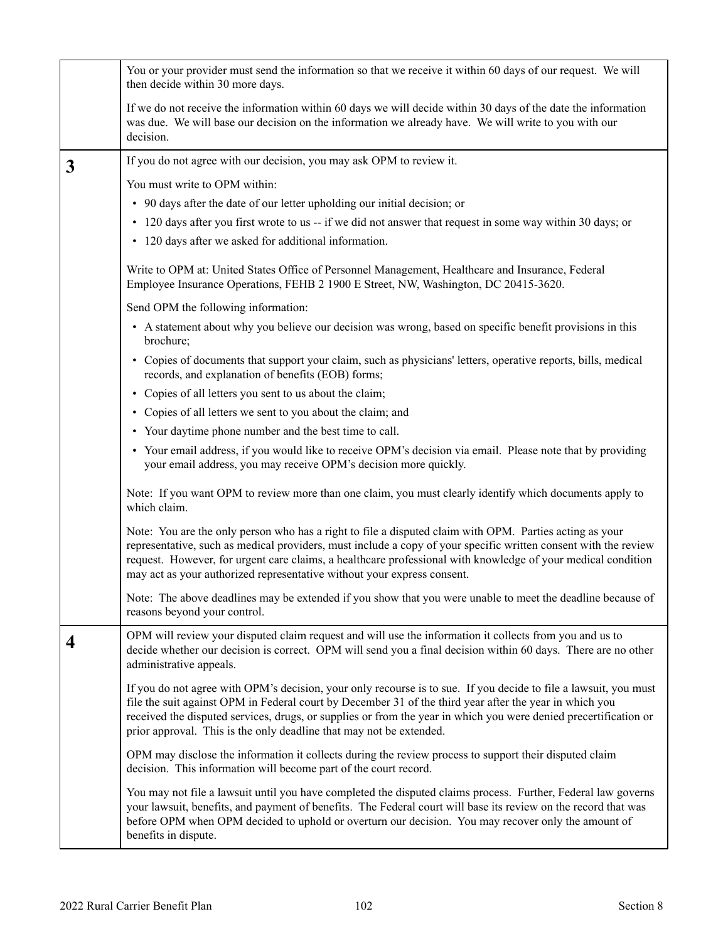|              | You or your provider must send the information so that we receive it within 60 days of our request. We will<br>then decide within 30 more days.                                                                                                                                                                                                                                                                        |
|--------------|------------------------------------------------------------------------------------------------------------------------------------------------------------------------------------------------------------------------------------------------------------------------------------------------------------------------------------------------------------------------------------------------------------------------|
|              | If we do not receive the information within 60 days we will decide within 30 days of the date the information<br>was due. We will base our decision on the information we already have. We will write to you with our<br>decision.                                                                                                                                                                                     |
| $\mathbf{3}$ | If you do not agree with our decision, you may ask OPM to review it.                                                                                                                                                                                                                                                                                                                                                   |
|              | You must write to OPM within:                                                                                                                                                                                                                                                                                                                                                                                          |
|              | • 90 days after the date of our letter upholding our initial decision; or                                                                                                                                                                                                                                                                                                                                              |
|              | • 120 days after you first wrote to us -- if we did not answer that request in some way within 30 days; or                                                                                                                                                                                                                                                                                                             |
|              | • 120 days after we asked for additional information.                                                                                                                                                                                                                                                                                                                                                                  |
|              | Write to OPM at: United States Office of Personnel Management, Healthcare and Insurance, Federal<br>Employee Insurance Operations, FEHB 2 1900 E Street, NW, Washington, DC 20415-3620.                                                                                                                                                                                                                                |
|              | Send OPM the following information:                                                                                                                                                                                                                                                                                                                                                                                    |
|              | • A statement about why you believe our decision was wrong, based on specific benefit provisions in this<br>brochure;                                                                                                                                                                                                                                                                                                  |
|              | • Copies of documents that support your claim, such as physicians' letters, operative reports, bills, medical<br>records, and explanation of benefits (EOB) forms;                                                                                                                                                                                                                                                     |
|              | • Copies of all letters you sent to us about the claim;                                                                                                                                                                                                                                                                                                                                                                |
|              | • Copies of all letters we sent to you about the claim; and                                                                                                                                                                                                                                                                                                                                                            |
|              | • Your daytime phone number and the best time to call.                                                                                                                                                                                                                                                                                                                                                                 |
|              | • Your email address, if you would like to receive OPM's decision via email. Please note that by providing<br>your email address, you may receive OPM's decision more quickly.                                                                                                                                                                                                                                         |
|              | Note: If you want OPM to review more than one claim, you must clearly identify which documents apply to<br>which claim.                                                                                                                                                                                                                                                                                                |
|              | Note: You are the only person who has a right to file a disputed claim with OPM. Parties acting as your<br>representative, such as medical providers, must include a copy of your specific written consent with the review<br>request. However, for urgent care claims, a healthcare professional with knowledge of your medical condition<br>may act as your authorized representative without your express consent.  |
|              | Note: The above deadlines may be extended if you show that you were unable to meet the deadline because of<br>reasons beyond your control.                                                                                                                                                                                                                                                                             |
| 4            | OPM will review your disputed claim request and will use the information it collects from you and us to<br>decide whether our decision is correct. OPM will send you a final decision within 60 days. There are no other<br>administrative appeals.                                                                                                                                                                    |
|              | If you do not agree with OPM's decision, your only recourse is to sue. If you decide to file a lawsuit, you must<br>file the suit against OPM in Federal court by December 31 of the third year after the year in which you<br>received the disputed services, drugs, or supplies or from the year in which you were denied precertification or<br>prior approval. This is the only deadline that may not be extended. |
|              | OPM may disclose the information it collects during the review process to support their disputed claim<br>decision. This information will become part of the court record.                                                                                                                                                                                                                                             |
|              | You may not file a lawsuit until you have completed the disputed claims process. Further, Federal law governs<br>your lawsuit, benefits, and payment of benefits. The Federal court will base its review on the record that was<br>before OPM when OPM decided to uphold or overturn our decision. You may recover only the amount of<br>benefits in dispute.                                                          |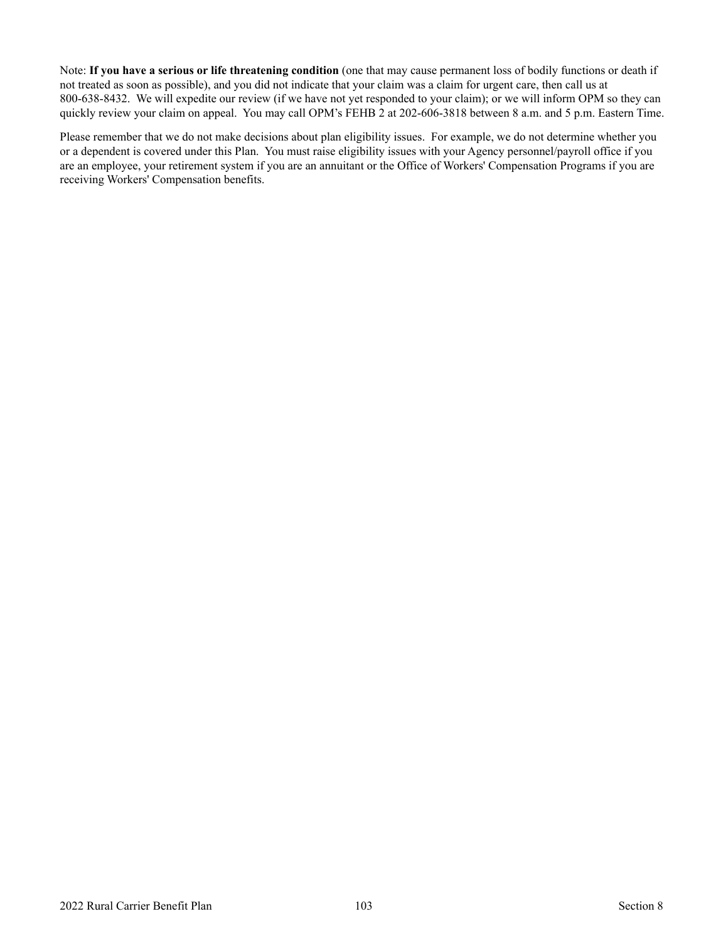Note: **If you have a serious or life threatening condition** (one that may cause permanent loss of bodily functions or death if not treated as soon as possible), and you did not indicate that your claim was a claim for urgent care, then call us at 800-638-8432. We will expedite our review (if we have not yet responded to your claim); or we will inform OPM so they can quickly review your claim on appeal. You may call OPM's FEHB 2 at 202-606-3818 between 8 a.m. and 5 p.m. Eastern Time.

Please remember that we do not make decisions about plan eligibility issues. For example, we do not determine whether you or a dependent is covered under this Plan. You must raise eligibility issues with your Agency personnel/payroll office if you are an employee, your retirement system if you are an annuitant or the Office of Workers' Compensation Programs if you are receiving Workers' Compensation benefits.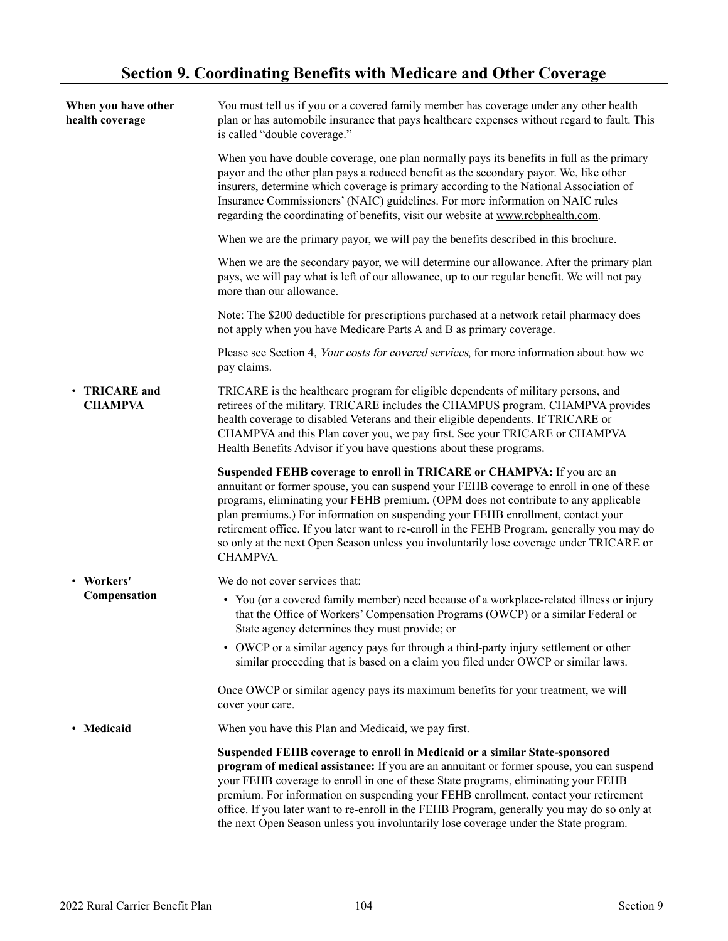#### **Section 9. Coordinating Benefits with Medicare and Other Coverage**

| When you have other<br>health coverage | You must tell us if you or a covered family member has coverage under any other health<br>plan or has automobile insurance that pays healthcare expenses without regard to fault. This<br>is called "double coverage."                                                                                                                                                                                                                                                                                                                              |
|----------------------------------------|-----------------------------------------------------------------------------------------------------------------------------------------------------------------------------------------------------------------------------------------------------------------------------------------------------------------------------------------------------------------------------------------------------------------------------------------------------------------------------------------------------------------------------------------------------|
|                                        | When you have double coverage, one plan normally pays its benefits in full as the primary<br>payor and the other plan pays a reduced benefit as the secondary payor. We, like other<br>insurers, determine which coverage is primary according to the National Association of<br>Insurance Commissioners' (NAIC) guidelines. For more information on NAIC rules<br>regarding the coordinating of benefits, visit our website at www.rcbphealth.com.                                                                                                 |
|                                        | When we are the primary payor, we will pay the benefits described in this brochure.                                                                                                                                                                                                                                                                                                                                                                                                                                                                 |
|                                        | When we are the secondary payor, we will determine our allowance. After the primary plan<br>pays, we will pay what is left of our allowance, up to our regular benefit. We will not pay<br>more than our allowance.                                                                                                                                                                                                                                                                                                                                 |
|                                        | Note: The \$200 deductible for prescriptions purchased at a network retail pharmacy does<br>not apply when you have Medicare Parts A and B as primary coverage.                                                                                                                                                                                                                                                                                                                                                                                     |
|                                        | Please see Section 4, Your costs for covered services, for more information about how we<br>pay claims.                                                                                                                                                                                                                                                                                                                                                                                                                                             |
| • TRICARE and<br><b>CHAMPVA</b>        | TRICARE is the healthcare program for eligible dependents of military persons, and<br>retirees of the military. TRICARE includes the CHAMPUS program. CHAMPVA provides<br>health coverage to disabled Veterans and their eligible dependents. If TRICARE or<br>CHAMPVA and this Plan cover you, we pay first. See your TRICARE or CHAMPVA<br>Health Benefits Advisor if you have questions about these programs.                                                                                                                                    |
|                                        | Suspended FEHB coverage to enroll in TRICARE or CHAMPVA: If you are an<br>annuitant or former spouse, you can suspend your FEHB coverage to enroll in one of these<br>programs, eliminating your FEHB premium. (OPM does not contribute to any applicable<br>plan premiums.) For information on suspending your FEHB enrollment, contact your<br>retirement office. If you later want to re-enroll in the FEHB Program, generally you may do<br>so only at the next Open Season unless you involuntarily lose coverage under TRICARE or<br>CHAMPVA. |
| • Workers'                             | We do not cover services that:                                                                                                                                                                                                                                                                                                                                                                                                                                                                                                                      |
| Compensation                           | • You (or a covered family member) need because of a workplace-related illness or injury<br>that the Office of Workers' Compensation Programs (OWCP) or a similar Federal or<br>State agency determines they must provide; or                                                                                                                                                                                                                                                                                                                       |
|                                        | • OWCP or a similar agency pays for through a third-party injury settlement or other<br>similar proceeding that is based on a claim you filed under OWCP or similar laws.                                                                                                                                                                                                                                                                                                                                                                           |
|                                        | Once OWCP or similar agency pays its maximum benefits for your treatment, we will<br>cover your care.                                                                                                                                                                                                                                                                                                                                                                                                                                               |
| • Medicaid                             | When you have this Plan and Medicaid, we pay first.                                                                                                                                                                                                                                                                                                                                                                                                                                                                                                 |
|                                        | Suspended FEHB coverage to enroll in Medicaid or a similar State-sponsored<br>program of medical assistance: If you are an annuitant or former spouse, you can suspend<br>your FEHB coverage to enroll in one of these State programs, eliminating your FEHB<br>premium. For information on suspending your FEHB enrollment, contact your retirement<br>office. If you later want to re-enroll in the FEHB Program, generally you may do so only at<br>the next Open Season unless you involuntarily lose coverage under the State program.         |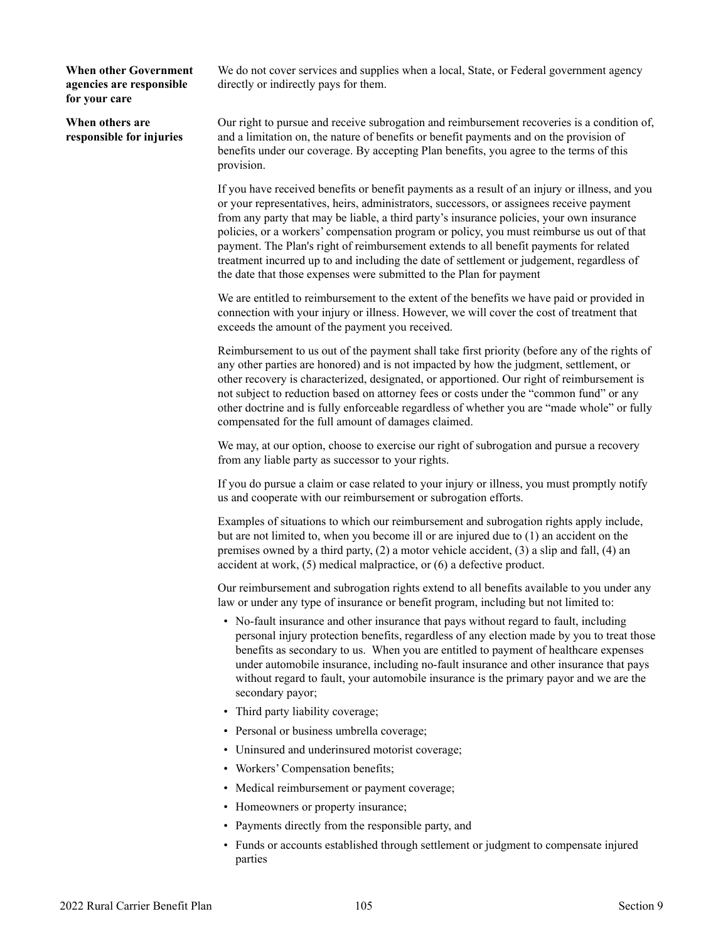**When other Government agencies are responsible for your care**

**When others are responsible for injuries** We do not cover services and supplies when a local, State, or Federal government agency directly or indirectly pays for them.

Our right to pursue and receive subrogation and reimbursement recoveries is a condition of, and a limitation on, the nature of benefits or benefit payments and on the provision of benefits under our coverage. By accepting Plan benefits, you agree to the terms of this provision.

If you have received benefits or benefit payments as a result of an injury or illness, and you or your representatives, heirs, administrators, successors, or assignees receive payment from any party that may be liable, a third party's insurance policies, your own insurance policies, or a workers' compensation program or policy, you must reimburse us out of that payment. The Plan's right of reimbursement extends to all benefit payments for related treatment incurred up to and including the date of settlement or judgement, regardless of the date that those expenses were submitted to the Plan for payment

We are entitled to reimbursement to the extent of the benefits we have paid or provided in connection with your injury or illness. However, we will cover the cost of treatment that exceeds the amount of the payment you received.

Reimbursement to us out of the payment shall take first priority (before any of the rights of any other parties are honored) and is not impacted by how the judgment, settlement, or other recovery is characterized, designated, or apportioned. Our right of reimbursement is not subject to reduction based on attorney fees or costs under the "common fund" or any other doctrine and is fully enforceable regardless of whether you are "made whole" or fully compensated for the full amount of damages claimed.

We may, at our option, choose to exercise our right of subrogation and pursue a recovery from any liable party as successor to your rights.

If you do pursue a claim or case related to your injury or illness, you must promptly notify us and cooperate with our reimbursement or subrogation efforts.

Examples of situations to which our reimbursement and subrogation rights apply include, but are not limited to, when you become ill or are injured due to (1) an accident on the premises owned by a third party, (2) a motor vehicle accident, (3) a slip and fall, (4) an accident at work, (5) medical malpractice, or (6) a defective product.

Our reimbursement and subrogation rights extend to all benefits available to you under any law or under any type of insurance or benefit program, including but not limited to:

- No-fault insurance and other insurance that pays without regard to fault, including personal injury protection benefits, regardless of any election made by you to treat those benefits as secondary to us. When you are entitled to payment of healthcare expenses under automobile insurance, including no-fault insurance and other insurance that pays without regard to fault, your automobile insurance is the primary payor and we are the secondary payor;
- Third party liability coverage;
- Personal or business umbrella coverage;
- Uninsured and underinsured motorist coverage;
- Workers' Compensation benefits;
- Medical reimbursement or payment coverage;
- Homeowners or property insurance;
- Payments directly from the responsible party, and
- Funds or accounts established through settlement or judgment to compensate injured parties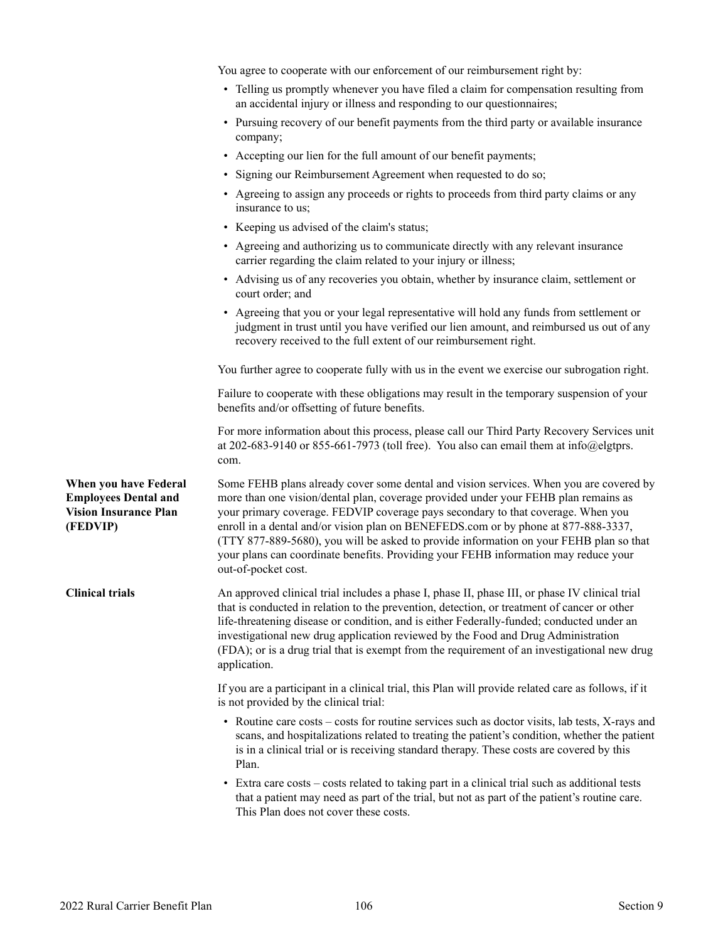|                                                                                                  | You agree to cooperate with our enforcement of our reimbursement right by:                                                                                                                                                                                                                                                                                                                                                                                                                                                                                      |
|--------------------------------------------------------------------------------------------------|-----------------------------------------------------------------------------------------------------------------------------------------------------------------------------------------------------------------------------------------------------------------------------------------------------------------------------------------------------------------------------------------------------------------------------------------------------------------------------------------------------------------------------------------------------------------|
|                                                                                                  | • Telling us promptly whenever you have filed a claim for compensation resulting from<br>an accidental injury or illness and responding to our questionnaires;                                                                                                                                                                                                                                                                                                                                                                                                  |
|                                                                                                  | • Pursuing recovery of our benefit payments from the third party or available insurance<br>company;                                                                                                                                                                                                                                                                                                                                                                                                                                                             |
|                                                                                                  | • Accepting our lien for the full amount of our benefit payments;                                                                                                                                                                                                                                                                                                                                                                                                                                                                                               |
|                                                                                                  | • Signing our Reimbursement Agreement when requested to do so;                                                                                                                                                                                                                                                                                                                                                                                                                                                                                                  |
|                                                                                                  | • Agreeing to assign any proceeds or rights to proceeds from third party claims or any<br>insurance to us;                                                                                                                                                                                                                                                                                                                                                                                                                                                      |
|                                                                                                  | • Keeping us advised of the claim's status;                                                                                                                                                                                                                                                                                                                                                                                                                                                                                                                     |
|                                                                                                  | • Agreeing and authorizing us to communicate directly with any relevant insurance<br>carrier regarding the claim related to your injury or illness;                                                                                                                                                                                                                                                                                                                                                                                                             |
|                                                                                                  | • Advising us of any recoveries you obtain, whether by insurance claim, settlement or<br>court order; and                                                                                                                                                                                                                                                                                                                                                                                                                                                       |
|                                                                                                  | • Agreeing that you or your legal representative will hold any funds from settlement or<br>judgment in trust until you have verified our lien amount, and reimbursed us out of any<br>recovery received to the full extent of our reimbursement right.                                                                                                                                                                                                                                                                                                          |
|                                                                                                  | You further agree to cooperate fully with us in the event we exercise our subrogation right.                                                                                                                                                                                                                                                                                                                                                                                                                                                                    |
|                                                                                                  | Failure to cooperate with these obligations may result in the temporary suspension of your<br>benefits and/or offsetting of future benefits.                                                                                                                                                                                                                                                                                                                                                                                                                    |
|                                                                                                  | For more information about this process, please call our Third Party Recovery Services unit<br>at 202-683-9140 or 855-661-7973 (toll free). You also can email them at info@elgtprs.<br>com.                                                                                                                                                                                                                                                                                                                                                                    |
| When you have Federal<br><b>Employees Dental and</b><br><b>Vision Insurance Plan</b><br>(FEDVIP) | Some FEHB plans already cover some dental and vision services. When you are covered by<br>more than one vision/dental plan, coverage provided under your FEHB plan remains as<br>your primary coverage. FEDVIP coverage pays secondary to that coverage. When you<br>enroll in a dental and/or vision plan on BENEFEDS.com or by phone at 877-888-3337,<br>(TTY 877-889-5680), you will be asked to provide information on your FEHB plan so that<br>your plans can coordinate benefits. Providing your FEHB information may reduce your<br>out-of-pocket cost. |
| <b>Clinical trials</b>                                                                           | An approved clinical trial includes a phase I, phase II, phase III, or phase IV clinical trial<br>that is conducted in relation to the prevention, detection, or treatment of cancer or other<br>life-threatening disease or condition, and is either Federally-funded; conducted under an<br>investigational new drug application reviewed by the Food and Drug Administration<br>(FDA); or is a drug trial that is exempt from the requirement of an investigational new drug<br>application.                                                                 |
|                                                                                                  | If you are a participant in a clinical trial, this Plan will provide related care as follows, if it<br>is not provided by the clinical trial:                                                                                                                                                                                                                                                                                                                                                                                                                   |
|                                                                                                  | • Routine care costs – costs for routine services such as doctor visits, lab tests, X-rays and<br>scans, and hospitalizations related to treating the patient's condition, whether the patient<br>is in a clinical trial or is receiving standard therapy. These costs are covered by this<br>Plan.                                                                                                                                                                                                                                                             |
|                                                                                                  | • Extra care costs – costs related to taking part in a clinical trial such as additional tests<br>that a patient may need as part of the trial, but not as part of the patient's routine care.<br>This Plan does not cover these costs.                                                                                                                                                                                                                                                                                                                         |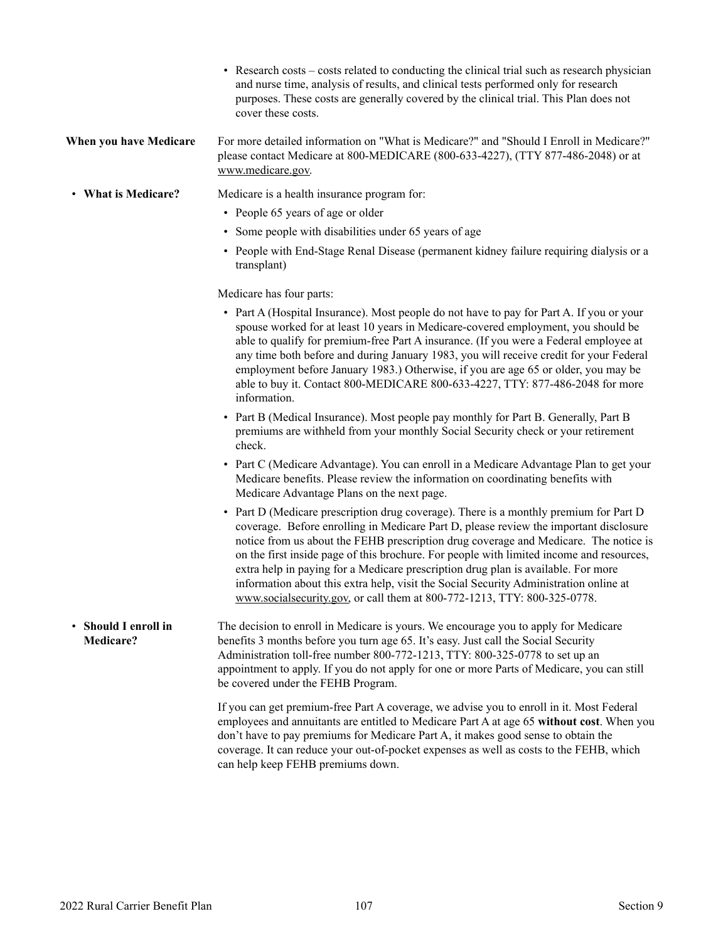- Research costs costs related to conducting the clinical trial such as research physician and nurse time, analysis of results, and clinical tests performed only for research purposes. These costs are generally covered by the clinical trial. This Plan does not cover these costs.
- **When you have Medicare** For more detailed information on "What is Medicare?" and "Should I Enroll in Medicare?" please contact Medicare at 800-MEDICARE (800-633-4227), (TTY 877-486-2048) or at [www.medicare.gov.](http://www.medicare.gov)
- **What is Medicare?** Medicare is a health insurance program for:
	- People 65 years of age or older
	- Some people with disabilities under 65 years of age
	- People with End-Stage Renal Disease (permanent kidney failure requiring dialysis or a transplant)

Medicare has four parts:

- Part A (Hospital Insurance). Most people do not have to pay for Part A. If you or your spouse worked for at least 10 years in Medicare-covered employment, you should be able to qualify for premium-free Part A insurance. (If you were a Federal employee at any time both before and during January 1983, you will receive credit for your Federal employment before January 1983.) Otherwise, if you are age 65 or older, you may be able to buy it. Contact 800-MEDICARE 800-633-4227, TTY: 877-486-2048 for more information.
- Part B (Medical Insurance). Most people pay monthly for Part B. Generally, Part B premiums are withheld from your monthly Social Security check or your retirement check.
- Part C (Medicare Advantage). You can enroll in a Medicare Advantage Plan to get your Medicare benefits. Please review the information on coordinating benefits with Medicare Advantage Plans on the next page.
- Part D (Medicare prescription drug coverage). There is a monthly premium for Part D coverage. Before enrolling in Medicare Part D, please review the important disclosure notice from us about the FEHB prescription drug coverage and Medicare. The notice is on the first inside page of this brochure. For people with limited income and resources, extra help in paying for a Medicare prescription drug plan is available. For more information about this extra help, visit the Social Security Administration online at [www.socialsecurity.gov,](http://www.socialsecurity.gov) or call them at 800-772-1213, TTY: 800-325-0778.
- **Should I enroll in Medicare?** The decision to enroll in Medicare is yours. We encourage you to apply for Medicare benefits 3 months before you turn age 65. It's easy. Just call the Social Security Administration toll-free number 800-772-1213, TTY: 800-325-0778 to set up an appointment to apply. If you do not apply for one or more Parts of Medicare, you can still be covered under the FEHB Program.

If you can get premium-free Part A coverage, we advise you to enroll in it. Most Federal employees and annuitants are entitled to Medicare Part A at age 65 **without cost**. When you don't have to pay premiums for Medicare Part A, it makes good sense to obtain the coverage. It can reduce your out-of-pocket expenses as well as costs to the FEHB, which can help keep FEHB premiums down.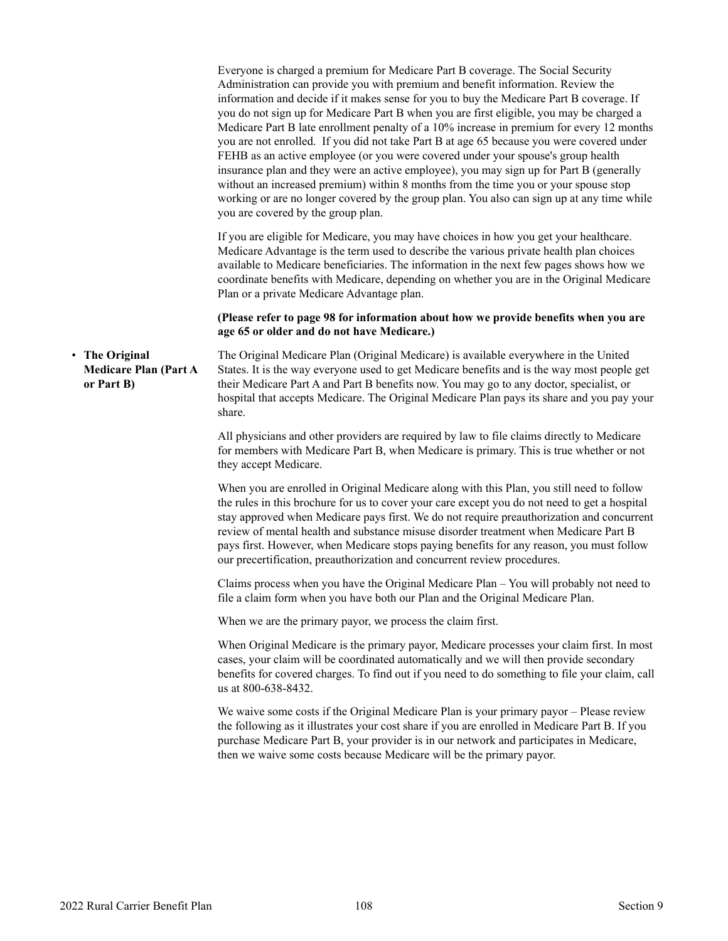|                                                            | Everyone is charged a premium for Medicare Part B coverage. The Social Security<br>Administration can provide you with premium and benefit information. Review the<br>information and decide if it makes sense for you to buy the Medicare Part B coverage. If<br>you do not sign up for Medicare Part B when you are first eligible, you may be charged a<br>Medicare Part B late enrollment penalty of a 10% increase in premium for every 12 months<br>you are not enrolled. If you did not take Part B at age 65 because you were covered under<br>FEHB as an active employee (or you were covered under your spouse's group health<br>insurance plan and they were an active employee), you may sign up for Part B (generally<br>without an increased premium) within 8 months from the time you or your spouse stop<br>working or are no longer covered by the group plan. You also can sign up at any time while<br>you are covered by the group plan. |
|------------------------------------------------------------|---------------------------------------------------------------------------------------------------------------------------------------------------------------------------------------------------------------------------------------------------------------------------------------------------------------------------------------------------------------------------------------------------------------------------------------------------------------------------------------------------------------------------------------------------------------------------------------------------------------------------------------------------------------------------------------------------------------------------------------------------------------------------------------------------------------------------------------------------------------------------------------------------------------------------------------------------------------|
|                                                            | If you are eligible for Medicare, you may have choices in how you get your healthcare.<br>Medicare Advantage is the term used to describe the various private health plan choices<br>available to Medicare beneficiaries. The information in the next few pages shows how we<br>coordinate benefits with Medicare, depending on whether you are in the Original Medicare<br>Plan or a private Medicare Advantage plan.                                                                                                                                                                                                                                                                                                                                                                                                                                                                                                                                        |
|                                                            | (Please refer to page 98 for information about how we provide benefits when you are<br>age 65 or older and do not have Medicare.)                                                                                                                                                                                                                                                                                                                                                                                                                                                                                                                                                                                                                                                                                                                                                                                                                             |
| The Original<br><b>Medicare Plan (Part A</b><br>or Part B) | The Original Medicare Plan (Original Medicare) is available everywhere in the United<br>States. It is the way everyone used to get Medicare benefits and is the way most people get<br>their Medicare Part A and Part B benefits now. You may go to any doctor, specialist, or<br>hospital that accepts Medicare. The Original Medicare Plan pays its share and you pay your<br>share.                                                                                                                                                                                                                                                                                                                                                                                                                                                                                                                                                                        |
|                                                            | All physicians and other providers are required by law to file claims directly to Medicare<br>for members with Medicare Part B, when Medicare is primary. This is true whether or not<br>they accept Medicare.                                                                                                                                                                                                                                                                                                                                                                                                                                                                                                                                                                                                                                                                                                                                                |
|                                                            | When you are enrolled in Original Medicare along with this Plan, you still need to follow<br>the rules in this brochure for us to cover your care except you do not need to get a hospital<br>stay approved when Medicare pays first. We do not require preauthorization and concurrent<br>review of mental health and substance misuse disorder treatment when Medicare Part B<br>pays first. However, when Medicare stops paying benefits for any reason, you must follow<br>our precertification, preauthorization and concurrent review procedures.                                                                                                                                                                                                                                                                                                                                                                                                       |
|                                                            | Claims process when you have the Original Medicare Plan – You will probably not need to<br>file a claim form when you have both our Plan and the Original Medicare Plan.                                                                                                                                                                                                                                                                                                                                                                                                                                                                                                                                                                                                                                                                                                                                                                                      |
|                                                            | When we are the primary payor, we process the claim first.                                                                                                                                                                                                                                                                                                                                                                                                                                                                                                                                                                                                                                                                                                                                                                                                                                                                                                    |
|                                                            | When Original Medicare is the primary payor, Medicare processes your claim first. In most<br>cases, your claim will be coordinated automatically and we will then provide secondary<br>benefits for covered charges. To find out if you need to do something to file your claim, call<br>us at 800-638-8432.                                                                                                                                                                                                                                                                                                                                                                                                                                                                                                                                                                                                                                                  |
|                                                            | We waive some costs if the Original Medicare Plan is your primary payor - Please review<br>the following as it illustrates your cost share if you are enrolled in Medicare Part B. If you<br>purchase Medicare Part B, your provider is in our network and participates in Medicare,<br>then we waive some costs because Medicare will be the primary payor.                                                                                                                                                                                                                                                                                                                                                                                                                                                                                                                                                                                                  |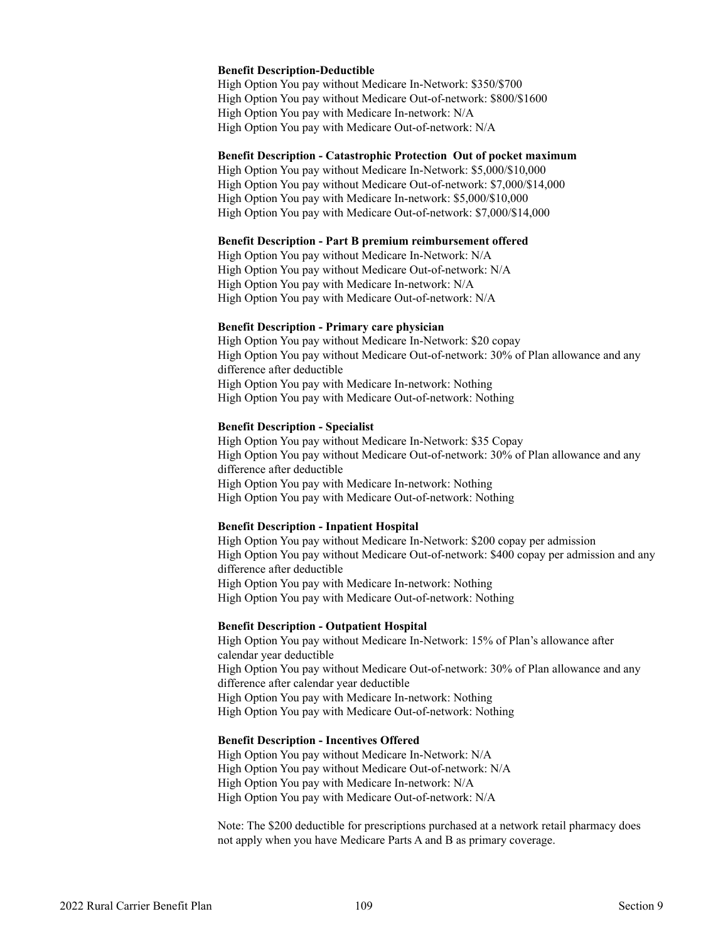#### **Benefit Description-Deductible**

High Option You pay without Medicare In-Network: \$350/\$700 High Option You pay without Medicare Out-of-network: \$800/\$1600 High Option You pay with Medicare In-network: N/A High Option You pay with Medicare Out-of-network: N/A

#### **Benefit Description - Catastrophic Protection Out of pocket maximum**

High Option You pay without Medicare In-Network: \$5,000/\$10,000 High Option You pay without Medicare Out-of-network: \$7,000/\$14,000 High Option You pay with Medicare In-network: \$5,000/\$10,000 High Option You pay with Medicare Out-of-network: \$7,000/\$14,000

#### **Benefit Description - Part B premium reimbursement offered**

High Option You pay without Medicare In-Network: N/A High Option You pay without Medicare Out-of-network: N/A High Option You pay with Medicare In-network: N/A High Option You pay with Medicare Out-of-network: N/A

#### **Benefit Description - Primary care physician**

High Option You pay without Medicare In-Network: \$20 copay High Option You pay without Medicare Out-of-network: 30% of Plan allowance and any difference after deductible High Option You pay with Medicare In-network: Nothing High Option You pay with Medicare Out-of-network: Nothing

#### **Benefit Description - Specialist**

High Option You pay without Medicare In-Network: \$35 Copay High Option You pay without Medicare Out-of-network: 30% of Plan allowance and any difference after deductible High Option You pay with Medicare In-network: Nothing High Option You pay with Medicare Out-of-network: Nothing

### **Benefit Description - Inpatient Hospital**

High Option You pay without Medicare In-Network: \$200 copay per admission High Option You pay without Medicare Out-of-network: \$400 copay per admission and any difference after deductible High Option You pay with Medicare In-network: Nothing High Option You pay with Medicare Out-of-network: Nothing

### **Benefit Description - Outpatient Hospital**

High Option You pay without Medicare In-Network: 15% of Plan's allowance after calendar year deductible High Option You pay without Medicare Out-of-network: 30% of Plan allowance and any difference after calendar year deductible High Option You pay with Medicare In-network: Nothing High Option You pay with Medicare Out-of-network: Nothing

#### **Benefit Description - Incentives Offered**

High Option You pay without Medicare In-Network: N/A High Option You pay without Medicare Out-of-network: N/A High Option You pay with Medicare In-network: N/A High Option You pay with Medicare Out-of-network: N/A

Note: The \$200 deductible for prescriptions purchased at a network retail pharmacy does not apply when you have Medicare Parts A and B as primary coverage.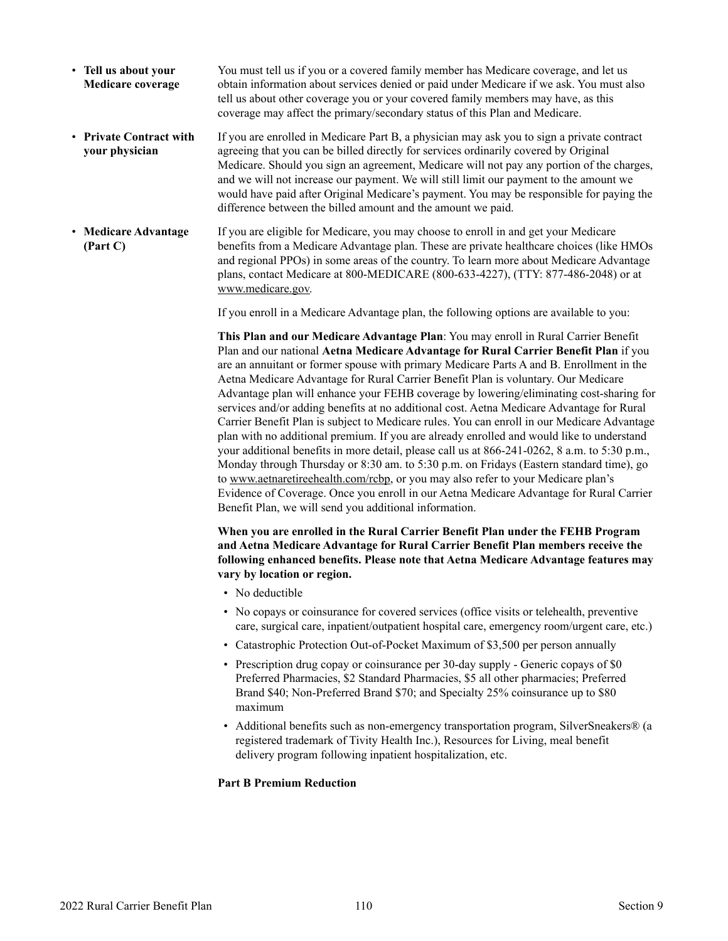- **Tell us about your Medicare coverage** You must tell us if you or a covered family member has Medicare coverage, and let us obtain information about services denied or paid under Medicare if we ask. You must also tell us about other coverage you or your covered family members may have, as this coverage may affect the primary/secondary status of this Plan and Medicare.
- **Private Contract with your physician** If you are enrolled in Medicare Part B, a physician may ask you to sign a private contract agreeing that you can be billed directly for services ordinarily covered by Original Medicare. Should you sign an agreement, Medicare will not pay any portion of the charges, and we will not increase our payment. We will still limit our payment to the amount we would have paid after Original Medicare's payment. You may be responsible for paying the difference between the billed amount and the amount we paid.
- **Medicare Advantage (Part C)** If you are eligible for Medicare, you may choose to enroll in and get your Medicare benefits from a Medicare Advantage plan. These are private healthcare choices (like HMOs and regional PPOs) in some areas of the country. To learn more about Medicare Advantage plans, contact Medicare at 800-MEDICARE (800-633-4227), (TTY: 877-486-2048) or at [www.medicare.gov.](http://www.medicare.gov)

If you enroll in a Medicare Advantage plan, the following options are available to you:

**This Plan and our Medicare Advantage Plan**: You may enroll in Rural Carrier Benefit Plan and our national **Aetna Medicare Advantage for Rural Carrier Benefit Plan** if you are an annuitant or former spouse with primary Medicare Parts A and B. Enrollment in the Aetna Medicare Advantage for Rural Carrier Benefit Plan is voluntary. Our Medicare Advantage plan will enhance your FEHB coverage by lowering/eliminating cost-sharing for services and/or adding benefits at no additional cost. Aetna Medicare Advantage for Rural Carrier Benefit Plan is subject to Medicare rules. You can enroll in our Medicare Advantage plan with no additional premium. If you are already enrolled and would like to understand your additional benefits in more detail, please call us at 866-241-0262, 8 a.m. to 5:30 p.m., Monday through Thursday or 8:30 am. to 5:30 p.m. on Fridays (Eastern standard time), go to [www.aetnaretireehealth.com/rcbp,](http://www.aetnaretireehealth.com/rcbp) or you may also refer to your Medicare plan's Evidence of Coverage. Once you enroll in our Aetna Medicare Advantage for Rural Carrier Benefit Plan, we will send you additional information.

**When you are enrolled in the Rural Carrier Benefit Plan under the FEHB Program and Aetna Medicare Advantage for Rural Carrier Benefit Plan members receive the following enhanced benefits. Please note that Aetna Medicare Advantage features may vary by location or region.**

- No deductible
- No copays or coinsurance for covered services (office visits or telehealth, preventive care, surgical care, inpatient/outpatient hospital care, emergency room/urgent care, etc.)
- Catastrophic Protection Out-of-Pocket Maximum of \$3,500 per person annually
- Prescription drug copay or coinsurance per 30-day supply Generic copays of \$0 Preferred Pharmacies, \$2 Standard Pharmacies, \$5 all other pharmacies; Preferred Brand \$40; Non-Preferred Brand \$70; and Specialty 25% coinsurance up to \$80 maximum
- Additional benefits such as non-emergency transportation program, SilverSneakers® (a registered trademark of Tivity Health Inc.), Resources for Living, meal benefit delivery program following inpatient hospitalization, etc.

### **Part B Premium Reduction**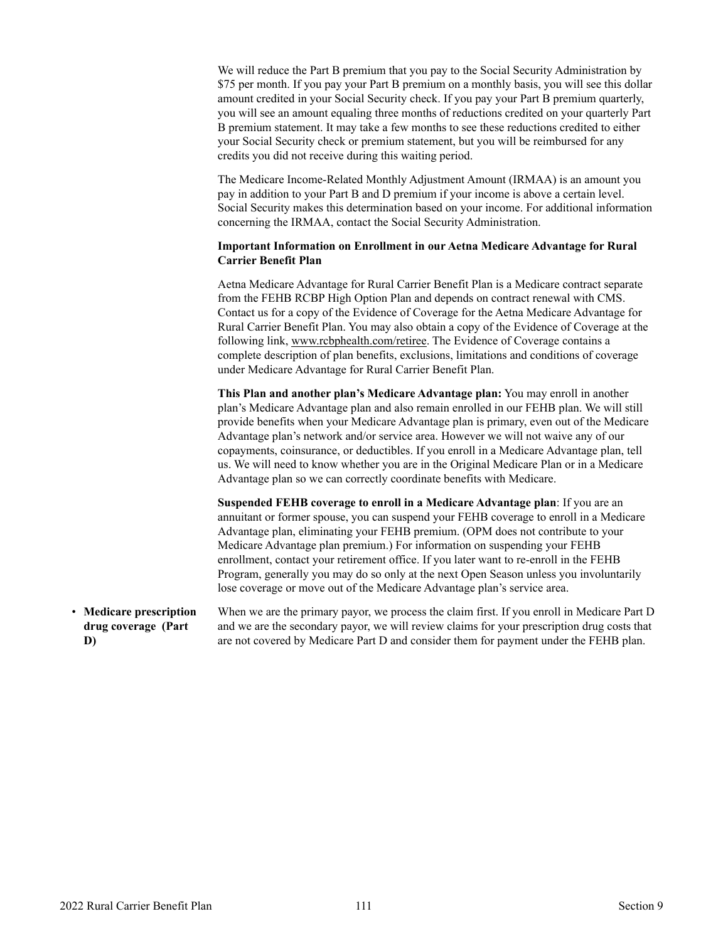<span id="page-112-0"></span>We will reduce the Part B premium that you pay to the Social Security Administration by \$75 per month. If you pay your Part B premium on a monthly basis, you will see this dollar amount credited in your Social Security check. If you pay your Part B premium quarterly, you will see an amount equaling three months of reductions credited on your quarterly Part B premium statement. It may take a few months to see these reductions credited to either your Social Security check or premium statement, but you will be reimbursed for any credits you did not receive during this waiting period.

The Medicare Income-Related Monthly Adjustment Amount (IRMAA) is an amount you pay in addition to your Part B and D premium if your income is above a certain level. Social Security makes this determination based on your income. For additional information concerning the IRMAA, contact the Social Security Administration.

# **Important Information on Enrollment in our Aetna Medicare Advantage for Rural Carrier Benefit Plan**

Aetna Medicare Advantage for Rural Carrier Benefit Plan is a Medicare contract separate from the FEHB RCBP High Option Plan and depends on contract renewal with CMS. Contact us for a copy of the Evidence of Coverage for the Aetna Medicare Advantage for Rural Carrier Benefit Plan. You may also obtain a copy of the Evidence of Coverage at the following link, [www.rcbphealth.com/retiree](http://www.rcbphealth.com/retiree). The Evidence of Coverage contains a complete description of plan benefits, exclusions, limitations and conditions of coverage under Medicare Advantage for Rural Carrier Benefit Plan.

**This Plan and another plan's Medicare Advantage plan:** You may enroll in another plan's Medicare Advantage plan and also remain enrolled in our FEHB plan. We will still provide benefits when your Medicare Advantage plan is primary, even out of the Medicare Advantage plan's network and/or service area. However we will not waive any of our copayments, coinsurance, or deductibles. If you enroll in a Medicare Advantage plan, tell us. We will need to know whether you are in the Original Medicare Plan or in a Medicare Advantage plan so we can correctly coordinate benefits with Medicare.

**Suspended FEHB coverage to enroll in a Medicare Advantage plan**: If you are an annuitant or former spouse, you can suspend your FEHB coverage to enroll in a Medicare Advantage plan, eliminating your FEHB premium. (OPM does not contribute to your Medicare Advantage plan premium.) For information on suspending your FEHB enrollment, contact your retirement office. If you later want to re-enroll in the FEHB Program, generally you may do so only at the next Open Season unless you involuntarily lose coverage or move out of the Medicare Advantage plan's service area.

• **Medicare prescription drug coverage (Part D)**

When we are the primary payor, we process the claim first. If you enroll in Medicare Part D and we are the secondary payor, we will review claims for your prescription drug costs that are not covered by Medicare Part D and consider them for payment under the FEHB plan.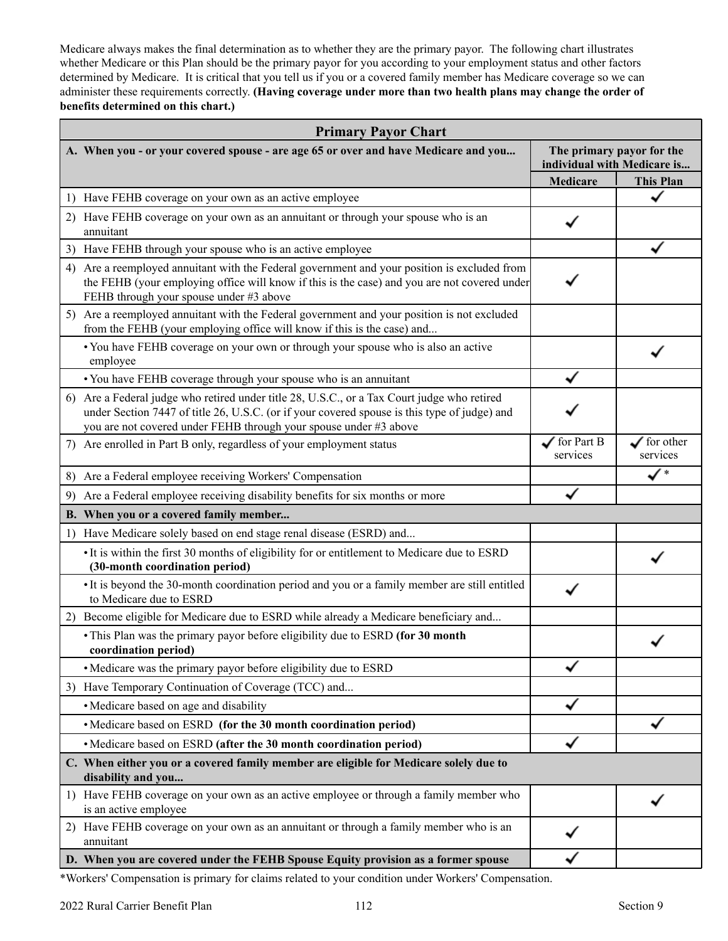Medicare always makes the final determination as to whether they are the primary payor. The following chart illustrates whether Medicare or this Plan should be the primary payor for you according to your employment status and other factors determined by Medicare. It is critical that you tell us if you or a covered family member has Medicare coverage so we can administer these requirements correctly. **(Having coverage under more than two health plans may change the order of benefits determined on this chart.)** 

| <b>Primary Payor Chart</b>                                                                                                                                                                                                                                       |                                    |                                                          |  |
|------------------------------------------------------------------------------------------------------------------------------------------------------------------------------------------------------------------------------------------------------------------|------------------------------------|----------------------------------------------------------|--|
| A. When you - or your covered spouse - are age 65 or over and have Medicare and you                                                                                                                                                                              |                                    | The primary payor for the<br>individual with Medicare is |  |
|                                                                                                                                                                                                                                                                  | <b>Medicare</b>                    | <b>This Plan</b>                                         |  |
| 1) Have FEHB coverage on your own as an active employee                                                                                                                                                                                                          |                                    |                                                          |  |
| 2) Have FEHB coverage on your own as an annuitant or through your spouse who is an<br>annuitant                                                                                                                                                                  |                                    |                                                          |  |
| Have FEHB through your spouse who is an active employee<br>3)                                                                                                                                                                                                    |                                    |                                                          |  |
| Are a reemployed annuitant with the Federal government and your position is excluded from<br>4)<br>the FEHB (your employing office will know if this is the case) and you are not covered under<br>FEHB through your spouse under #3 above                       |                                    |                                                          |  |
| 5) Are a reemployed annuitant with the Federal government and your position is not excluded<br>from the FEHB (your employing office will know if this is the case) and                                                                                           |                                    |                                                          |  |
| • You have FEHB coverage on your own or through your spouse who is also an active<br>employee                                                                                                                                                                    |                                    |                                                          |  |
| • You have FEHB coverage through your spouse who is an annuitant                                                                                                                                                                                                 |                                    |                                                          |  |
| 6) Are a Federal judge who retired under title 28, U.S.C., or a Tax Court judge who retired<br>under Section 7447 of title 26, U.S.C. (or if your covered spouse is this type of judge) and<br>you are not covered under FEHB through your spouse under #3 above |                                    |                                                          |  |
| 7) Are enrolled in Part B only, regardless of your employment status                                                                                                                                                                                             | $\sqrt{\ }$ for Part B<br>services | $\checkmark$ for other<br>services                       |  |
| 8) Are a Federal employee receiving Workers' Compensation                                                                                                                                                                                                        |                                    | ✓                                                        |  |
| Are a Federal employee receiving disability benefits for six months or more<br>9)                                                                                                                                                                                |                                    |                                                          |  |
| B. When you or a covered family member                                                                                                                                                                                                                           |                                    |                                                          |  |
| Have Medicare solely based on end stage renal disease (ESRD) and<br>1)                                                                                                                                                                                           |                                    |                                                          |  |
| • It is within the first 30 months of eligibility for or entitlement to Medicare due to ESRD<br>(30-month coordination period)                                                                                                                                   |                                    |                                                          |  |
| • It is beyond the 30-month coordination period and you or a family member are still entitled<br>to Medicare due to ESRD                                                                                                                                         |                                    |                                                          |  |
| Become eligible for Medicare due to ESRD while already a Medicare beneficiary and<br>2)                                                                                                                                                                          |                                    |                                                          |  |
| • This Plan was the primary payor before eligibility due to ESRD (for 30 month<br>coordination period)                                                                                                                                                           |                                    |                                                          |  |
| • Medicare was the primary payor before eligibility due to ESRD                                                                                                                                                                                                  |                                    |                                                          |  |
| Have Temporary Continuation of Coverage (TCC) and<br>3)                                                                                                                                                                                                          |                                    |                                                          |  |
| • Medicare based on age and disability                                                                                                                                                                                                                           |                                    |                                                          |  |
| • Medicare based on ESRD (for the 30 month coordination period)                                                                                                                                                                                                  |                                    |                                                          |  |
| • Medicare based on ESRD (after the 30 month coordination period)                                                                                                                                                                                                |                                    |                                                          |  |
| C. When either you or a covered family member are eligible for Medicare solely due to<br>disability and you                                                                                                                                                      |                                    |                                                          |  |
| Have FEHB coverage on your own as an active employee or through a family member who<br>1)<br>is an active employee                                                                                                                                               |                                    |                                                          |  |
| 2) Have FEHB coverage on your own as an annuitant or through a family member who is an<br>annuitant                                                                                                                                                              |                                    |                                                          |  |
| D. When you are covered under the FEHB Spouse Equity provision as a former spouse                                                                                                                                                                                |                                    |                                                          |  |

\*Workers' Compensation is primary for claims related to your condition under Workers' Compensation.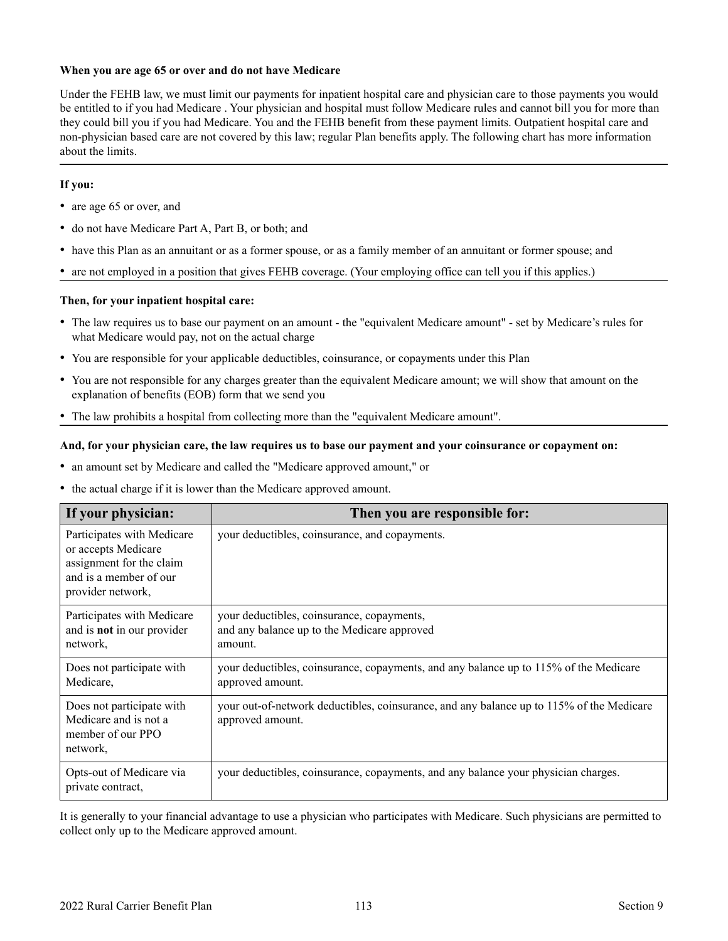### <span id="page-114-0"></span>**When you are age 65 or over and do not have Medicare**

Under the FEHB law, we must limit our payments for inpatient hospital care and physician care to those payments you would be entitled to if you had Medicare . Your physician and hospital must follow Medicare rules and cannot bill you for more than they could bill you if you had Medicare. You and the FEHB benefit from these payment limits. Outpatient hospital care and non-physician based care are not covered by this law; regular Plan benefits apply. The following chart has more information about the limits.

# **If you:**

- are age 65 or over, and
- do not have Medicare Part A, Part B, or both; and
- have this Plan as an annuitant or as a former spouse, or as a family member of an annuitant or former spouse; and
- are not employed in a position that gives FEHB coverage. (Your employing office can tell you if this applies.)

### **Then, for your inpatient hospital care:**

- The law requires us to base our payment on an amount the "equivalent Medicare amount" set by Medicare's rules for what Medicare would pay, not on the actual charge
- You are responsible for your applicable deductibles, coinsurance, or copayments under this Plan
- You are not responsible for any charges greater than the equivalent Medicare amount; we will show that amount on the explanation of benefits (EOB) form that we send you
- The law prohibits a hospital from collecting more than the "equivalent Medicare amount".

#### **And, for your physician care, the law requires us to base our payment and your coinsurance or copayment on:**

- an amount set by Medicare and called the "Medicare approved amount," or
- the actual charge if it is lower than the Medicare approved amount.

| If your physician:                                                                                                           | Then you are responsible for:                                                                                |
|------------------------------------------------------------------------------------------------------------------------------|--------------------------------------------------------------------------------------------------------------|
| Participates with Medicare<br>or accepts Medicare<br>assignment for the claim<br>and is a member of our<br>provider network, | your deductibles, coinsurance, and copayments.                                                               |
| Participates with Medicare<br>and is <b>not</b> in our provider<br>network,                                                  | your deductibles, coinsurance, copayments,<br>and any balance up to the Medicare approved<br>amount.         |
| Does not participate with<br>Medicare,                                                                                       | your deductibles, coinsurance, copayments, and any balance up to 115% of the Medicare<br>approved amount.    |
| Does not participate with<br>Medicare and is not a<br>member of our PPO<br>network,                                          | your out-of-network deductibles, coinsurance, and any balance up to 115% of the Medicare<br>approved amount. |
| Opts-out of Medicare via<br>private contract,                                                                                | your deductibles, coinsurance, copayments, and any balance your physician charges.                           |

It is generally to your financial advantage to use a physician who participates with Medicare. Such physicians are permitted to collect only up to the Medicare approved amount.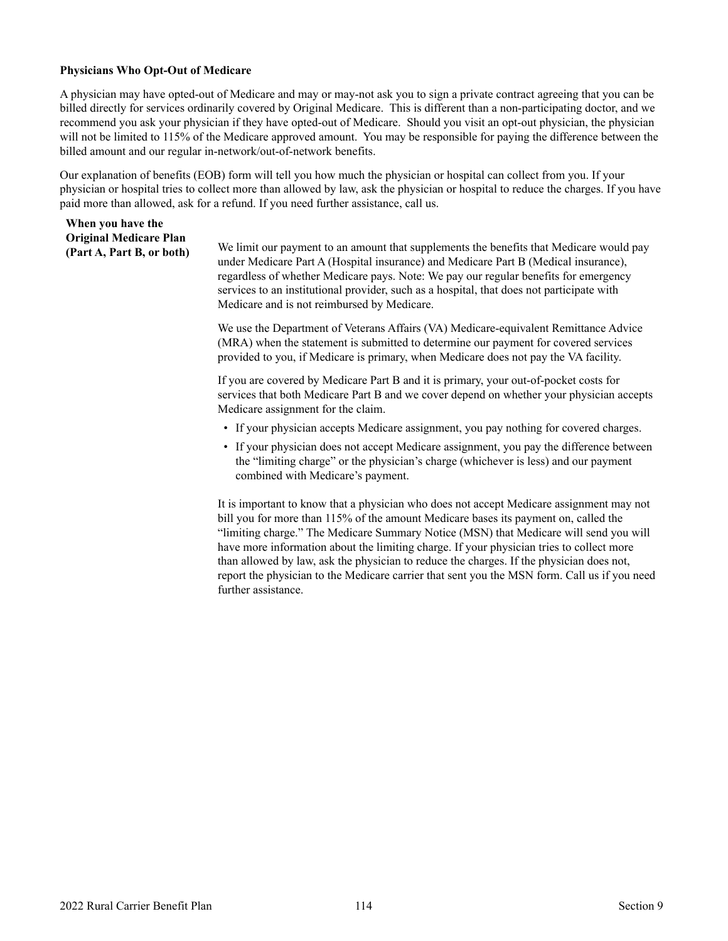#### <span id="page-115-0"></span>**Physicians Who Opt-Out of Medicare**

**When you have the** 

A physician may have opted-out of Medicare and may or may-not ask you to sign a private contract agreeing that you can be billed directly for services ordinarily covered by Original Medicare. This is different than a non-participating doctor, and we recommend you ask your physician if they have opted-out of Medicare. Should you visit an opt-out physician, the physician will not be limited to 115% of the Medicare approved amount. You may be responsible for paying the difference between the billed amount and our regular in-network/out-of-network benefits.

Our explanation of benefits (EOB) form will tell you how much the physician or hospital can collect from you. If your physician or hospital tries to collect more than allowed by law, ask the physician or hospital to reduce the charges. If you have paid more than allowed, ask for a refund. If you need further assistance, call us.

| <b>Original Medicare Plan</b><br>(Part A, Part B, or both) | We limit our payment to an amount that supplements the benefits that Medicare would pay<br>under Medicare Part A (Hospital insurance) and Medicare Part B (Medical insurance),<br>regardless of whether Medicare pays. Note: We pay our regular benefits for emergency<br>services to an institutional provider, such as a hospital, that does not participate with<br>Medicare and is not reimbursed by Medicare. |
|------------------------------------------------------------|--------------------------------------------------------------------------------------------------------------------------------------------------------------------------------------------------------------------------------------------------------------------------------------------------------------------------------------------------------------------------------------------------------------------|
|                                                            | We use the Department of Veterans Affairs (VA) Medicare-equivalent Remittance Advice<br>(MRA) when the statement is submitted to determine our payment for covered services<br>provided to you, if Medicare is primary, when Medicare does not pay the VA facility.                                                                                                                                                |
|                                                            | If you are covered by Medicare Part B and it is primary, your out-of-pocket costs for<br>services that both Medicare Part B and we cover depend on whether your physician accepts<br>Medicare assignment for the claim.                                                                                                                                                                                            |
|                                                            | • If your physician accepts Medicare assignment, you pay nothing for covered charges.                                                                                                                                                                                                                                                                                                                              |
|                                                            | • If your physician does not accept Medicare assignment, you pay the difference between<br>the "limiting charge" or the physician's charge (whichever is less) and our payment<br>combined with Medicare's payment.                                                                                                                                                                                                |

It is important to know that a physician who does not accept Medicare assignment may not bill you for more than 115% of the amount Medicare bases its payment on, called the "limiting charge." The Medicare Summary Notice (MSN) that Medicare will send you will have more information about the limiting charge. If your physician tries to collect more than allowed by law, ask the physician to reduce the charges. If the physician does not, report the physician to the Medicare carrier that sent you the MSN form. Call us if you need further assistance.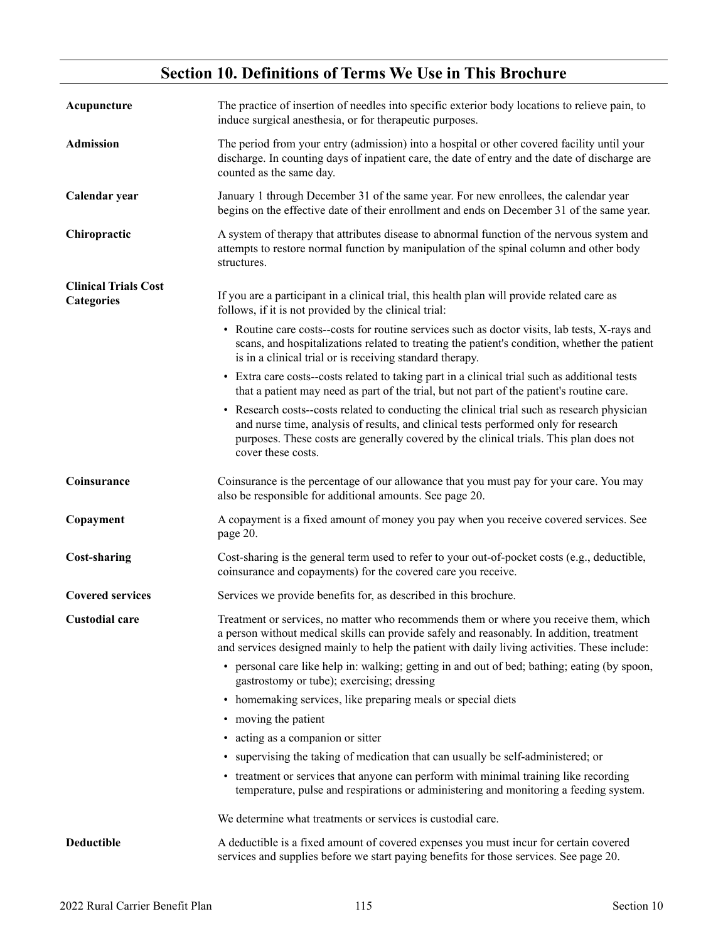# **Section 10. Definitions of Terms We Use in This Brochure**

<span id="page-116-0"></span>

| Acupuncture                               | The practice of insertion of needles into specific exterior body locations to relieve pain, to<br>induce surgical anesthesia, or for therapeutic purposes.                                                                                                                                        |
|-------------------------------------------|---------------------------------------------------------------------------------------------------------------------------------------------------------------------------------------------------------------------------------------------------------------------------------------------------|
| <b>Admission</b>                          | The period from your entry (admission) into a hospital or other covered facility until your<br>discharge. In counting days of inpatient care, the date of entry and the date of discharge are<br>counted as the same day.                                                                         |
| Calendar year                             | January 1 through December 31 of the same year. For new enrollees, the calendar year<br>begins on the effective date of their enrollment and ends on December 31 of the same year.                                                                                                                |
| Chiropractic                              | A system of therapy that attributes disease to abnormal function of the nervous system and<br>attempts to restore normal function by manipulation of the spinal column and other body<br>structures.                                                                                              |
| <b>Clinical Trials Cost</b><br>Categories | If you are a participant in a clinical trial, this health plan will provide related care as<br>follows, if it is not provided by the clinical trial:                                                                                                                                              |
|                                           | • Routine care costs--costs for routine services such as doctor visits, lab tests, X-rays and<br>scans, and hospitalizations related to treating the patient's condition, whether the patient<br>is in a clinical trial or is receiving standard therapy.                                         |
|                                           | • Extra care costs-costs related to taking part in a clinical trial such as additional tests<br>that a patient may need as part of the trial, but not part of the patient's routine care.                                                                                                         |
|                                           | • Research costs-costs related to conducting the clinical trial such as research physician<br>and nurse time, analysis of results, and clinical tests performed only for research<br>purposes. These costs are generally covered by the clinical trials. This plan does not<br>cover these costs. |
| Coinsurance                               | Coinsurance is the percentage of our allowance that you must pay for your care. You may<br>also be responsible for additional amounts. See page 20.                                                                                                                                               |
| Copayment                                 | A copayment is a fixed amount of money you pay when you receive covered services. See<br>page 20.                                                                                                                                                                                                 |
| <b>Cost-sharing</b>                       | Cost-sharing is the general term used to refer to your out-of-pocket costs (e.g., deductible,<br>coinsurance and copayments) for the covered care you receive.                                                                                                                                    |
| <b>Covered services</b>                   | Services we provide benefits for, as described in this brochure.                                                                                                                                                                                                                                  |
| <b>Custodial care</b>                     | Treatment or services, no matter who recommends them or where you receive them, which<br>a person without medical skills can provide safely and reasonably. In addition, treatment<br>and services designed mainly to help the patient with daily living activities. These include:               |
|                                           | • personal care like help in: walking; getting in and out of bed; bathing; eating (by spoon,<br>gastrostomy or tube); exercising; dressing                                                                                                                                                        |
|                                           | • homemaking services, like preparing meals or special diets                                                                                                                                                                                                                                      |
|                                           | • moving the patient                                                                                                                                                                                                                                                                              |
|                                           | • acting as a companion or sitter                                                                                                                                                                                                                                                                 |
|                                           | • supervising the taking of medication that can usually be self-administered; or                                                                                                                                                                                                                  |
|                                           | • treatment or services that anyone can perform with minimal training like recording<br>temperature, pulse and respirations or administering and monitoring a feeding system.                                                                                                                     |
|                                           | We determine what treatments or services is custodial care.                                                                                                                                                                                                                                       |
| <b>Deductible</b>                         | A deductible is a fixed amount of covered expenses you must incur for certain covered<br>services and supplies before we start paying benefits for those services. See page 20.                                                                                                                   |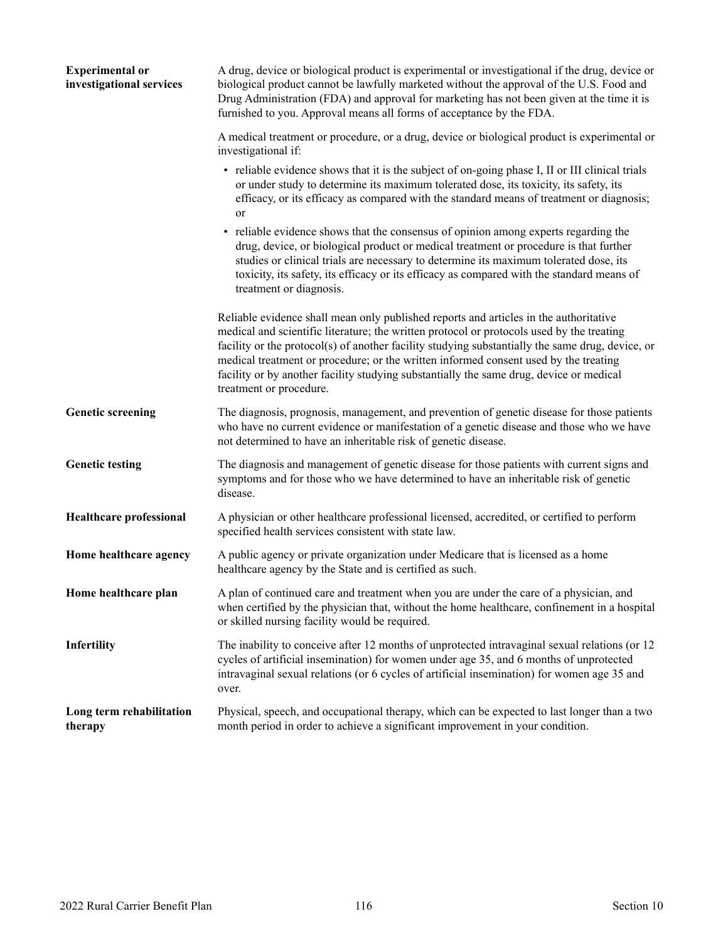<span id="page-117-0"></span>

| <b>Experimental or</b><br>investigational services | A drug, device or biological product is experimental or investigational if the drug, device or<br>biological product cannot be lawfully marketed without the approval of the U.S. Food and<br>Drug Administration (FDA) and approval for marketing has not been given at the time it is<br>furnished to you. Approval means all forms of acceptance by the FDA.                                                                                                                                      |
|----------------------------------------------------|------------------------------------------------------------------------------------------------------------------------------------------------------------------------------------------------------------------------------------------------------------------------------------------------------------------------------------------------------------------------------------------------------------------------------------------------------------------------------------------------------|
|                                                    | A medical treatment or procedure, or a drug, device or biological product is experimental or<br>investigational if:                                                                                                                                                                                                                                                                                                                                                                                  |
|                                                    | • reliable evidence shows that it is the subject of on-going phase I, II or III clinical trials<br>or under study to determine its maximum tolerated dose, its toxicity, its safety, its<br>efficacy, or its efficacy as compared with the standard means of treatment or diagnosis;<br>or                                                                                                                                                                                                           |
|                                                    | • reliable evidence shows that the consensus of opinion among experts regarding the<br>drug, device, or biological product or medical treatment or procedure is that further<br>studies or clinical trials are necessary to determine its maximum tolerated dose, its<br>toxicity, its safety, its efficacy or its efficacy as compared with the standard means of<br>treatment or diagnosis.                                                                                                        |
|                                                    | Reliable evidence shall mean only published reports and articles in the authoritative<br>medical and scientific literature; the written protocol or protocols used by the treating<br>facility or the protocol(s) of another facility studying substantially the same drug, device, or<br>medical treatment or procedure; or the written informed consent used by the treating<br>facility or by another facility studying substantially the same drug, device or medical<br>treatment or procedure. |
| <b>Genetic screening</b>                           | The diagnosis, prognosis, management, and prevention of genetic disease for those patients<br>who have no current evidence or manifestation of a genetic disease and those who we have<br>not determined to have an inheritable risk of genetic disease.                                                                                                                                                                                                                                             |
| <b>Genetic testing</b>                             | The diagnosis and management of genetic disease for those patients with current signs and<br>symptoms and for those who we have determined to have an inheritable risk of genetic<br>disease.                                                                                                                                                                                                                                                                                                        |
| <b>Healthcare professional</b>                     | A physician or other healthcare professional licensed, accredited, or certified to perform<br>specified health services consistent with state law.                                                                                                                                                                                                                                                                                                                                                   |
| Home healthcare agency                             | A public agency or private organization under Medicare that is licensed as a home<br>healthcare agency by the State and is certified as such.                                                                                                                                                                                                                                                                                                                                                        |
| Home healthcare plan                               | A plan of continued care and treatment when you are under the care of a physician, and<br>when certified by the physician that, without the home healthcare, confinement in a hospital<br>or skilled nursing facility would be required.                                                                                                                                                                                                                                                             |
| <b>Infertility</b>                                 | The inability to conceive after 12 months of unprotected intravaginal sexual relations (or 12<br>cycles of artificial insemination) for women under age 35, and 6 months of unprotected<br>intravaginal sexual relations (or 6 cycles of artificial insemination) for women age 35 and<br>over.                                                                                                                                                                                                      |
| Long term rehabilitation<br>therapy                | Physical, speech, and occupational therapy, which can be expected to last longer than a two<br>month period in order to achieve a significant improvement in your condition.                                                                                                                                                                                                                                                                                                                         |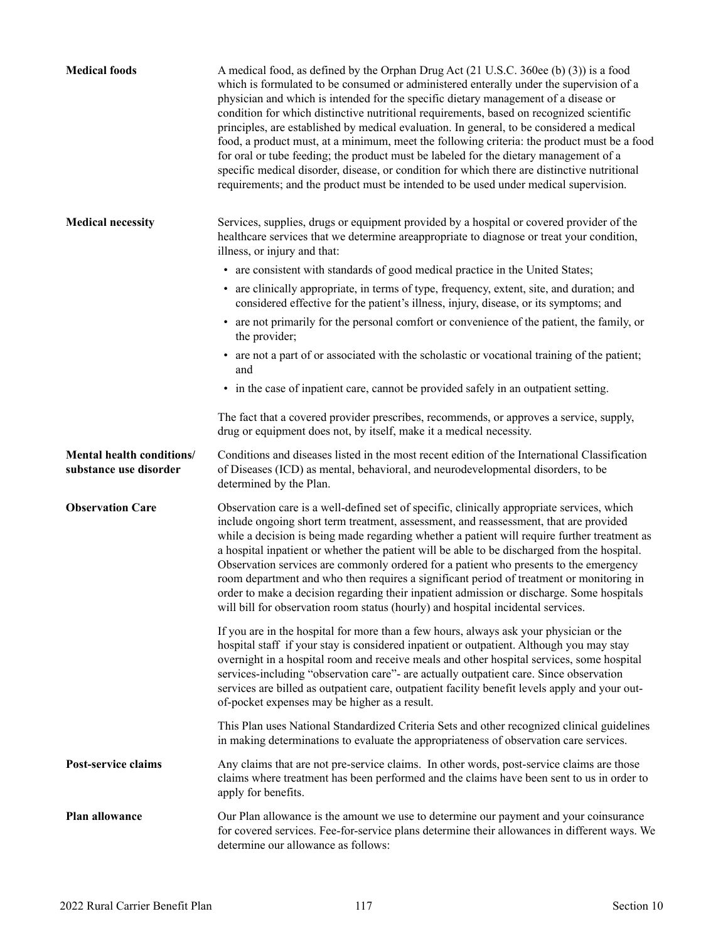<span id="page-118-0"></span>

| <b>Medical foods</b>                                | A medical food, as defined by the Orphan Drug Act (21 U.S.C. 360ee (b) (3)) is a food<br>which is formulated to be consumed or administered enterally under the supervision of a<br>physician and which is intended for the specific dietary management of a disease or<br>condition for which distinctive nutritional requirements, based on recognized scientific<br>principles, are established by medical evaluation. In general, to be considered a medical<br>food, a product must, at a minimum, meet the following criteria: the product must be a food<br>for oral or tube feeding; the product must be labeled for the dietary management of a<br>specific medical disorder, disease, or condition for which there are distinctive nutritional<br>requirements; and the product must be intended to be used under medical supervision. |
|-----------------------------------------------------|--------------------------------------------------------------------------------------------------------------------------------------------------------------------------------------------------------------------------------------------------------------------------------------------------------------------------------------------------------------------------------------------------------------------------------------------------------------------------------------------------------------------------------------------------------------------------------------------------------------------------------------------------------------------------------------------------------------------------------------------------------------------------------------------------------------------------------------------------|
| <b>Medical necessity</b>                            | Services, supplies, drugs or equipment provided by a hospital or covered provider of the<br>healthcare services that we determine areappropriate to diagnose or treat your condition,<br>illness, or injury and that:                                                                                                                                                                                                                                                                                                                                                                                                                                                                                                                                                                                                                            |
|                                                     | • are consistent with standards of good medical practice in the United States;                                                                                                                                                                                                                                                                                                                                                                                                                                                                                                                                                                                                                                                                                                                                                                   |
|                                                     | • are clinically appropriate, in terms of type, frequency, extent, site, and duration; and<br>considered effective for the patient's illness, injury, disease, or its symptoms; and                                                                                                                                                                                                                                                                                                                                                                                                                                                                                                                                                                                                                                                              |
|                                                     | • are not primarily for the personal comfort or convenience of the patient, the family, or<br>the provider;                                                                                                                                                                                                                                                                                                                                                                                                                                                                                                                                                                                                                                                                                                                                      |
|                                                     | • are not a part of or associated with the scholastic or vocational training of the patient;<br>and                                                                                                                                                                                                                                                                                                                                                                                                                                                                                                                                                                                                                                                                                                                                              |
|                                                     | • in the case of inpatient care, cannot be provided safely in an outpatient setting.                                                                                                                                                                                                                                                                                                                                                                                                                                                                                                                                                                                                                                                                                                                                                             |
|                                                     | The fact that a covered provider prescribes, recommends, or approves a service, supply,<br>drug or equipment does not, by itself, make it a medical necessity.                                                                                                                                                                                                                                                                                                                                                                                                                                                                                                                                                                                                                                                                                   |
| Mental health conditions/<br>substance use disorder | Conditions and diseases listed in the most recent edition of the International Classification<br>of Diseases (ICD) as mental, behavioral, and neurodevelopmental disorders, to be<br>determined by the Plan.                                                                                                                                                                                                                                                                                                                                                                                                                                                                                                                                                                                                                                     |
| <b>Observation Care</b>                             | Observation care is a well-defined set of specific, clinically appropriate services, which<br>include ongoing short term treatment, assessment, and reassessment, that are provided<br>while a decision is being made regarding whether a patient will require further treatment as<br>a hospital inpatient or whether the patient will be able to be discharged from the hospital.<br>Observation services are commonly ordered for a patient who presents to the emergency<br>room department and who then requires a significant period of treatment or monitoring in<br>order to make a decision regarding their inpatient admission or discharge. Some hospitals<br>will bill for observation room status (hourly) and hospital incidental services.                                                                                        |
|                                                     | If you are in the hospital for more than a few hours, always ask your physician or the<br>hospital staff if your stay is considered inpatient or outpatient. Although you may stay<br>overnight in a hospital room and receive meals and other hospital services, some hospital<br>services-including "observation care"- are actually outpatient care. Since observation<br>services are billed as outpatient care, outpatient facility benefit levels apply and your out-<br>of-pocket expenses may be higher as a result.                                                                                                                                                                                                                                                                                                                     |
|                                                     | This Plan uses National Standardized Criteria Sets and other recognized clinical guidelines<br>in making determinations to evaluate the appropriateness of observation care services.                                                                                                                                                                                                                                                                                                                                                                                                                                                                                                                                                                                                                                                            |
| Post-service claims                                 | Any claims that are not pre-service claims. In other words, post-service claims are those<br>claims where treatment has been performed and the claims have been sent to us in order to<br>apply for benefits.                                                                                                                                                                                                                                                                                                                                                                                                                                                                                                                                                                                                                                    |
| Plan allowance                                      | Our Plan allowance is the amount we use to determine our payment and your coinsurance<br>for covered services. Fee-for-service plans determine their allowances in different ways. We<br>determine our allowance as follows:                                                                                                                                                                                                                                                                                                                                                                                                                                                                                                                                                                                                                     |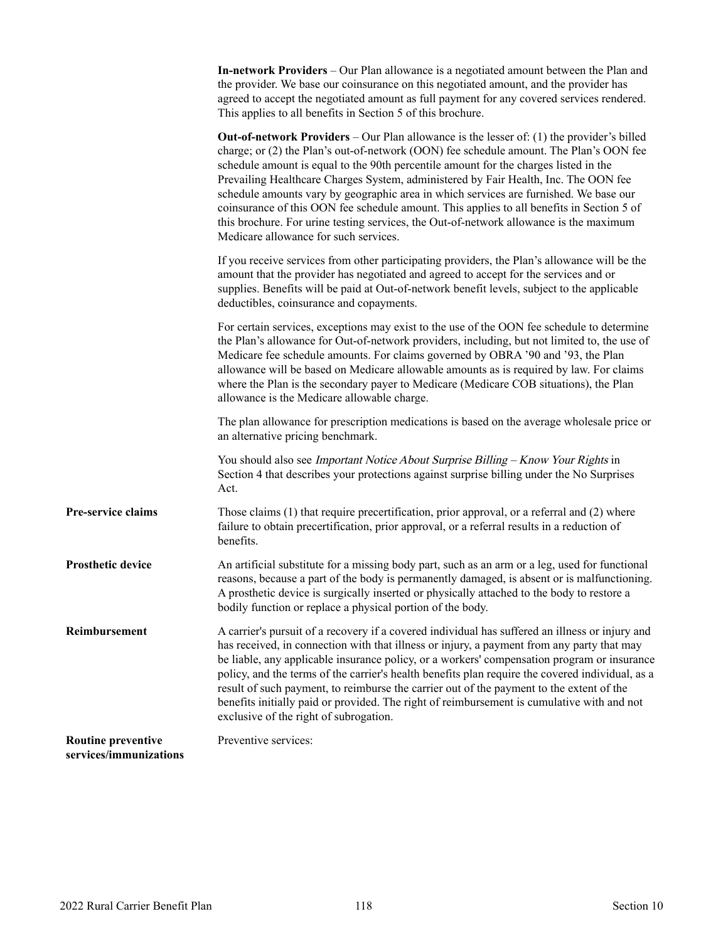<span id="page-119-0"></span>

|                           | <b>In-network Providers</b> – Our Plan allowance is a negotiated amount between the Plan and<br>the provider. We base our coinsurance on this negotiated amount, and the provider has<br>agreed to accept the negotiated amount as full payment for any covered services rendered.<br>This applies to all benefits in Section 5 of this brochure.                                                                                                                                                                                                                                                                                                                                                  |
|---------------------------|----------------------------------------------------------------------------------------------------------------------------------------------------------------------------------------------------------------------------------------------------------------------------------------------------------------------------------------------------------------------------------------------------------------------------------------------------------------------------------------------------------------------------------------------------------------------------------------------------------------------------------------------------------------------------------------------------|
|                           | <b>Out-of-network Providers</b> – Our Plan allowance is the lesser of: (1) the provider's billed<br>charge; or (2) the Plan's out-of-network (OON) fee schedule amount. The Plan's OON fee<br>schedule amount is equal to the 90th percentile amount for the charges listed in the<br>Prevailing Healthcare Charges System, administered by Fair Health, Inc. The OON fee<br>schedule amounts vary by geographic area in which services are furnished. We base our<br>coinsurance of this OON fee schedule amount. This applies to all benefits in Section 5 of<br>this brochure. For urine testing services, the Out-of-network allowance is the maximum<br>Medicare allowance for such services. |
|                           | If you receive services from other participating providers, the Plan's allowance will be the<br>amount that the provider has negotiated and agreed to accept for the services and or<br>supplies. Benefits will be paid at Out-of-network benefit levels, subject to the applicable<br>deductibles, coinsurance and copayments.                                                                                                                                                                                                                                                                                                                                                                    |
|                           | For certain services, exceptions may exist to the use of the OON fee schedule to determine<br>the Plan's allowance for Out-of-network providers, including, but not limited to, the use of<br>Medicare fee schedule amounts. For claims governed by OBRA '90 and '93, the Plan<br>allowance will be based on Medicare allowable amounts as is required by law. For claims<br>where the Plan is the secondary payer to Medicare (Medicare COB situations), the Plan<br>allowance is the Medicare allowable charge.                                                                                                                                                                                  |
|                           | The plan allowance for prescription medications is based on the average wholesale price or<br>an alternative pricing benchmark.                                                                                                                                                                                                                                                                                                                                                                                                                                                                                                                                                                    |
|                           | You should also see Important Notice About Surprise Billing - Know Your Rights in<br>Section 4 that describes your protections against surprise billing under the No Surprises<br>Act.                                                                                                                                                                                                                                                                                                                                                                                                                                                                                                             |
| Pre-service claims        | Those claims (1) that require precertification, prior approval, or a referral and (2) where<br>failure to obtain precertification, prior approval, or a referral results in a reduction of<br>benefits.                                                                                                                                                                                                                                                                                                                                                                                                                                                                                            |
| <b>Prosthetic device</b>  | An artificial substitute for a missing body part, such as an arm or a leg, used for functional<br>reasons, because a part of the body is permanently damaged, is absent or is malfunctioning.<br>A prosthetic device is surgically inserted or physically attached to the body to restore a<br>bodily function or replace a physical portion of the body.                                                                                                                                                                                                                                                                                                                                          |
| Reimbursement             | A carrier's pursuit of a recovery if a covered individual has suffered an illness or injury and<br>has received, in connection with that illness or injury, a payment from any party that may<br>be liable, any applicable insurance policy, or a workers' compensation program or insurance<br>policy, and the terms of the carrier's health benefits plan require the covered individual, as a<br>result of such payment, to reimburse the carrier out of the payment to the extent of the<br>benefits initially paid or provided. The right of reimbursement is cumulative with and not<br>exclusive of the right of subrogation.                                                               |
| <b>Routine preventive</b> | Preventive services:                                                                                                                                                                                                                                                                                                                                                                                                                                                                                                                                                                                                                                                                               |

**services/immunizations**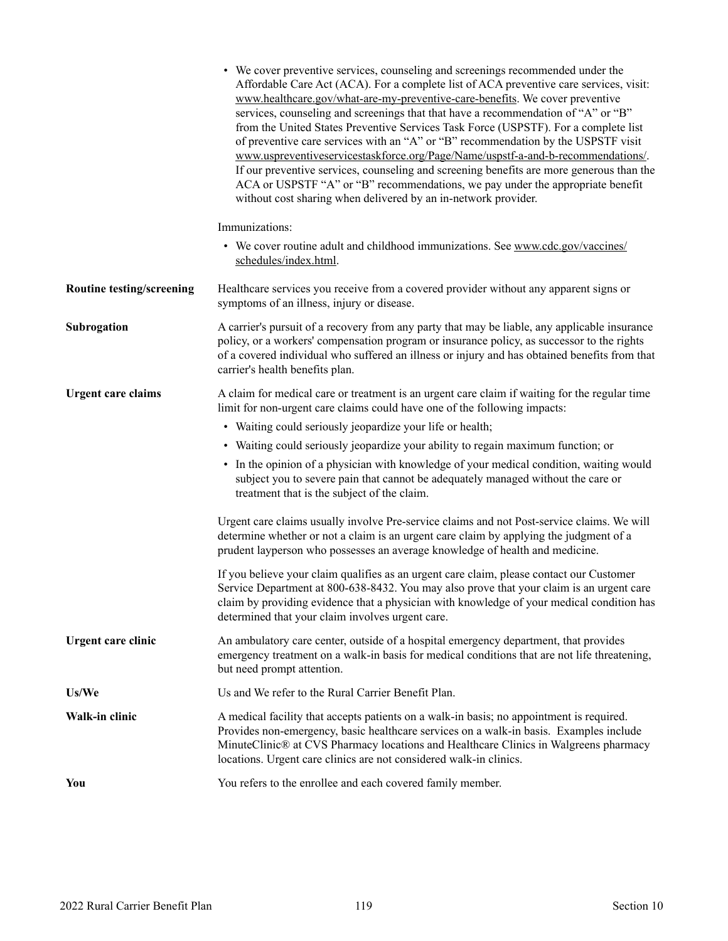<span id="page-120-0"></span>

|                                  | • We cover preventive services, counseling and screenings recommended under the<br>Affordable Care Act (ACA). For a complete list of ACA preventive care services, visit:<br>www.healthcare.gov/what-are-my-preventive-care-benefits. We cover preventive<br>services, counseling and screenings that that have a recommendation of "A" or "B"<br>from the United States Preventive Services Task Force (USPSTF). For a complete list<br>of preventive care services with an "A" or "B" recommendation by the USPSTF visit<br>www.uspreventiveservicestaskforce.org/Page/Name/uspstf-a-and-b-recommendations/.<br>If our preventive services, counseling and screening benefits are more generous than the<br>ACA or USPSTF "A" or "B" recommendations, we pay under the appropriate benefit<br>without cost sharing when delivered by an in-network provider. |
|----------------------------------|----------------------------------------------------------------------------------------------------------------------------------------------------------------------------------------------------------------------------------------------------------------------------------------------------------------------------------------------------------------------------------------------------------------------------------------------------------------------------------------------------------------------------------------------------------------------------------------------------------------------------------------------------------------------------------------------------------------------------------------------------------------------------------------------------------------------------------------------------------------|
|                                  | Immunizations:                                                                                                                                                                                                                                                                                                                                                                                                                                                                                                                                                                                                                                                                                                                                                                                                                                                 |
|                                  | • We cover routine adult and childhood immunizations. See www.cdc.gov/vaccines/<br>schedules/index.html.                                                                                                                                                                                                                                                                                                                                                                                                                                                                                                                                                                                                                                                                                                                                                       |
| <b>Routine testing/screening</b> | Healthcare services you receive from a covered provider without any apparent signs or<br>symptoms of an illness, injury or disease.                                                                                                                                                                                                                                                                                                                                                                                                                                                                                                                                                                                                                                                                                                                            |
| Subrogation                      | A carrier's pursuit of a recovery from any party that may be liable, any applicable insurance<br>policy, or a workers' compensation program or insurance policy, as successor to the rights<br>of a covered individual who suffered an illness or injury and has obtained benefits from that<br>carrier's health benefits plan.                                                                                                                                                                                                                                                                                                                                                                                                                                                                                                                                |
| <b>Urgent care claims</b>        | A claim for medical care or treatment is an urgent care claim if waiting for the regular time<br>limit for non-urgent care claims could have one of the following impacts:                                                                                                                                                                                                                                                                                                                                                                                                                                                                                                                                                                                                                                                                                     |
|                                  | • Waiting could seriously jeopardize your life or health;                                                                                                                                                                                                                                                                                                                                                                                                                                                                                                                                                                                                                                                                                                                                                                                                      |
|                                  | • Waiting could seriously jeopardize your ability to regain maximum function; or                                                                                                                                                                                                                                                                                                                                                                                                                                                                                                                                                                                                                                                                                                                                                                               |
|                                  | • In the opinion of a physician with knowledge of your medical condition, waiting would<br>subject you to severe pain that cannot be adequately managed without the care or<br>treatment that is the subject of the claim.                                                                                                                                                                                                                                                                                                                                                                                                                                                                                                                                                                                                                                     |
|                                  | Urgent care claims usually involve Pre-service claims and not Post-service claims. We will<br>determine whether or not a claim is an urgent care claim by applying the judgment of a<br>prudent layperson who possesses an average knowledge of health and medicine.                                                                                                                                                                                                                                                                                                                                                                                                                                                                                                                                                                                           |
|                                  | If you believe your claim qualifies as an urgent care claim, please contact our Customer<br>Service Department at 800-638-8432. You may also prove that your claim is an urgent care<br>claim by providing evidence that a physician with knowledge of your medical condition has<br>determined that your claim involves urgent care.                                                                                                                                                                                                                                                                                                                                                                                                                                                                                                                          |
| Urgent care clinic               | An ambulatory care center, outside of a hospital emergency department, that provides<br>emergency treatment on a walk-in basis for medical conditions that are not life threatening,<br>but need prompt attention.                                                                                                                                                                                                                                                                                                                                                                                                                                                                                                                                                                                                                                             |
| Us/We                            | Us and We refer to the Rural Carrier Benefit Plan.                                                                                                                                                                                                                                                                                                                                                                                                                                                                                                                                                                                                                                                                                                                                                                                                             |
| Walk-in clinic                   | A medical facility that accepts patients on a walk-in basis; no appointment is required.<br>Provides non-emergency, basic healthcare services on a walk-in basis. Examples include<br>MinuteClinic® at CVS Pharmacy locations and Healthcare Clinics in Walgreens pharmacy<br>locations. Urgent care clinics are not considered walk-in clinics.                                                                                                                                                                                                                                                                                                                                                                                                                                                                                                               |
| You                              | You refers to the enrollee and each covered family member.                                                                                                                                                                                                                                                                                                                                                                                                                                                                                                                                                                                                                                                                                                                                                                                                     |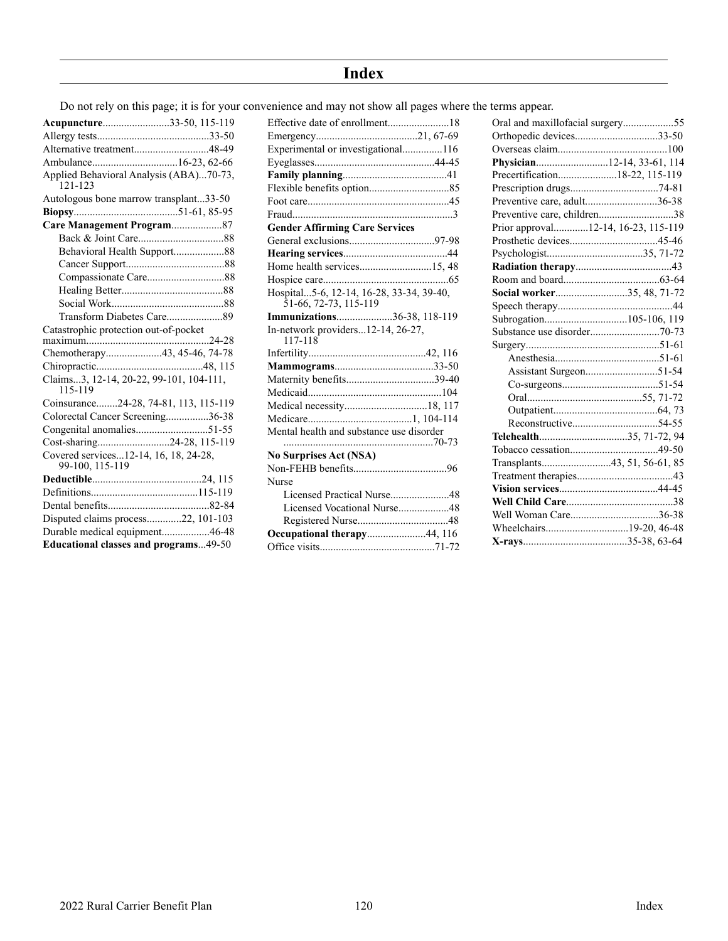# **Index**

Do not rely on this page; it is for your convenience and may not show all pages where the terms appear.

| Acupuncture33-50, 115-119                                |
|----------------------------------------------------------|
|                                                          |
| Alternative treatment48-49                               |
|                                                          |
| Applied Behavioral Analysis (ABA)70-73,<br>121-123       |
| Autologous bone marrow transplant33-50                   |
|                                                          |
| Care Management Program87                                |
|                                                          |
|                                                          |
|                                                          |
|                                                          |
|                                                          |
|                                                          |
|                                                          |
| Catastrophic protection out-of-pocket                    |
|                                                          |
| Chemotherapy43, 45-46, 74-78                             |
|                                                          |
| Claims3, 12-14, 20-22, 99-101, 104-111,<br>115-119       |
| Coinsurance24-28, 74-81, 113, 115-119                    |
| Colorectal Cancer Screening36-38                         |
| Congenital anomalies51-55                                |
| Cost-sharing24-28, 115-119                               |
| Covered services12-14, 16, 18, 24-28,<br>99-100, 115-119 |
|                                                          |
|                                                          |
|                                                          |
| Disputed claims process22, 101-103                       |
| Durable medical equipment46-48                           |
| <b>Educational classes and programs49-50</b>             |

| Effective date of enrollment18                                              |
|-----------------------------------------------------------------------------|
|                                                                             |
| Experimental or investigational116                                          |
|                                                                             |
|                                                                             |
|                                                                             |
|                                                                             |
|                                                                             |
| <b>Gender Affirming Care Services</b>                                       |
|                                                                             |
|                                                                             |
| Home health services15, 48                                                  |
|                                                                             |
| Hospital5-6, 12-14, 16-28, 33-34, 39-40,<br>$\frac{51-66}{72-73}$ , 115-119 |
| Immunizations36-38, 118-119                                                 |
| In-network providers12-14, 26-27,<br>117-118                                |
|                                                                             |
|                                                                             |
|                                                                             |
| Maternity benefits39-40                                                     |
|                                                                             |
| Medical necessity18, 117                                                    |
|                                                                             |
| Mental health and substance use disorder                                    |
|                                                                             |
| <b>No Surprises Act (NSA)</b>                                               |
|                                                                             |
| Nurse                                                                       |
| Licensed Practical Nurse48                                                  |
| Licensed Vocational Nurse48                                                 |
|                                                                             |
| Occupational therapy44, 116                                                 |
|                                                                             |

| Oral and maxillofacial surgery55    |  |
|-------------------------------------|--|
| Orthopedic devices33-50             |  |
|                                     |  |
| Physician12-14, 33-61, 114          |  |
| Precertification18-22, 115-119      |  |
|                                     |  |
| Preventive care, adult36-38         |  |
| Preventive care, children38         |  |
| Prior approval12-14, 16-23, 115-119 |  |
|                                     |  |
|                                     |  |
|                                     |  |
|                                     |  |
| Social worker35, 48, 71-72          |  |
|                                     |  |
|                                     |  |
|                                     |  |
|                                     |  |
|                                     |  |
|                                     |  |
|                                     |  |
|                                     |  |
|                                     |  |
|                                     |  |
| Telehealth35, 71-72, 94             |  |
|                                     |  |
|                                     |  |
|                                     |  |
|                                     |  |
|                                     |  |
| Well Woman Care36-38                |  |
|                                     |  |
|                                     |  |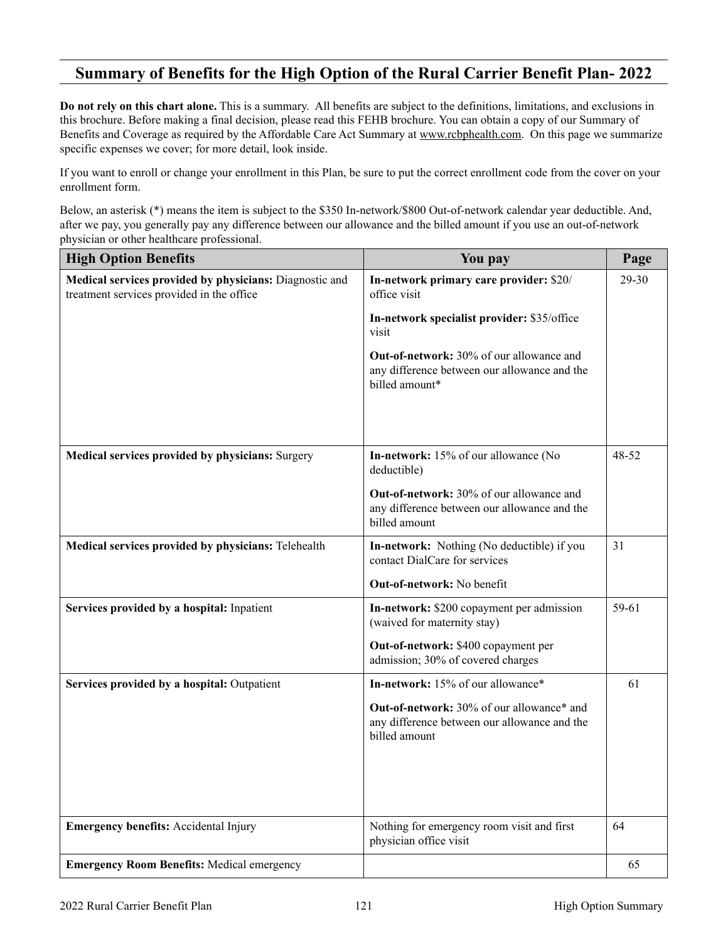# <span id="page-122-0"></span>**Summary of Benefits for the High Option of the Rural Carrier Benefit Plan- 2022**

**Do not rely on this chart alone.** This is a summary. All benefits are subject to the definitions, limitations, and exclusions in this brochure. Before making a final decision, please read this FEHB brochure. You can obtain a copy of our Summary of Benefits and Coverage as required by the Affordable Care Act Summary at [www.rcbphealth.com.](http://www.RCBPHealth.com) On this page we summarize specific expenses we cover; for more detail, look inside.

If you want to enroll or change your enrollment in this Plan, be sure to put the correct enrollment code from the cover on your enrollment form.

Below, an asterisk (\*) means the item is subject to the \$350 In-network/\$800 Out-of-network calendar year deductible. And, after we pay, you generally pay any difference between our allowance and the billed amount if you use an out-of-network physician or other healthcare professional.

| <b>High Option Benefits</b>                                                                          | You pay                                                                                                           | Page  |
|------------------------------------------------------------------------------------------------------|-------------------------------------------------------------------------------------------------------------------|-------|
| Medical services provided by physicians: Diagnostic and<br>treatment services provided in the office | In-network primary care provider: \$20/<br>office visit<br>In-network specialist provider: \$35/office<br>visit   | 29-30 |
|                                                                                                      | <b>Out-of-network:</b> 30% of our allowance and<br>any difference between our allowance and the<br>billed amount* |       |
| Medical services provided by physicians: Surgery                                                     | In-network: 15% of our allowance (No<br>deductible)                                                               | 48-52 |
|                                                                                                      | <b>Out-of-network:</b> 30% of our allowance and<br>any difference between our allowance and the<br>billed amount  |       |
| Medical services provided by physicians: Telehealth                                                  | <b>In-network:</b> Nothing (No deductible) if you<br>contact DialCare for services                                | 31    |
|                                                                                                      | <b>Out-of-network:</b> No benefit                                                                                 |       |
| Services provided by a hospital: Inpatient                                                           | In-network: \$200 copayment per admission<br>(waived for maternity stay)<br>Out-of-network: \$400 copayment per   | 59-61 |
|                                                                                                      | admission; 30% of covered charges                                                                                 |       |
| Services provided by a hospital: Outpatient                                                          | In-network: 15% of our allowance*                                                                                 | 61    |
|                                                                                                      | Out-of-network: 30% of our allowance* and<br>any difference between our allowance and the<br>billed amount        |       |
| <b>Emergency benefits:</b> Accidental Injury                                                         | Nothing for emergency room visit and first<br>physician office visit                                              | 64    |
| <b>Emergency Room Benefits: Medical emergency</b>                                                    |                                                                                                                   | 65    |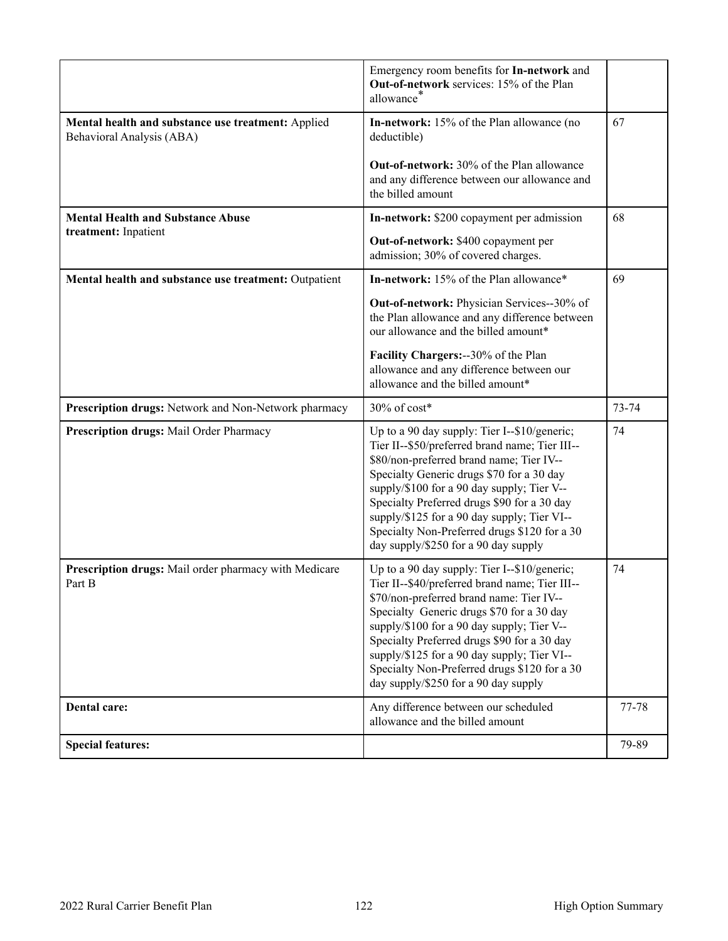|                                                                                 | Emergency room benefits for In-network and<br>Out-of-network services: 15% of the Plan<br>allowance*                                                                                                                                                                                                                                                                                                                        |           |
|---------------------------------------------------------------------------------|-----------------------------------------------------------------------------------------------------------------------------------------------------------------------------------------------------------------------------------------------------------------------------------------------------------------------------------------------------------------------------------------------------------------------------|-----------|
| Mental health and substance use treatment: Applied<br>Behavioral Analysis (ABA) | In-network: 15% of the Plan allowance (no<br>deductible)<br><b>Out-of-network:</b> 30% of the Plan allowance<br>and any difference between our allowance and<br>the billed amount                                                                                                                                                                                                                                           | 67        |
| <b>Mental Health and Substance Abuse</b><br>treatment: Inpatient                | In-network: \$200 copayment per admission<br>Out-of-network: \$400 copayment per<br>admission; 30% of covered charges.                                                                                                                                                                                                                                                                                                      | 68        |
| Mental health and substance use treatment: Outpatient                           | In-network: 15% of the Plan allowance*                                                                                                                                                                                                                                                                                                                                                                                      | 69        |
|                                                                                 | Out-of-network: Physician Services--30% of<br>the Plan allowance and any difference between<br>our allowance and the billed amount*                                                                                                                                                                                                                                                                                         |           |
|                                                                                 | Facility Chargers: -- 30% of the Plan<br>allowance and any difference between our<br>allowance and the billed amount*                                                                                                                                                                                                                                                                                                       |           |
| Prescription drugs: Network and Non-Network pharmacy                            | 30% of cost*                                                                                                                                                                                                                                                                                                                                                                                                                | $73 - 74$ |
| Prescription drugs: Mail Order Pharmacy                                         | Up to a 90 day supply: Tier I--\$10/generic;<br>Tier II--\$50/preferred brand name; Tier III--<br>\$80/non-preferred brand name; Tier IV--<br>Specialty Generic drugs \$70 for a 30 day<br>supply/\$100 for a 90 day supply; Tier V--<br>Specialty Preferred drugs \$90 for a 30 day<br>supply/\$125 for a 90 day supply; Tier VI--<br>Specialty Non-Preferred drugs \$120 for a 30<br>day supply/\$250 for a 90 day supply | 74        |
| Prescription drugs: Mail order pharmacy with Medicare<br>Part B                 | Up to a 90 day supply: Tier I--\$10/generic;<br>Tier II--\$40/preferred brand name; Tier III--<br>\$70/non-preferred brand name: Tier IV--<br>Specialty Generic drugs \$70 for a 30 day<br>supply/\$100 for a 90 day supply; Tier V--<br>Specialty Preferred drugs \$90 for a 30 day<br>supply/\$125 for a 90 day supply; Tier VI--<br>Specialty Non-Preferred drugs \$120 for a 30<br>day supply/\$250 for a 90 day supply | 74        |
| Dental care:                                                                    | Any difference between our scheduled<br>allowance and the billed amount                                                                                                                                                                                                                                                                                                                                                     | 77-78     |
| <b>Special features:</b>                                                        |                                                                                                                                                                                                                                                                                                                                                                                                                             | 79-89     |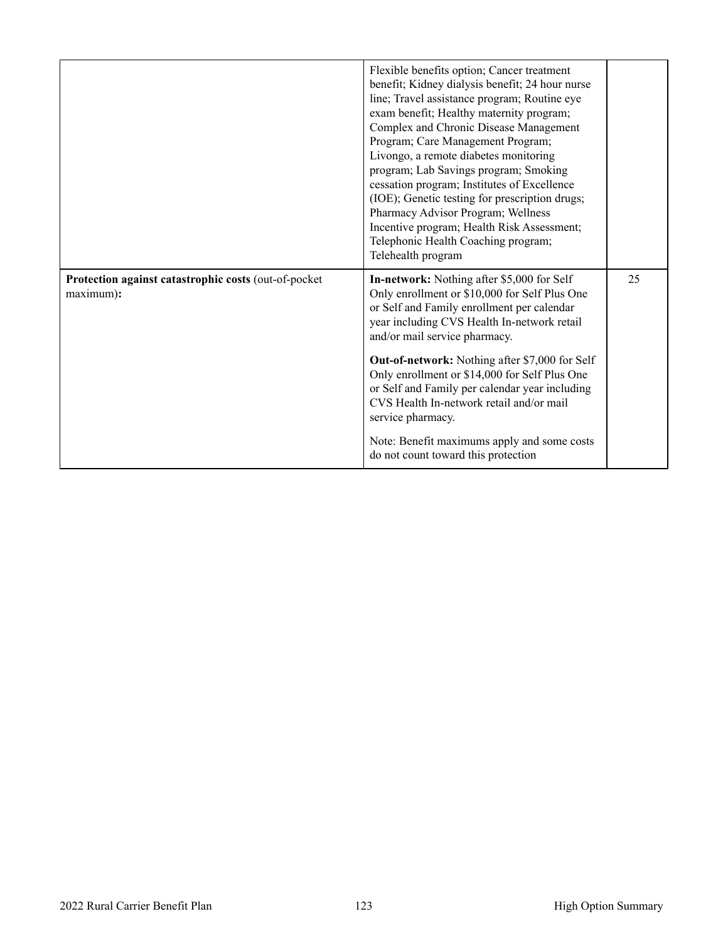<span id="page-124-0"></span>

|                                                                   | Flexible benefits option; Cancer treatment<br>benefit; Kidney dialysis benefit; 24 hour nurse<br>line; Travel assistance program; Routine eye<br>exam benefit; Healthy maternity program;<br>Complex and Chronic Disease Management<br>Program; Care Management Program;<br>Livongo, a remote diabetes monitoring<br>program; Lab Savings program; Smoking<br>cessation program; Institutes of Excellence<br>(IOE); Genetic testing for prescription drugs;<br>Pharmacy Advisor Program; Wellness<br>Incentive program; Health Risk Assessment;<br>Telephonic Health Coaching program;<br>Telehealth program |    |
|-------------------------------------------------------------------|--------------------------------------------------------------------------------------------------------------------------------------------------------------------------------------------------------------------------------------------------------------------------------------------------------------------------------------------------------------------------------------------------------------------------------------------------------------------------------------------------------------------------------------------------------------------------------------------------------------|----|
| Protection against catastrophic costs (out-of-pocket<br>maximum): | In-network: Nothing after \$5,000 for Self<br>Only enrollment or \$10,000 for Self Plus One<br>or Self and Family enrollment per calendar<br>year including CVS Health In-network retail<br>and/or mail service pharmacy.                                                                                                                                                                                                                                                                                                                                                                                    | 25 |
|                                                                   | <b>Out-of-network:</b> Nothing after \$7,000 for Self<br>Only enrollment or \$14,000 for Self Plus One<br>or Self and Family per calendar year including<br>CVS Health In-network retail and/or mail<br>service pharmacy.                                                                                                                                                                                                                                                                                                                                                                                    |    |
|                                                                   | Note: Benefit maximums apply and some costs<br>do not count toward this protection                                                                                                                                                                                                                                                                                                                                                                                                                                                                                                                           |    |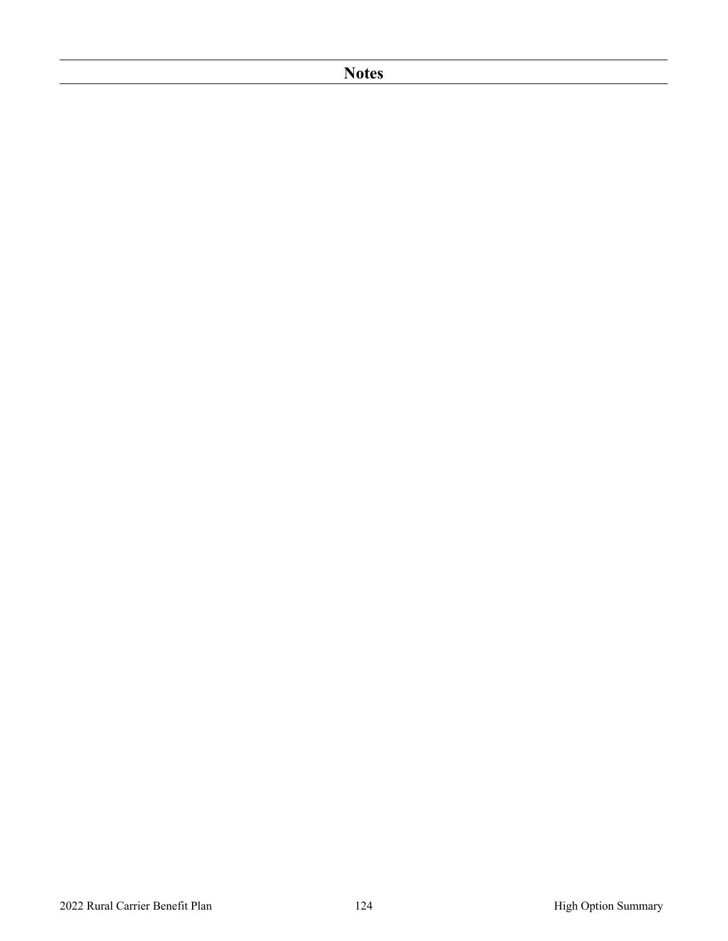# **Notes**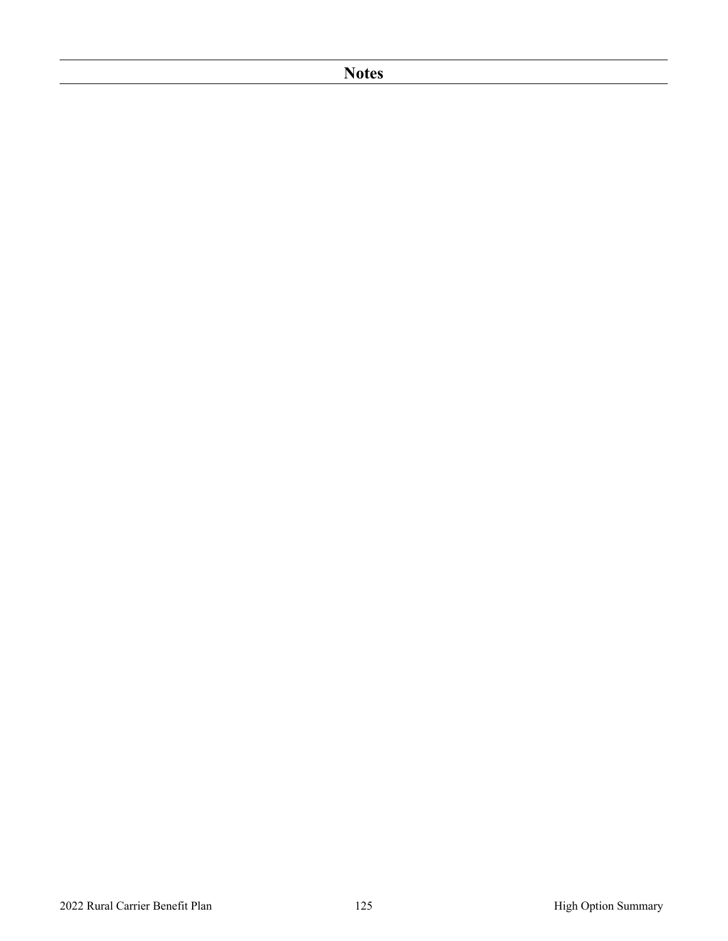# **Notes**